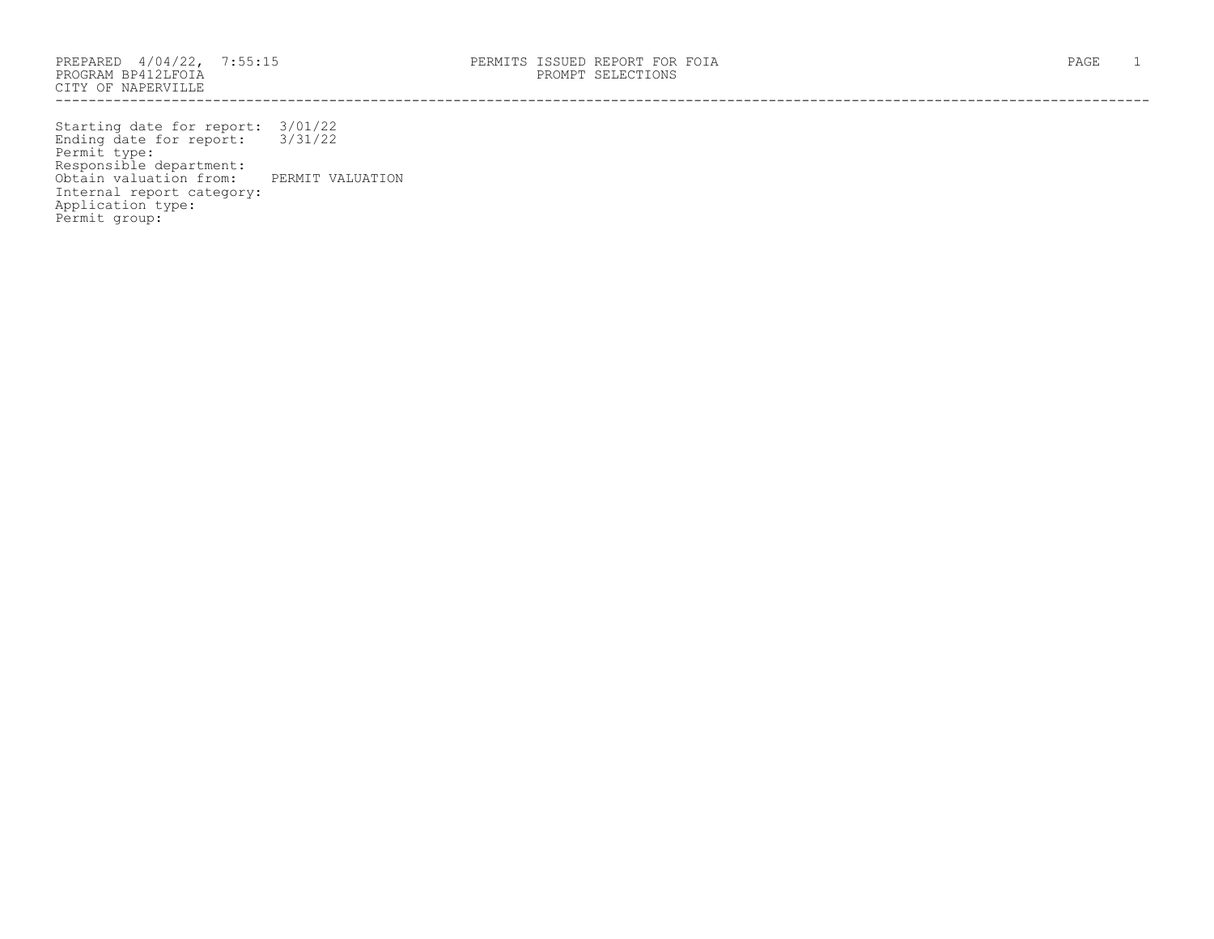PROGRAM BP412LFOIA PROMPT SELECTIONS CITY OF NAPERVILLE ------------------------------------------------------------------------------------------------------------------------------------

Starting date for report: 3/01/22 Ending date for report: 3/31/22 Permit type: Responsible department: Obtain valuation from: PERMIT VALUATION Internal report category: Application type: Permit group: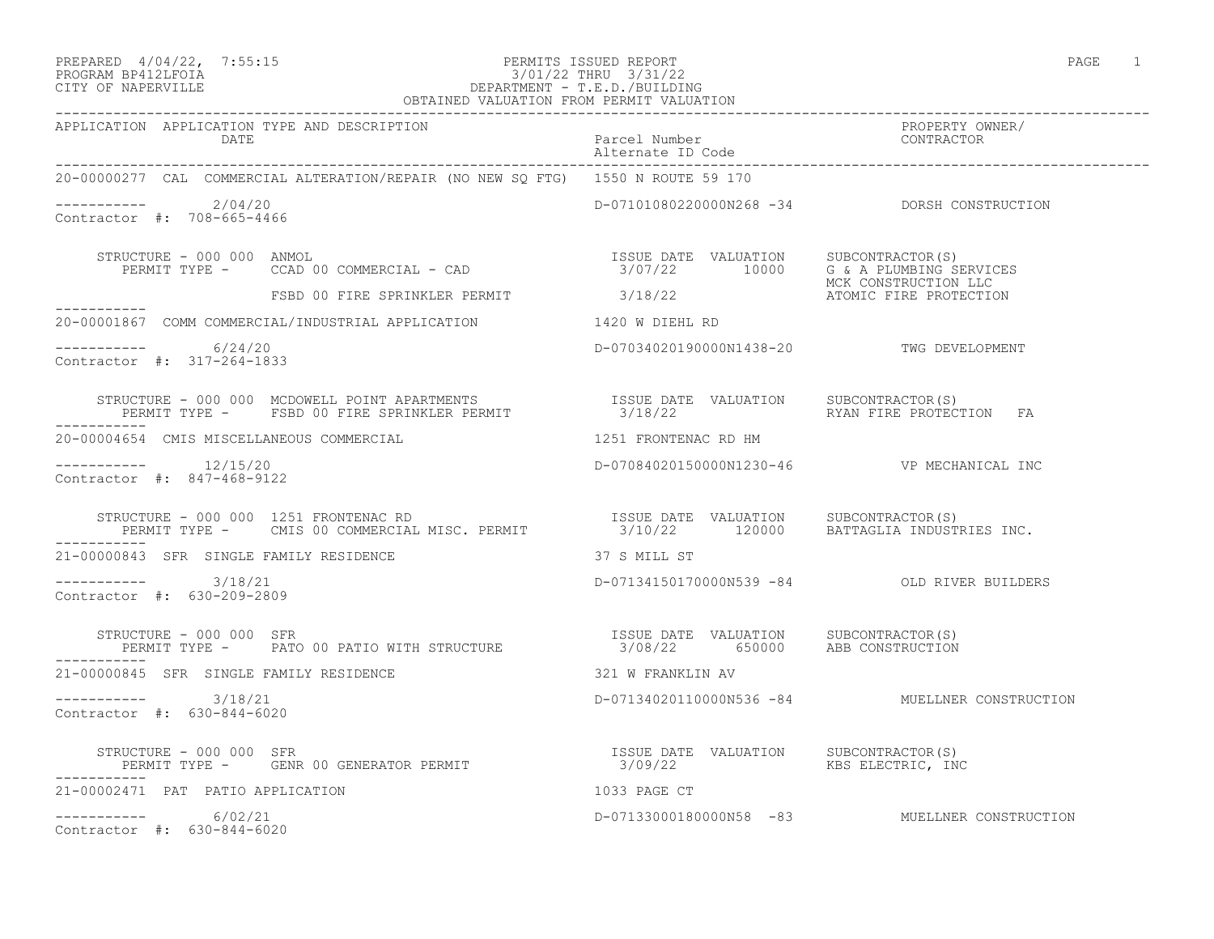# PREPARED 4/04/22, 7:55:15 PERMITS ISSUED REPORT<br>PROGRAM BP412LFOIA PAGE 1 PROGRAM BP412LFOIA 3/01/22 THRU 3/31/22 CITY OF NAPERVILLE DEPARTMENT - T.E.D./BUILDING

| OBTAINED VALUATION FROM PERMIT VALUATION                                                                                                                                                                           |                                          |                                                |  |  |
|--------------------------------------------------------------------------------------------------------------------------------------------------------------------------------------------------------------------|------------------------------------------|------------------------------------------------|--|--|
| APPLICATION APPLICATION TYPE AND DESCRIPTION<br>Parcel Number<br>Alternate ID Code<br>-00000277 CAL COMMERCIAL ALTERATION/REPAIR AND MEW OO BECAULATION                                                            |                                          | PROPERTY OWNER/<br>CONTRACTOR                  |  |  |
| 20-00000277 CAL COMMERCIAL ALTERATION/REPAIR (NO NEW SQ FTG) 1550 N ROUTE 59 170                                                                                                                                   |                                          |                                                |  |  |
| $---------$ 2/04/20<br>Contractor #: 708-665-4466                                                                                                                                                                  |                                          | D-07101080220000N268 -34 DORSH CONSTRUCTION    |  |  |
| STRUCTURE - 000 000 ANMOL<br>PERMIT TYPE - CCAD 00 COMMERCIAL - CAD (2008)<br>FSBD 00 FIRE SPRINKLER PERMIT 3/18/22 10000 G& A PLUMBING SERVICES<br>3/18/22 10000 ATOMIC FIRE PROTECTION<br>ATOMIC FIRE PROTECTION |                                          |                                                |  |  |
|                                                                                                                                                                                                                    |                                          |                                                |  |  |
| 20-00001867 COMM COMMERCIAL/INDUSTRIAL APPLICATION 1420 W DIEHL RD                                                                                                                                                 |                                          |                                                |  |  |
| $--------- 6/24/20$<br>Contractor #: 317-264-1833                                                                                                                                                                  | D-07034020190000N1438-20 TWG DEVELOPMENT |                                                |  |  |
| STRUCTURE - 000 000 MCDOWELL POINT APARTMENTS                   ISSUE DATE VALUATION   SUBCONTRACTOR(S)<br>PERMIT TYPE -   FSBD 00 FIRE SPRINKLER PERMIT               3/18/22           RYAN FIRE PROTECTION  FA  |                                          |                                                |  |  |
| 20-00004654 CMIS MISCELLANEOUS COMMERCIAL                                                                                                                                                                          | 1251 FRONTENAC RD HM                     |                                                |  |  |
| Contractor #: 847-468-9122                                                                                                                                                                                         |                                          | D-07084020150000N1230-46 VP MECHANICAL INC     |  |  |
| STRUCTURE - 000 000 1251 FRONTENAC RD<br>PERMIT TYPE - CMIS 00 COMMERCIAL MISC. PERMIT               3/10/22      120000   BATTAGLIA INDUSTRIES INC.                                                               |                                          |                                                |  |  |
| 21-00000843 SFR SINGLE FAMILY RESIDENCE 6 87 S MILL ST                                                                                                                                                             |                                          |                                                |  |  |
| ----------    3/18/21<br>Contractor #: 630-209-2809                                                                                                                                                                |                                          | D-07134150170000N539 -84 OLD RIVER BUILDERS    |  |  |
| STRUCTURE - 000 000 SFR<br>PERMIT TYPE - PATO 00 PATIO WITH STRUCTURE 155UE DATE VALUATION SUBCONTRACTOR(S)                                                                                                        |                                          |                                                |  |  |
| 21-00000845 SFR SINGLE FAMILY RESIDENCE<br>321 W FRANKLIN AV                                                                                                                                                       |                                          |                                                |  |  |
| $--------- 3/18/21$<br>Contractor #: 630-844-6020                                                                                                                                                                  |                                          | D-07134020110000N536 -84 MUELLNER CONSTRUCTION |  |  |
|                                                                                                                                                                                                                    |                                          |                                                |  |  |
| 21-00002471 PAT PATIO APPLICATION                                                                                                                                                                                  | 1033 PAGE CT                             |                                                |  |  |
| $--------- 6/02/21$<br>Contractor #: 630-844-6020                                                                                                                                                                  |                                          | D-07133000180000N58 -83 MUELLNER CONSTRUCTION  |  |  |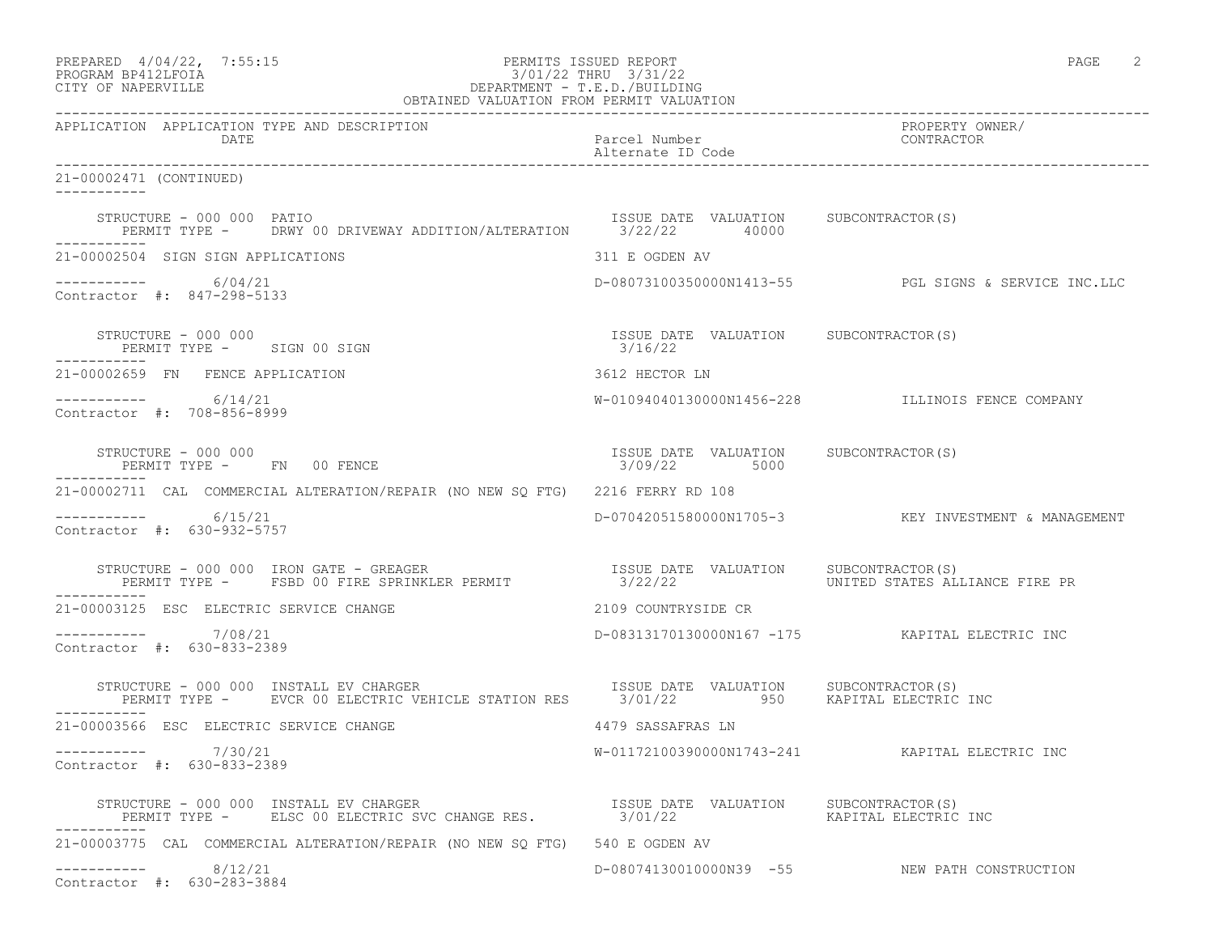| PREPARED 4/04/22, 7:55:15<br>11/11/11 11/10/11/22<br>3/01/22 THRU 3/31/22<br>DEPARTMENT - T.E.D./BUILDING<br>OBTAINED VALUATION FROM PERMIT VALUATION<br>PROGRAM BP412LFOIA<br>CITY OF NAPERVILLE | PERMITS ISSUED REPORT                                 | PAGE 2                                               |
|---------------------------------------------------------------------------------------------------------------------------------------------------------------------------------------------------|-------------------------------------------------------|------------------------------------------------------|
| APPLICATION APPLICATION TYPE AND DESCRIPTION<br>DATE<br>--------------------------------------                                                                                                    | Parcel Number<br>Alternate ID Code                    | PROPERTY OWNER/<br>CONTRACTOR                        |
| 21-00002471 (CONTINUED)                                                                                                                                                                           |                                                       |                                                      |
| STRUCTURE - 000 000 PATIO<br>PERMIT TYPE - DRWY 00 DRIVEWAY ADDITION/ALTERATION 3/22/22 40000                                                                                                     | ISSUE DATE VALUATION SUBCONTRACTOR(S)                 |                                                      |
| 21-00002504 SIGN SIGN APPLICATIONS                                                                                                                                                                | 311 E OGDEN AV                                        |                                                      |
| $--------- 6/04/21$<br>Contractor #: 847-298-5133                                                                                                                                                 |                                                       | D-08073100350000N1413-55 PGL SIGNS & SERVICE INC.LLC |
| STRUCTURE - 000 000<br>PERMIT TYPE - SIGN 00 SIGN                                                                                                                                                 | ISSUE DATE VALUATION SUBCONTRACTOR(S)<br>3/16/22      |                                                      |
| 21-00002659 FN FENCE APPLICATION                                                                                                                                                                  | 3612 HECTOR LN                                        |                                                      |
| $--------- 6/14/21$<br>Contractor #: 708-856-8999                                                                                                                                                 |                                                       | W-01094040130000N1456-228 ILLINOIS FENCE COMPANY     |
| STRUCTURE - 000 000<br>PERMIT TYPE - FN 00 FENCE                                                                                                                                                  | ISSUE DATE VALUATION SUBCONTRACTOR(S)<br>3/09/22 5000 |                                                      |
| 21-00002711 CAL COMMERCIAL ALTERATION/REPAIR (NO NEW SO FTG) 2216 FERRY RD 108                                                                                                                    |                                                       |                                                      |
| $--------- 6/15/21$<br>Contractor #: 630-932-5757                                                                                                                                                 |                                                       | D-07042051580000N1705-3 KEY INVESTMENT & MANAGEMENT  |
| STRUCTURE - 000 000 IRON GATE - GREAGER<br>PERMIT TYPE -   FSBD 00 FIRE SPRINKLER PERMIT                 3/22/22         UNITED STATES ALLIANCE FIRE PR                                           |                                                       |                                                      |
| 21-00003125 ESC ELECTRIC SERVICE CHANGE                                                                                                                                                           | 2109 COUNTRYSIDE CR                                   |                                                      |
| $--------- 7/08/21$<br>Contractor #: 630-833-2389                                                                                                                                                 |                                                       | D-08313170130000N167 -175 KAPITAL ELECTRIC INC       |
| VUCTURE – 000 000 INSTALL EV CHARGER<br>PERMIT TYPE – EVCR 00 ELECTRIC VEHICLE STATION RES 3/01/22 950 KAPITAL ELECTRIC INC<br>STRUCTURE - 000 000 INSTALL EV CHARGER                             |                                                       |                                                      |
| 21-00003566 ESC ELECTRIC SERVICE CHANGE                                                                                                                                                           | 4479 SASSAFRAS LN                                     |                                                      |
| 7/30/21<br>Contractor #: 630-833-2389                                                                                                                                                             |                                                       | W-01172100390000N1743-241 KAPITAL ELECTRIC INC       |
| STRUCTURE - 000 000 INSTALL EV CHARGER                             ISSUE DATE VALUATION     SUBCONTRACTOR(S)<br>PERMIT TYPE -      ELSC 00 ELECTRIC SVC CHANGE RES.               3/01/22         |                                                       | KAPITAL ELECTRIC INC                                 |
| 21-00003775 CAL COMMERCIAL ALTERATION/REPAIR (NO NEW SQ FTG) 540 E OGDEN AV                                                                                                                       |                                                       |                                                      |
| 8/12/21<br>Contractor #: 630-283-3884                                                                                                                                                             |                                                       | D-08074130010000N39 -55 NEW PATH CONSTRUCTION        |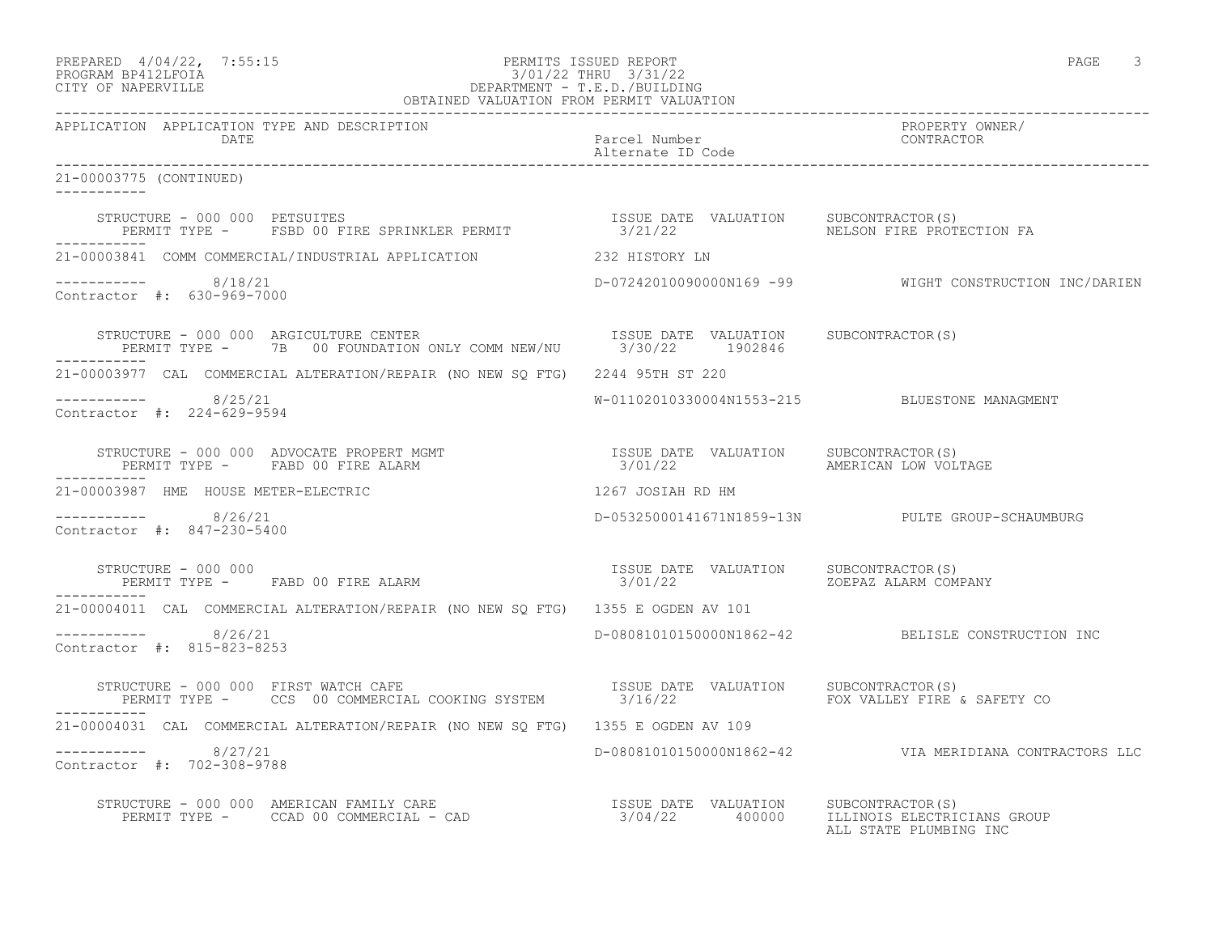| PREPARED 4/04/22, 7:55:15                                                                                                                                                                                                                                                                                                                                                                                                | PERMITS ISSUED REPORT | PAGE |  |
|--------------------------------------------------------------------------------------------------------------------------------------------------------------------------------------------------------------------------------------------------------------------------------------------------------------------------------------------------------------------------------------------------------------------------|-----------------------|------|--|
| $\begin{array}{lll}\n\text{N} & \text{N} & \text{N} & \text{N} & \text{N} & \text{N} & \text{N} & \text{N} & \text{N} & \text{N} & \text{N} & \text{N} & \text{N} & \text{N} & \text{N} & \text{N} & \text{N} & \text{N} & \text{N} & \text{N} & \text{N} & \text{N} & \text{N} & \text{N} & \text{N} & \text{N} & \text{N} & \text{N} & \text{N} & \text{N} & \text{N} & \text{N} & \text{N} & \text{N} & \text{N} & \$ | 0/01/00 munti 0/01/00 |      |  |

# PROGRAM BP412LFOIA 3/01/22 THRU 3/31/22 CITY OF NAPERVILLE DEPARTMENT - T.E.D./BUILDING OBTAINED VALUATION FROM PERMIT VALUATION

------------------------------------------------------------------------------------------------------------------------------------ APPLICATION APPLICATION TYPE AND DESCRIPTION PROPERTY OWNER/ Parcel Number Alternate ID Code ------------------------------------------------------------------------------------------------------------------------------------ 21-00003775 (CONTINUED) ----------- STRUCTURE - 000 000 PETSUITES ISSUE DATE VALUATION SUBCONTRACTOR(S) PERMIT TYPE - FSBD 00 FIRE SPRINKLER PERMIT 3/21/22 NELSON FIRE PROTECTION FA ----------- 21-00003841 COMM COMMERCIAL/INDUSTRIAL APPLICATION 232 HISTORY LN ----------- 8/18/21 D-07242010090000N169 -99 WIGHT CONSTRUCTION INC/DARIEN Contractor #: 630-969-7000 STRUCTURE - 000 000 ARGICULTURE CENTER ISSUE DATE VALUATION SUBCONTRACTOR(S) PERMIT TYPE - 7B 00 FOUNDATION ONLY COMM NEW/NU 3/30/22 1902846 ----------- 21-00003977 CAL COMMERCIAL ALTERATION/REPAIR (NO NEW SQ FTG) 2244 95TH ST 220 ----------- 8/25/21 W-01102010330004N1553-215 BLUESTONE MANAGMENT Contractor #: 224-629-9594 STRUCTURE - 000 000 ADVOCATE PROPERT MGMT ISSUE DATE VALUATION SUBCONTRACTOR(S) PERMIT TYPE - FABD 00 FIRE ALARM  $3/01/22$  AMERICAN LOW VOLTAGE ----------- 21-00003987 HME HOUSE METER-ELECTRIC 1267 JOSIAH RD HM ----------- 8/26/21 D-05325000141671N1859-13N PULTE GROUP-SCHAUMBURG Contractor #: 847-230-5400 STRUCTURE - 000 000 ISSUE DATE VALUATION SUBCONTRACTOR(S) PERMIT TYPE - FABD 00 FIRE ALARM ----------- 21-00004011 CAL COMMERCIAL ALTERATION/REPAIR (NO NEW SQ FTG) 1355 E OGDEN AV 101 ----------- 8/26/21 D-08081010150000N1862-42 BELISLE CONSTRUCTION INC Contractor #: 815-823-8253 STRUCTURE - 000 000 FIRST WATCH CAFE ISSUE DATE VALUATION SUBCONTRACTOR(S) PERMIT TYPE - CCS 00 COMMERCIAL COOKING SYSTEM 3/16/22 FOX VALLEY FIRE & SAFETY CO ----------- 21-00004031 CAL COMMERCIAL ALTERATION/REPAIR (NO NEW SQ FTG) 1355 E OGDEN AV 109 ----------- 8/27/21 D-08081010150000N1862-42 VIA MERIDIANA CONTRACTORS LLC Contractor #: 702-308-9788 STRUCTURE - 000 000 AMERICAN FAMILY CARE ISSUE DATE VALUATION SUBCONTRACTOR(S) PERMIT TYPE - CCAD 00 COMMERCIAL - CAD 3/04/22 400000 ILLINOIS ELECTRICIANS GROUP ALL STATE PLUMBING INC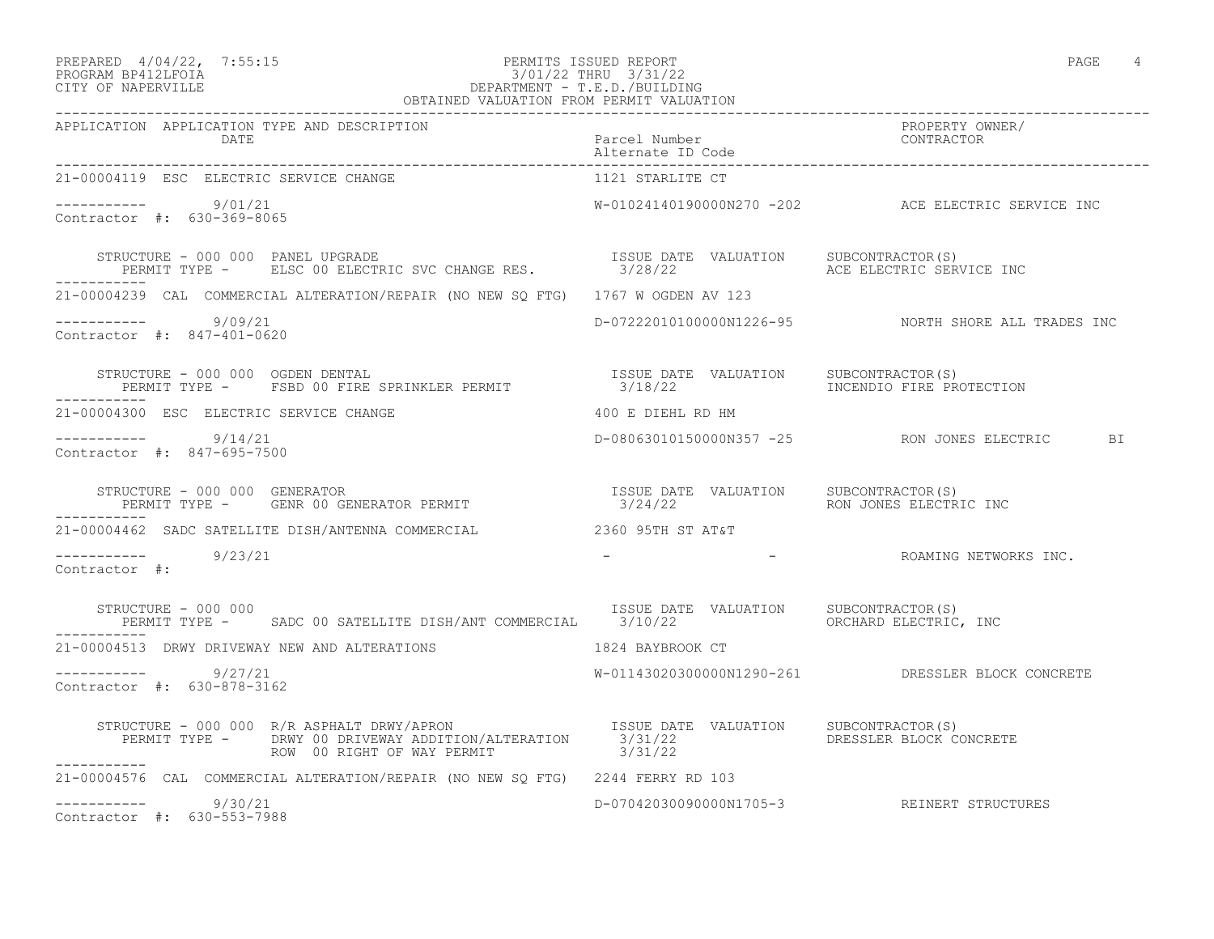#### PREPARED  $4/04/22$ ,  $7:55:15$  PERMITS ISSUED REPORT PAGE 4 PROGRAM BP412LFOIA 3/01/22 THRU 3/31/22 CITY OF NAPERVILLE DEPARTMENT - T.E.D./BUILDING OBTAINED VALUATION FROM PERMIT VALUATION

| APPLICATION APPLICATION TYPE AND DESCRIPTION                                                                                                                                                                        |                                       |                                                     |
|---------------------------------------------------------------------------------------------------------------------------------------------------------------------------------------------------------------------|---------------------------------------|-----------------------------------------------------|
| DATE                                                                                                                                                                                                                | Parcel Number                         | PROPERTY OWNER/<br>CONTRACTOR                       |
| 21-00004119 ESC ELECTRIC SERVICE CHANGE                                                                                                                                                                             | 1121 STARLITE CT                      |                                                     |
| $--------$ 9/01/21<br>Contractor #: 630-369-8065                                                                                                                                                                    |                                       | W-01024140190000N270 -202 ACE ELECTRIC SERVICE INC  |
| STRUCTURE - 000 000 PANEL UPGRADE<br>STRUCTURE - 000 000 PANEL UPGRADE<br>PERMIT TYPE -    ELSC 00 ELECTRIC SVC CHANGE RES.           3/28/22        ACE ELECTRIC SERVICE INC                                       | ISSUE DATE VALUATION SUBCONTRACTOR(S) |                                                     |
| 21-00004239 CAL COMMERCIAL ALTERATION/REPAIR (NO NEW SO FTG) 1767 W OGDEN AV 123                                                                                                                                    |                                       |                                                     |
| $--------- 9/09/21$<br>Contractor #: 847-401-0620                                                                                                                                                                   |                                       | D-07222010100000N1226-95 NORTH SHORE ALL TRADES INC |
| STRUCTURE - 000 000 OGDEN DENTAL SPRINKLER PERMIT TEST SUBLE DATE VALUATION SUBCONTRACTOR(S)<br>PERMIT TYPE - FSBD 00 FIRE SPRINKLER PERMIT 3/18/22 TREENDIO FIRE PROTECTION<br>-----------                         |                                       |                                                     |
| 21-00004300 ESC ELECTRIC SERVICE CHANGE                                                                                                                                                                             | 400 E DIEHL RD HM                     |                                                     |
| $--------- 9/14/21$<br>Contractor #: 847-695-7500                                                                                                                                                                   |                                       | D-08063010150000N357 -25 RON JONES ELECTRIC BI      |
| STRUCTURE - 000 000 GENERATOR<br>STRUCTURE – 000 000 GENERATOR<br>PERMIT TYPE –   GENR 00 GENERATOR PERMIT                                   3/24/22                         RON JONES ELECTRIC INC<br>------------ |                                       |                                                     |
| 21-00004462 SADC SATELLITE DISH/ANTENNA COMMERCIAL                                                                                                                                                                  | 2360 95TH ST AT&T                     |                                                     |
| $--------- 9/23/21$<br>Contractor #:                                                                                                                                                                                |                                       | - ROAMING NETWORKS INC.                             |
| STRUCTURE - 000 000<br>PERMIT TYPE - SADC 00 SATELLITE DISH/ANT COMMERCIAL 3/10/22 68 CORCHARD ELECTRIC, INC                                                                                                        | ISSUE DATE VALUATION SUBCONTRACTOR(S) |                                                     |
| 21-00004513 DRWY DRIVEWAY NEW AND ALTERATIONS THE RESERVED MADE 1824 BAYBROOK CT                                                                                                                                    |                                       |                                                     |
| $--------- 9/27/21$<br>Contractor #: 630-878-3162                                                                                                                                                                   |                                       | W-01143020300000N1290-261 DRESSLER BLOCK CONCRETE   |
| STRUCTURE - 000 000 R/R ASPHALT DRWY/APRON TSSUE DATE VALUATION SUBCONTRACTOR(S)<br>PERMIT TYPE - DRWY 00 DRIVEWAY ADDITION/ALTERATION 3/31/22 DRESSLER BLOCK CONCRETE<br>-----------                               |                                       |                                                     |
| 21-00004576 CAL COMMERCIAL ALTERATION/REPAIR (NO NEW SQ FTG) 2244 FERRY RD 103                                                                                                                                      |                                       |                                                     |
| $--------- 9/30/21$<br>Contractor #: 630-553-7988                                                                                                                                                                   |                                       | D-07042030090000N1705-3 REINERT STRUCTURES          |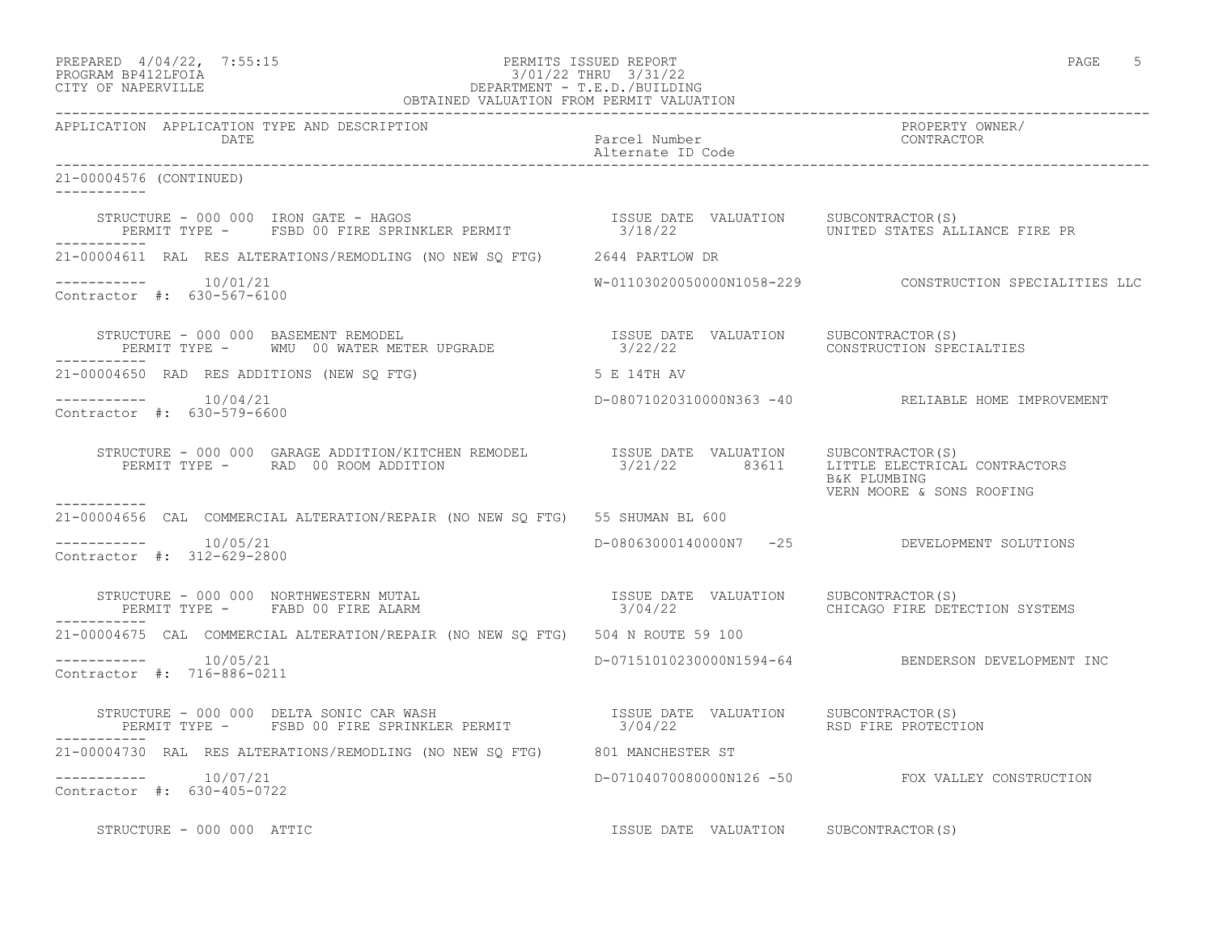| PREPARED | $4/04/22$ ,        | 7:55:1 |
|----------|--------------------|--------|
|          | ELOGRAM BRAIOIROTA |        |

# PREPARED  $4/04/22$ , 7:55:15 PERMITS ISSUED REPORT<br>PROGRAM BP412LFOIA PAGE 5 PROGRAM BP412LFOIA 3/01/22 THRU 3/31/22<br>CITY OF NAPERVILLE DEPARTMENT - T.E.D./BUILDIN CITY OF NAPERVILLE DEPARTMENT - T.E.D./BUILDING

| OBTAINED VALUATION FROM PERMIT VALUATION                                                                                                                                                                                      |                                       |                                                         |
|-------------------------------------------------------------------------------------------------------------------------------------------------------------------------------------------------------------------------------|---------------------------------------|---------------------------------------------------------|
| APPLICATION APPLICATION TYPE AND DESCRIPTION<br>DATE                                                                                                                                                                          | Parcel Number<br>Alternate ID Code    | PROPERTY OWNER/<br>CONTRACTOR                           |
| 21-00004576 (CONTINUED)                                                                                                                                                                                                       |                                       |                                                         |
| STRUCTURE - 000 000 IRON GATE - HAGOS                         ISSUE DATE VALUATION   SUBCONTRACTOR(S)<br>PERMIT TYPE -   FSBD 00 FIRE SPRINKLER PERMIT             3/18/22           UNITED STATES ALLIANCE FIRE PR           |                                       |                                                         |
| 21-00004611 RAL RES ALTERATIONS/REMODLING (NO NEW SQ FTG) 2644 PARTLOW DR                                                                                                                                                     |                                       |                                                         |
| $--------- 10/01/21$<br>Contractor #: 630-567-6100                                                                                                                                                                            |                                       | W-01103020050000N1058-229 CONSTRUCTION SPECIALITIES LLC |
| STRUCTURE - 000 000 BASEMENT REMODEL                                    ISSUE DATE VALUATION    SUBCONTRACTOR(S)<br>PERMIT TYPE -        MMU  00 WATER METER UPGRADE                       3/22/22<br>___________             |                                       |                                                         |
| 21-00004650 RAD RES ADDITIONS (NEW SQ FTG) 5 E 14TH AV                                                                                                                                                                        |                                       |                                                         |
| $--------- 10/04/21$<br>Contractor #: 630-579-6600                                                                                                                                                                            |                                       | D-08071020310000N363 -40 RELIABLE HOME IMPROVEMENT      |
| STRUCTURE - 000 000 GARAGE ADDITION/KITCHEN REMODEL 1SSUE DATE VALUATION SUBCONTRACTOR(S)<br>PERMIT TYPE - RAD 00 ROOM ADDITION 3/21/22 83611 LITTLE ELECTRICAL CONTRACTORS                                                   |                                       | B&K PLUMBING<br>VERN MOORE & SONS ROOFING               |
| -----------<br>21-00004656 CAL COMMERCIAL ALTERATION/REPAIR (NO NEW SO FTG) 55 SHUMAN BL 600                                                                                                                                  |                                       |                                                         |
| -----------    10/05/21<br>Contractor #: 312-629-2800                                                                                                                                                                         |                                       | D-08063000140000N7 -25 DEVELOPMENT SOLUTIONS            |
| STRUCTURE - 000 000 NORTHWESTERN MUTAL (STRUCTURE TRIM TO THE VALUATION SUBCONTRACTOR (S)<br>PERMIT TYPE - FABD 00 FIRE ALARM (STRUCT) 3/04/22 (HICAGO FIRE DETECTION SYS                                                     |                                       | CHICAGO FIRE DETECTION SYSTEMS                          |
| 21-00004675 CAL COMMERCIAL ALTERATION/REPAIR (NO NEW SO FTG) 504 N ROUTE 59 100                                                                                                                                               |                                       |                                                         |
| -----------    10/05/21<br>Contractor #: 716-886-0211                                                                                                                                                                         |                                       | D-07151010230000N1594-64 BENDERSON DEVELOPMENT INC      |
| STRUCTURE - 000 000 DELTA SONIC CAR WASH                          ISSUE DATE VALUATION    SUBCONTRACTOR(S)<br>PERMIT TYPE -     FSBD 00 FIRE SPRINKLER PERMIT                 3/04/22                     RSD FIRE PROTECTION |                                       |                                                         |
| 21-00004730 RAL RES ALTERATIONS/REMODLING (NO NEW SQ FTG) 801 MANCHESTER ST                                                                                                                                                   |                                       |                                                         |
| $--------- 10/07/21$<br>Contractor #: 630-405-0722                                                                                                                                                                            |                                       | D-07104070080000N126 -50 FOX VALLEY CONSTRUCTION        |
| STRUCTURE - 000 000 ATTIC                                                                                                                                                                                                     | ISSUE DATE VALUATION SUBCONTRACTOR(S) |                                                         |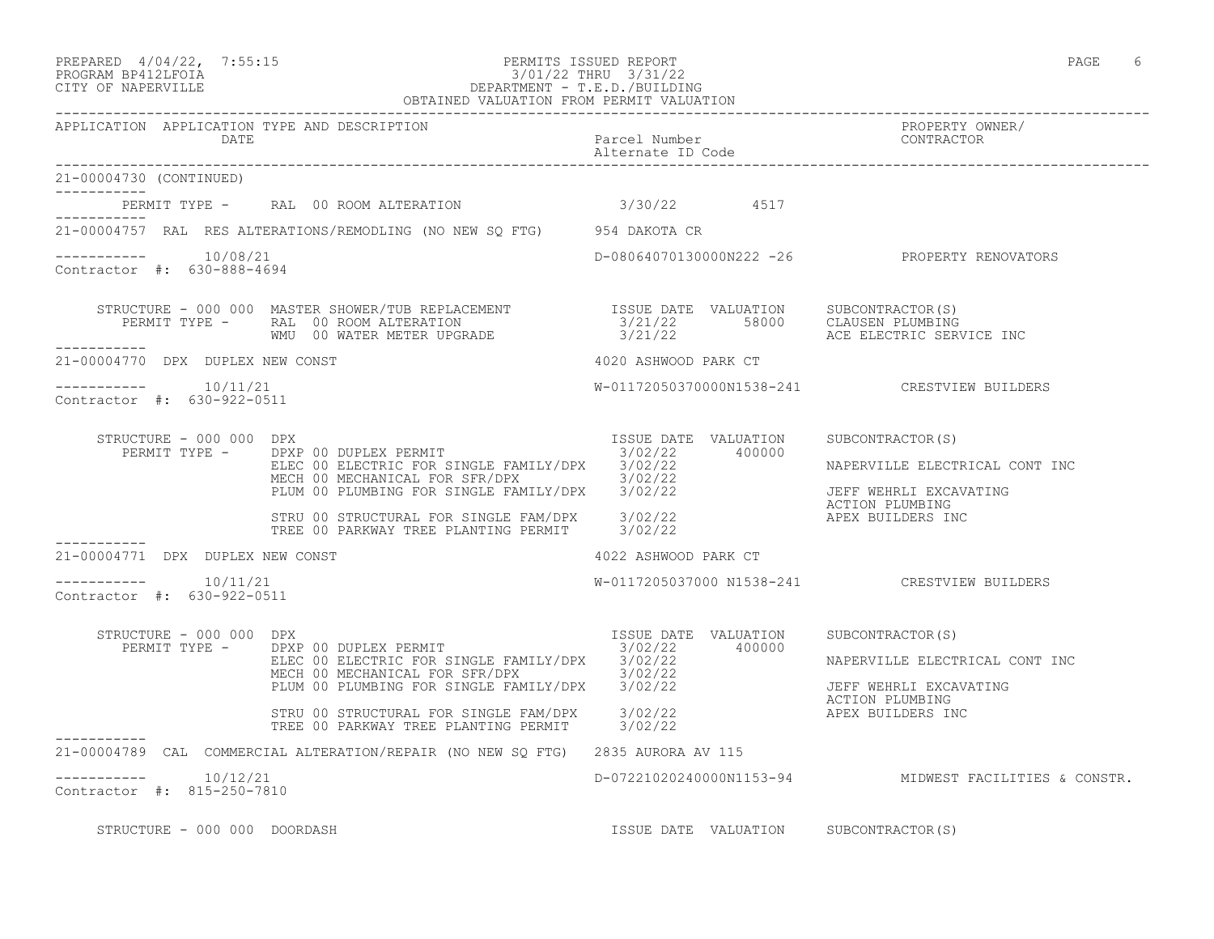# PREPARED 4/04/22, 7:55:15 PERMITS ISSUED REPORT PAGE 6 PROGRAM BP412LFOIA 3/01/22 THRU 3/31/22 CITY OF NAPERVILLE DEPARTMENT - T.E.D./BUILDING

|                                                       | OBTAINED VALUATION FROM PERMIT VALUATION                                                                                                                                                                                                                                                                                                                                                      |                                       |                                                                                                 |
|-------------------------------------------------------|-----------------------------------------------------------------------------------------------------------------------------------------------------------------------------------------------------------------------------------------------------------------------------------------------------------------------------------------------------------------------------------------------|---------------------------------------|-------------------------------------------------------------------------------------------------|
| APPLICATION APPLICATION TYPE AND DESCRIPTION<br>DATE  |                                                                                                                                                                                                                                                                                                                                                                                               | Parcel Number<br>Alternate ID Code    | PROPERTY OWNER/<br>CONTRACTOR                                                                   |
| 21-00004730 (CONTINUED)                               |                                                                                                                                                                                                                                                                                                                                                                                               |                                       |                                                                                                 |
| . _ _ _ _ _ _ _ _ _ _                                 | PERMIT TYPE - RAL 00 ROOM ALTERATION 3/30/22 4517                                                                                                                                                                                                                                                                                                                                             |                                       |                                                                                                 |
|                                                       | 21-00004757 RAL RES ALTERATIONS/REMODLING (NO NEW SQ FTG) 954 DAKOTA CR                                                                                                                                                                                                                                                                                                                       |                                       |                                                                                                 |
| -----------    10/08/21<br>Contractor #: 630-888-4694 |                                                                                                                                                                                                                                                                                                                                                                                               |                                       | D-08064070130000N222 -26 PROPERTY RENOVATORS                                                    |
| ___________                                           | STRUCTURE - 000 000 MASTER SHOWER/TUB REPLACEMENT              ISSUE DATE VALUATION    SUBCONTRACTOR(S)<br>PERMIT TYPE -     RAL 00 ROOM ALTERATION                         3/21/22       58000    CLAUSEN PLUMBING<br>WMU 00 WATER                                                                                                                                                           |                                       |                                                                                                 |
| 21-00004770 DPX DUPLEX NEW CONST                      |                                                                                                                                                                                                                                                                                                                                                                                               | 4020 ASHWOOD PARK CT                  |                                                                                                 |
| $--------- 10/11/21$<br>Contractor #: 630-922-0511    |                                                                                                                                                                                                                                                                                                                                                                                               |                                       | W-01172050370000N1538-241 CRESTVIEW BUILDERS                                                    |
| STRUCTURE - 000 000 DPX                               |                                                                                                                                                                                                                                                                                                                                                                                               |                                       | NAPERVILLE ELECTRICAL CONT INC<br>JEFF WEHRLI EXCAVATING<br>APEX BUILDERS INC                   |
| -----------<br>21-00004771 DPX DUPLEX NEW CONST       |                                                                                                                                                                                                                                                                                                                                                                                               |                                       |                                                                                                 |
| -----------    10/11/21<br>Contractor #: 630-922-0511 |                                                                                                                                                                                                                                                                                                                                                                                               | 4022 ASHWOOD PARK CT                  | W-0117205037000 N1538-241 CRESTVIEW BUILDERS                                                    |
| STRUCTURE - 000 000 DPX                               | RUCTURE - 000 000 DPX<br>PERMIT TYPE - DPXP 00 DUPLEX PERMIT ------ -------------- 3/02/22 400000<br>DPXP 00 DUPLEX PERWIT<br>ELEC 00 ELECTRIC FOR SINGLE FAMILY/DPX 3/02/22<br>MECH 00 MECHANICAL FOR SFR/DPX 3/02/22<br>PLUM 00 PLUMBING FOR SINGLE FAMILY/DPX 3/02/22<br>STRU 00 STRUCTURAL FOR SINGLE FAM/DPX 3/02/22 AND ANTION PLOMBING<br>TREE 00 PARKWAY TREE PLANTING PERMIT 3/02/22 |                                       | SUBCONTRACTOR(S)<br>NAPERVILLE ELECTRICAL CONT INC<br>JEFF WEHRLI EXCAVATING<br>ACTION PLUMBING |
|                                                       | 21-00004789 CAL COMMERCIAL ALTERATION/REPAIR (NO NEW SQ FTG) 2835 AURORA AV 115                                                                                                                                                                                                                                                                                                               |                                       |                                                                                                 |
| -----------    10/12/21<br>Contractor #: 815-250-7810 |                                                                                                                                                                                                                                                                                                                                                                                               |                                       | D-07221020240000N1153-94 MIDWEST FACILITIES & CONSTR.                                           |
| STRUCTURE - 000 000 DOORDASH                          |                                                                                                                                                                                                                                                                                                                                                                                               | ISSUE DATE VALUATION SUBCONTRACTOR(S) |                                                                                                 |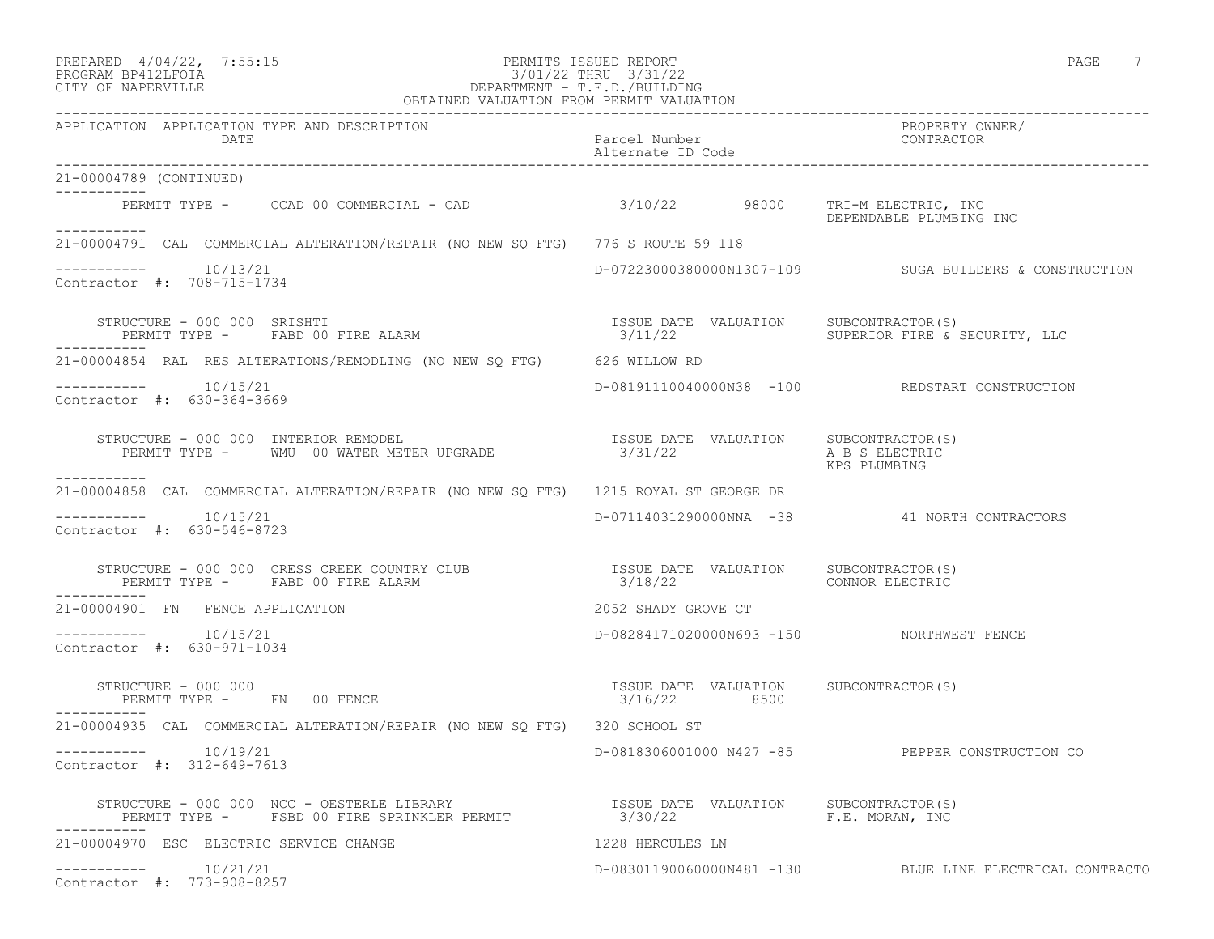| PREPARED | $4/04/22$ , | 7:55:15 |
|----------|-------------|---------|
|          |             |         |

#### PREPARED 4/04/22, 7:55:15 PERMITS ISSUED REPORT PAGE 7 PROGRAM BP412LFOIA 3/01/22 THRU 3/31/22 CITY OF NAPERVILLE DEPARTMENT - T.E.D./BUILDING OBTAINED VALUATION FROM PERMIT VALUATION

| APPLICATION APPLICATION TYPE AND DESCRIPTION<br>DATE                                                                                                                                                                                                                                                  | Parcel Number<br>Alternate ID Code                    | PROPERTY OWNER/<br>CONTRACTOR                            |
|-------------------------------------------------------------------------------------------------------------------------------------------------------------------------------------------------------------------------------------------------------------------------------------------------------|-------------------------------------------------------|----------------------------------------------------------|
| 21-00004789 (CONTINUED)                                                                                                                                                                                                                                                                               |                                                       |                                                          |
| PERMIT TYPE - CCAD 00 COMMERCIAL - CAD 3/10/22 98000 TRI-M ELECTRIC, INC                                                                                                                                                                                                                              |                                                       | DEPENDABLE PLUMBING INC                                  |
| ___________<br>21-00004791 CAL COMMERCIAL ALTERATION/REPAIR (NO NEW SQ FTG) 776 S ROUTE 59 118                                                                                                                                                                                                        |                                                       |                                                          |
| $--------- 10/13/21$<br>Contractor #: 708-715-1734                                                                                                                                                                                                                                                    |                                                       | D-07223000380000N1307-109 SUGA BUILDERS & CONSTRUCTION   |
| STRUCTURE – 000 000 SRISHTI                                     ISSUE DATE VALUATION   SUBCONTRACTOR(S)<br>PERMIT TYPE –   FABD 00 FIRE ALARM                       3/11/22         SUPERIOR FIRE & SECURITY, LLC<br>STRUCTURE - 000 000 SRISHTI                                                      |                                                       |                                                          |
| 21-00004854 RAL RES ALTERATIONS/REMODLING (NO NEW SQ FTG) 626 WILLOW RD                                                                                                                                                                                                                               |                                                       |                                                          |
| $--------- 10/15/21$<br>Contractor #: 630-364-3669                                                                                                                                                                                                                                                    |                                                       | D-08191110040000N38 -100 REDSTART CONSTRUCTION           |
| STRUCTURE - 000 000 INTERIOR REMODEL<br>PERMIT TYPE - WMU 00 WATER METER UPGRADE 3/31/22 A B S ELECTRIC                                                                                                                                                                                               |                                                       | KPS PLUMBING                                             |
| ___________<br>21-00004858 CAL COMMERCIAL ALTERATION/REPAIR (NO NEW SQ FTG) 1215 ROYAL ST GEORGE DR                                                                                                                                                                                                   |                                                       |                                                          |
| $--------- 10/15/21$<br>Contractor #: 630-546-8723                                                                                                                                                                                                                                                    |                                                       | D-07114031290000NNA -38 41 NORTH CONTRACTORS             |
| $\begin{array}{cccc} \texttt{STRUCTURE} & - & 000 & 000 & \texttt{CRESS} & \texttt{CREEK} & \texttt{COUNTRY} & \texttt{CLUB} & & & & & \\ \texttt{PERMIT TYPE} & - & \texttt{FABD} & 00 & \texttt{FIRE} & \texttt{ALARM} & & & & & \\ \end{array}$<br>PERMIT TYPE - FABD 00 FIRE ALARM<br>___________ |                                                       |                                                          |
| 21-00004901 FN FENCE APPLICATION                                                                                                                                                                                                                                                                      | 2052 SHADY GROVE CT                                   |                                                          |
| $--------- 10/15/21$<br>Contractor #: 630-971-1034                                                                                                                                                                                                                                                    | D-08284171020000N693 -150    NORTHWEST FENCE          |                                                          |
| STRUCTURE - 000 000<br>PERMIT TYPE - FN 00 FENCE<br>-----------                                                                                                                                                                                                                                       | ISSUE DATE VALUATION SUBCONTRACTOR(S)<br>3/16/22 8500 |                                                          |
| 21-00004935 CAL COMMERCIAL ALTERATION/REPAIR (NO NEW SO FTG) 320 SCHOOL ST                                                                                                                                                                                                                            |                                                       |                                                          |
| $--------$ 10/19/21<br>Contractor #: 312-649-7613                                                                                                                                                                                                                                                     |                                                       | D-0818306001000 N427 -85 PEPPER CONSTRUCTION CO          |
| STRUCTURE - 000 000 NCC - OESTERLE LIBRARY                       ISSUE DATE VALUATION     SUBCONTRACTOR(S)<br>PERMIT TYPE -     FSBD 00 FIRE SPRINKLER PERMIT                  3/30/22                        F.E. MORAN, INC                                                                         |                                                       |                                                          |
| 21-00004970 ESC ELECTRIC SERVICE CHANGE                                                                                                                                                                                                                                                               | 1228 HERCULES LN                                      |                                                          |
| $--------- 10/21/21$<br>Contractor #: 773-908-8257                                                                                                                                                                                                                                                    |                                                       | D-08301190060000N481 -130 BLUE LINE ELECTRICAL CONTRACTO |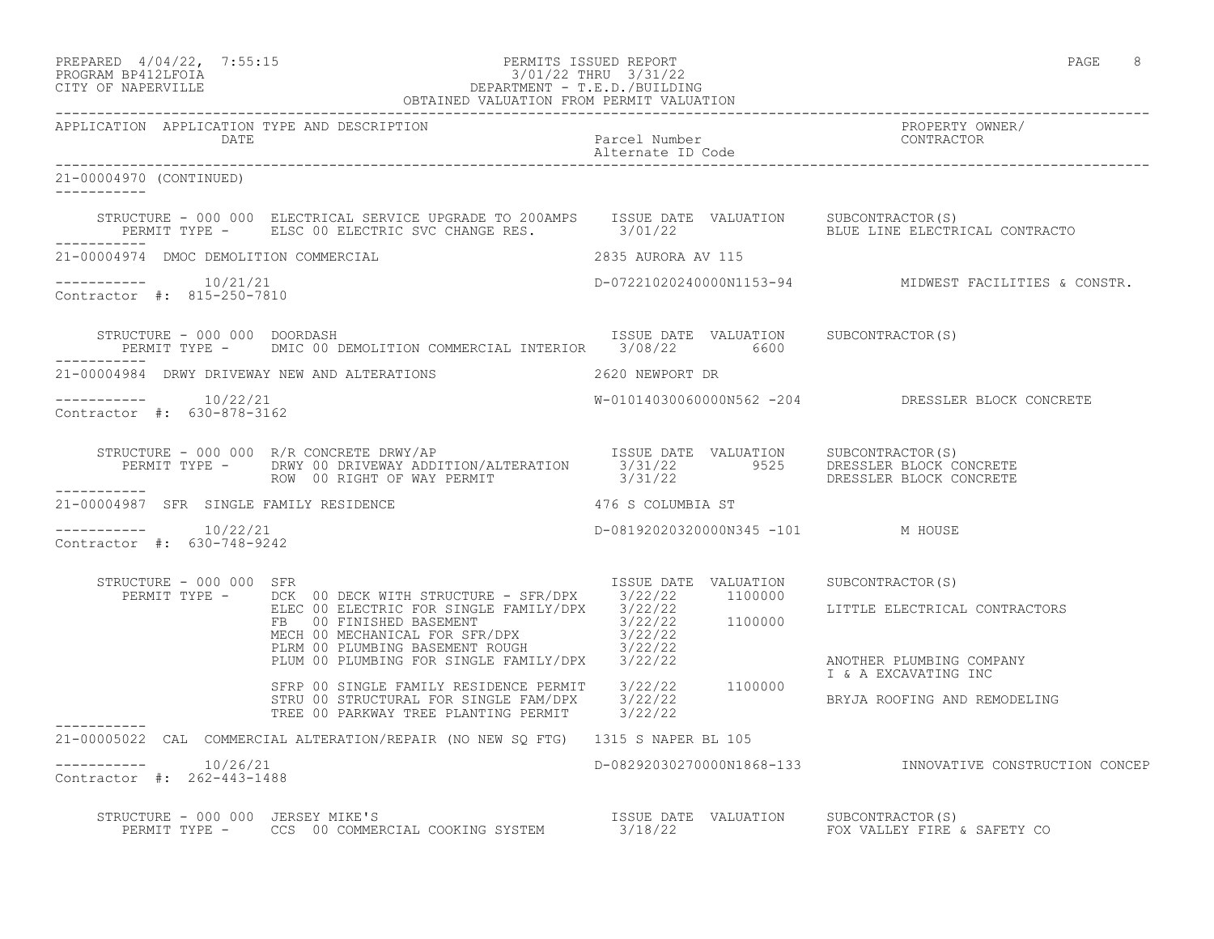| PREPARED 4/04/22, 7:55:15 |  | PERMITS ISSUED REPORT | PAGE |  |
|---------------------------|--|-----------------------|------|--|
| DDOCD3M DD410TDOT3        |  | 101/00 munti 0/01/00  |      |  |

# PROGRAM BP412LFOIA 3/01/22 THRU 3/31/22 CITY OF NAPERVILLE DEPARTMENT - T.E.D./BUILDING OBTAINED VALUATION FROM PERMIT VALUATION

------------------------------------------------------------------------------------------------------------------------------------ APPLICATION APPLICATION TYPE AND DESCRIPTION PROPERTY OWNER/ DATE CONTRACTOR CONTRACTOR DESCRIPTION PARCEL Number<br>Alternate ID Code Alternate ID Code ------------------------------------------------------------------------------------------------------------------------------------ 21-00004970 (CONTINUED) ----------- STRUCTURE - 000 000 ELECTRICAL SERVICE UPGRADE TO 200AMPS ISSUE DATE VALUATION SUBCONTRACTOR(S)<br>PERMIT TYPE - ELSC 00 ELECTRIC SVC CHANGE RES. 3/01/22 BLUE LINE ELECTRICAL CONTRACTO PERMIT TYPE - ELSC 00 ELECTRIC SVC CHANGE RES. 3/01/22 ----------- 21-00004974 DMOC DEMOLITION COMMERCIAL 2835 AURORA AV 115 ----------- 10/21/21 D-07221020240000N1153-94 MIDWEST FACILITIES & CONSTR. Contractor #: 815-250-7810 STRUCTURE - 000 000 DOORDASH ISSUE DATE VALUATION SUBCONTRACTOR(S) PERMIT TYPE - DMIC 00 DEMOLITION COMMERCIAL INTERIOR 3/08/22 6600 ----------- 21-00004984 DRWY DRIVEWAY NEW AND ALTERATIONS 2620 NEWPORT DR ----------- 10/22/21 W-01014030060000N562 -204 DRESSLER BLOCK CONCRETE Contractor #: 630-878-3162 STRUCTURE - 000 000 R/R CONCRETE DRWY/AP ISSUE DATE VALUATION SUBCONTRACTOR(S) PERMIT TYPE - DRWY 00 DRIVEWAY ADDITION/ALTERATION 3/31/22 9525 DRESSLER BLOCK CONCRETE ROW 00 RIGHT OF WAY PERMIT 3/31/22 DRESSLER BLOCK CONCRETE ----------- 21-00004987 SFR SINGLE FAMILY RESIDENCE 476 S COLUMBIA ST  $--------- 10/22/21$ D-08192020320000N345 -101 M HOUSE Contractor #: 630-748-9242 STRUCTURE - 000 000 SFR ISSUE DATE VALUATION SUBCONTRACTOR(S) PERMIT TYPE - DCK 00 DECK WITH STRUCTURE - SFR/DPX 3/22/22 1100000 ELEC 00 ELECTRIC FOR SINGLE FAMILY/DPX 3/22/22 LITTLE ELECTRICAL CONTRACTORS FB 00 FINISHED BASEMENT 3/22/22 1100000 MECH 00 MECHANICAL FOR SFR/DPX 3/22/22 PLRM 00 PLUMBING BASEMENT ROUGH 3/22/22 PLUM 00 PLUMBING FOR SINGLE FAMILY/DPX 3/22/22 ANOTHER PLUMBING COMPANY I & A EXCAVATING INC SFRP 00 SINGLE FAMILY RESIDENCE PERMIT 3/22/22 1100000 STRU 00 STRUCTURAL FOR SINGLE FAM/DPX 3/22/22 BRYJA ROOFING AND REMODELING TREE 00 PARKWAY TREE PLANTING PERMIT 3/22/22 ----------- 21-00005022 CAL COMMERCIAL ALTERATION/REPAIR (NO NEW SQ FTG) 1315 S NAPER BL 105 ----------- 10/26/21 D-08292030270000N1868-133 INNOVATIVE CONSTRUCTION CONCEP Contractor #: 262-443-1488 STRUCTURE - 000 000 JERSEY MIKE'S ISSUE DATE VALUATION SUBCONTRACTOR(S)

PERMIT TYPE - CCS 00 COMMERCIAL COOKING SYSTEM 3/18/22 FOX VALLEY FIRE & SAFETY CO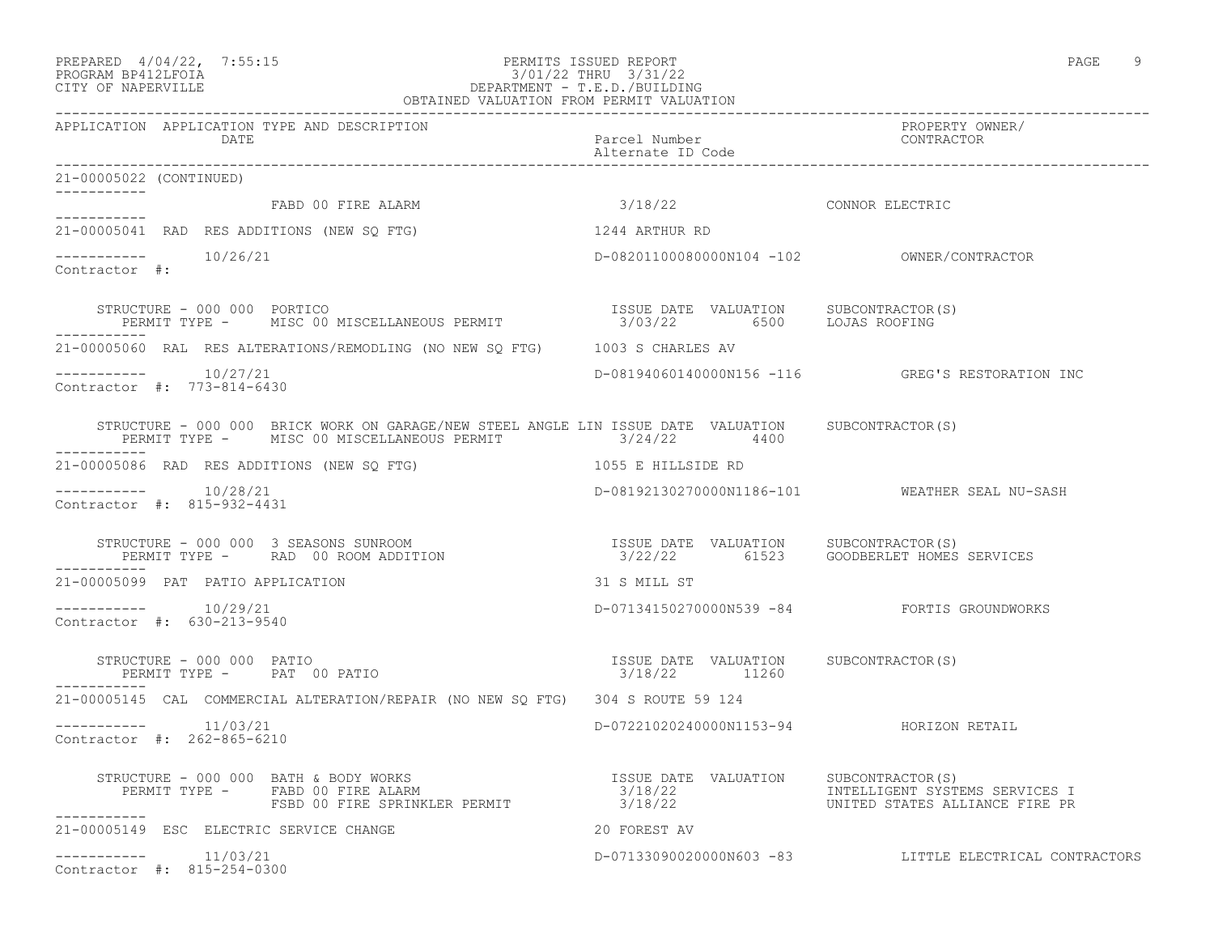PREPARED 4/04/22, 7:55:15 PERMITS ISSUED REPORT PAGE 9

### PROGRAM BP412LFOIA 3/01/22 THRU 3/31/22 CITY OF NAPERVILLE DEPARTMENT - T.E.D./BUILDING OBTAINED VALUATION FROM PERMIT VALUATION

|                                                         | DATE PROPERTY OWNER/<br>DATE Parcel Number<br>21-00005022 (CONTINUED)<br>21-00005022 (CONTINUED)                                                                                                                                   |                                                        |                                                        |
|---------------------------------------------------------|------------------------------------------------------------------------------------------------------------------------------------------------------------------------------------------------------------------------------------|--------------------------------------------------------|--------------------------------------------------------|
|                                                         |                                                                                                                                                                                                                                    |                                                        |                                                        |
| ----------- FABD 00 FIRE ALARM                          |                                                                                                                                                                                                                                    | 3/18/22 CONNOR ELECTRIC                                |                                                        |
| 21-00005041 RAD RES ADDITIONS (NEW SO FTG)              |                                                                                                                                                                                                                                    | 1244 ARTHUR RD                                         |                                                        |
| $--------- 10/26/21$<br>Contractor #:                   |                                                                                                                                                                                                                                    |                                                        |                                                        |
|                                                         |                                                                                                                                                                                                                                    |                                                        |                                                        |
|                                                         | 21-00005060 RAL RES ALTERATIONS/REMODLING (NO NEW SQ FTG) 1003 S CHARLES AV                                                                                                                                                        |                                                        |                                                        |
| $--------- 10/27/21$<br>Contractor #: 773-814-6430      |                                                                                                                                                                                                                                    |                                                        | D-08194060140000N156 -116 GREG'S RESTORATION INC       |
|                                                         | STRUCTURE - 000 000 BRICK WORK ON GARAGE/NEW STEEL ANGLE LIN ISSUE DATE VALUATION SUBCONTRACTOR(S)<br>PERMIT TYPE - MISC 00 MISCELLANEOUS PERMIT 3/24/22 4400                                                                      |                                                        |                                                        |
|                                                         | 21-00005086 RAD RES ADDITIONS (NEW SQ FTG)                                                                                                                                                                                         | 1055 E HILLSIDE RD                                     |                                                        |
| $--------- 10/28/21$<br>Contractor #: 815-932-4431      |                                                                                                                                                                                                                                    |                                                        | D-08192130270000N1186-101 WEATHER SEAL NU-SASH         |
| -----------                                             | STRUCTURE – 000 000 3 SEASONS SUNROOM                               ISSUE DATE VALUATION     SUBCONTRACTOR(S)<br>PERMIT TYPE –      RAD  00 ROOM ADDITION                                 3/22/22          61523     GOODBERLET H  |                                                        |                                                        |
| 21-00005099 PAT PATIO APPLICATION                       |                                                                                                                                                                                                                                    | 31 S MILL ST                                           |                                                        |
| $--------- 10/29/21$<br>Contractor #: 630-213-9540      |                                                                                                                                                                                                                                    |                                                        | D-07134150270000N539 -84 FORTIS GROUNDWORKS            |
| STRUCTURE - 000 000 PATIO<br>PERMIT TYPE - PAT 00 PATIO |                                                                                                                                                                                                                                    | ISSUE DATE VALUATION SUBCONTRACTOR(S)<br>3/18/22 11260 |                                                        |
|                                                         | 21-00005145 CAL COMMERCIAL ALTERATION/REPAIR (NO NEW SQ FTG) 304 S ROUTE 59 124                                                                                                                                                    |                                                        |                                                        |
| $--------- 11/03/21$<br>Contractor #: 262-865-6210      |                                                                                                                                                                                                                                    | D-07221020240000N1153-94 HORIZON RETAIL                |                                                        |
| ___________                                             | STRUCTURE - 000 000 BATH & BODY WORKS<br>PERMIT TYPE - FABD 00 FIRE ALARM 3/18/22 BATE VALUATION SUBCONTRACTOR(S)<br>FSBD 00 FIRE SPRINKLER PERMIT 3/18/22 UNITED STATES ALLIANCE FIRE PR<br>STRUCTURE - 000 000 BATH & BODY WORKS |                                                        |                                                        |
|                                                         | 21-00005149 ESC ELECTRIC SERVICE CHANGE                                                                                                                                                                                            | 20 FOREST AV                                           |                                                        |
| $--------- 11/03/21$<br>Contractor #: 815-254-0300      |                                                                                                                                                                                                                                    |                                                        | D-07133090020000N603 -83 LITTLE ELECTRICAL CONTRACTORS |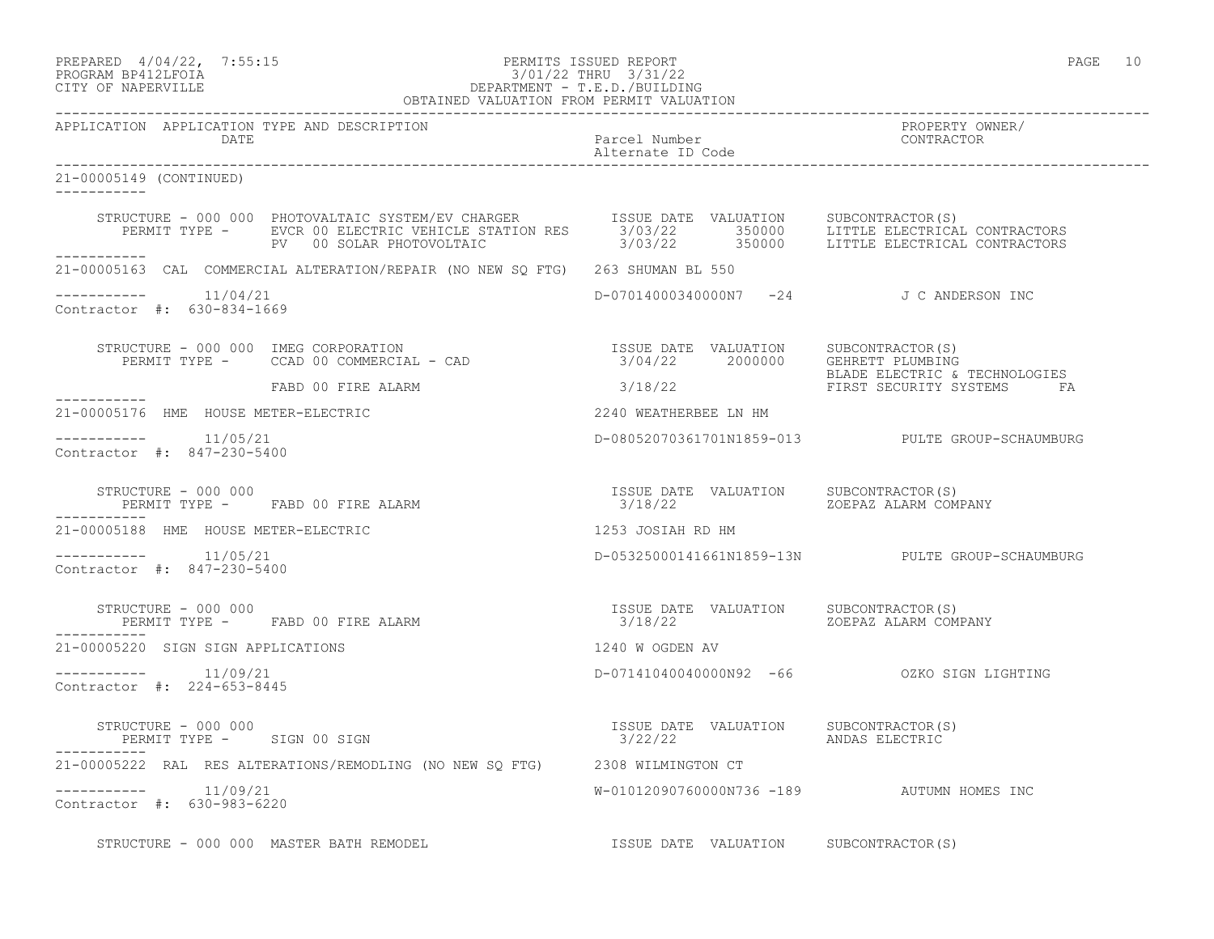PREPARED  $4/04/22$ , 7:55:15 PERMITS ISSUED REPORT PAGE 10

# PROGRAM BP412LFOIA 3/01/22 THRU 3/31/22 CITY OF NAPERVILLE DEPARTMENT - T.E.D./BUILDING

|                                                      | OBTAINED VALUATION FROM PERMIT VALUATION                                                                                                                                                                                                                                                                                                        |                                                                        |                                                  |
|------------------------------------------------------|-------------------------------------------------------------------------------------------------------------------------------------------------------------------------------------------------------------------------------------------------------------------------------------------------------------------------------------------------|------------------------------------------------------------------------|--------------------------------------------------|
| APPLICATION APPLICATION TYPE AND DESCRIPTION<br>DATE |                                                                                                                                                                                                                                                                                                                                                 | Parcel Number<br>Alternate ID Code                                     | PROPERTY OWNER/<br>CONTRACTOR                    |
| 21-00005149 (CONTINUED)<br>-----------               |                                                                                                                                                                                                                                                                                                                                                 |                                                                        |                                                  |
|                                                      | STRUCTURE - 000 000 PHOTOVALTAIC SYSTEM/EV CHARGER ISSUE DATE VALUATION SUBCONTRACTOR(S)<br>PERMIT TYPE - EVCR 00 ELECTRIC VEHICLE STATION RES 3/03/22 350000 LITTLE ELECTRICAL CONTRACTORS<br>PV 00 SOLAR PHOTOVOLTAIC 3/03/22 3500<br>PV 00 SOLAR PHOTOVOLTAIC                                                                                |                                                                        |                                                  |
|                                                      | 21-00005163 CAL COMMERCIAL ALTERATION/REPAIR (NO NEW SQ FTG) 263 SHUMAN BL 550                                                                                                                                                                                                                                                                  |                                                                        |                                                  |
| $--------$ 11/04/21<br>Contractor #: 630-834-1669    |                                                                                                                                                                                                                                                                                                                                                 | D-07014000340000N7 -24 J C ANDERSON INC                                |                                                  |
|                                                      | $\begin{array}{cccc} \texttt{STRUCTURE} - 000 000 & \texttt{IMEG CORPORTION} \\ \texttt{PERMIT TYPE} - \texttt{CCAD 00 COMMERCIAL} - \texttt{CAD} & \texttt{SAD} \\ \end{array} \qquad \begin{array}{cccc} \texttt{ISSUE} & \texttt{DATE} & \texttt{VALUATION} \\ \texttt{3/04/22} & \texttt{2000000} & \texttt{GEHRET T PLUMBING} \end{array}$ |                                                                        |                                                  |
|                                                      | ----------- FABD 00 FIRE ALARM                                                                                                                                                                                                                                                                                                                  |                                                                        |                                                  |
| 21-00005176 HME HOUSE METER-ELECTRIC                 |                                                                                                                                                                                                                                                                                                                                                 | 2240 WEATHERBEE LN HM                                                  |                                                  |
| Contractor #: 847-230-5400                           |                                                                                                                                                                                                                                                                                                                                                 |                                                                        | D-08052070361701N1859-013 PULTE GROUP-SCHAUMBURG |
| STRUCTURE - 000 000                                  |                                                                                                                                                                                                                                                                                                                                                 |                                                                        |                                                  |
| 21-00005188 HME HOUSE METER-ELECTRIC                 |                                                                                                                                                                                                                                                                                                                                                 | 1253 JOSIAH RD HM                                                      |                                                  |
| $--------- 11/05/21$<br>Contractor #: 847-230-5400   |                                                                                                                                                                                                                                                                                                                                                 |                                                                        | D-05325000141661N1859-13N PULTE GROUP-SCHAUMBURG |
| STRUCTURE - 000 000                                  | PERMIT TYPE - FABD 00 FIRE ALARM                                                                                                                                                                                                                                                                                                                | ISSUE DATE VALUATION SUBCONTRACTOR (S)<br>3/18/22 ZOEPAZ ALARM COMPANY |                                                  |
| 21-00005220 SIGN SIGN APPLICATIONS                   |                                                                                                                                                                                                                                                                                                                                                 | 1240 W OGDEN AV                                                        |                                                  |
| $--------- 11/09/21$<br>Contractor #: 224-653-8445   |                                                                                                                                                                                                                                                                                                                                                 |                                                                        | D-07141040040000N92 -66 0ZKO SIGN LIGHTING       |
| STRUCTURE - 000 000                                  | PERMIT TYPE - SIGN 00 SIGN                                                                                                                                                                                                                                                                                                                      | ISSUE DATE VALUATION SUBCONTRACTOR(S)<br>3/22/22     ANDAS ELECTRIC    |                                                  |
|                                                      | 21-00005222 RAL RES ALTERATIONS/REMODLING (NO NEW SQ FTG) 2308 WILMINGTON CT                                                                                                                                                                                                                                                                    |                                                                        |                                                  |
| $------- 11/09/21$<br>Contractor #: 630-983-6220     |                                                                                                                                                                                                                                                                                                                                                 | W-01012090760000N736 -189 AUTUMN HOMES INC                             |                                                  |
|                                                      | STRUCTURE - 000 000 MASTER BATH REMODEL                                                                                                                                                                                                                                                                                                         | ISSUE DATE VALUATION SUBCONTRACTOR(S)                                  |                                                  |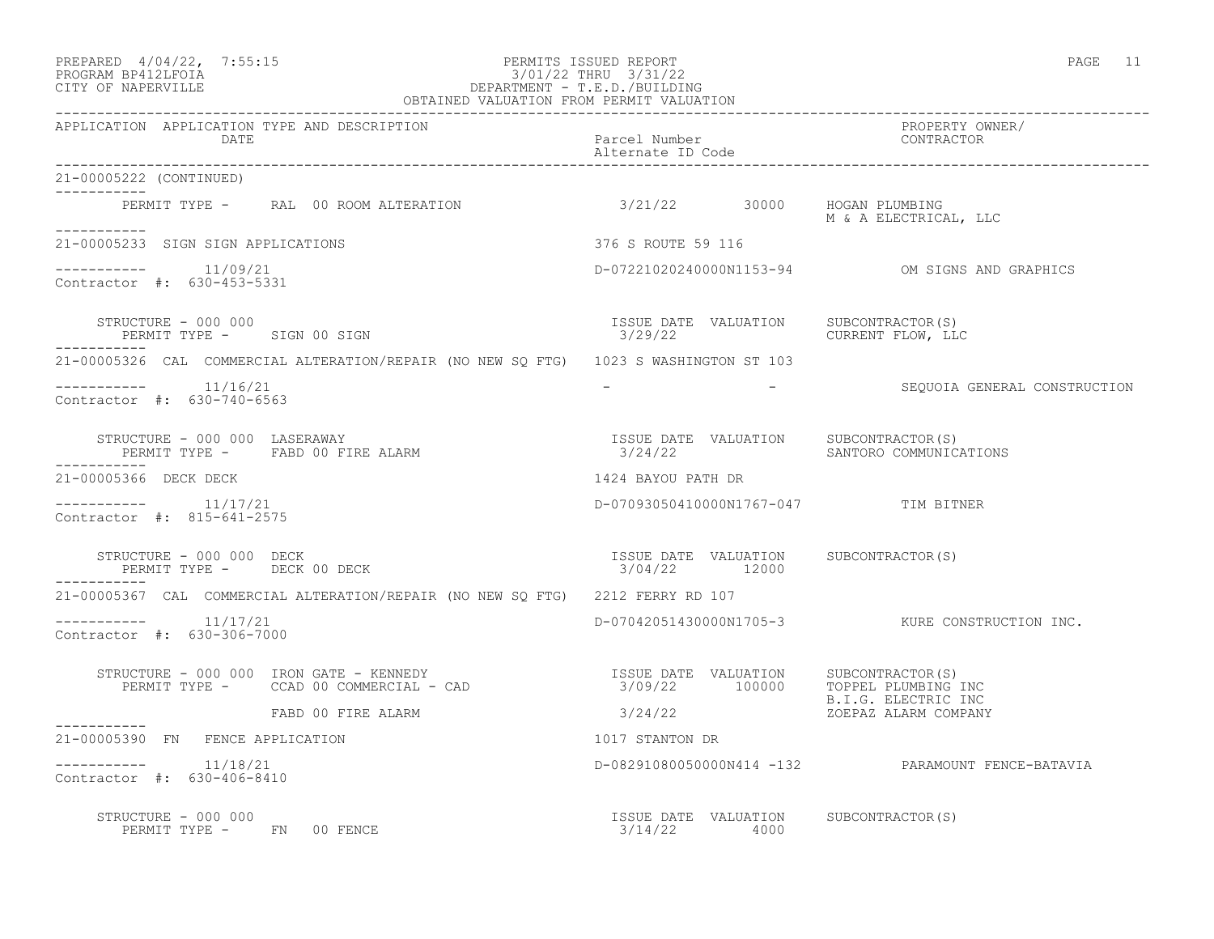#### PREPARED 4/04/22, 7:55:15 PERMITS ISSUED REPORT PAGE 11 PROGRAM BP412LFOIA 3/01/22 THRU 3/31/22 CITY OF NAPERVILLE DEPARTMENT - T.E.D./BUILDING OBTAINED VALUATION FROM PERMIT VALUATION

| APPLICATION APPLICATION TYPE AND DESCRIPTION<br>DATE                                                                                                                                                                                                                                                                                            | Parcel Number<br>Alternate ID Code                                 | PROPERTY OWNER/<br>CONTRACTOR                     |
|-------------------------------------------------------------------------------------------------------------------------------------------------------------------------------------------------------------------------------------------------------------------------------------------------------------------------------------------------|--------------------------------------------------------------------|---------------------------------------------------|
| 21-00005222 (CONTINUED)                                                                                                                                                                                                                                                                                                                         |                                                                    |                                                   |
| ___________<br>PERMIT TYPE - RAL 00 ROOM ALTERATION                                                                                                                                                                                                                                                                                             | 3/21/22 30000 HOGAN PLUMBING                                       | M & A ELECTRICAL, LLC                             |
| ___________<br>21-00005233 SIGN SIGN APPLICATIONS                                                                                                                                                                                                                                                                                               | 376 S ROUTE 59 116                                                 |                                                   |
| $--------- 11/09/21$<br>Contractor #: 630-453-5331                                                                                                                                                                                                                                                                                              |                                                                    | D-07221020240000N1153-94 OM SIGNS AND GRAPHICS    |
| STRUCTURE - 000 000<br>PERMIT TYPE - SIGN 00 SIGN<br>-----------                                                                                                                                                                                                                                                                                | ISSUE DATE VALUATION SUBCONTRACTOR(S)<br>3/29/22 CURRENT FLOW, LLC |                                                   |
| 21-00005326 CAL COMMERCIAL ALTERATION/REPAIR (NO NEW SQ FTG) 1023 S WASHINGTON ST 103                                                                                                                                                                                                                                                           |                                                                    |                                                   |
| $--------- 11/16/21$<br>Contractor #: 630-740-6563                                                                                                                                                                                                                                                                                              |                                                                    | - SEQUOIA GENERAL CONSTRUCTION                    |
| PERMIT TYPE - FABD 00 FIRE ALARM<br>-----------                                                                                                                                                                                                                                                                                                 |                                                                    |                                                   |
| 21-00005366 DECK DECK                                                                                                                                                                                                                                                                                                                           | 1424 BAYOU PATH DR                                                 |                                                   |
| $---------$ 11/17/21<br>Contractor #: 815-641-2575                                                                                                                                                                                                                                                                                              | D-07093050410000N1767-047 TIM BITNER                               |                                                   |
| STRUCTURE - 000 000 DECK<br>PERMIT TYPE - DECK 00 DECK                                                                                                                                                                                                                                                                                          | ISSUE DATE VALUATION SUBCONTRACTOR(S)<br>$3/04/22$ 12000           |                                                   |
| 21-00005367 CAL COMMERCIAL ALTERATION/REPAIR (NO NEW SO FTG) 2212 FERRY RD 107                                                                                                                                                                                                                                                                  |                                                                    |                                                   |
| $--------$ 11/17/21<br>Contractor #: 630-306-7000                                                                                                                                                                                                                                                                                               |                                                                    | D-07042051430000N1705-3 KURE CONSTRUCTION INC.    |
| $\begin{array}{cccc} \texttt{STRUCTURE} - 000 000 & \texttt{IRON GATE} - \texttt{KENNEDY} & \texttt{ISSUE DATE} & \texttt{VALUATION} & \texttt{SUBCONTRACTOR(S)} \\ \texttt{PERMIT TYPE} - \texttt{CCAD} 00 \texttt{COMMERCIAL} - \texttt{CAD} & \texttt{SUDS} & \texttt{3/09/22} & \texttt{100000} & \texttt{TOPPEL PLUMBING INC} \end{array}$ |                                                                    |                                                   |
| FABD 00 FIRE ALARM<br>------------                                                                                                                                                                                                                                                                                                              | 3/24/22 ZOEPAZ ALARM COMPANY                                       | B.I.G. ELECTRIC INC                               |
| 21-00005390 FN FENCE APPLICATION                                                                                                                                                                                                                                                                                                                | 1017 STANTON DR                                                    |                                                   |
| $------- 11/18/21$<br>Contractor #: 630-406-8410                                                                                                                                                                                                                                                                                                |                                                                    | D-08291080050000N414 -132 PARAMOUNT FENCE-BATAVIA |
| STRUCTURE - 000 000<br>PERMIT TYPE - FN 00 FENCE                                                                                                                                                                                                                                                                                                | ISSUE DATE VALUATION SUBCONTRACTOR(S)<br>3/14/22 4000              |                                                   |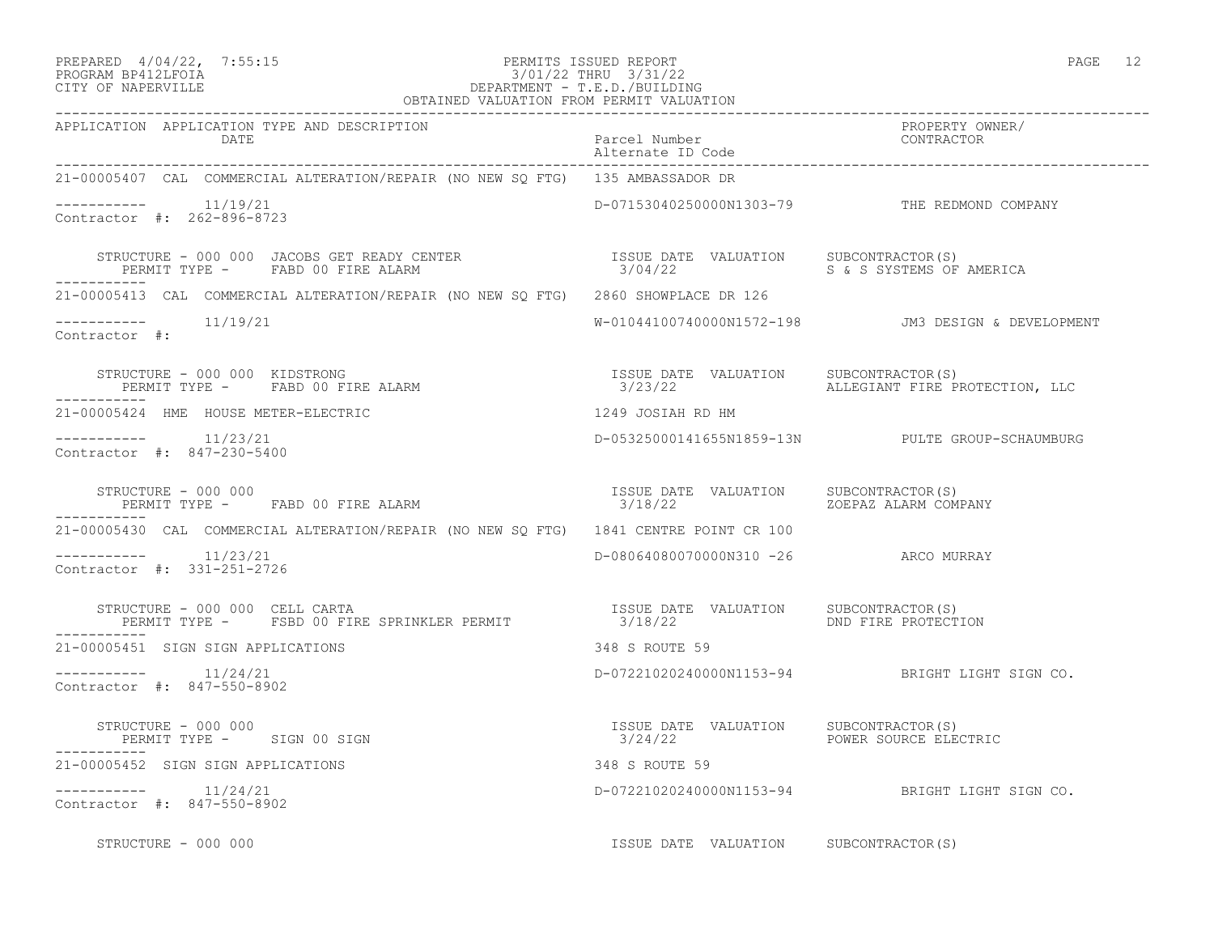#### PREPARED  $4/04/22$ , 7:55:15 PERMITS ISSUED REPORT PAGE 12 PROGRAM BP412LFOIA 3/01/22 THRU 3/31/22 CITY OF NAPERVILLE DEPARTMENT - T.E.D./BUILDING

| $\cdot$ .<br>. -<br>٠<br>×<br>۰. |  |
|----------------------------------|--|
|----------------------------------|--|

| OBTAINED VALUATION FROM PERMIT VALUATION                                                                                                                                                                                          |                                                  |                                                  |
|-----------------------------------------------------------------------------------------------------------------------------------------------------------------------------------------------------------------------------------|--------------------------------------------------|--------------------------------------------------|
| APPLICATION APPLICATION TYPE AND DESCRIPTION<br>DATE                                                                                                                                                                              | Parcel Number<br>Alternate ID Code               | PROPERTY OWNER/<br>CONTRACTOR                    |
| 21-00005407 CAL COMMERCIAL ALTERATION/REPAIR (NO NEW SO FTG) 135 AMBASSADOR DR                                                                                                                                                    |                                                  |                                                  |
| $------- 11/19/21$<br>Contractor #: 262-896-8723                                                                                                                                                                                  |                                                  | D-07153040250000N1303-79 THE REDMOND COMPANY     |
| STRUCTURE – 000 000 JACOBS GET READY CENTER                      ISSUE DATE VALUATION     SUBCONTRACTOR(S)<br>PERMIT TYPE –     FABD 00 FIRE ALARM                                  3/04/22                      S & S SYSTEMS OF |                                                  |                                                  |
| 21-00005413 CAL COMMERCIAL ALTERATION/REPAIR (NO NEW SQ FTG) 2860 SHOWPLACE DR 126                                                                                                                                                |                                                  |                                                  |
| $--------- 11/19/21$<br>Contractor #:                                                                                                                                                                                             |                                                  |                                                  |
| STRUCTURE – 000 000 KIDSTRONG<br>PERMIT TYPE – FABD 00 FIRE ALARM – 1999 – 1999 – 2002 – 2003/22                                                                                                                                  |                                                  | 3/23/22 ALLEGIANT FIRE PROTECTION, LLC           |
| 21-00005424 HME HOUSE METER-ELECTRIC                                                                                                                                                                                              | 1249 JOSIAH RD HM                                |                                                  |
| ----------    11/23/21<br>Contractor #: 847-230-5400                                                                                                                                                                              |                                                  | D-05325000141655N1859-13N PULTE GROUP-SCHAUMBURG |
| STRUCTURE - 000 000<br>PERMIT TYPE - FABD 00 FIRE ALARM                                                                                                                                                                           | ISSUE DATE VALUATION SUBCONTRACTOR(S)<br>3/18/22 | ZOEPAZ ALARM COMPANY                             |
| 21-00005430 CAL COMMERCIAL ALTERATION/REPAIR (NO NEW SO FTG) 1841 CENTRE POINT CR 100                                                                                                                                             |                                                  |                                                  |
| $------- 11/23/21$<br>Contractor #: 331-251-2726                                                                                                                                                                                  | D-08064080070000N310 -26 ARCO MURRAY             |                                                  |
| STRUCTURE - 000 000 CELL CARTA                                                                                                                                                                                                    |                                                  |                                                  |
| 21-00005451 SIGN SIGN APPLICATIONS                                                                                                                                                                                                | 348 S ROUTE 59                                   |                                                  |
| $--------$ 11/24/21<br>Contractor #: 847-550-8902                                                                                                                                                                                 |                                                  | D-07221020240000N1153-94 BRIGHT LIGHT SIGN CO.   |
| STRUCTURE – 000 000<br>PERMIT TYPE – SIGN 00 SIGN 1999 (1999) SUBLE DATE VALUATION SUBCONTRACTOR(S)                                                                                                                               | 3/24/22 POWER SOURCE ELECTRIC                    |                                                  |
| 21-00005452 SIGN SIGN APPLICATIONS                                                                                                                                                                                                | 348 S ROUTE 59                                   |                                                  |
| $--------- 11/24/21$<br>Contractor #: 847-550-8902                                                                                                                                                                                |                                                  | D-07221020240000N1153-94 BRIGHT LIGHT SIGN CO.   |
| STRUCTURE - 000 000                                                                                                                                                                                                               | ISSUE DATE VALUATION SUBCONTRACTOR(S)            |                                                  |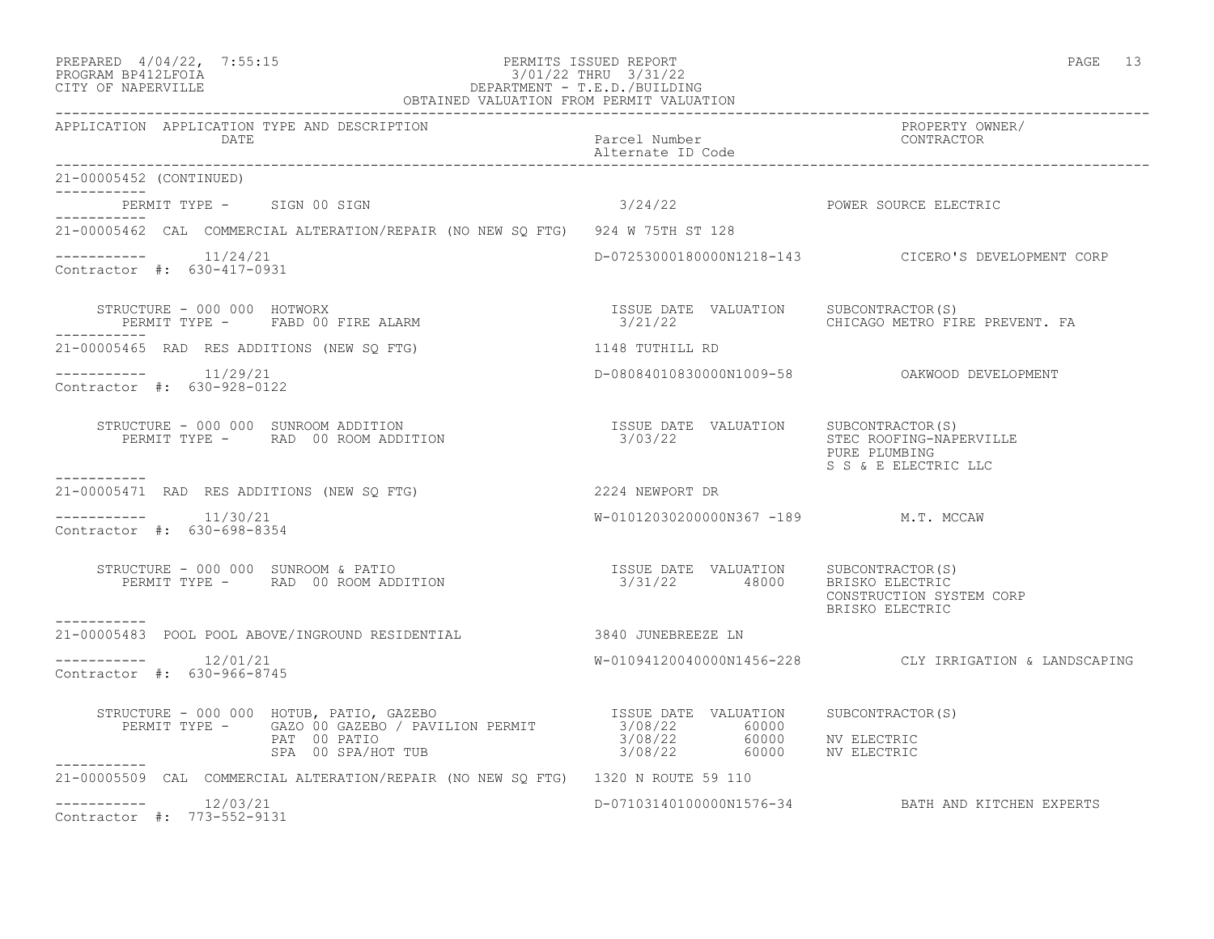| PREPARED | $4/04/22$ ,                             | 7:55:1! |
|----------|-----------------------------------------|---------|
|          | $\begin{array}{c}\n\hline\n\end{array}$ |         |

## PREPARED  $4/04/22$ , 7:55:15 PERMITS ISSUED REPORT PAGE 13 PROGRAM BP412LFOIA 3/01/22 THRU 3/31/22 CITY OF NAPERVILLE DEPARTMENT - T.E.D./BUILDING

| OBTAINED VALUATION FROM PERMIT VALUATION                                                                                                                                                                                                                                                                                                                                                                                  |                                      |                                                        |  |
|---------------------------------------------------------------------------------------------------------------------------------------------------------------------------------------------------------------------------------------------------------------------------------------------------------------------------------------------------------------------------------------------------------------------------|--------------------------------------|--------------------------------------------------------|--|
| APPLICATION APPLICATION TYPE AND DESCRIPTION<br>DATE Parcel Number<br>Alternate ID Code<br>05452 (CONTINUED)                                                                                                                                                                                                                                                                                                              |                                      | PROPERTY OWNER/<br>CONTRACTOR                          |  |
| 21-00005452 (CONTINUED)                                                                                                                                                                                                                                                                                                                                                                                                   |                                      |                                                        |  |
| PERMIT TYPE - SIGN 00 SIGN<br>___________                                                                                                                                                                                                                                                                                                                                                                                 | 3/24/22 POWER SOURCE ELECTRIC        |                                                        |  |
| 21-00005462 CAL COMMERCIAL ALTERATION/REPAIR (NO NEW SO FTG) 924 W 75TH ST 128                                                                                                                                                                                                                                                                                                                                            |                                      |                                                        |  |
| $--------- 11/24/21$<br>Contractor #: 630-417-0931                                                                                                                                                                                                                                                                                                                                                                        |                                      | D-07253000180000N1218-143 CICERO'S DEVELOPMENT CORP    |  |
| RUCTURE – 000 000 HOTWORX<br>PERMIT TYPE – FABD 00 FIRE ALARM – 1999 – 1999 – 2012/22 – 2012/22 – CHICAGO METRO FIRE PREVENT. FA<br>STRUCTURE - 000 000 HOTWORX<br>------------                                                                                                                                                                                                                                           |                                      |                                                        |  |
| 21-00005465 RAD RES ADDITIONS (NEW SQ FTG) 1148 TUTHILL RD                                                                                                                                                                                                                                                                                                                                                                |                                      |                                                        |  |
| $--------- 11/29/21$<br>Contractor #: 630-928-0122                                                                                                                                                                                                                                                                                                                                                                        |                                      | D-08084010830000N1009-58 OAKWOOD DEVELOPMENT           |  |
| STRUCTURE – 000 000 SUNROOM ADDITION                                   ISSUE DATE VALUATION     SUBCONTRACTOR(S)<br>PERMIT TYPE –      RAD  00 ROOM ADDITION                                3/03/22                                                                                                                                                                                                                       |                                      | PURE PLUMBING<br>S S & E ELECTRIC LLC                  |  |
| -----------<br>21-00005471 RAD RES ADDITIONS (NEW SQ FTG) 2224 NEWPORT DR                                                                                                                                                                                                                                                                                                                                                 |                                      |                                                        |  |
| $--------- 11/30/21$<br>Contractor #: 630-698-8354                                                                                                                                                                                                                                                                                                                                                                        | W-01012030200000N367 -189 M.T. MCCAW |                                                        |  |
| . _ _ _ _ _ _ _ _ _                                                                                                                                                                                                                                                                                                                                                                                                       |                                      | CONSTRUCTION SYSTEM CORP<br>BRISKO ELECTRIC            |  |
| 21-00005483 POOL POOL ABOVE/INGROUND RESIDENTIAL 3840 JUNEBREEZE LN                                                                                                                                                                                                                                                                                                                                                       |                                      |                                                        |  |
| Contractor #: 630-966-8745                                                                                                                                                                                                                                                                                                                                                                                                |                                      | W-01094120040000N1456-228 CLY IRRIGATION & LANDSCAPING |  |
|                                                                                                                                                                                                                                                                                                                                                                                                                           |                                      |                                                        |  |
| $\begin{array}{cccc} \texttt{STRUCTURE} & - & 000 & 000 & \texttt{HOTUB, PATIO, GAZEBO} & \texttt{ISSUE} & \texttt{DATE} & \texttt{VALUATION} & \texttt{SUBCONTRACTOR(S)} \\ \texttt{PERMIT TYPE} & - & \texttt{GAZO 00 GAZEBO} & / \texttt{PAVILION PERMIT} & 3/08/22 & 60000 & \texttt{NV ELECTRIC} \\ \texttt{PAR} & 00 PATIO & \texttt{SPA} & 00 SPA/HOT TUB & 3/08/22 & 60000 & \texttt{NV ELECTRIC} \\ \end{array}$ |                                      |                                                        |  |
| 21-00005509 CAL COMMERCIAL ALTERATION/REPAIR (NO NEW SO FTG) 1320 N ROUTE 59 110                                                                                                                                                                                                                                                                                                                                          |                                      |                                                        |  |
| $--------- 12/03/21$<br>Contractor #: 773-552-9131                                                                                                                                                                                                                                                                                                                                                                        |                                      | D-07103140100000N1576-34 BATH AND KITCHEN EXPERTS      |  |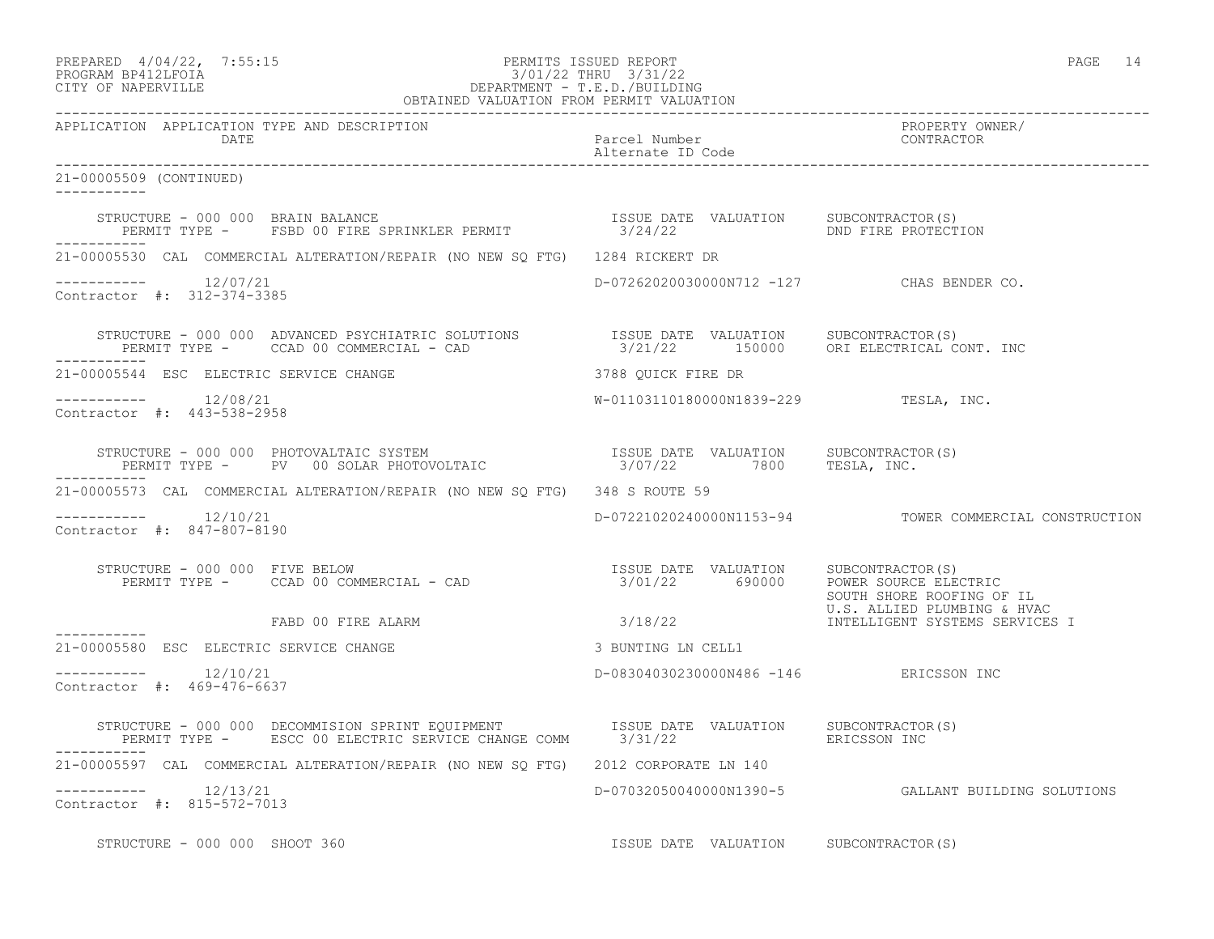| PREPARED             | $4/04/22$ , | 7:55:1! |
|----------------------|-------------|---------|
| גד∩ם זר4ותם ווגם∩חםם |             |         |

# PREPARED 4/04/22, 7:55:15 PERMITS ISSUED REPORT<br>PROGRAM BP412LFOIA PAGE 14 3/01/22 THRU 3/31/22 PROGRAM BP412LFOIA 3/01/22 THRU 3/31/22<br>CITY OF NAPERVILLE DEPARTMENT - T.E.D./BUILDIN DEPARTMENT - T.E.D./BUILDING

| OBTAINED VALUATION FROM PERMIT VALUATION             |                                                                                                                                                                                                                          |                                           |                                                          |
|------------------------------------------------------|--------------------------------------------------------------------------------------------------------------------------------------------------------------------------------------------------------------------------|-------------------------------------------|----------------------------------------------------------|
| APPLICATION APPLICATION TYPE AND DESCRIPTION<br>DATE |                                                                                                                                                                                                                          | Parcel Number<br>Alternate ID Code        | PROPERTY OWNER/<br>CONTRACTOR                            |
| 21-00005509 (CONTINUED)<br>___________               |                                                                                                                                                                                                                          |                                           |                                                          |
|                                                      |                                                                                                                                                                                                                          |                                           |                                                          |
|                                                      | 21-00005530 CAL COMMERCIAL ALTERATION/REPAIR (NO NEW SQ FTG) 1284 RICKERT DR                                                                                                                                             |                                           |                                                          |
| $--------- 12/07/21$<br>Contractor #: 312-374-3385   |                                                                                                                                                                                                                          | D-07262020030000N712 -127 CHAS BENDER CO. |                                                          |
| -----------                                          | STRUCTURE - 000 000 ADVANCED PSYCHIATRIC SOLUTIONS TSSUE DATE VALUATION SUBCONTRACTOR(S)<br>PERMIT TYPE - CCAD 00 COMMERCIAL - CAD 00 3/21/22 150000 ORI ELECTRICAL CONT. INC                                            |                                           |                                                          |
|                                                      |                                                                                                                                                                                                                          |                                           |                                                          |
| $--------- 12/08/21$<br>Contractor #: 443-538-2958   |                                                                                                                                                                                                                          | W-01103110180000N1839-229 TESLA, INC.     |                                                          |
| ------------                                         | STRUCTURE - 000 000 PHOTOVALTAIC SYSTEM                            ISSUE DATE VALUATION     SUBCONTRACTOR(S)<br>PERMIT TYPE -      PV   00 SOLAR PHOTOVOLTAIC                      3/07/22         7800      TESLA, INC. |                                           |                                                          |
|                                                      | 21-00005573 CAL COMMERCIAL ALTERATION/REPAIR (NO NEW SO FTG) 348 S ROUTE 59                                                                                                                                              |                                           |                                                          |
| $--------$ 12/10/21<br>Contractor #: 847-807-8190    |                                                                                                                                                                                                                          |                                           | D-07221020240000N1153-94 TOWER COMMERCIAL CONSTRUCTION   |
| STRUCTURE - 000 000 FIVE BELOW                       | RUCTURE - 000 000 FIVE BELOW<br>PERMIT TYPE - CCAD 00 COMMERCIAL - CAD                                 3/01/22       690000   POWER SOURCE ELECTRIC                                                                      |                                           | SOUTH SHORE ROOFING OF IL<br>U.S. ALLIED PLUMBING & HVAC |
| ------------                                         | FABD 00 FIRE ALARM 3/18/22                                                                                                                                                                                               |                                           | INTELLIGENT SYSTEMS SERVICES I                           |
| 21-00005580 ESC ELECTRIC SERVICE CHANGE              |                                                                                                                                                                                                                          | 3 BUNTING LN CELL1                        |                                                          |
| $--------- 12/10/21$<br>Contractor #: 469-476-6637   |                                                                                                                                                                                                                          | D-08304030230000N486 -146 ERICSSON INC    |                                                          |
|                                                      |                                                                                                                                                                                                                          |                                           |                                                          |
|                                                      | 21-00005597 CAL COMMERCIAL ALTERATION/REPAIR (NO NEW SQ FTG) 2012 CORPORATE LN 140                                                                                                                                       |                                           |                                                          |
| $--------$ 12/13/21<br>Contractor #: 815-572-7013    |                                                                                                                                                                                                                          |                                           | D-07032050040000N1390-5 GALLANT BUILDING SOLUTIONS       |
| STRUCTURE - 000 000 SHOOT 360                        |                                                                                                                                                                                                                          | ISSUE DATE VALUATION SUBCONTRACTOR(S)     |                                                          |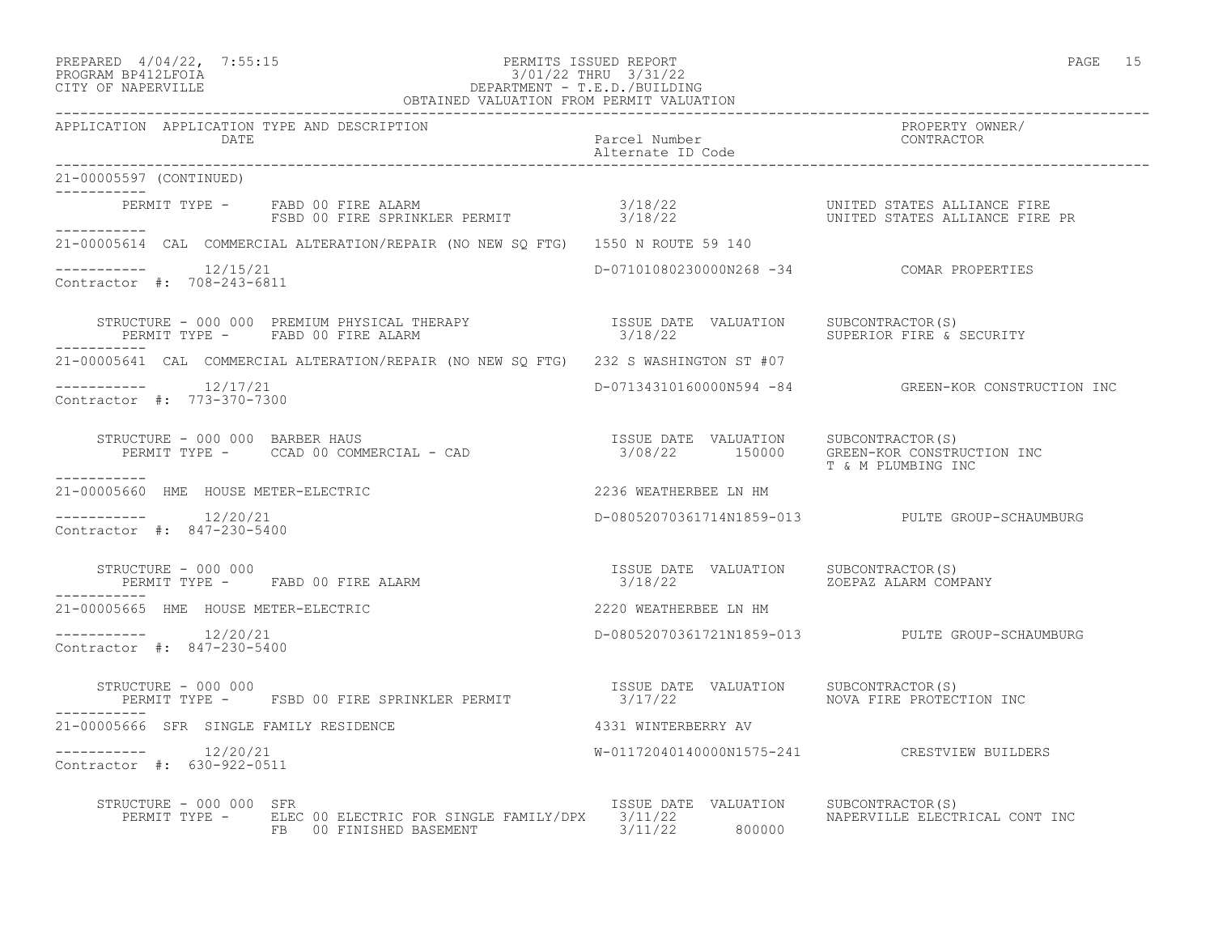# PREPARED  $4/04/22$ , 7:55:15 PERMITS ISSUED REPORT PAGE 15 PROGRAM BP412LFOIA 3/01/22 THRU 3/31/22 CITY OF NAPERVILLE DEPARTMENT - T.E.D./BUILDING

| OBTAINED VALUATION FROM PERMIT VALUATION                                                                                                                                                                                          |                                                  |                                                     |  |
|-----------------------------------------------------------------------------------------------------------------------------------------------------------------------------------------------------------------------------------|--------------------------------------------------|-----------------------------------------------------|--|
| APPLICATION APPLICATION TYPE AND DESCRIPTION<br>DATE                                                                                                                                                                              | Parcel Number<br>Alternate ID Code               | PROPERTY OWNER/<br>CONTRACTOR                       |  |
| 21-00005597 (CONTINUED)                                                                                                                                                                                                           |                                                  |                                                     |  |
| PERMIT TYPE – FABD 00 FIRE ALARM                                 3/18/22                        UNITED STATES ALLIANCE FIRE<br>FSBD 00 FIRE SPRINKLER PERMIT                  3/18/22                     UNITED STATES ALLIANCE  |                                                  |                                                     |  |
| 21-00005614 CAL COMMERCIAL ALTERATION/REPAIR (NO NEW SO FTG) 1550 N ROUTE 59 140                                                                                                                                                  |                                                  |                                                     |  |
| $--------$ 12/15/21<br>Contractor #: 708-243-6811                                                                                                                                                                                 | D-07101080230000N268 -34 COMAR PROPERTIES        |                                                     |  |
| STRUCTURE - 000 000 PREMIUM PHYSICAL THERAPY                     ISSUE DATE VALUATION    SUBCONTRACTOR(S)<br>PERMIT TYPE -     FABD 00 FIRE ALARM                                 3/18/22                    SUPERIOR FIRE & SECU |                                                  |                                                     |  |
| 21-00005641 CAL COMMERCIAL ALTERATION/REPAIR (NO NEW SQ FTG) 232 S WASHINGTON ST #07                                                                                                                                              |                                                  |                                                     |  |
| $--------$ 12/17/21<br>Contractor #: 773-370-7300                                                                                                                                                                                 |                                                  | D-07134310160000N594 -84 GREEN-KOR CONSTRUCTION INC |  |
| STRUCTURE - 000 000 BARBER HAUS<br>PERMIT TYPE - CCAD 00 COMMERCIAL - CAD 15000 STALUATION 5UBCONTRACTOR(S)                                                                                                                       |                                                  | T & M PLUMBING INC                                  |  |
| -----------<br>21-00005660 HME HOUSE METER-ELECTRIC                                                                                                                                                                               | 2236 WEATHERBEE LN HM                            |                                                     |  |
| $--------- 12/20/21$<br>Contractor #: 847-230-5400                                                                                                                                                                                |                                                  | D-08052070361714N1859-013 PULTE GROUP-SCHAUMBURG    |  |
| ___________                                                                                                                                                                                                                       |                                                  |                                                     |  |
| 21-00005665 HME HOUSE METER-ELECTRIC                                                                                                                                                                                              | 2220 WEATHERBEE LN HM                            |                                                     |  |
| $--------- 12/20/21$<br>Contractor #: 847-230-5400                                                                                                                                                                                |                                                  | D-08052070361721N1859-013 PULTE GROUP-SCHAUMBURG    |  |
| STRUCTURE - 000 000<br>PERMIT TYPE - FSBD 00 FIRE SPRINKLER PERMIT                                                                                                                                                                | ISSUE DATE VALUATION SUBCONTRACTOR(S)<br>3/17/22 | NOVA FIRE PROTECTION INC                            |  |
| 21-00005666 SFR SINGLE FAMILY RESIDENCE                                                                                                                                                                                           | 4331 WINTERBERRY AV                              |                                                     |  |
| $--------$ 12/20/21<br>Contractor #: 630-922-0511                                                                                                                                                                                 |                                                  | W-01172040140000N1575-241 CRESTVIEW BUILDERS        |  |
| STRUCTURE - 000 000 SFR<br>PERMIT TYPE - ELEC 00 ELECTRIC FOR SINGLE FAMILY/DPX 3/11/22<br>FB 00 FINISHED BASEMENT 3/11/22 800000                                                                                                 | ISSUE DATE VALUATION                             | SUBCONTRACTOR (S)<br>NAPERVILLE ELECTRICAL CONT INC |  |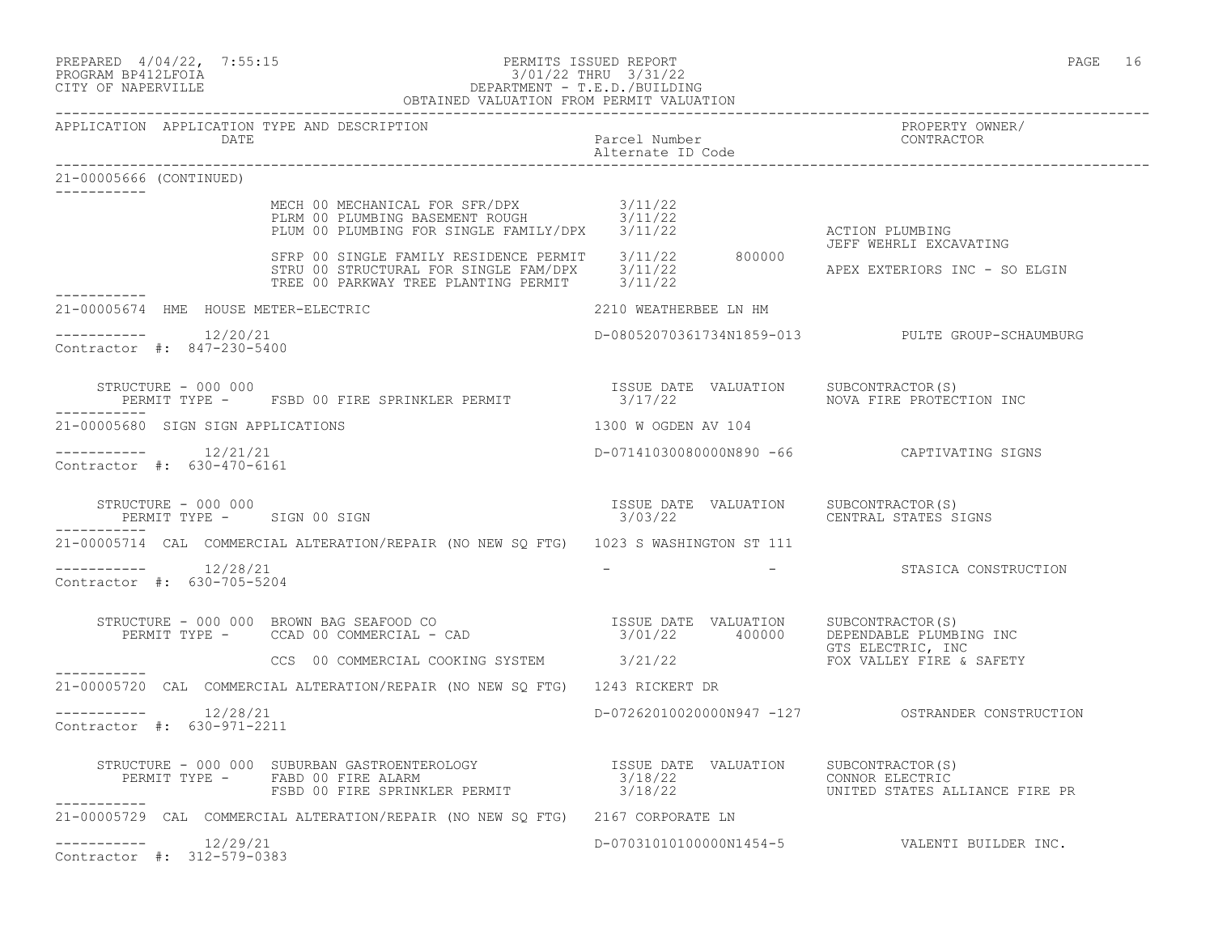| PREPARED | $4/04/22$ , | 7:55:1 |
|----------|-------------|--------|
|----------|-------------|--------|

# PREPARED 4/04/22, 7:55:15 PERMITS ISSUED REPORT<br>PROGRAM BP412LFOIA PAGE 16 2/01/22 THRU 3/31/22 PROGRAM BP412LFOIA 3/01/22 THRU 3/31/22 CITY OF NAPERVILLE DEPARTMENT - T.E.D./BUILDING

|                         |                                                       | OBTAINED VALUATION FROM PERMIT VALUATION                                                                                                                      |                                    |                                                         |
|-------------------------|-------------------------------------------------------|---------------------------------------------------------------------------------------------------------------------------------------------------------------|------------------------------------|---------------------------------------------------------|
|                         | DATE                                                  | APPLICATION APPLICATION TYPE AND DESCRIPTION                                                                                                                  | Parcel Number<br>Alternate ID Code | PROPERTY OWNER/<br>CONTRACTOR                           |
| 21-00005666 (CONTINUED) |                                                       |                                                                                                                                                               |                                    |                                                         |
|                         |                                                       | MECH 00 MECHANICAL FOR SFR/DPX               3/11/22<br>PLRM 00 PLUMBING BASEMENT ROUGH         3/11/22<br>PLUM 00 PLUMBING FOR SINGLE FAMILY/DPX     3/11/22 |                                    | ACTION PLUMBING                                         |
|                         |                                                       | SFRP 00 SINGLE FAMILY RESIDENCE PERMIT 3/11/22 800000<br>STRU 00 STRUCTURAL FOR SINGLE FAM/DPX 3/11/22<br>TREE 00 PARKWAY TREE PLANTING PERMIT 3/11/22        |                                    | JEFF WEHRLI EXCAVATING<br>APEX EXTERIORS INC - SO ELGIN |
|                         |                                                       | 21-00005674 HME HOUSE METER-ELECTRIC                                                                                                                          | 2210 WEATHERBEE LN HM              |                                                         |
|                         | $--------- 12/20/21$<br>Contractor #: 847-230-5400    |                                                                                                                                                               |                                    | D-08052070361734N1859-013 PULTE GROUP-SCHAUMBURG        |
|                         |                                                       |                                                                                                                                                               |                                    | NOVA FIRE PROTECTION INC                                |
|                         | 21-00005680 SIGN SIGN APPLICATIONS                    |                                                                                                                                                               | 1300 W OGDEN AV 104                |                                                         |
|                         | -----------    12/21/21<br>Contractor #: 630-470-6161 |                                                                                                                                                               |                                    | D-07141030080000N890 -66 CAPTIVATING SIGNS              |
| -----------             | STRUCTURE - 000 000                                   | PERMIT TYPE - SIGN 00 SIGN                                                                                                                                    | ISSUE DATE VALUATION<br>3/03/22    | SUBCONTRACTOR(S)<br>CENTRAL STATES SIGNS                |
|                         |                                                       | 21-00005714 CAL COMMERCIAL ALTERATION/REPAIR (NO NEW SQ FTG) 1023 S WASHINGTON ST 111                                                                         |                                    |                                                         |
|                         | $--------$ 12/28/21<br>Contractor #: 630-705-5204     |                                                                                                                                                               |                                    | - STASICA CONSTRUCTION                                  |
|                         |                                                       | STRUCTURE - 000 000 BROWN BAG SEAFOOD CO<br>PERMIT TYPE - CCAD 00 COMMERCIAL - CAD (2000) PERMIT TYPE - CCAD 00 COMMERCIAL - CAD                              |                                    | GTS ELECTRIC, INC                                       |
| -----------             |                                                       | CCS 00 COMMERCIAL COOKING SYSTEM 3/21/22                                                                                                                      |                                    | FOX VALLEY FIRE & SAFETY                                |
|                         |                                                       | 21-00005720 CAL COMMERCIAL ALTERATION/REPAIR (NO NEW SO FTG) 1243 RICKERT DR                                                                                  |                                    |                                                         |
|                         | Contractor #: 630-971-2211                            |                                                                                                                                                               |                                    |                                                         |
|                         |                                                       |                                                                                                                                                               |                                    | UNITED STATES ALLIANCE FIRE PR                          |
|                         |                                                       | 21-00005729 CAL COMMERCIAL ALTERATION/REPAIR (NO NEW SO FTG) 2167 CORPORATE LN                                                                                |                                    |                                                         |
|                         | -----------    12/29/21<br>Contractor #: 312-579-0383 |                                                                                                                                                               |                                    | D-07031010100000N1454-5 VALENTI BUILDER INC.            |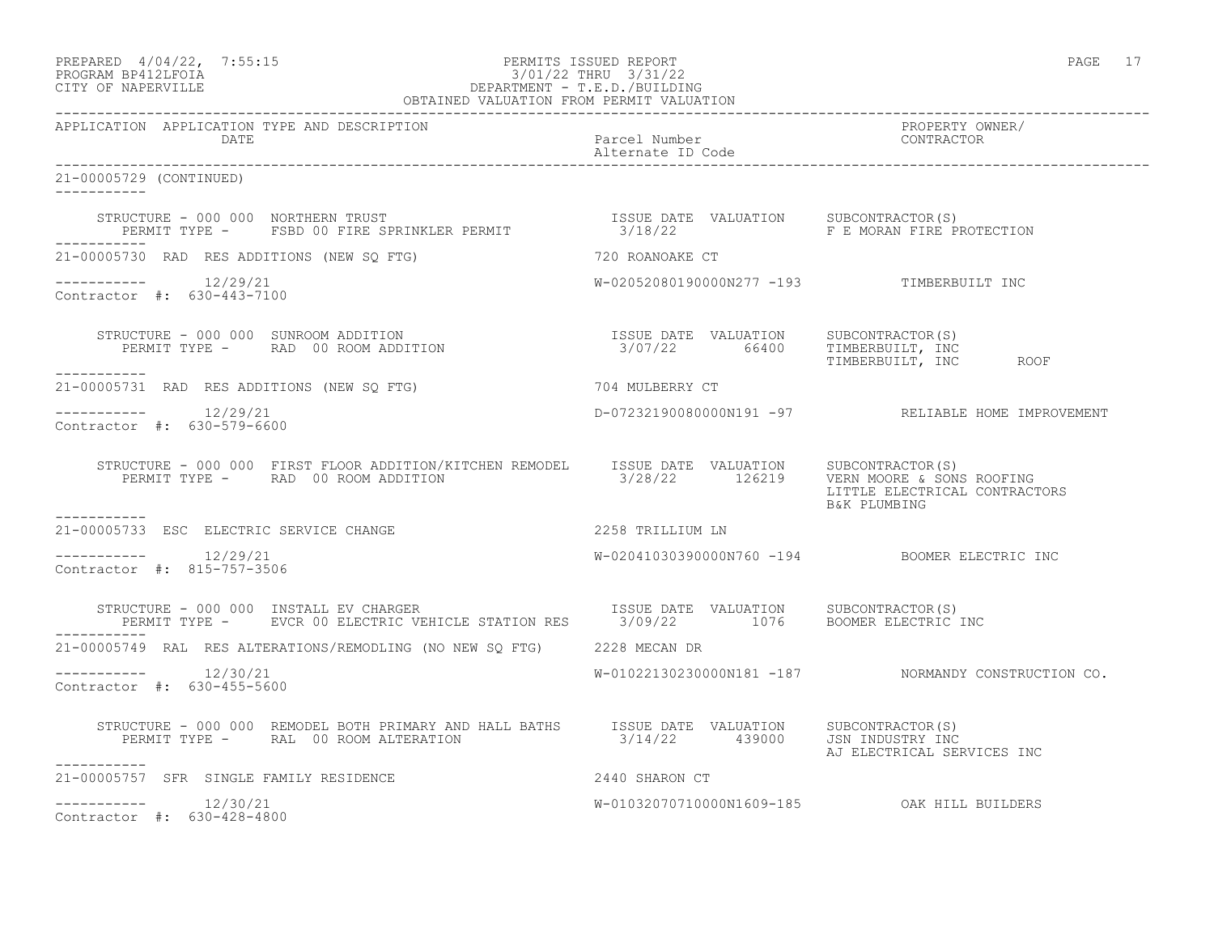| PREPARED | $4/04/22$ ,          | 7:55:1 |
|----------|----------------------|--------|
|          | גדמה זמונות ווגמממחת |        |

# PREPARED 4/04/22, 7:55:15 PERMITS ISSUED REPORT<br>PROGRAM BP412LFOIA PAGE 17 3/01/22 THRU 3/31/22 PROGRAM BP412LFOIA 3/01/22 THRU 3/31/22<br>CITY OF NAPERVILLE DEPARTMENT - T.E.D./BUILDIN CITY OF NAPERVILLE DEPARTMENT - T.E.D./BUILDING

| OBTAINED VALUATION FROM PERMIT VALUATION                                                                                                                                                                                          |                                           |                                                     |  |
|-----------------------------------------------------------------------------------------------------------------------------------------------------------------------------------------------------------------------------------|-------------------------------------------|-----------------------------------------------------|--|
| APPLICATION APPLICATION TYPE AND DESCRIPTION<br>DATE                                                                                                                                                                              | Parcel Number<br>Alternate ID Code        | PROPERTY OWNER/<br>CONTRACTOR                       |  |
| 21-00005729 (CONTINUED)<br>___________                                                                                                                                                                                            |                                           |                                                     |  |
| STRUCTURE - 000 000 NORTHERN TRUST                                 ISSUE DATE VALUATION     SUBCONTRACTOR(S)<br>PERMIT TYPE -     FSBD 00 FIRE SPRINKLER PERMIT                   3/18/22               F E MORAN FIRE PROTECTION |                                           |                                                     |  |
| 21-00005730 RAD RES ADDITIONS (NEW SQ FTG) 720 ROANOAKE CT                                                                                                                                                                        |                                           |                                                     |  |
| $--------- 12/29/21$<br>Contractor #: 630-443-7100                                                                                                                                                                                | W-02052080190000N277 -193 TIMBERBUILT INC |                                                     |  |
| -----------                                                                                                                                                                                                                       |                                           |                                                     |  |
| 21-00005731 RAD RES ADDITIONS (NEW SQ FTG)                                                                                                                                                                                        | 704 MULBERRY CT                           |                                                     |  |
| $--------- 12/29/21$<br>Contractor #: 630-579-6600                                                                                                                                                                                |                                           | D-07232190080000N191 -97 RELIABLE HOME IMPROVEMENT  |  |
| STRUCTURE - 000 000 FIRST FLOOR ADDITION/KITCHEN REMODEL ISSUE DATE VALUATION SUBCONTRACTOR(S)<br>PERMIT TYPE - RAD 00 ROOM ADDITION 3/28/22 126219 VERN MOORE & SONS ROOFING                                                     |                                           | LITTLE ELECTRICAL CONTRACTORS<br>B&K PLUMBING       |  |
| -----------                                                                                                                                                                                                                       |                                           |                                                     |  |
| $--------$ 12/29/21<br>Contractor #: 815-757-3506                                                                                                                                                                                 |                                           | W-02041030390000N760 -194 BOOMER ELECTRIC INC       |  |
| STRUCTURE - 000 000 INSTALL EV CHARGER<br>PERMIT TYPE - EVCR 00 ELECTRIC VEHICLE STATION RES 1/09/22 1076 BOOMER ELECTRIC INC                                                                                                     |                                           |                                                     |  |
| 21-00005749 RAL RES ALTERATIONS/REMODLING (NO NEW SQ FTG) 2228 MECAN DR                                                                                                                                                           |                                           |                                                     |  |
| $--------$ 12/30/21<br>Contractor #: 630-455-5600                                                                                                                                                                                 |                                           | W-01022130230000N181 -187 NORMANDY CONSTRUCTION CO. |  |
| STRUCTURE - 000 000 REMODEL BOTH PRIMARY AND HALL BATHS ISSUE DATE VALUATION SUBCONTRACTOR(S)<br>PERMIT TYPE - RAL 00 ROOM ALTERATION 3/14/22 439000 JSN INDUSTRY INC<br>-----------                                              |                                           | AJ ELECTRICAL SERVICES INC                          |  |
| 21-00005757 SFR SINGLE FAMILY RESIDENCE<br>2440 SHARON CT                                                                                                                                                                         |                                           |                                                     |  |
| $--------- 12/30/21$<br>Contractor #: 630-428-4800                                                                                                                                                                                |                                           | W-01032070710000N1609-185 OAK HILL BUILDERS         |  |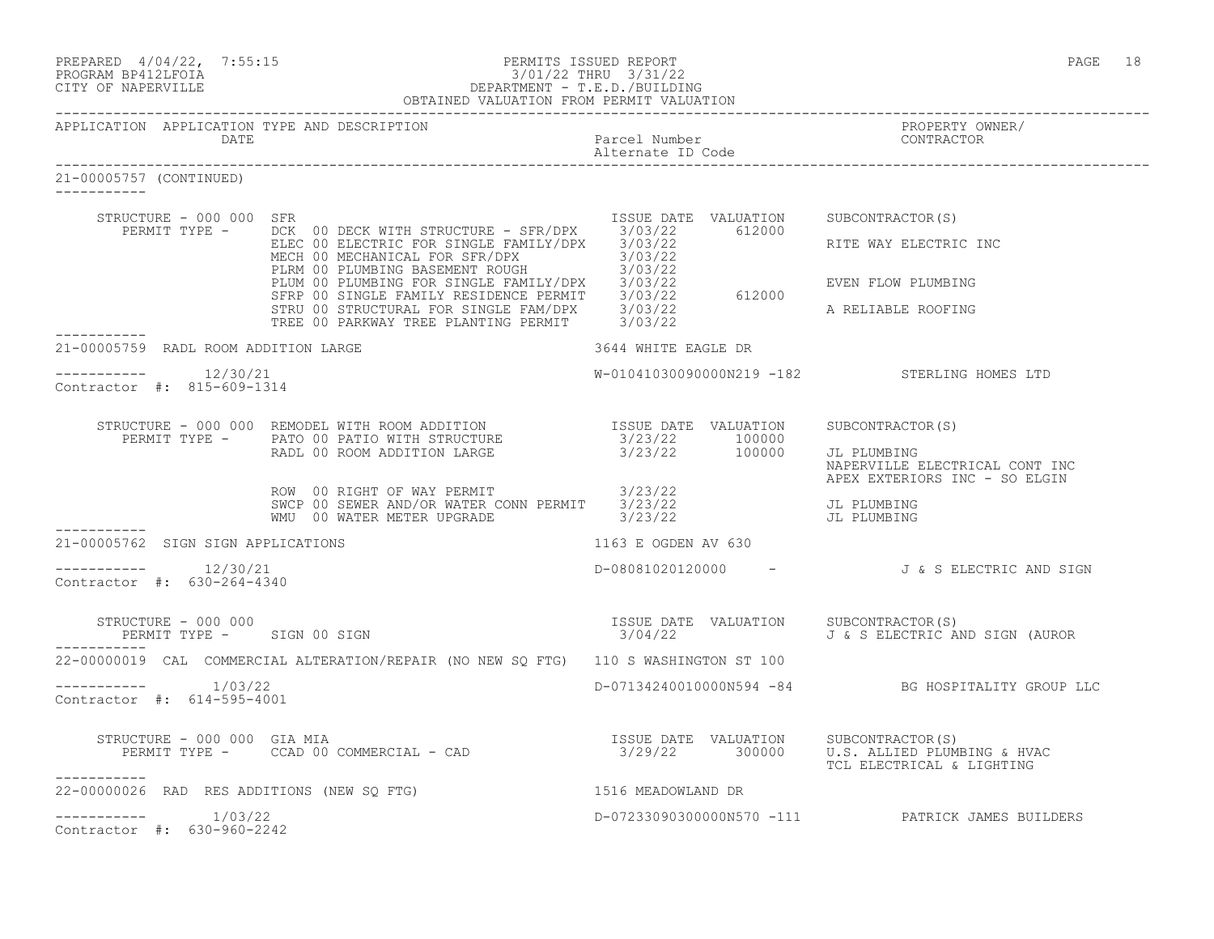|                                                                   | PREPARED $4/04/22$ , 7:55:15<br>PROGRAM BP412LFOIA<br>CITY OF NAPERVILLE<br>CITY OF NAPERVILLE<br>PROGRAM BPARTMENT - T.E.D./BUILDING<br>OBTAINED VALUATION FROM PERMIT VALUATION                                                      |                                                  | PAGE 18                                                         |
|-------------------------------------------------------------------|----------------------------------------------------------------------------------------------------------------------------------------------------------------------------------------------------------------------------------------|--------------------------------------------------|-----------------------------------------------------------------|
| APPLICATION APPLICATION TYPE AND DESCRIPTION<br>DATE              |                                                                                                                                                                                                                                        | Parcel Number<br>Alternate ID Code               | PROPERTY OWNER/<br>CONTRACTOR                                   |
| 21-00005757 (CONTINUED)                                           |                                                                                                                                                                                                                                        |                                                  |                                                                 |
| STRUCTURE - 000 000 SFR                                           | PERMIT TYPE - DCK 00 DECK WITH STRUCTURE - SFR/DPX 3/03/22 612000                                                                                                                                                                      | ISSUE DATE VALUATION SUBCONTRACTOR(S)            |                                                                 |
|                                                                   | ELEC 00 ELECTRIC FOR SINGLE FAMILY/DPX 3/03/22<br>ELEC 00 ELECTRIC FOR SINGLE FAMILY/DPX 3/03/22<br>PLUM 00 PLUMBING BASEMENT ROUGH 3/03/22<br>PLUM 00 PLUMBING FOR SINGLE FAMILY/DPX 3/03/22<br>FLUM 00 PLUMBING FOR SINGLE FAMILY/DP |                                                  | RITE WAY ELECTRIC INC                                           |
|                                                                   |                                                                                                                                                                                                                                        |                                                  |                                                                 |
|                                                                   |                                                                                                                                                                                                                                        |                                                  |                                                                 |
| 21-00005759 RADL ROOM ADDITION LARGE                              |                                                                                                                                                                                                                                        | 3644 WHITE EAGLE DR                              |                                                                 |
| $--------$ 12/30/21<br>Contractor #: 815-609-1314                 |                                                                                                                                                                                                                                        |                                                  | W-01041030090000N219 -182 STERLING HOMES LTD                    |
|                                                                   |                                                                                                                                                                                                                                        |                                                  | SUBCONTRACTOR (S)                                               |
|                                                                   | STRUCTURE - 000 000 REMODEL WITH ROOM ADDITION<br>PERMIT TYPE - PATO 00 PATIO WITH STRUCTURE 3/23/22 100000 JL PLUMBING<br>RADL 00 ROOM ADDITION LARGE 3/23/22 100000 JL PLUMBING                                                      |                                                  | NAPERVILLE ELECTRICAL CONT INC<br>APEX EXTERIORS INC - SO ELGIN |
|                                                                   | ROW 00 RIGHT OF WAY PERMIT<br>SWCP 00 SEWER AND/OR WATER CONN PERMIT 3/23/22<br>WMU 00 WATER METER UPGRADE 3/23/22                                                                                                                     |                                                  | JL PLUMBING<br>JL PLUMBING                                      |
| 21-00005762 SIGN SIGN APPLICATIONS                                |                                                                                                                                                                                                                                        | 1163 E OGDEN AV 630                              |                                                                 |
| $--------$ 12/30/21<br>Contractor #: 630-264-4340                 |                                                                                                                                                                                                                                        |                                                  | D-08081020120000 - J & S ELECTRIC AND SIGN                      |
| STRUCTURE - 000 000<br>PERMIT TYPE - SIGN 00 SIGN<br>------------ |                                                                                                                                                                                                                                        | ISSUE DATE VALUATION SUBCONTRACTOR(S)<br>3/04/22 | J & S ELECTRIC AND SIGN (AUROR                                  |
|                                                                   | 22-00000019 CAL COMMERCIAL ALTERATION/REPAIR (NO NEW SQ FTG) 110 S WASHINGTON ST 100                                                                                                                                                   |                                                  |                                                                 |
| $--------$ 1/03/22<br>Contractor #: 614-595-4001                  |                                                                                                                                                                                                                                        |                                                  | D-07134240010000N594 -84 BG HOSPITALITY GROUP LLC               |
| STRUCTURE - 000 000 GIA MIA                                       | STRUCTURE - 000 000 GIA MIA<br>PERMIT TYPE - CCAD 00 COMMERCIAL - CAD 3/29/22 300000 U.S. ALLIED PLUMBING & HVAC<br>PERMIT TYPE - CCAD 00 COMMERCIAL - CAD 3/29/22 300000 U.S. ALLIED PLUMBING & HVAC                                  |                                                  | TCL ELECTRICAL & LIGHTING                                       |
| -----------<br>22-00000026 RAD RES ADDITIONS (NEW SQ FTG)         |                                                                                                                                                                                                                                        | 1516 MEADOWLAND DR                               |                                                                 |
| Contractor #: 630-960-2242                                        |                                                                                                                                                                                                                                        |                                                  | D-07233090300000N570 -111 PATRICK JAMES BUILDERS                |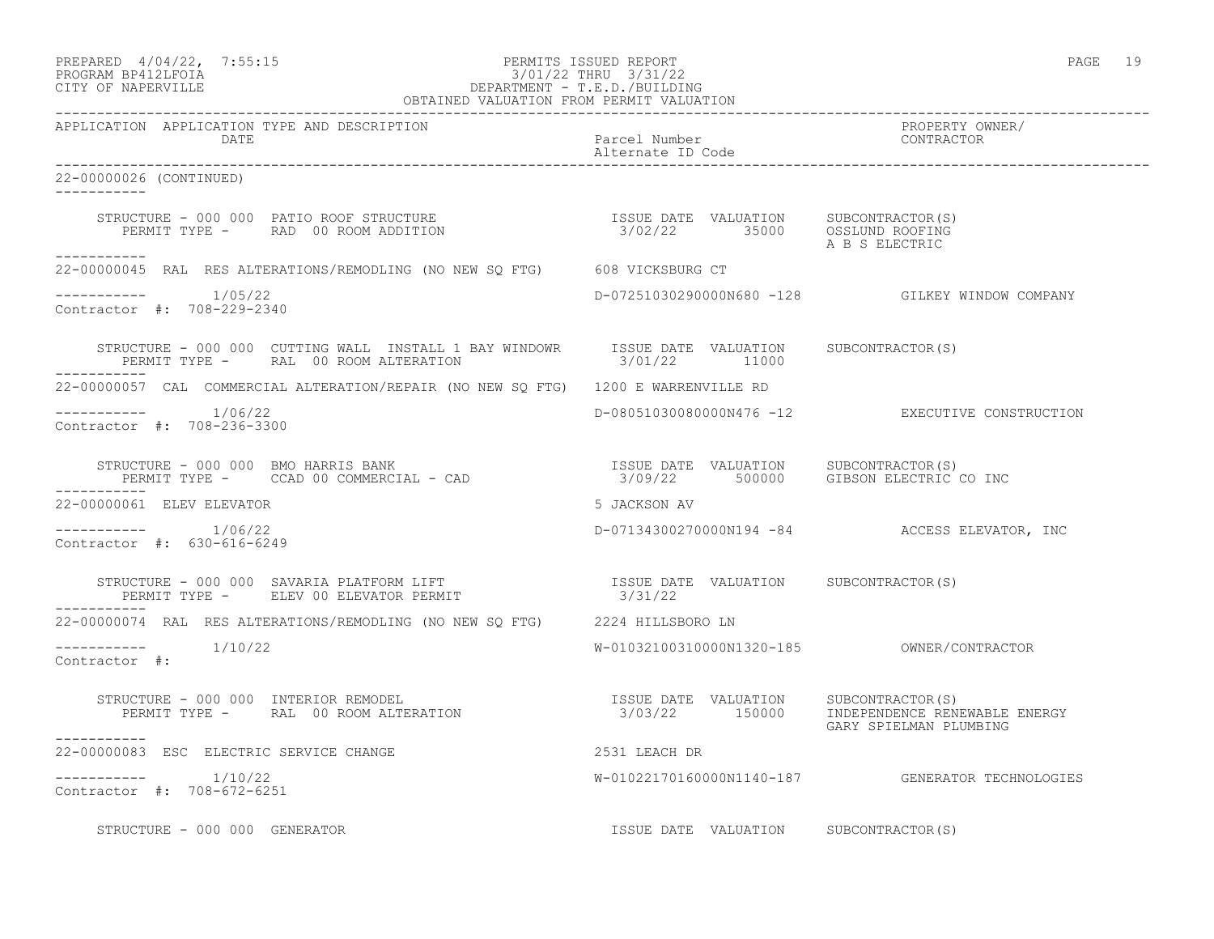# PREPARED 4/04/22, 7:55:15 PERMITS ISSUED REPORT<br>PROGRAM BP412LFOIA PAGE 19 2/01/22 THRU 3/31/22 PROGRAM BP412LFOIA 3/01/22 THRU 3/31/22 CITY OF NAPERVILLE DEPARTMENT - T.E.D./BUILDING

| OBTAINED VALUATION FROM PERMIT VALUATION                                                                                                                                                                                                                                                                                                                                                                                                                                                  |                                       |                                                  |
|-------------------------------------------------------------------------------------------------------------------------------------------------------------------------------------------------------------------------------------------------------------------------------------------------------------------------------------------------------------------------------------------------------------------------------------------------------------------------------------------|---------------------------------------|--------------------------------------------------|
| APPLICATION APPLICATION TYPE AND DESCRIPTION<br>DATE                                                                                                                                                                                                                                                                                                                                                                                                                                      | Parcel Number<br>Alternate ID Code    | PROPERTY OWNER/<br>CONTRACTOR                    |
| 22-00000026 (CONTINUED)<br>___________                                                                                                                                                                                                                                                                                                                                                                                                                                                    |                                       |                                                  |
|                                                                                                                                                                                                                                                                                                                                                                                                                                                                                           |                                       | A B S ELECTRIC                                   |
| -----------<br>22-00000045 RAL RES ALTERATIONS/REMODLING (NO NEW SO FTG) 608 VICKSBURG CT                                                                                                                                                                                                                                                                                                                                                                                                 |                                       |                                                  |
| $---------$ 1/05/22<br>Contractor #: 708-229-2340                                                                                                                                                                                                                                                                                                                                                                                                                                         |                                       | D-07251030290000N680 -128 GILKEY WINDOW COMPANY  |
| STRUCTURE - 000 000 CUTTING WALL INSTALL 1 BAY WINDOWR ISSUE DATE VALUATION SUBCONTRACTOR(S)<br>PERMIT TYPE - RAL 00 ROOM ALTERATION                                                                                                                                                                                                                                                                                                                                                      | 3/01/22 11000                         |                                                  |
| 22-00000057 CAL COMMERCIAL ALTERATION/REPAIR (NO NEW SO FTG) 1200 E WARRENVILLE RD                                                                                                                                                                                                                                                                                                                                                                                                        |                                       |                                                  |
| $--------- 1/06/22$<br>Contractor #: 708-236-3300                                                                                                                                                                                                                                                                                                                                                                                                                                         |                                       | D-08051030080000N476 -12 EXECUTIVE CONSTRUCTION  |
| ___________                                                                                                                                                                                                                                                                                                                                                                                                                                                                               |                                       |                                                  |
| 22-00000061 ELEV ELEVATOR                                                                                                                                                                                                                                                                                                                                                                                                                                                                 | 5 JACKSON AV                          |                                                  |
| Contractor #: 630-616-6249                                                                                                                                                                                                                                                                                                                                                                                                                                                                |                                       | D-07134300270000N194 -84 ACCESS ELEVATOR, INC    |
| $\begin{tabular}{lllllllllll} \texttt{STRUCTURE} & - & 000 & 000 & \texttt{SAVARIA PLATFORM LIFT} & & & & & & & & & & \\ \texttt{PERMIT TYPE} & - & & \texttt{ELEV} & 00 & \texttt{ELEVATOR PERMIT} & & & & & & \\ \end{tabular}$                                                                                                                                                                                                                                                         |                                       |                                                  |
| 22-00000074 RAL RES ALTERATIONS/REMODLING (NO NEW SQ FTG) 2224 HILLSBORO LN                                                                                                                                                                                                                                                                                                                                                                                                               |                                       |                                                  |
| Contractor #:                                                                                                                                                                                                                                                                                                                                                                                                                                                                             |                                       |                                                  |
| $\begin{array}{cccccccccc} \texttt{STRUCTURE} & - & 000 & 000 & \texttt{INTERIOR REMODEL} & & & & & & & \\ \texttt{PERMIT TYPE} & - & \texttt{RAL} & 00\texttt{ ROM ALTERATION} & & & & & & \\ \texttt{PERMIT TYPE} & - & \texttt{RAL} & 00\texttt{ ROM ALTERATION} & & & & & \\ \end{array} \qquad \begin{array}{cccccccccc} \texttt{ISSUE} & \texttt{DATE} & \texttt{VALUATION} & & & & & \texttt{SUBCONTRACTOR(S)}\\ & 3/03/22 & & 150000 & & & \texttt{INDEPENDENCE RENEWABLE ENERGY$ |                                       | GARY SPIELMAN PLUMBING                           |
| __________<br>22-00000083 ESC ELECTRIC SERVICE CHANGE<br>2531 LEACH DR                                                                                                                                                                                                                                                                                                                                                                                                                    |                                       |                                                  |
| $--------- 1/10/22$<br>Contractor #: 708-672-6251                                                                                                                                                                                                                                                                                                                                                                                                                                         |                                       | W-01022170160000N1140-187 GENERATOR TECHNOLOGIES |
| STRUCTURE - 000 000 GENERATOR                                                                                                                                                                                                                                                                                                                                                                                                                                                             | ISSUE DATE VALUATION SUBCONTRACTOR(S) |                                                  |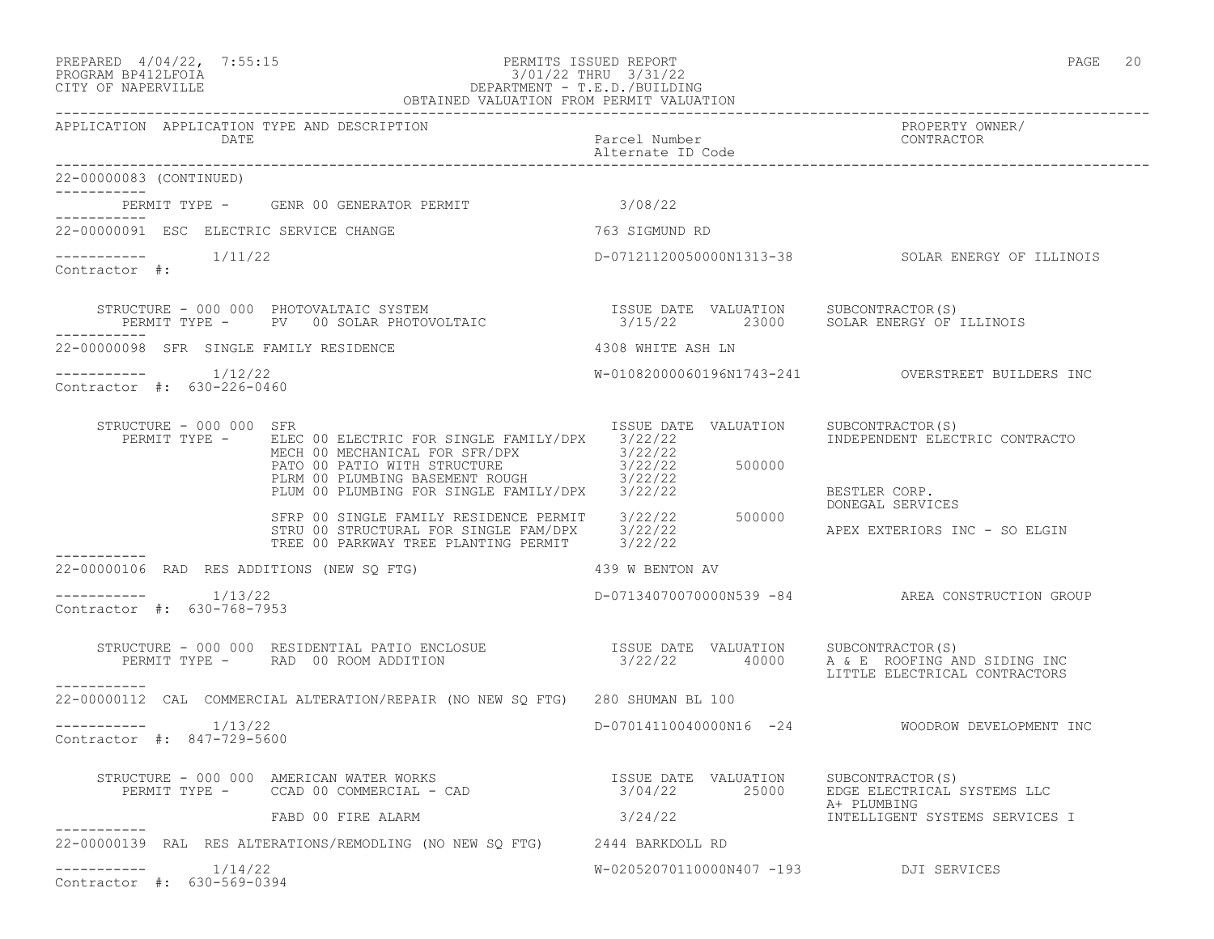# PREPARED 4/04/22, 7:55:15 PERMITS ISSUED REPORT<br>PROGRAM BP412LFOIA PAGE 20<br>3/01/22 THRU 3/31/22 PROGRAM BP412LFOIA 3/01/22 THRU 3/31/22 CITY OF NAPERVILLE DEPARTMENT - T.E.D./BUILDING

|                                                      | OBTAINED VALUATION FROM PERMIT VALUATION                                                                                                                                                                                                                                                                                                                                                        |                                        |                                                    |
|------------------------------------------------------|-------------------------------------------------------------------------------------------------------------------------------------------------------------------------------------------------------------------------------------------------------------------------------------------------------------------------------------------------------------------------------------------------|----------------------------------------|----------------------------------------------------|
| APPLICATION APPLICATION TYPE AND DESCRIPTION<br>DATE |                                                                                                                                                                                                                                                                                                                                                                                                 | Parcel Number<br>Alternate ID Code     | PROPERTY OWNER/<br>CONTRACTOR                      |
| 22-00000083 (CONTINUED)<br>------------              |                                                                                                                                                                                                                                                                                                                                                                                                 |                                        |                                                    |
| -----------                                          |                                                                                                                                                                                                                                                                                                                                                                                                 |                                        |                                                    |
| 22-00000091 ESC ELECTRIC SERVICE CHANGE              |                                                                                                                                                                                                                                                                                                                                                                                                 | 763 SIGMUND RD                         |                                                    |
| Contractor #:                                        |                                                                                                                                                                                                                                                                                                                                                                                                 |                                        | D-07121120050000N1313-38 SOLAR ENERGY OF ILLINOIS  |
|                                                      | STRUCTURE - 000 000 PHOTOVALTAIC SYSTEM                          ISSUE DATE VALUATION     SUBCONTRACTOR(S)<br>PERMIT TYPE -     PV   00 SOLAR PHOTOVOLTAIC                     3/15/22       23000     SOLAR ENERGY OF ILLINOIS                                                                                                                                                                 |                                        |                                                    |
| 22-00000098 SFR SINGLE FAMILY RESIDENCE              |                                                                                                                                                                                                                                                                                                                                                                                                 | 4308 WHITE ASH LN                      |                                                    |
| Contractor #: 630-226-0460                           |                                                                                                                                                                                                                                                                                                                                                                                                 |                                        |                                                    |
| STRUCTURE - 000 000 SFR<br>PERMIT TYPE -             | ELEC 00 ELECTRIC FOR SINGLE FAMILY/DPX 3/22/22<br>MECH 00 MECHANICAL FOR SFR/DPX 3/22/22<br>PATO 00 PATIO WITH STRUCTURE<br>PLRM 00 PLUMBING BASEMENT ROUGH<br>PLUM 00 PLUMBING FOR SINGLE FAMILY/DPX 3/22/22                                                                                                                                                                                   | ISSUE DATE VALUATION                   | SUBCONTRACTOR(S)<br>INDEPENDENT ELECTRIC CONTRACTO |
|                                                      |                                                                                                                                                                                                                                                                                                                                                                                                 |                                        | BESTLER CORP.<br>DONEGAL SERVICES                  |
|                                                      | $$\tt 2113dB$ FAMILY/DPX$ \begin{tabular}{l} $3/22/22$ \\ $3/22/22$ \\ $3$ TRU 00 STRUCTURAL FOR SINGLE FAM/DFX$ \end{tabular} $3/22/22$ \begin{tabular}{l} $3/22/22$ \\ $3/22/22$ \end{tabular} $500000$ \begin{tabular}{l} $7$ RRC T} \end{tabular} $3/22/22$ \begin{tabular}{l} $3/22/22$ \end{tabular} $500000$ \begin{tabular}{l} $7$ RRC T} \end{tabular} $3/22/22$ \begin{tabular}{l} $$ |                                        | APEX EXTERIORS INC - SO ELGIN                      |
| 22-00000106 RAD RES ADDITIONS (NEW SQ FTG)           |                                                                                                                                                                                                                                                                                                                                                                                                 |                                        |                                                    |
| Contractor #: 630-768-7953                           |                                                                                                                                                                                                                                                                                                                                                                                                 |                                        | D-07134070070000N539 -84 AREA CONSTRUCTION GROUP   |
| ___________                                          | STRUCTURE - 000 000 RESIDENTIAL PATIO ENCLOSUE                 ISSUE DATE VALUATION     SUBCONTRACTOR(S)<br>PERMIT TYPE -     RAD 00 ROOM ADDITION                         3/22/22      40000     A & E ROOFING AND SIDING INC                                                                                                                                                                  |                                        | LITTLE ELECTRICAL CONTRACTORS                      |
|                                                      | 22-00000112 CAL COMMERCIAL ALTERATION/REPAIR (NO NEW SO FTG) 280 SHUMAN BL 100                                                                                                                                                                                                                                                                                                                  |                                        |                                                    |
| $--------- 1/13/22$<br>Contractor #: 847-729-5600    |                                                                                                                                                                                                                                                                                                                                                                                                 |                                        | D-07014110040000N16 -24 WOODROW DEVELOPMENT INC    |
|                                                      | STRUCTURE - 000 000 AMERICAN WATER WORKS<br>PERMIT TYPE - CCAD 00 COMMERCIAL - CAD 10 COMMERCIAL - CAD 19/04/22 25000 EDGE ELECTRICAL SYSTEMS LLC                                                                                                                                                                                                                                               |                                        |                                                    |
|                                                      | FABD 00 FIRE ALARM                                                                                                                                                                                                                                                                                                                                                                              | 3/24/22                                | A+ PLUMBING<br>INTELLIGENT SYSTEMS SERVICES I      |
|                                                      | 22-00000139 RAL RES ALTERATIONS/REMODLING (NO NEW SO FTG) 2444 BARKDOLL RD                                                                                                                                                                                                                                                                                                                      |                                        |                                                    |
| 1/14/22<br>Contractor #: 630-569-0394                |                                                                                                                                                                                                                                                                                                                                                                                                 | W-02052070110000N407 -193 DJI SERVICES |                                                    |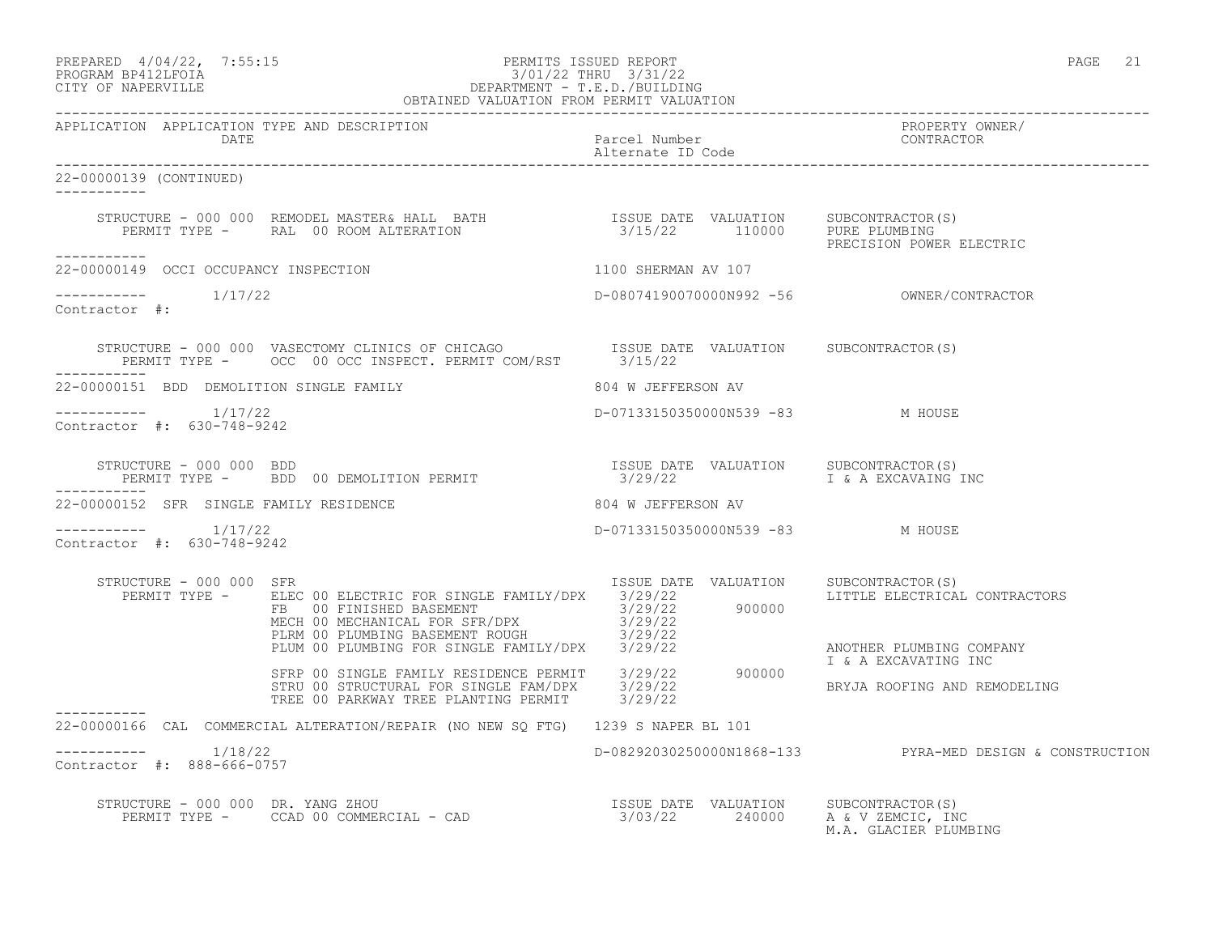#### PREPARED  $4/04/22$ ,  $7:55:15$  PERMITS ISSUED REPORT PAGE 21 PROGRAM BP412LFOIA 3/01/22 THRU 3/31/22 CITY OF NAPERVILLE DEPARTMENT - T.E.D./BUILDING OBTAINED VALUATION FROM PERMIT VALUATION

------------------------------------------------------------------------------------------------------------------------------------ APPLICATION APPLICATION TYPE AND DESCRIPTION PROPERTY OWNER/ Parcel Number<br>Alternate ID Code Alternate ID Code ------------------------------------------------------------------------------------------------------------------------------------ 22-00000139 (CONTINUED) ----------- STRUCTURE - 000 000 REMODEL MASTER& HALL BATH ISSUE DATE VALUATION SUBCONTRACTOR(S) PERMIT TYPE - RAL 00 ROOM ALTERATION 3/15/22 110000 PURE PLUMBING PRECISION POWER ELECTRIC ----------- 22-00000149 OCCI OCCUPANCY INSPECTION 1100 SHERMAN AV 107  $--------- 1/17/22$ ----------- 1/17/22 D-08074190070000N992 -56 OWNER/CONTRACTOR Contractor #: STRUCTURE - 000 000 VASECTOMY CLINICS OF CHICAGO <br>PERMIT TYPE - OCC 00 OCC INSPECT, PERMIT COM/RST 3/15/22 PERMIT TYPE - OCC 00 OCC INSPECT. PERMIT COM/RST ----------- 22-00000151 BDD DEMOLITION SINGLE FAMILY 804 W JEFFERSON AV ----------- 1/17/22 D-07133150350000N539 -83 M HOUSE Contractor #: 630-748-9242 STRUCTURE - 000 000 BDD<br>PERMIT TYPE - BDD 00 DEMOLITION PERMIT 3/29/22 I & A EXCAVAING INC PERMIT TYPE - BDD 00 DEMOLITION PERMIT ----------- 22-00000152 SFR SINGLE FAMILY RESIDENCE **804 W** JEFFERSON AV ----------- 1/17/22 D-07133150350000N539 -83 M HOUSE Contractor #: 630-748-9242 STRUCTURE - 000 000 SFR ISSUE DATE VALUATION SUBCONTRACTOR(S) PERMIT TYPE - ELEC 00 ELECTRIC FOR SINGLE FAMILY/DPX 3/29/22 LITTLE ELECTRICAL CONTRACTORS FB 00 FINISHED BASEMENT 3/29/22 900000 MECH 00 MECHANICAL FOR SFR/DPX 3/29/22 PLRM 00 PLUMBING BASEMENT ROUGH 3/29/22 PLUM 00 PLUMBING FOR SINGLE FAMILY/DPX 3/29/22 ANOTHER PLUMBING COMPANY I & A EXCAVATING INC SFRP 00 SINGLE FAMILY RESIDENCE PERMIT 3/29/22 900000 STRU 00 STRUCTURAL FOR SINGLE FAM/DPX 3/29/22 BRYJA ROOFING AND REMODELING TREE 00 PARKWAY TREE PLANTING PERMIT 3/29/22 ----------- 22-00000166 CAL COMMERCIAL ALTERATION/REPAIR (NO NEW SQ FTG) 1239 S NAPER BL 101 \_\_\_\_\_\_\_\_\_\_\_ ----------- 1/18/22 D-08292030250000N1868-133 PYRA-MED DESIGN & CONSTRUCTION Contractor #: 888-666-0757 STRUCTURE - 000 000 DR. YANG ZHOU ISSUE DATE VALUATION SUBCONTRACTOR(S) PERMIT TYPE - CCAD 00 COMMERCIAL - CAD 3/03/22 240000 A & V ZEMCIC, INC M.A. GLACIER PLUMBING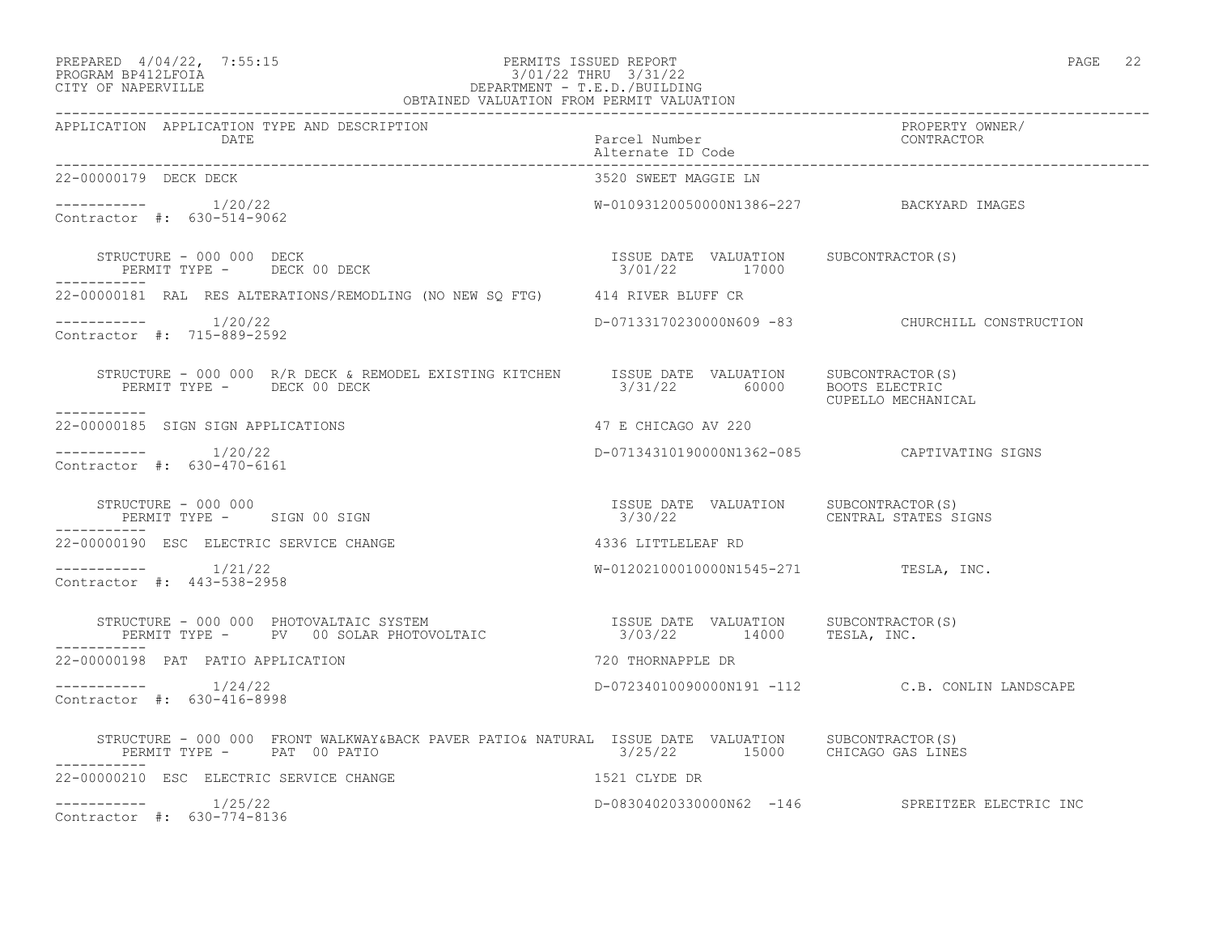#### PREPARED  $4/04/22$ ,  $7:55:15$  PERMITS ISSUED REPORT PAGE 22 PROGRAM BP412LFOIA 3/01/22 THRU 3/31/22 CITY OF NAPERVILLE DEPARTMENT - T.E.D./BUILDING OBTAINED VALUATION FROM PERMIT VALUATION

| APPLICATION APPLICATION TYPE AND DESCRIPTION PACKERTY PURE PACE PACKER AND MANUSICATION PEROPERTY OWNER/<br>DATE Paccel Number alternate ID Code enterprise contractor and the contractor alternate ID Code |                                                        |                                                  |
|-------------------------------------------------------------------------------------------------------------------------------------------------------------------------------------------------------------|--------------------------------------------------------|--------------------------------------------------|
| 22-00000179 DECK DECK                                                                                                                                                                                       | 3520 SWEET MAGGIE LN                                   |                                                  |
| ----------- 1/20/22<br>Contractor #: 630-514-9062                                                                                                                                                           | W-01093120050000N1386-227 BACKYARD IMAGES              |                                                  |
| STRUCTURE - 000 000 DECK<br>PERMIT TYPE - DECK 00 DECK                                                                                                                                                      | ISSUE DATE VALUATION SUBCONTRACTOR(S)<br>3/01/22 17000 |                                                  |
| 22-00000181 RAL RES ALTERATIONS/REMODLING (NO NEW SQ FTG) 414 RIVER BLUFF CR                                                                                                                                |                                                        |                                                  |
| $--------- 1/20/22$<br>Contractor #: 715-889-2592                                                                                                                                                           |                                                        | D-07133170230000N609 -83 CHURCHILL CONSTRUCTION  |
| STRUCTURE - 000 000 R/R DECK & REMODEL EXISTING KITCHEN ISSUE DATE VALUATION SUBCONTRACTOR(S)<br>PERMIT TYPE - DECK 00 DECK<br>___________                                                                  | 3/31/22 60000 BOOTS ELECTRIC                           | CUPELLO MECHANICAL                               |
| 22-00000185 SIGN SIGN APPLICATIONS                                                                                                                                                                          | 47 E CHICAGO AV 220                                    |                                                  |
| $--------- 1/20/22$<br>Contractor #: 630-470-6161                                                                                                                                                           | D-07134310190000N1362-085    CAPTIVATING SIGNS         |                                                  |
| STRUCTURE - 000 000<br>PERMIT TYPE - SIGN 00 SIGN<br>-----------                                                                                                                                            |                                                        |                                                  |
| 22-00000190 ESC ELECTRIC SERVICE CHANGE                                                                                                                                                                     | 4336 LITTLELEAF RD                                     |                                                  |
| $--------- 1/21/22$<br>Contractor #: 443-538-2958                                                                                                                                                           | W-01202100010000N1545-271 TESLA, INC.                  |                                                  |
|                                                                                                                                                                                                             |                                                        |                                                  |
| 22-00000198 PAT PATIO APPLICATION                                                                                                                                                                           | 720 THORNAPPLE DR                                      |                                                  |
| ----------- 1/24/22<br>Contractor #: 630-416-8998                                                                                                                                                           |                                                        | D-072340100900000N191 -112 C.B. CONLIN LANDSCAPE |
| STRUCTURE - 000 000 FRONT WALKWAY&BACK PAVER PATIO& NATURAL ISSUE DATE VALUATION SUBCONTRACTOR(S)<br>PERMIT TYPE - PAT 00 PATIO 2/25/22 15000 CHICAGO GAS LINES<br>PERMIT TYPE - PAT 00 PATIO               |                                                        |                                                  |
| 1521 CLYDE DR<br>22-00000210 ESC ELECTRIC SERVICE CHANGE                                                                                                                                                    |                                                        |                                                  |
| $--------- 1/25/22$<br>Contractor #: 630-774-8136                                                                                                                                                           |                                                        | D-08304020330000N62 -146 SPREITZER ELECTRIC INC  |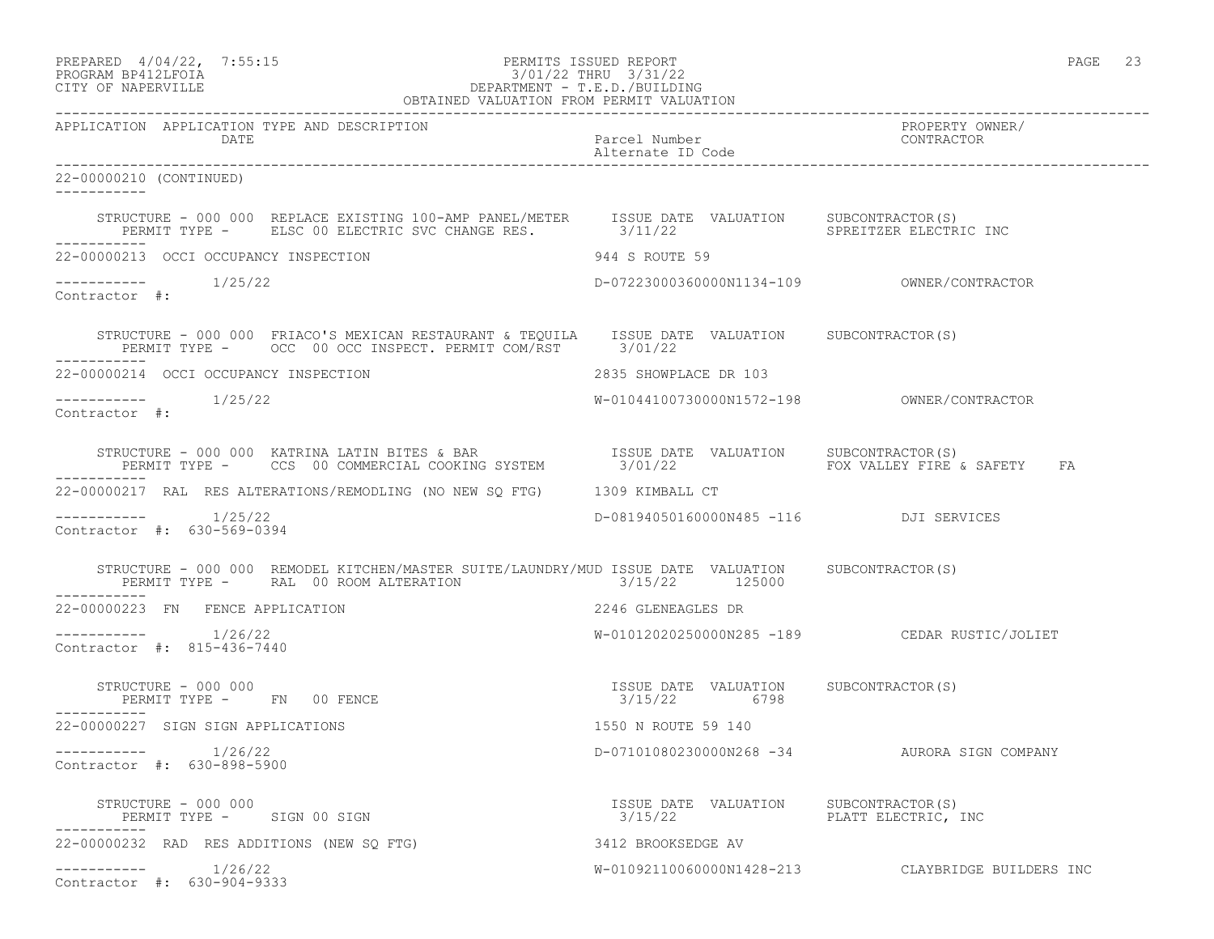|                    | PREPARED 4/04/22, 7:55:15 | PERMITS ISSUED REPORT | PAGE | ب ت |
|--------------------|---------------------------|-----------------------|------|-----|
| PROGRAM BP412LFOIA |                           | 3/01/22 THRU 3/31/22  |      |     |

# PROGRAM BP412LFOIA 3/01/22 THRU 3/31/22 CITY OF NAPERVILLE DEPARTMENT - T.E.D./BUILDING

|                                                                                                                                                                                                                                   | OBTAINED VALUATION FROM PERMIT VALUATION                              |                                                   |
|-----------------------------------------------------------------------------------------------------------------------------------------------------------------------------------------------------------------------------------|-----------------------------------------------------------------------|---------------------------------------------------|
| APPLICATION APPLICATION TYPE AND DESCRIPTION<br><b>DATE</b>                                                                                                                                                                       | Parcel Number<br>Alternate ID Code                                    | PROPERTY OWNER/<br>CONTRACTOR                     |
| 22-00000210 (CONTINUED)<br>-----------                                                                                                                                                                                            |                                                                       |                                                   |
| STRUCTURE - 000 000 REPLACE EXISTING 100-AMP PANEL/METER ISSUE DATE VALUATION SUBCONTRACTOR(S)<br>PERMIT TYPE - ELSC 00 ELECTRIC SVC CHANGE RES. 3/11/22 SPREITZER ELECTRIC INC                                                   |                                                                       |                                                   |
| 22-00000213 OCCI OCCUPANCY INSPECTION                                                                                                                                                                                             | 944 S ROUTE 59                                                        |                                                   |
| $--------$ 1/25/22<br>Contractor #:                                                                                                                                                                                               |                                                                       |                                                   |
| STRUCTURE - 000 000 FRIACO'S MEXICAN RESTAURANT & TEQUILA ISSUE DATE VALUATION SUBCONTRACTOR(S)<br>PERMIT TYPE - OCC 00 OCC INSPECT. PERMIT COM/RST 3/01/22                                                                       |                                                                       |                                                   |
| 22-00000214 OCCI OCCUPANCY INSPECTION                                                                                                                                                                                             | 2835 SHOWPLACE DR 103                                                 |                                                   |
| $--------- 1/25/22$<br>Contractor #:                                                                                                                                                                                              |                                                                       |                                                   |
| STRUCTURE - 000 000 KATRINA LATIN BITES & BAR                  ISSUE DATE VALUATION      SUBCONTRACTOR(S)<br>PERMIT TYPE -      CCS  00 COMMERCIAL COOKING SYSTEM           3/01/22                           FOX VALLEY FIRE & S |                                                                       |                                                   |
| 22-00000217 RAL RES ALTERATIONS/REMODLING (NO NEW SQ FTG) 1309 KIMBALL CT                                                                                                                                                         |                                                                       |                                                   |
| 1/25/22<br>Contractor #: 630-569-0394                                                                                                                                                                                             | D-08194050160000N485 -116 DJI SERVICES                                |                                                   |
| STRUCTURE - 000 000 REMODEL KITCHEN/MASTER SUITE/LAUNDRY/MUD ISSUE DATE VALUATION SUBCONTRACTOR(S)<br>PERMIT TYPE - RAL 00 ROOM ALTERATION 6 2/15/22 125000                                                                       |                                                                       |                                                   |
| 22-00000223 FN FENCE APPLICATION                                                                                                                                                                                                  | 2246 GLENEAGLES DR                                                    |                                                   |
| $--------- 1/26/22$<br>Contractor #: 815-436-7440                                                                                                                                                                                 |                                                                       | W-01012020250000N285 -189 CEDAR RUSTIC/JOLIET     |
| ----------                                                                                                                                                                                                                        | ISSUE DATE VALUATION SUBCONTRACTOR(S)<br>3/15/22 6798                 |                                                   |
| 22-00000227 SIGN SIGN APPLICATIONS                                                                                                                                                                                                | 1550 N ROUTE 59 140                                                   |                                                   |
| $--------- 1/26/22$<br>Contractor #: 630-898-5900                                                                                                                                                                                 |                                                                       | D-07101080230000N268 -34 AURORA SIGN COMPANY      |
| STRUCTURE - 000 000<br>PERMIT TYPE - SIGN 00 SIGN                                                                                                                                                                                 | ISSUE DATE VALUATION SUBCONTRACTOR (S)<br>3/15/22 PLATT ELECTRIC, INC |                                                   |
| 22-00000232 RAD RES ADDITIONS (NEW SQ FTG)                                                                                                                                                                                        | 3412 BROOKSEDGE AV                                                    |                                                   |
| $--------- 1/26/22$<br>Contractor #: 630-904-9333                                                                                                                                                                                 |                                                                       | W-01092110060000N1428-213 CLAYBRIDGE BUILDERS INC |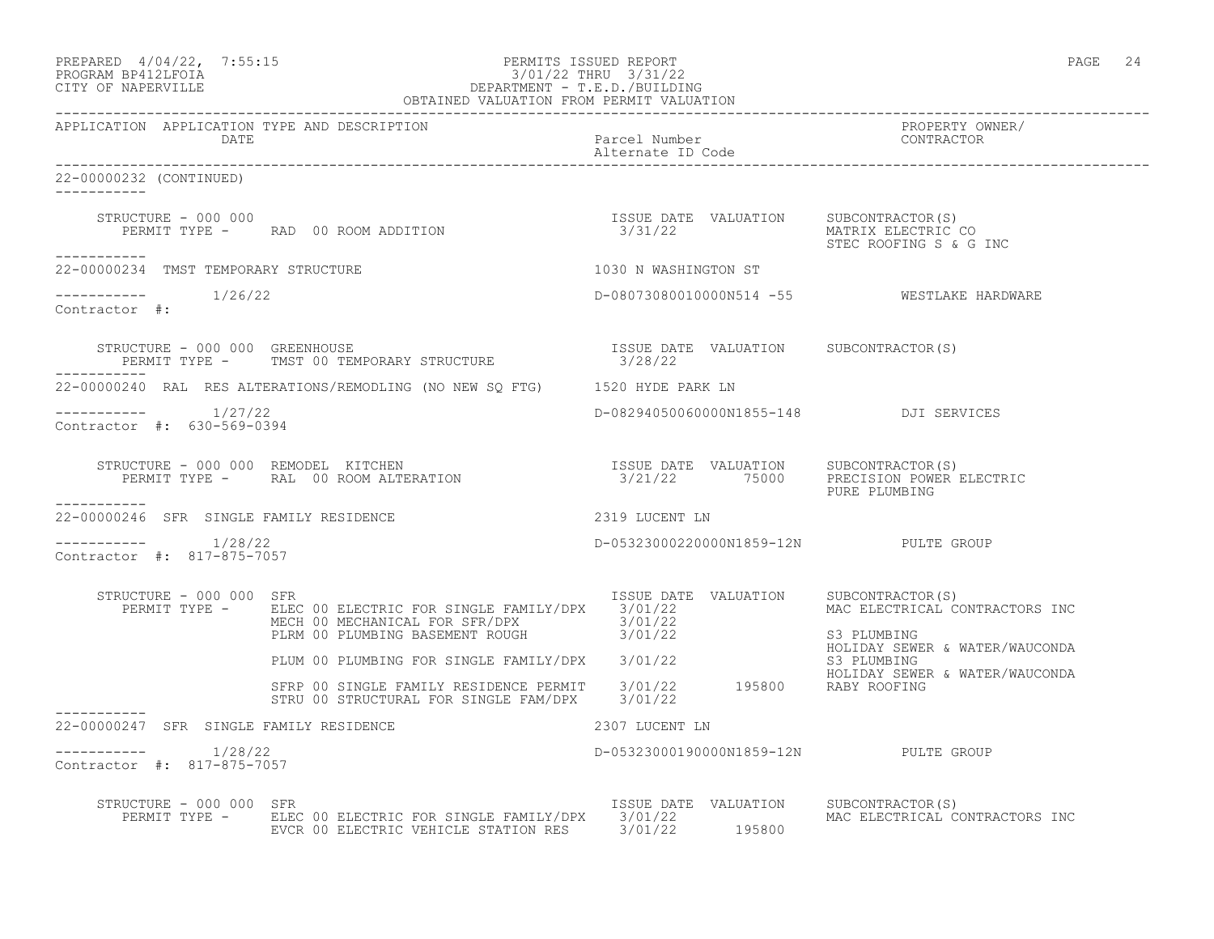| PREPARED | $4/04/22$ ,                             | 7:55:1 |
|----------|-----------------------------------------|--------|
|          | $\begin{array}{c}\n\hline\n\end{array}$ |        |

# PREPARED  $4/04/22$ , 7:55:15 PERMITS ISSUED REPORT PAGE 24 PROGRAM BP412LFOIA PAGE 24 PROGRAM BP412LFOIA 3/01/22 THRU 3/31/22<br>CITY OF NAPERVILLE DEPARTMENT - T.E.D./BUILDIN CITY OF NAPERVILLE DEPARTMENT - T.E.D./BUILDING

|                                                        | OBTAINED VALUATION FROM PERMIT VALUATION                                                                                                                                                                                                                                                                                                       |                                                   |                                                                                 |
|--------------------------------------------------------|------------------------------------------------------------------------------------------------------------------------------------------------------------------------------------------------------------------------------------------------------------------------------------------------------------------------------------------------|---------------------------------------------------|---------------------------------------------------------------------------------|
| APPLICATION APPLICATION TYPE AND DESCRIPTION<br>DATE   |                                                                                                                                                                                                                                                                                                                                                | Parcel Number<br>Alternate ID Code                | PROPERTY OWNER/<br>CONTRACTOR                                                   |
| 22-00000232 (CONTINUED)<br>-----------                 |                                                                                                                                                                                                                                                                                                                                                |                                                   |                                                                                 |
| STRUCTURE - 000 000                                    |                                                                                                                                                                                                                                                                                                                                                |                                                   | MATRIX ELECTRIC CO<br>STEC ROOFING S & G INC                                    |
| -----------<br>22-00000234 TMST TEMPORARY STRUCTURE    |                                                                                                                                                                                                                                                                                                                                                | 1030 N WASHINGTON ST                              |                                                                                 |
| $--------$ 1/26/22<br>Contractor #:                    |                                                                                                                                                                                                                                                                                                                                                |                                                   | D-08073080010000N514 -55 WESTLAKE HARDWARE                                      |
| STRUCTURE - 000 000 GREENHOUSE                         | STRUCTURE - 000 000 GREENHOUSE<br>PERMIT TYPE -     TMST 00 TEMPORARY STRUCTURE                                                                                                                                                                                                                                                                | ISSUE DATE VALUATION SUBCONTRACTOR (S)<br>3/28/22 |                                                                                 |
|                                                        | 22-00000240 RAL RES ALTERATIONS/REMODLING (NO NEW SQ FTG) 1520 HYDE PARK LN                                                                                                                                                                                                                                                                    |                                                   |                                                                                 |
| ----------- 1/27/22<br>Contractor #: 630-569-0394      |                                                                                                                                                                                                                                                                                                                                                | D-08294050060000N1855-148 DJI SERVICES            |                                                                                 |
|                                                        | $\begin{array}{cccc} \texttt{STRUCTURE} - 000 000 & \texttt{REMODEL} & \texttt{KITCHEN} & \texttt{SUSUE} & \texttt{DATE} & \texttt{VALUATION} & \texttt{SUBCONTRACTOR(S)} \\ \texttt{PERMIT TYPE} - \texttt{RAL} & 00\texttt{ ROOTERATION} & \texttt{SUSUENT} & 3/21/22 & 75000 & \texttt{PRECISION} & \texttt{Power ELECTRIC} \\ \end{array}$ |                                                   | PURE PLUMBING                                                                   |
| -----------<br>22-00000246 SFR SINGLE FAMILY RESIDENCE |                                                                                                                                                                                                                                                                                                                                                | 2319 LUCENT LN                                    |                                                                                 |
| Contractor #: 817-875-7057                             |                                                                                                                                                                                                                                                                                                                                                | D-05323000220000N1859-12N PULTE GROUP             |                                                                                 |
| STRUCTURE - 000 000 SFR                                | PERMIT TYPE - ELEC 00 ELECTRIC FOR SINGLE FAMILY/DPX 3/01/22<br>MECH 00 MECHANICAL FOR SFR/DPX 3/01/22<br>PLRM 00 PLUMBING BASEMENT ROUGH 3/01/22                                                                                                                                                                                              | ISSUE DATE VALUATION SUBCONTRACTOR(S)             | MAC ELECTRICAL CONTRACTORS INC<br>S3 PLUMBING<br>HOLIDAY SEWER & WATER/WAUCONDA |
|                                                        | PLUM 00 PLUMBING FOR SINGLE FAMILY/DPX 3/01/22 53 PLUMBING<br>SFRP 00 SINGLE FAMILY RESIDENCE PERMIT 3/01/22 195800 RABY ROOFING<br>STRU 00 STRUCTURAL FOR SINGLE FAM/DPX 3/01/22                                                                                                                                                              |                                                   | HOLIDAY SEWER & WATER/WAUCONDA                                                  |
| 22-00000247 SFR SINGLE FAMILY RESIDENCE                | 2307 LUCENT LN                                                                                                                                                                                                                                                                                                                                 |                                                   |                                                                                 |
| Contractor #: 817-875-7057                             |                                                                                                                                                                                                                                                                                                                                                | D-05323000190000N1859-12N PULTE GROUP             |                                                                                 |
| STRUCTURE - 000 000 SFR                                | PERMIT TYPE - ELEC 00 ELECTRIC FOR SINGLE FAMILY/DPX 3/01/22<br>EVCR 00 ELECTRIC VEHICLE STATION RES 3/01/22 195800                                                                                                                                                                                                                            | ISSUE DATE VALUATION SUBCONTRACTOR(S)             | MAC ELECTRICAL CONTRACTORS INC                                                  |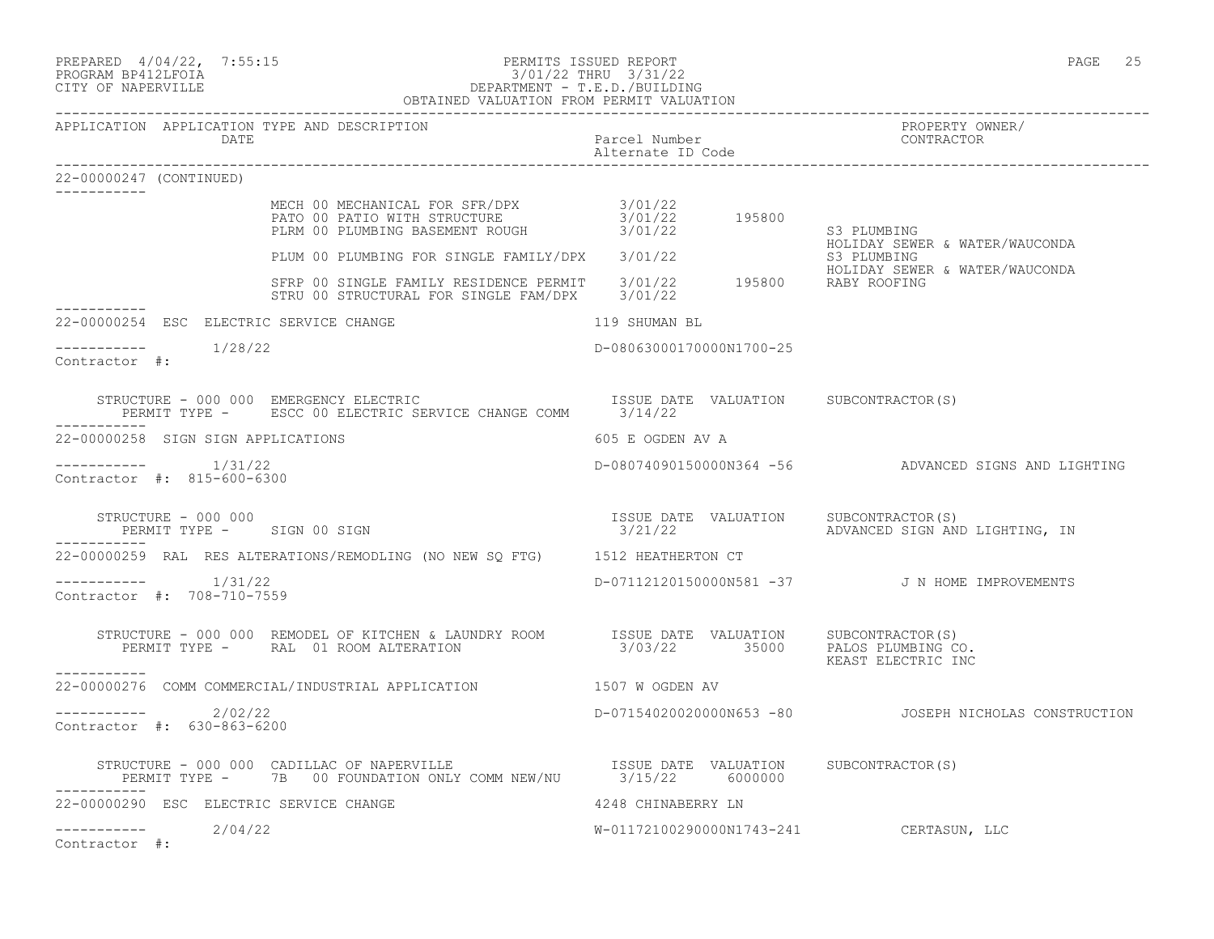| PREPARED 4/04/22, 7:55:15 | PERMITS ISSUED REPORT | PAGE | ں ے |
|---------------------------|-----------------------|------|-----|
|                           |                       |      |     |

#### PROGRAM BP412LFOIA 3/01/22 THRU 3/31/22 CITY OF NAPERVILLE DEPARTMENT - T.E.D./BUILDING OBTAINED VALUATION FROM PERMIT VALUATION

| APPLICATION APPLICATION TYPE AND DESCRIPTION<br>DATE                                                                                                                                       | Parcel Number<br>Alternate ID Code      | PROPERTY OWNER/<br>CONTRACTOR                                                                 |
|--------------------------------------------------------------------------------------------------------------------------------------------------------------------------------------------|-----------------------------------------|-----------------------------------------------------------------------------------------------|
| 22-00000247 (CONTINUED)                                                                                                                                                                    |                                         |                                                                                               |
| MECH 00 MECHANICAL FOR SFR/DPX 3/01/22<br>PATO 00 PATIO WITH STRUCTURE 3/01/22 195800<br>PLRM 00 PLUMBING BASEMENT ROUGH 3/01/22                                                           |                                         | S3 PLUMBING                                                                                   |
|                                                                                                                                                                                            |                                         | HOLIDAY SEWER & WATER/WAUCONDA                                                                |
| FLUM 00 PLUMBING FOR SINGLE FAMILY/DPX 3/01/22<br>SFRP 00 SINGLE FAMILY RESIDENCE PERMIT 3/01/22 195800 HOLIDAY SEWER<br>STRU 00 STRUCTURAL FOR SINGLE FAM/DPX 3/01/22 195800 RABY ROOFING |                                         | HOLIDAY SEWER & WATER/WAUCONDA                                                                |
| 22-00000254 ESC ELECTRIC SERVICE CHANGE                                                                                                                                                    | 119 SHUMAN BL                           |                                                                                               |
| $--------- 1/28/22$<br>Contractor #:                                                                                                                                                       | D-08063000170000N1700-25                |                                                                                               |
| -----------                                                                                                                                                                                |                                         |                                                                                               |
| 22-00000258 SIGN SIGN APPLICATIONS                                                                                                                                                         | 605 E OGDEN AV A                        |                                                                                               |
| Contractor #: 815-600-6300                                                                                                                                                                 |                                         | D-08074090150000N364 -56 ADVANCED SIGNS AND LIGHTING                                          |
| STRUCTURE - 000 000<br>PERMIT TYPE - SIGN 00 SIGN<br>-----------                                                                                                                           |                                         | ISSUE DATE VALUATION SUBCONTRACTOR(S)<br>3/21/22               ADVANCED SIGN AND LIGHTING, IN |
| 22-00000259 RAL RES ALTERATIONS/REMODLING (NO NEW SQ FTG) 1512 HEATHERTON CT                                                                                                               |                                         |                                                                                               |
| $--------- 1/31/22$<br>Contractor #: 708-710-7559                                                                                                                                          |                                         | D-07112120150000N581 -37 J N HOME IMPROVEMENTS                                                |
|                                                                                                                                                                                            |                                         | KEAST ELECTRIC INC                                                                            |
| 22-00000276 COMM COMMERCIAL/INDUSTRIAL APPLICATION 1507 W OGDEN AV                                                                                                                         |                                         |                                                                                               |
| ----------- 2/02/22<br>Contractor #: 630-863-6200                                                                                                                                          |                                         | D-07154020020000N653 -80   JOSEPH NICHOLAS CONSTRUCTION                                       |
| STRUCTURE - 000 000 CADILLAC OF NAPERVILLE<br>PERMIT TYPE - 7B 00 FOUNDATION ONLY COMM NEW/NU 3/15/22 6000000 SUBCONTRACTOR(S)<br>___________                                              |                                         |                                                                                               |
| 22-00000290 ESC ELECTRIC SERVICE CHANGE                                                                                                                                                    | 4248 CHINABERRY LN                      |                                                                                               |
| $--------- 2/04/22$<br>Contractor #:                                                                                                                                                       | W-01172100290000N1743-241 CERTASUN, LLC |                                                                                               |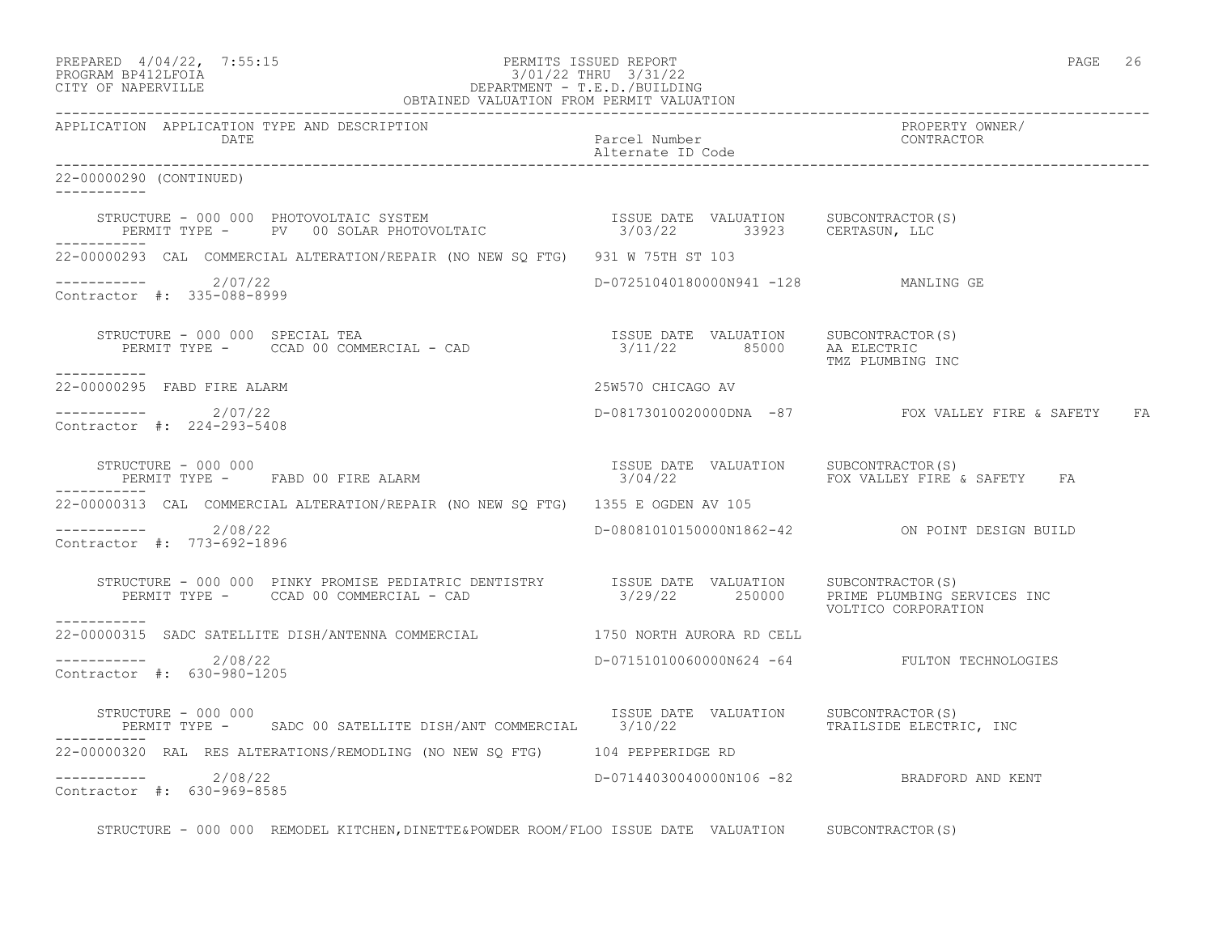|                     | PREPARED 4/04/22, 7:55:15 | PERMITS ISSUED REPORT                                                                                                                                                                                                                                                                                                                                                                                                                                                               | PAGE | 26 |
|---------------------|---------------------------|-------------------------------------------------------------------------------------------------------------------------------------------------------------------------------------------------------------------------------------------------------------------------------------------------------------------------------------------------------------------------------------------------------------------------------------------------------------------------------------|------|----|
| DROCD3M BR41OT BOT3 |                           | $2(01/22 \text{ m} \cdot \text{m} \cdot \text{m} \cdot \text{m} \cdot \text{m} \cdot \text{m} \cdot \text{m} \cdot \text{m} \cdot \text{m} \cdot \text{m} \cdot \text{m} \cdot \text{m} \cdot \text{m} \cdot \text{m} \cdot \text{m} \cdot \text{m} \cdot \text{m} \cdot \text{m} \cdot \text{m} \cdot \text{m} \cdot \text{m} \cdot \text{m} \cdot \text{m} \cdot \text{m} \cdot \text{m} \cdot \text{m} \cdot \text{m} \cdot \text{m} \cdot \text{m} \cdot \text{m} \cdot \text{$ |      |    |

# PROGRAM BP412LFOIA 3/01/22 THRU 3/31/22 CITY OF NAPERVILLE DEPARTMENT - T.E.D./BUILDING OBTAINED VALUATION FROM PERMIT VALUATION

APPLICATION APPLICATION TYPE AND DESCRIPTION PROPERTY OWNER/

DATE DATE DESCRIPTION OF PARTICULAR PARTICULAR PARTICULAR POSTAGE IN COMPANY PARTICULAR PROPERTY OF PARTICULAR PROPERTY OF PARTICULAR PROPERTY OF PARTICULAR PROPERTY OF PARTICULAR PROPERTY OF PARTICULAR PROPERTY OF PARTICU

Alternate ID Code

------------------------------------------------------------------------------------------------------------------------------------

------------------------------------------------------------------------------------------------------------------------------------ 22-00000290 (CONTINUED) ----------- STRUCTURE - 000 000 PHOTOVOLTAIC SYSTEM ISSUE DATE VALUATION SUBCONTRACTOR(S) PERMIT TYPE - PV 00 SOLAR PHOTOVOLTAIC 3/03/22 33923 CERTASUN, LLC ----------- 22-00000293 CAL COMMERCIAL ALTERATION/REPAIR (NO NEW SQ FTG) 931 W 75TH ST 103 ----------- 2/07/22 D-07251040180000N941 -128 MANLING GE Contractor #: 335-088-8999 STRUCTURE - 000 000 SPECIAL TEA ISSUE DATE VALUATION SUBCONTRACTOR(S) PERMIT TYPE - CCAD 00 COMMERCIAL - CAD 3/11/22 85000 AA ELECTRIC ISSUE DATE VALUATION SUBCONTRACTOR(S)<br>3/11/22 85000 AA ELECTRIC<br>TMZ PLUMBING INC ----------- 22-00000295 FABD FIRE ALARM 25W570 CHICAGO AV ---------------------- 2/07/22 D-08173010020000DNA -87 FOX VALLEY FIRE & SAFETY FA Contractor #: 224-293-5408 STRUCTURE - 000 000 ISSUE DATE VALUATION SUBCONTRACTOR(S) PERMIT TYPE - FABD 00 FIRE ALARM ----------- 22-00000313 CAL COMMERCIAL ALTERATION/REPAIR (NO NEW SQ FTG) 1355 E OGDEN AV 105 ----------- 2/08/22 D-08081010150000N1862-42 ON POINT DESIGN BUILD Contractor #: 773-692-1896 STRUCTURE - 000 000 PINKY PROMISE PEDIATRIC DENTISTRY ISSUE DATE VALUATION SUBCONTRACTOR(S)<br>PERMIT TYPE - CCAD 00 COMMERCIAL - CAD 3/29/22 250000 PRIME PLUMBING SERVICES INC VOLTICO CORPORATION ----------- 22-00000315 SADC SATELLITE DISH/ANTENNA COMMERCIAL 1750 NORTH AURORA RD CELL ---------------------- 2/08/22 D-07151010060000N624 -64 FULTON TECHNOLOGIES Contractor #: 630-980-1205 STRUCTURE - 000 000 ISSUE DATE VALUATION SUBCONTRACTOR(S) PERMIT TYPE - SADC 00 SATELLITE DISH/ANT COMMERCIAL 3/10/22 TRAILSIDE ELECTRIC, INC ----------- 22-00000320 RAL RES ALTERATIONS/REMODLING (NO NEW SQ FTG) 104 PEPPERIDGE RD ----------- 2/08/22 D-07144030040000N106 -82 BRADFORD AND KENT Contractor #: 630-969-8585 STRUCTURE - 000 000 REMODEL KITCHEN,DINETTE&POWDER ROOM/FLOO ISSUE DATE VALUATION SUBCONTRACTOR(S)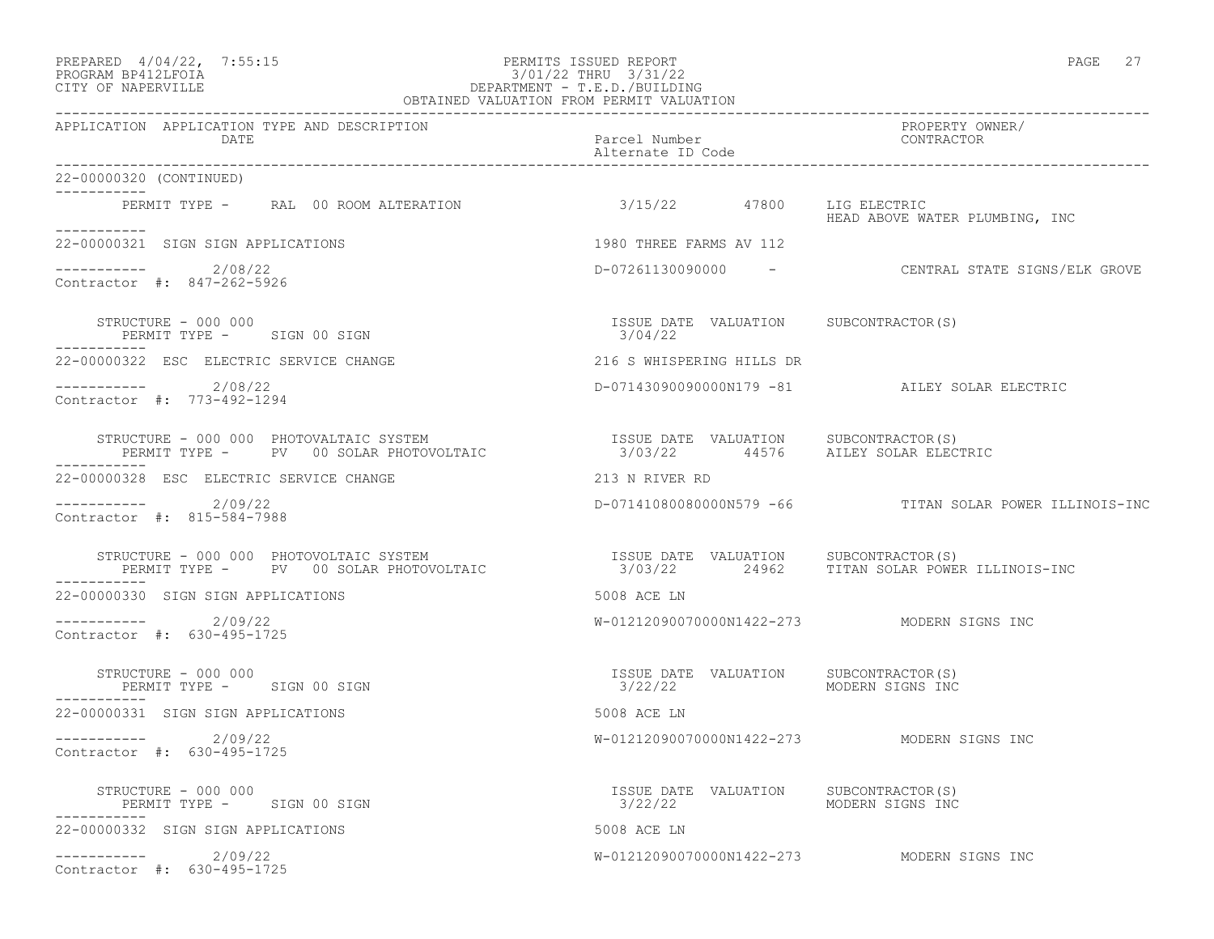## PREPARED  $4/04/22$ ,  $7:55:15$  PERMITS ISSUED REPORT PAGE 27 PROGRAM BP412LFOIA 3/01/22 THRU 3/31/22 CITY OF NAPERVILLE DEPARTMENT - T.E.D./BUILDING

| OBTAINED VALUATION FROM PERMIT VALUATION                                                                                                                                                                                                         |                                                                   |                                                         |  |  |
|--------------------------------------------------------------------------------------------------------------------------------------------------------------------------------------------------------------------------------------------------|-------------------------------------------------------------------|---------------------------------------------------------|--|--|
| APPLICATION APPLICATION TYPE AND DESCRIPTION<br>DATE                                                                                                                                                                                             | Parcel Number<br>Alternate ID Code                                | PROPERTY OWNER/<br>CONTRACTOR                           |  |  |
| 22-00000320 (CONTINUED)                                                                                                                                                                                                                          |                                                                   |                                                         |  |  |
| ___________<br>PERMIT TYPE - RAL 00 ROOM ALTERATION                                                                                                                                                                                              | 3/15/22 47800 LIG ELECTRIC                                        | HEAD ABOVE WATER PLUMBING, INC                          |  |  |
| ___________<br>22-00000321 SIGN SIGN APPLICATIONS                                                                                                                                                                                                | 1980 THREE FARMS AV 112                                           |                                                         |  |  |
| ---------- 2/08/22<br>Contractor #: 847-262-5926                                                                                                                                                                                                 |                                                                   | D-07261130090000 - CENTRAL STATE SIGNS/ELK GROVE        |  |  |
| STRUCTURE - 000 000<br>PERMIT TYPE - SIGN 00 SIGN                                                                                                                                                                                                | ISSUE DATE VALUATION SUBCONTRACTOR(S)<br>3/04/22                  |                                                         |  |  |
| 22-00000322 ESC ELECTRIC SERVICE CHANGE                                                                                                                                                                                                          | 216 S WHISPERING HILLS DR                                         |                                                         |  |  |
| $---------2/08/22$<br>Contractor #: 773-492-1294                                                                                                                                                                                                 |                                                                   | D-07143090090000N179 -81 AILEY SOLAR ELECTRIC           |  |  |
| STRUCTURE – 000 000 PHOTOVALTAIC SYSTEM                                ISSUE DATE VALUATION     SUBCONTRACTOR(S)<br>PERMIT TYPE –     PV   00 SOLAR PHOTOVOLTAIC                       3/03/22      44576     AILEY SOLAR ELECTRI                |                                                                   |                                                         |  |  |
| 22-00000328 ESC ELECTRIC SERVICE CHANGE                                                                                                                                                                                                          | 213 N RIVER RD                                                    |                                                         |  |  |
| ----------- 2/09/22<br>Contractor #: 815-584-7988                                                                                                                                                                                                |                                                                   | D-07141080080000N579 -66 TITAN SOLAR POWER ILLINOIS-INC |  |  |
| STRUCTURE - 000 000 PHOTOVOLTAIC SYSTEM                          ISSUE DATE VALUATION     SUBCONTRACTOR(S)<br>PERMIT TYPE -     PV   00 SOLAR PHOTOVOLTAIC                    3/03/22       24962    TITAN SOLAR POWER ILLINOIS-I<br>----------- |                                                                   |                                                         |  |  |
| 22-00000330 SIGN SIGN APPLICATIONS                                                                                                                                                                                                               | 5008 ACE LN                                                       |                                                         |  |  |
| $--------- 2/09/22$<br>Contractor #: 630-495-1725                                                                                                                                                                                                |                                                                   | W-01212090070000N1422-273 MODERN SIGNS INC              |  |  |
| STRUCTURE - 000 000<br>PERMIT TYPE - SIGN 00 SIGN                                                                                                                                                                                                | ISSUE DATE VALUATION SUBCONTRACTOR(S)<br>3/22/22                  | MODERN SIGNS INC                                        |  |  |
| 22-00000331 SIGN SIGN APPLICATIONS                                                                                                                                                                                                               | 5008 ACE LN                                                       |                                                         |  |  |
| $---------2/09/22$<br>Contractor #: 630-495-1725                                                                                                                                                                                                 |                                                                   | W-01212090070000N1422-273 MODERN SIGNS INC              |  |  |
| STRUCTURE - 000 000<br>PERMIT TYPE - SIGN 00 SIGN                                                                                                                                                                                                | ISSUE DATE VALUATION SUBCONTRACTOR(S)<br>3/22/22 MODERN SIGNS INC |                                                         |  |  |
| 22-00000332 SIGN SIGN APPLICATIONS                                                                                                                                                                                                               | 5008 ACE LN                                                       |                                                         |  |  |
| $--------- 2/09/22$<br>Contractor #: 630-495-1725                                                                                                                                                                                                |                                                                   | W-01212090070000N1422-273 MODERN SIGNS INC              |  |  |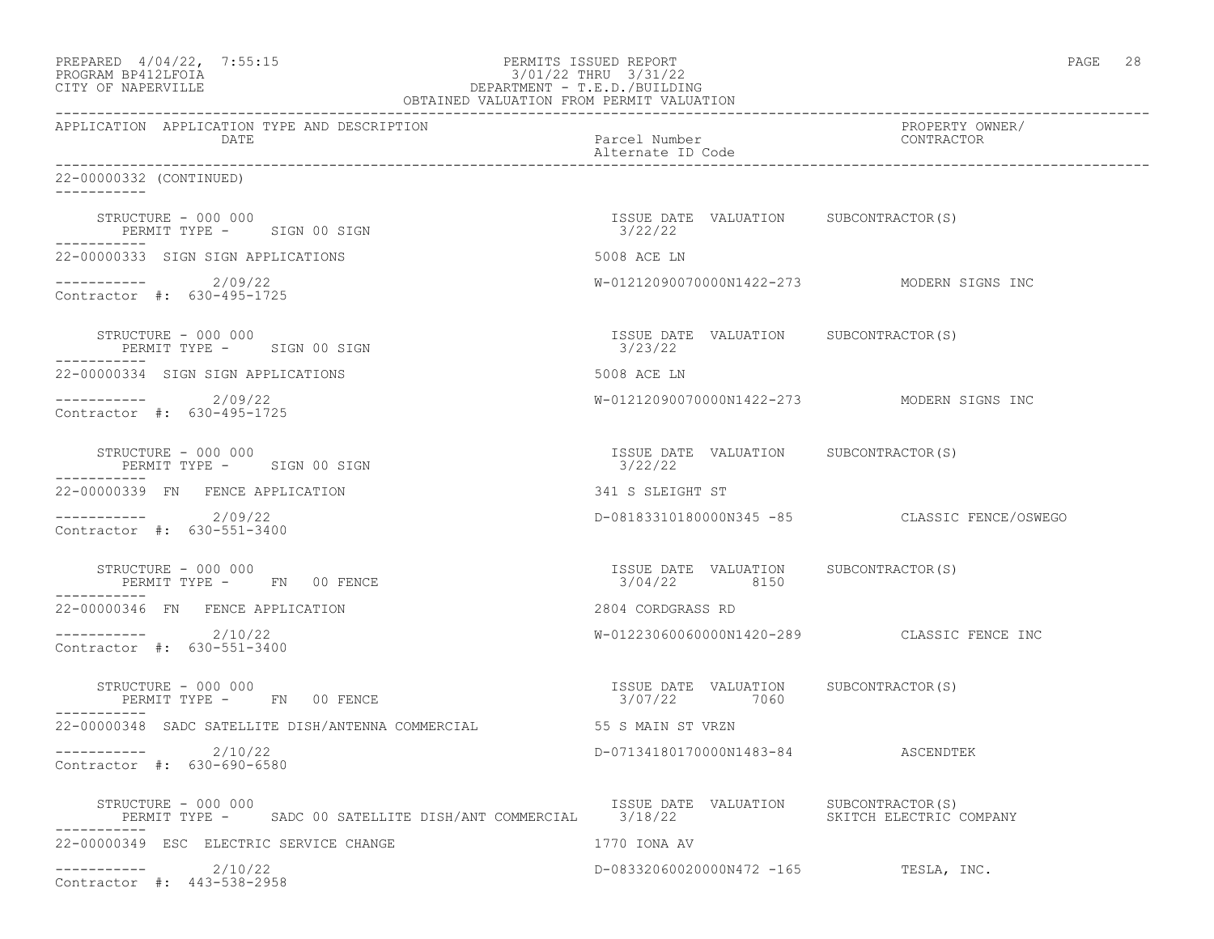| PREPARED 4/04/22, 7:55:15<br>PROGRAM BP412LFOIA<br>3/01/22 THKU 3/31/22<br>DEPARTMENT - T.E.D./BUILDING<br>OBTAINED VALUATION FROM PERMIT VALUATION<br>CITY OF NAPERVILLE | PERMITS ISSUED REPORT<br>3/01/22 THRU 3/31/22         | PAGE 28                                       |
|---------------------------------------------------------------------------------------------------------------------------------------------------------------------------|-------------------------------------------------------|-----------------------------------------------|
| APPLICATION APPLICATION TYPE AND DESCRIPTION<br>DATE                                                                                                                      | Parcel Number<br>Alternate ID Code                    | PROPERTY OWNER/<br>CONTRACTOR                 |
| 22-00000332 (CONTINUED)                                                                                                                                                   |                                                       |                                               |
| STRUCTURE - 000 000<br>PERMIT TYPE - SIGN 00 SIGN                                                                                                                         | ISSUE DATE VALUATION SUBCONTRACTOR(S)<br>3/22/22      |                                               |
| 22-00000333 SIGN SIGN APPLICATIONS                                                                                                                                        | 5008 ACE LN                                           |                                               |
| $---------2/09/22$<br>Contractor #: 630-495-1725                                                                                                                          |                                                       | W-01212090070000N1422-273 MODERN SIGNS INC    |
| STRUCTURE - 000 000<br>PERMIT TYPE - SIGN 00 SIGN                                                                                                                         | ISSUE DATE VALUATION SUBCONTRACTOR(S)<br>3/23/22      |                                               |
| 22-00000334 SIGN SIGN APPLICATIONS                                                                                                                                        | 5008 ACE LN                                           |                                               |
| -----------    2/09/22<br>Contractor #: 630-495-1725                                                                                                                      |                                                       | W-01212090070000N1422-273 MODERN SIGNS INC    |
| STRUCTURE - 000 000<br>PERMIT TYPE - SIGN 00 SIGN                                                                                                                         | ISSUE DATE VALUATION SUBCONTRACTOR(S)<br>3/22/22      |                                               |
| 22-00000339 FN FENCE APPLICATION                                                                                                                                          | 341 S SLEIGHT ST                                      |                                               |
| ----------- 2/09/22<br>Contractor #: 630-551-3400                                                                                                                         |                                                       | D-08183310180000N345 -85 CLASSIC FENCE/OSWEGO |
| STRUCTURE - 000 000<br>PERMIT TYPE - FN 00 FENCE                                                                                                                          | ISSUE DATE VALUATION SUBCONTRACTOR(S)<br>3/04/22 8150 |                                               |
| 22-00000346 FN FENCE APPLICATION                                                                                                                                          | 2804 CORDGRASS RD                                     |                                               |
| $--------- 2/10/22$<br>Contractor #: 630-551-3400                                                                                                                         |                                                       | W-01223060060000N1420-289 CLASSIC FENCE INC   |
| STRUCTURE - 000 000<br>PERMIT TYPE - FN 00 FENCE                                                                                                                          | ISSUE DATE VALUATION SUBCONTRACTOR(S)<br>3/07/22 7060 |                                               |
| 22-00000348 SADC SATELLITE DISH/ANTENNA COMMERCIAL                                                                                                                        | 55 S MAIN ST VRZN                                     |                                               |
| 2/10/22<br>------------<br>Contractor #: 630-690-6580                                                                                                                     | D-07134180170000N1483-84 ASCENDTEK                    |                                               |
| STRUCTURE - 000 000<br>PERMIT TYPE - SADC 00 SATELLITE DISH/ANT COMMERCIAL 3/18/22                                                                                        | ISSUE DATE VALUATION                                  | SUBCONTRACTOR(S)<br>SKITCH ELECTRIC COMPANY   |
| 22-00000349 ESC ELECTRIC SERVICE CHANGE                                                                                                                                   | 1770 IONA AV                                          |                                               |
| 2/10/22<br>Contractor #: 443-538-2958                                                                                                                                     | D-08332060020000N472 -165                             | TESLA, INC.                                   |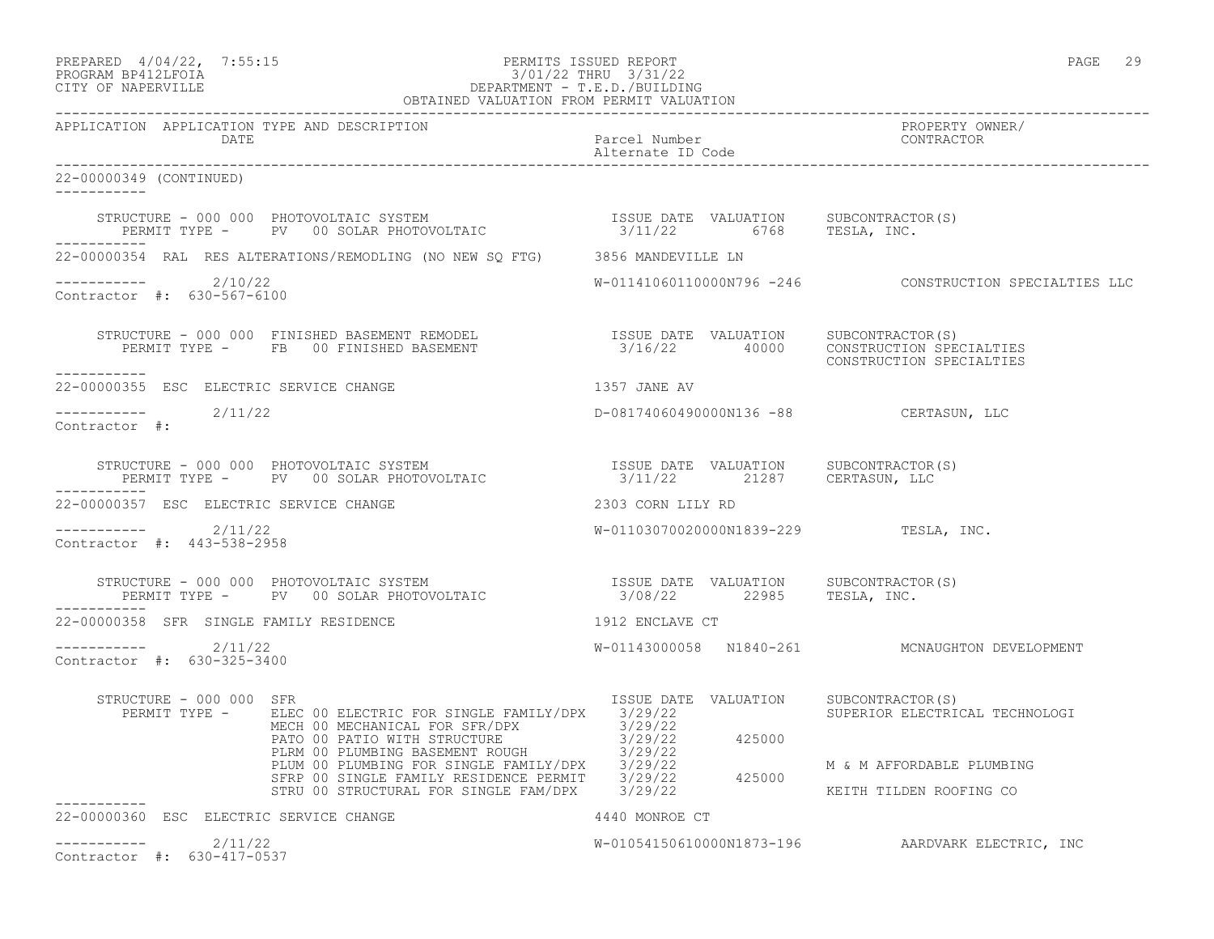# PREPARED  $4/04/22$ , 7:55:15 PERMITS ISSUED REPORT PAGE 29 PROGRAM BP412LFOIA 3/01/22 THRU 3/31/22 CITY OF NAPERVILLE DEPARTMENT - T.E.D./BUILDING

|                                                      | OBTAINED VALUATION FROM PERMIT VALUATION                                                                                                                                                                                                                                                                                                                                                                                    |                                    |                                                        |
|------------------------------------------------------|-----------------------------------------------------------------------------------------------------------------------------------------------------------------------------------------------------------------------------------------------------------------------------------------------------------------------------------------------------------------------------------------------------------------------------|------------------------------------|--------------------------------------------------------|
| APPLICATION APPLICATION TYPE AND DESCRIPTION<br>DATE |                                                                                                                                                                                                                                                                                                                                                                                                                             | Parcel Number<br>Alternate ID Code | PROPERTY OWNER/<br>CONTRACTOR                          |
| 22-00000349 (CONTINUED)<br>$- - - - - - - - - - -$   |                                                                                                                                                                                                                                                                                                                                                                                                                             |                                    |                                                        |
|                                                      | $\begin{array}{cccccc} \texttt{STRUCTURE} & - & 000 & 000 & \texttt{PHOTOVOLTAIC} & \texttt{SYSTEM} & & & & & & \\ \texttt{PERMIT TYPE} & - & \texttt{PV} & 00 & \texttt{SOLAR PHOTOVOLTAIC} & & & & & & \\ \end{array} \qquad \begin{array}{cccccc} \texttt{ISSUE} & \texttt{DATE} & \texttt{VALUATION} & \texttt{SUBCONTRACTOR(S)} \\ \texttt{3/11/22} & & \texttt{6768} & \texttt{TESLA} & \texttt{INC.} \\ \end{array}$ |                                    |                                                        |
|                                                      | 22-00000354 RAL RES ALTERATIONS/REMODLING (NO NEW SQ FTG) 3856 MANDEVILLE LN                                                                                                                                                                                                                                                                                                                                                |                                    |                                                        |
| $---------2/10/22$<br>Contractor #: 630-567-6100     |                                                                                                                                                                                                                                                                                                                                                                                                                             |                                    | W-01141060110000N796 -246 CONSTRUCTION SPECIALTIES LLC |
|                                                      | STRUCTURE - 000 000 FINISHED BASEMENT REMODEL                   ISSUE DATE VALUATION    SUBCONTRACTOR(S)<br>PERMIT TYPE -     FB   00 FINISHED BASEMENT                        3/16/22       40000    CONSTRUCTION SPECIALTIES                                                                                                                                                                                              |                                    | CONSTRUCTION SPECIALTIES                               |
| 22-00000355 ESC ELECTRIC SERVICE CHANGE              |                                                                                                                                                                                                                                                                                                                                                                                                                             | 1357 JANE AV                       |                                                        |
| $---------2/11/22$<br>Contractor #:                  |                                                                                                                                                                                                                                                                                                                                                                                                                             |                                    | D-08174060490000N136 -88 CERTASUN, LLC                 |
|                                                      | STRUCTURE – 000 000 PHOTOVOLTAIC SYSTEM                              ISSUE DATE VALUATION     SUBCONTRACTOR(S)<br>PERMIT TYPE –     PV   00 SOLAR PHOTOVOLTAIC                        3/11/22      21287      CERTASUN, LLC                                                                                                                                                                                                 |                                    |                                                        |
| 22-00000357 ESC ELECTRIC SERVICE CHANGE              |                                                                                                                                                                                                                                                                                                                                                                                                                             | 2303 CORN LILY RD                  |                                                        |
| $--------- 2/11/22$<br>Contractor #: 443-538-2958    |                                                                                                                                                                                                                                                                                                                                                                                                                             |                                    | W-01103070020000N1839-229 TESLA, INC.                  |
|                                                      | STRUCTURE - 000 000 PHOTOVOLTAIC SYSTEM                            ISSUE DATE VALUATION     SUBCONTRACTOR(S)<br>PERMIT TYPE -      PV   00 SOLAR PHOTOVOLTAIC                       3/08/22        22985     TESLA, INC.                                                                                                                                                                                                    |                                    |                                                        |
| 22-00000358 SFR SINGLE FAMILY RESIDENCE              | 1912 ENCLAVE CT                                                                                                                                                                                                                                                                                                                                                                                                             |                                    |                                                        |
| ----------- 2/11/22<br>Contractor #: 630-325-3400    |                                                                                                                                                                                                                                                                                                                                                                                                                             |                                    | W-01143000058 N1840-261 MCNAUGHTON DEVELOPMENT         |
| STRUCTURE - 000 000 SFR                              | PERMIT TYPE - ELEC 00 ELECTRIC FOR SINGLE FAMILY/DPX 3/29/22                                                                                                                                                                                                                                                                                                                                                                | ISSUE DATE VALUATION               | SUBCONTRACTOR(S)<br>SUPERIOR ELECTRICAL TECHNOLOGI     |
|                                                      | MECH 00 MECHANICAL FOR SFR/DPX 3/29/22<br>MECH 00 MECHANICAL FOR SFR/DPX 3/29/22<br>PATO 00 PATIO WITH STRUCTURE 3/29/22<br>PLIM 00 PLUMBING BASEMENT ROUGH 3/29/22<br>PLUM 00 PLUMBING FOR SINGLE FAMILY/DPX 3/29/22<br>SFRP 00 SINGLE                                                                                                                                                                                     |                                    | M & M AFFORDABLE PLUMBING                              |
|                                                      |                                                                                                                                                                                                                                                                                                                                                                                                                             |                                    | KEITH TILDEN ROOFING CO                                |
| 22-00000360 ESC ELECTRIC SERVICE CHANGE              |                                                                                                                                                                                                                                                                                                                                                                                                                             | 4440 MONROE CT                     |                                                        |
| $---------2/11/22$<br>Contractor #: 630-417-0537     |                                                                                                                                                                                                                                                                                                                                                                                                                             |                                    | W-01054150610000N1873-196 AARDVARK ELECTRIC, INC       |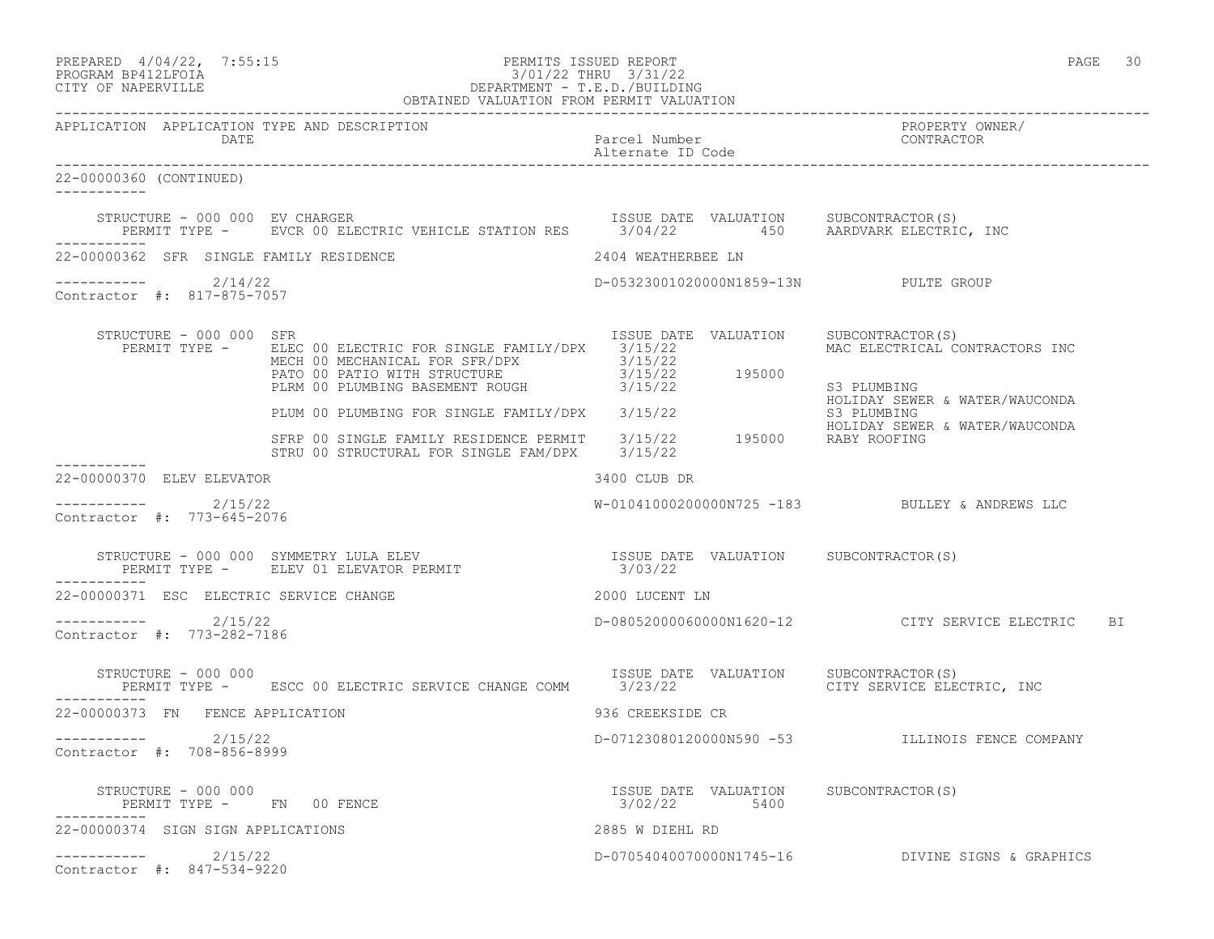|                                                       | PREPARED 4/04/22, 7:55:15<br>PROGRAM BP412LFOIA<br>CITY OF NAPERVILLE DEPARTMENT - T.E.D./BUILDING<br>OBTAINED VALUATION FROM PERMIT VALUATION<br>OBTAINED VALUATION FROM PERMIT VALUATION                                                 |                                                          | PAGE<br>30                                         |
|-------------------------------------------------------|--------------------------------------------------------------------------------------------------------------------------------------------------------------------------------------------------------------------------------------------|----------------------------------------------------------|----------------------------------------------------|
| DATE                                                  |                                                                                                                                                                                                                                            | Parcel Number<br>Alternate ID Code                       | PROPERTY OWNER/<br>CONTRACTOR                      |
| 22-00000360 (CONTINUED)                               |                                                                                                                                                                                                                                            |                                                          |                                                    |
| ------------                                          | STRUCTURE - 000 000 EV CHARGER<br>PERMIT TYPE -     EVCR 00 ELECTRIC VEHICLE STATION RES     3/04/22     450     AARDVARK ELECTRIC, INC                                                                                                    |                                                          |                                                    |
| 22-00000362 SFR SINGLE FAMILY RESIDENCE               |                                                                                                                                                                                                                                            | 2404 WEATHERBEE LN                                       |                                                    |
| $---------2/14/22$<br>Contractor #: 817-875-7057      |                                                                                                                                                                                                                                            | D-05323001020000N1859-13N PULTE GROUP                    |                                                    |
| STRUCTURE - 000 000 SFR                               | ISSUE DATE VALUATION SUBCONTRACTOR(S)<br>PERMIT TYPE - ELEC 00 ELECTRIC FOR SINGLE FAMILY/DPX 3/15/22<br>NECH 00 MECHANICAL FOR SFR/DPX<br>PATO 00 PATIO WITH STRUCTURE 1998 3/15/22<br>PLRM 00 PLUMBING BASEMENT ROUGH 3/15/22<br>2015/22 |                                                          | MAC ELECTRICAL CONTRACTORS INC<br>S3 PLUMBING      |
|                                                       | PLRM 00 PLUMBING BASEMENT NOUGH (2008)<br>PLUM 00 PLUMBING FOR SINGLE FAMILY/DPX 3/15/22                                                                                                                                                   |                                                          | HOLIDAY SEWER & WATER/WAUCONDA<br>S3 PLUMBING      |
|                                                       | SFRP 00 SINGLE FAMILY RESIDENCE PERMIT 3/15/22 195000 RABY ROOFING<br>STRU 00 STRUCTURAL FOR SINGLE FAM/DPX 3/15/22                                                                                                                        |                                                          | HOLIDAY SEWER & WATER/WAUCONDA                     |
| 22-00000370 ELEV ELEVATOR                             |                                                                                                                                                                                                                                            | 3400 CLUB DR                                             |                                                    |
| ----------- 2/15/22<br>Contractor #: 773-645-2076     |                                                                                                                                                                                                                                            |                                                          | W-01041000200000N725 -183 BULLEY & ANDREWS LLC     |
|                                                       |                                                                                                                                                                                                                                            |                                                          |                                                    |
| 22-00000371 ESC ELECTRIC SERVICE CHANGE               |                                                                                                                                                                                                                                            | 2000 LUCENT LN                                           |                                                    |
| $---------2/15/22$<br>Contractor #: 773-282-7186      |                                                                                                                                                                                                                                            |                                                          | D-080520000600000N1620-12 CITY SERVICE ELECTRIC BI |
| STRUCTURE - 000 000<br>-----------                    | PERMIT TYPE - ESCC 00 ELECTRIC SERVICE CHANGE COMM 3/23/22 SERVICE ELECTRIC, INC                                                                                                                                                           | ISSUE DATE VALUATION SUBCONTRACTOR(S)                    |                                                    |
| 22-00000373 FN FENCE APPLICATION                      |                                                                                                                                                                                                                                            | 936 CREEKSIDE CR                                         |                                                    |
| 2/15/22<br>------------<br>Contractor #: 708-856-8999 |                                                                                                                                                                                                                                            |                                                          | D-07123080120000N590 -53 ILLINOIS FENCE COMPANY    |
| STRUCTURE - 000 000<br>PERMIT TYPE - FN 00 FENCE      |                                                                                                                                                                                                                                            | ISSUE DATE VALUATION SUBCONTRACTOR(S)<br>3/02/22<br>5400 |                                                    |
| 22-00000374 SIGN SIGN APPLICATIONS                    |                                                                                                                                                                                                                                            | 2885 W DIEHL RD                                          |                                                    |
| ----------- 2/15/22<br>Contractor #: 847-534-9220     |                                                                                                                                                                                                                                            |                                                          | D-07054040070000N1745-16 DIVINE SIGNS & GRAPHICS   |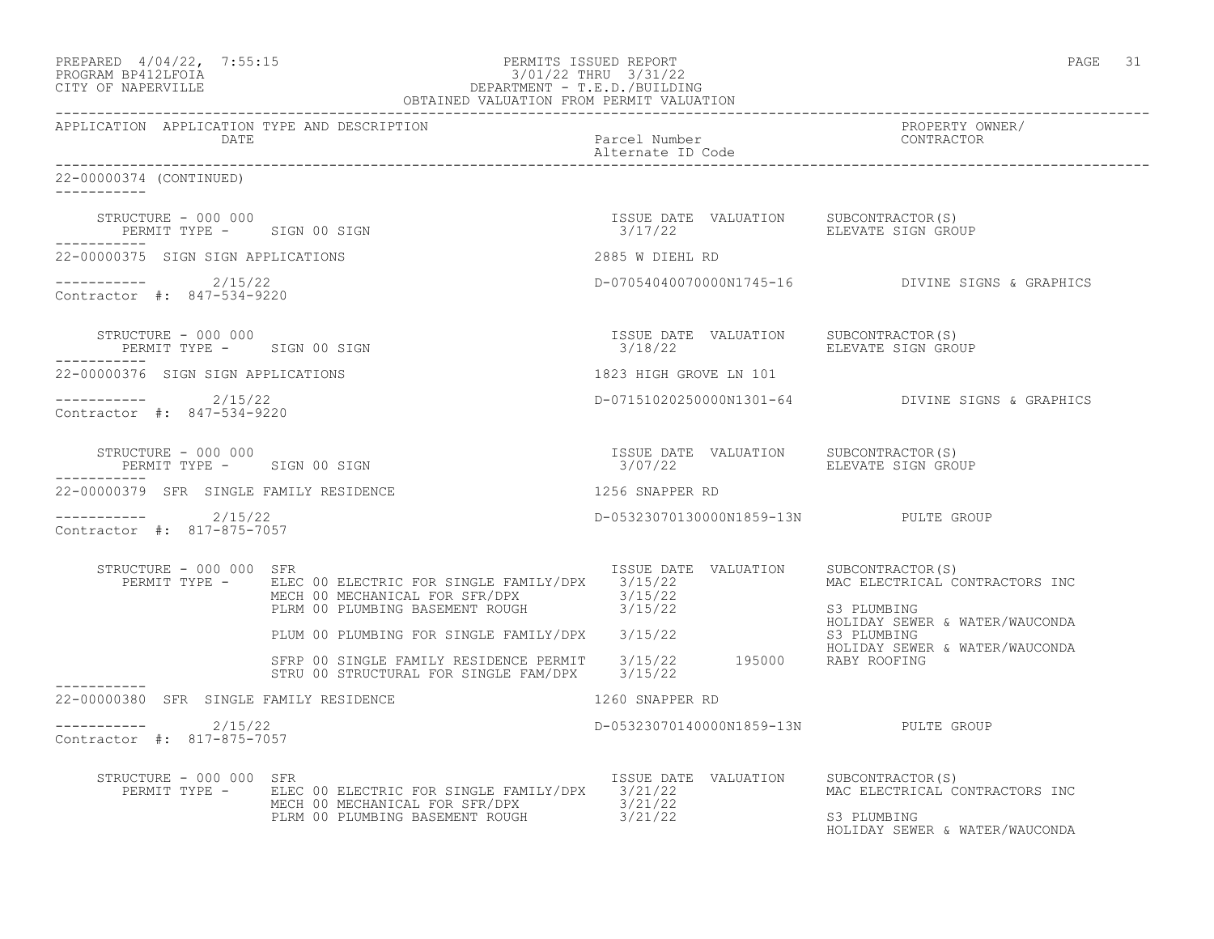| PREPARED 4/04/22, 7:55:15<br>PROGRAM BP412LFOIA<br>CITY OF NAPERVILLE | PERMITS ISSUED REPORT<br>$3/01/22$ IRENT - T.E.D./BUILDING<br>DEPARTMENT - T.E.D./BUILDING<br>OBTAINED VALUATION FROM PERMIT VALUATION            |                                                  | PAGE 31                                                                                             |
|-----------------------------------------------------------------------|---------------------------------------------------------------------------------------------------------------------------------------------------|--------------------------------------------------|-----------------------------------------------------------------------------------------------------|
| APPLICATION APPLICATION TYPE AND DESCRIPTION<br>DATE                  |                                                                                                                                                   | Parcel Number<br>Alternate ID Code               | PROPERTY OWNER/<br>CONTRACTOR                                                                       |
| 22-00000374 (CONTINUED)                                               |                                                                                                                                                   |                                                  |                                                                                                     |
| STRUCTURE - 000 000<br>PERMIT TYPE - SIGN 00 SIGN<br>-----------      |                                                                                                                                                   | ISSUE DATE VALUATION<br>3/17/22                  | SUBCONTRACTOR (S)<br>ELEVATE SIGN GROUP                                                             |
| 22-00000375 SIGN SIGN APPLICATIONS                                    |                                                                                                                                                   | 2885 W DIEHL RD                                  |                                                                                                     |
| $---------2/15/22$<br>Contractor #: 847-534-9220                      |                                                                                                                                                   |                                                  | D-07054040070000N1745-16 DIVINE SIGNS & GRAPHICS                                                    |
| STRUCTURE - 000 000<br>PERMIT TYPE - SIGN 00 SIGN                     |                                                                                                                                                   | ISSUE DATE VALUATION<br>3/18/22                  | SUBCONTRACTOR(S)<br>ELEVATE SIGN GROUP                                                              |
| 22-00000376 SIGN SIGN APPLICATIONS                                    |                                                                                                                                                   | 1823 HIGH GROVE LN 101                           |                                                                                                     |
| $--------- 2/15/22$<br>Contractor #: 847-534-9220                     |                                                                                                                                                   |                                                  | D-07151020250000N1301-64 DIVINE SIGNS & GRAPHICS                                                    |
| STRUCTURE - 000 000<br>PERMIT TYPE - SIGN 00 SIGN                     |                                                                                                                                                   | ISSUE DATE VALUATION SUBCONTRACTOR(S)<br>3/07/22 | ELEVATE SIGN GROUP                                                                                  |
| 22-00000379 SFR SINGLE FAMILY RESIDENCE                               |                                                                                                                                                   | 1256 SNAPPER RD                                  |                                                                                                     |
| $--------- 2/15/22$<br>Contractor #: 817-875-7057                     |                                                                                                                                                   | D-05323070130000N1859-13N PULTE GROUP            |                                                                                                     |
| STRUCTURE - 000 000 SFR                                               | PERMIT TYPE - ELEC 00 ELECTRIC FOR SINGLE FAMILY/DPX 3/15/22<br>MECH 00 MECHANICAL FOR SFR/DPX<br>PLRM 00 PLUMBING BASEMENT ROUGH 3/15/22         | ISSUE DATE VALUATION                             | SUBCONTRACTOR(S)<br>MAC ELECTRICAL CONTRACTORS INC<br>S3 PLUMBING<br>HOLIDAY SEWER & WATER/WAUCONDA |
|                                                                       | PLUM 00 PLUMBING FOR SINGLE FAMILY/DPX 3/15/22                                                                                                    |                                                  | S3 PLUMBING<br>HOLIDAY SEWER & WATER/WAUCONDA                                                       |
| -----------                                                           | SFRP 00 SINGLE FAMILY RESIDENCE PERMIT $3/15/22$ 195000 RABY ROOFING<br>STRU 00 STRUCTURAL FOR SINGLE FAM/DPX 3/15/22                             |                                                  |                                                                                                     |
| 22-00000380 SFR SINGLE FAMILY RESIDENCE                               |                                                                                                                                                   | 1260 SNAPPER RD                                  |                                                                                                     |
| $---------2$ 2/15/22<br>Contractor #: 817-875-7057                    |                                                                                                                                                   | D-05323070140000N1859-13N PULTE GROUP            |                                                                                                     |
| STRUCTURE - 000 000 SFR                                               | PERMIT TYPE - ELEC 00 ELECTRIC FOR SINGLE FAMILY/DPX 3/21/22<br>MECH 00 MECHANICAL FOR SFR/DPX 3/21/22<br>PLRM 00 PLUMBING BASEMENT ROUGH 3/21/22 | ISSUE DATE VALUATION                             | SUBCONTRACTOR(S)<br>MAC ELECTRICAL CONTRACTORS INC<br>S3 PLUMBING<br>HOLIDAY SEWER & WATER/WAUCONDA |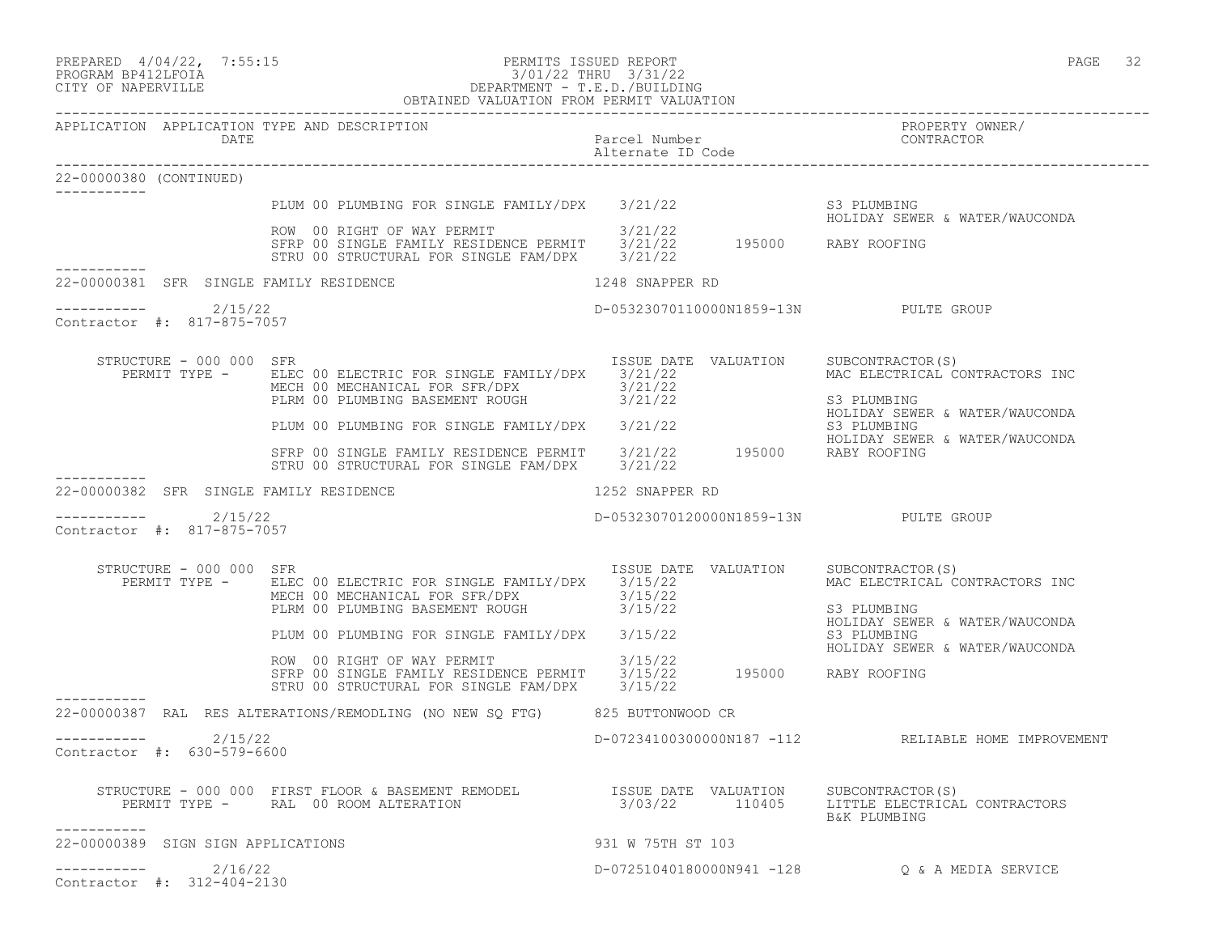| PREPARED 4/04/22, 7:55:15 | PERMITS ISSUED REPORT | PAGE 32 |  |
|---------------------------|-----------------------|---------|--|
|                           |                       |         |  |

APPLICATION APPLICATION TYPE AND DESCRIPTION

#### PROGRAM BP412LFOIA 3/01/22 THRU 3/31/22 CITY OF NAPERVILLE DEPARTMENT - T.E.D./BUILDING OBTAINED VALUATION FROM PERMIT VALUATION

------------------------------------------------------------------------------------------------------------------------------------

| DATE                                     |                                                                                                                                                                       | Parcel Number<br>Alternate ID Code         | CONTRACTOR                                                                                                         |
|------------------------------------------|-----------------------------------------------------------------------------------------------------------------------------------------------------------------------|--------------------------------------------|--------------------------------------------------------------------------------------------------------------------|
| 22-00000380 (CONTINUED)                  |                                                                                                                                                                       |                                            |                                                                                                                    |
|                                          | PLUM 00 PLUMBING FOR SINGLE FAMILY/DPX 3/21/22                                                                                                                        |                                            | S3 PLUMBING                                                                                                        |
|                                          | ROW 00 RIGHT OF WAY PERMIT<br>SFRP 00 SINGLE FAMILY RESIDENCE PERMIT 3/21/22 195000 RABY ROOFING<br>STRU 00 STRUCTURAL FOR SINGLE FAM/DPX                             | 3/21/22<br>3/21/22                         | HOLIDAY SEWER & WATER/WAUCONDA                                                                                     |
| 22-00000381 SFR SINGLE FAMILY RESIDENCE  |                                                                                                                                                                       | 1248 SNAPPER RD                            |                                                                                                                    |
| 2/15/22<br>Contractor #: 817-875-7057    |                                                                                                                                                                       | D-05323070110000N1859-13N PULTE GROUP      |                                                                                                                    |
| STRUCTURE - 000 000 SFR<br>PERMIT TYPE - | ELEC 00 ELECTRIC FOR SINGLE FAMILY/DPX 3/21/22<br>MECH 00 MECHANICAL FOR SFR/DPX<br>PLRM 00 PLUMBING BASEMENT ROUGH 3/21/22                                           | ISSUE DATE VALUATION<br>3/21/22            | SUBCONTRACTOR(S)<br>MAC ELECTRICAL CONTRACTORS INC<br>S3 PLUMBING<br>HOLIDAY SEWER & WATER/WAUCONDA                |
|                                          | PLUM 00 PLUMBING FOR SINGLE FAMILY/DPX 3/21/22                                                                                                                        |                                            | S3 PLUMBING                                                                                                        |
|                                          | SFRP 00 SINGLE FAMILY RESIDENCE PERMIT<br>STRU 00 STRUCTURAL FOR SINGLE FAM/DPX                                                                                       | 3/21/22 195000 RABY ROOFING<br>3/21/22     | HOLIDAY SEWER & WATER/WAUCONDA                                                                                     |
| 22-00000382 SFR SINGLE FAMILY RESIDENCE  |                                                                                                                                                                       | 1252 SNAPPER RD                            |                                                                                                                    |
| 2/15/22<br>Contractor #: 817-875-7057    |                                                                                                                                                                       | D-05323070120000N1859-13N PULTE GROUP      |                                                                                                                    |
| STRUCTURE - 000 000 SFR<br>PERMIT TYPE - | ELEC 00 ELECTRIC FOR SINGLE FAMILY/DPX 3/15/22<br>MECH 00 MECHANICAL FOR SFR/DPX<br>PLRM 00 PLUMBING BASEMENT ROUGH<br>PLUM 00 PLUMBING FOR SINGLE FAMILY/DPX 3/15/22 | ISSUE DATE VALUATION<br>3/15/22<br>3/15/22 | SUBCONTRACTOR(S)<br>MAC ELECTRICAL CONTRACTORS INC<br>S3 PLUMBING<br>HOLIDAY SEWER & WATER/WAUCONDA<br>S3 PLUMBING |
|                                          | ROW 00 RIGHT OF WAY PERMIT<br>SFRP 00 SINGLE FAMILY RESIDENCE PERMIT<br>STRU 00 STRUCTURAL FOR SINGLE FAM/DPX 3/15/22                                                 | 3/15/22<br>3/15/22   195000   RABY ROOFING | HOLIDAY SEWER & WATER/WAUCONDA                                                                                     |
|                                          | 22-00000387 RAL RES ALTERATIONS/REMODLING (NO NEW SO FTG) 825 BUTTONWOOD CR                                                                                           |                                            |                                                                                                                    |
| 2/15/22<br>Contractor #: 630-579-6600    |                                                                                                                                                                       |                                            | D-07234100300000N187 -112 RELIABLE HOME IMPROVEMENT                                                                |
| ___________                              |                                                                                                                                                                       |                                            | SUBCONTRACTOR(S)<br>LITTLE ELECTRICAL CONTRACTORS<br>B&K PLUMBING                                                  |
| 22-00000389 SIGN SIGN APPLICATIONS       |                                                                                                                                                                       | 931 W 75TH ST 103                          |                                                                                                                    |
| 2/16/22<br>Contractor #: 312-404-2130    |                                                                                                                                                                       |                                            | D-07251040180000N941 -128    Q & A MEDIA SERVICE                                                                   |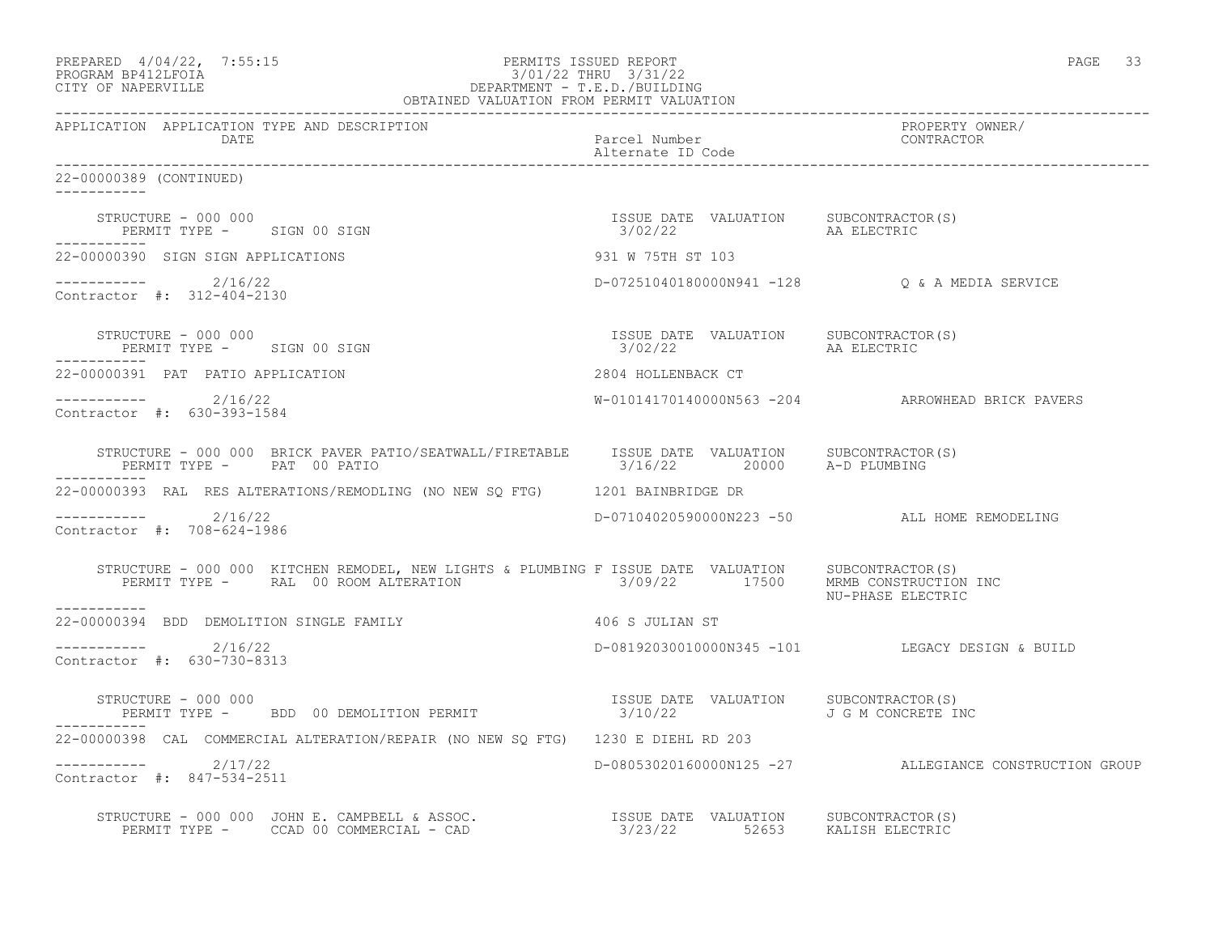| PREPARED 4/04/22, 7:55:15<br>7:55:15<br>DEPARTMENT - T.E.D./BUILDING<br>OBTAINED VALUATION FROM PERMIT VALUATION<br>PROGRAM BP412LFOIA<br>CITY OF NAPERVILLE                                  |                                                                | 33<br>PAGE                                             |
|-----------------------------------------------------------------------------------------------------------------------------------------------------------------------------------------------|----------------------------------------------------------------|--------------------------------------------------------|
| APPLICATION APPLICATION TYPE AND DESCRIPTION<br>DATE                                                                                                                                          | Parcel Number<br>Alternate ID Code                             | PROPERTY OWNER/<br>CONTRACTOR                          |
| 22-00000389 (CONTINUED)<br>------------                                                                                                                                                       |                                                                |                                                        |
| STRUCTURE - 000 000<br>STRUCTURE - UUU UUU<br>PERMIT TYPE - SIGN 00 SIGN                                                                                                                      | ISSUE DATE VALUATION SUBCONTRACTOR(S)<br>$3/02/22$ AA ELECTRIC |                                                        |
| 22-00000390 SIGN SIGN APPLICATIONS                                                                                                                                                            | 931 W 75TH ST 103                                              |                                                        |
| -----------    2/16/22<br>Contractor #: 312-404-2130                                                                                                                                          |                                                                | D-07251040180000N941 -128 Q & A MEDIA SERVICE          |
| STRUCTURE - 000 000<br>PERMIT TYPE - SIGN 00 SIGN                                                                                                                                             | ISSUE DATE VALUATION SUBCONTRACTOR(S)<br>3/02/22               | AA ELECTRIC                                            |
| 22-00000391 PAT PATIO APPLICATION                                                                                                                                                             | 2804 HOLLENBACK CT                                             |                                                        |
| $--------- 2/16/22$<br>Contractor #: 630-393-1584                                                                                                                                             |                                                                | W-01014170140000N563 -204 ARROWHEAD BRICK PAVERS       |
| STRUCTURE - 000 000 BRICK PAVER PATIO/SEATWALL/FIRETABLE ISSUE DATE VALUATION SUBCONTRACTOR(S)<br>PERMIT TYPE - PAT 00 PATIO<br>-----------                                                   | 3/16/22 20000 A-D PLUMBING                                     |                                                        |
| 22-00000393 RAL RES ALTERATIONS/REMODLING (NO NEW SQ FTG) 1201 BAINBRIDGE DR                                                                                                                  |                                                                |                                                        |
| $---------2/16/22$<br>Contractor #: 708-624-1986                                                                                                                                              |                                                                | D-07104020590000N223 -50 ALL HOME REMODELING           |
| STRUCTURE - 000 000 KITCHEN REMODEL, NEW LIGHTS & PLUMBING F ISSUE DATE VALUATION SUBCONTRACTOR(S)<br>PERMIT TYPE - RAL 00 ROOM ALTERATION 3/09/22 17500 MRMB CONSTRUCTION INC<br>----------- |                                                                | NU-PHASE ELECTRIC                                      |
| 22-00000394 BDD DEMOLITION SINGLE FAMILY                                                                                                                                                      | 406 S JULIAN ST                                                |                                                        |
| $--------- 2/16/22$<br>Contractor #: 630-730-8313                                                                                                                                             |                                                                | D-08192030010000N345 -101 LEGACY DESIGN & BUILD        |
| STRUCTURE - 000 000<br>PERMIT TYPE - BDD 00 DEMOLITION PERMIT                                                                                                                                 | ISSUE DATE VALUATION SUBCONTRACTOR(S)<br>3/10/22               | J G M CONCRETE INC                                     |
| 22-00000398 CAL COMMERCIAL ALTERATION/REPAIR (NO NEW SO FTG) 1230 E DIEHL RD 203                                                                                                              |                                                                |                                                        |
| ----------- 2/17/22<br>Contractor #: 847-534-2511                                                                                                                                             |                                                                | D-08053020160000N125 -27 ALLEGIANCE CONSTRUCTION GROUP |
|                                                                                                                                                                                               |                                                                |                                                        |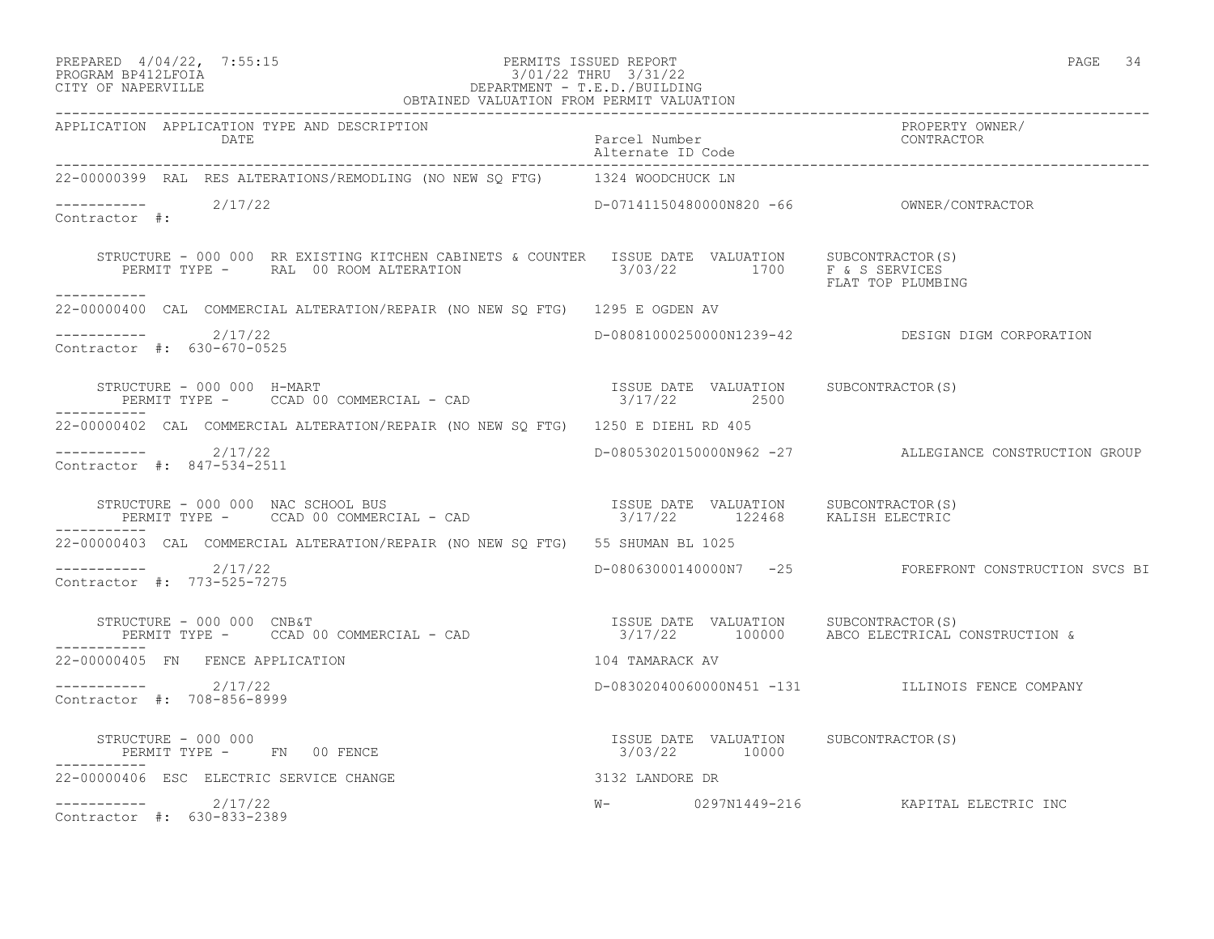## PREPARED 4/04/22, 7:55:15 PERMITS ISSUED REPORT<br>PROGRAM BP412LFOIA PAGE 34 3/01/22 THRU 3/31/22 PROGRAM BP412LFOIA 3/01/22 THRU 3/31/22 CITY OF NAPERVILLE DEPARTMENT - T.E.D./BUILDING

| OBTAINED VALUATION FROM PERMIT VALUATION                                                                                                                                                                                                                            |                                    |                                                        |  |  |
|---------------------------------------------------------------------------------------------------------------------------------------------------------------------------------------------------------------------------------------------------------------------|------------------------------------|--------------------------------------------------------|--|--|
| APPLICATION APPLICATION TYPE AND DESCRIPTION<br>DATE                                                                                                                                                                                                                | Parcel Number<br>Alternate ID Code | PROPERTY OWNER/<br>CONTRACTOR                          |  |  |
| 22-00000399 RAL RES ALTERATIONS/REMODLING (NO NEW SO FTG) 1324 WOODCHUCK LN                                                                                                                                                                                         |                                    |                                                        |  |  |
| $--------$ 2/17/22<br>Contractor #:                                                                                                                                                                                                                                 |                                    |                                                        |  |  |
| STRUCTURE - 000 000 RR EXISTING KITCHEN CABINETS & COUNTER ISSUE DATE VALUATION SUBCONTRACTOR(S)<br>STRUCTURE - UUU UUU KK EALSILING NIIUMEN VADINILIS & SOONIIIN 1999 1999<br>PERMIT TYPE - RAL 00 ROOM ALTERATION 1999 1999/22 1700 F & S SERVICES<br>----------- |                                    |                                                        |  |  |
| 22-00000400 CAL COMMERCIAL ALTERATION/REPAIR (NO NEW SQ FTG) 1295 E OGDEN AV                                                                                                                                                                                        |                                    |                                                        |  |  |
| $---------2/17/22$<br>Contractor #: 630-670-0525                                                                                                                                                                                                                    |                                    | D-08081000250000N1239-42 DESIGN DIGM CORPORATION       |  |  |
| -----------                                                                                                                                                                                                                                                         |                                    |                                                        |  |  |
| 22-00000402 CAL COMMERCIAL ALTERATION/REPAIR (NO NEW SQ FTG) 1250 E DIEHL RD 405                                                                                                                                                                                    |                                    |                                                        |  |  |
| $--------- 2/17/22$<br>Contractor #: 847-534-2511                                                                                                                                                                                                                   |                                    | D-08053020150000N962 -27 ALLEGIANCE CONSTRUCTION GROUP |  |  |
|                                                                                                                                                                                                                                                                     |                                    |                                                        |  |  |
| 22-00000403 CAL COMMERCIAL ALTERATION/REPAIR (NO NEW SQ FTG) 55 SHUMAN BL 1025                                                                                                                                                                                      |                                    |                                                        |  |  |
| $--------- 2/17/22$<br>Contractor #: 773-525-7275                                                                                                                                                                                                                   |                                    | D-08063000140000N7 -25 FOREFRONT CONSTRUCTION SVCS BI  |  |  |
| STRUCTURE - 000 000 CNB&T<br>PERMIT TYPE -    CCAD 00 COMMERCIAL - CAD                                3/17/22       100000     ABCO ELECTRICAL CONSTRUCTION &                                                                                                       |                                    |                                                        |  |  |
| 22-00000405 FN FENCE APPLICATION                                                                                                                                                                                                                                    | 104 TAMARACK AV                    |                                                        |  |  |
| $--------- 2/17/22$<br>Contractor #: 708-856-8999                                                                                                                                                                                                                   |                                    | D-08302040060000N451 -131 ILLINOIS FENCE COMPANY       |  |  |
| $\begin{array}{cccccccccc} \texttt{STRUCTURE} & - & 000 & 000 & & & & & & & \\ \texttt{PERMIT TYPE} & - & & \texttt{FN} & 00 & \texttt{FENCE} & & & & & \\ \texttt{PERMIT TYPE} & - & & \texttt{FN} & 00 & \texttt{FENCE} & & & & \\ \end{array}$                   |                                    |                                                        |  |  |
| 3132 LANDORE DR<br>22-00000406 ESC ELECTRIC SERVICE CHANGE                                                                                                                                                                                                          |                                    |                                                        |  |  |
| $--------- 2/17/22$<br>Contractor #: 630-833-2389                                                                                                                                                                                                                   |                                    | W- 0297N1449-216 KAPITAL ELECTRIC INC                  |  |  |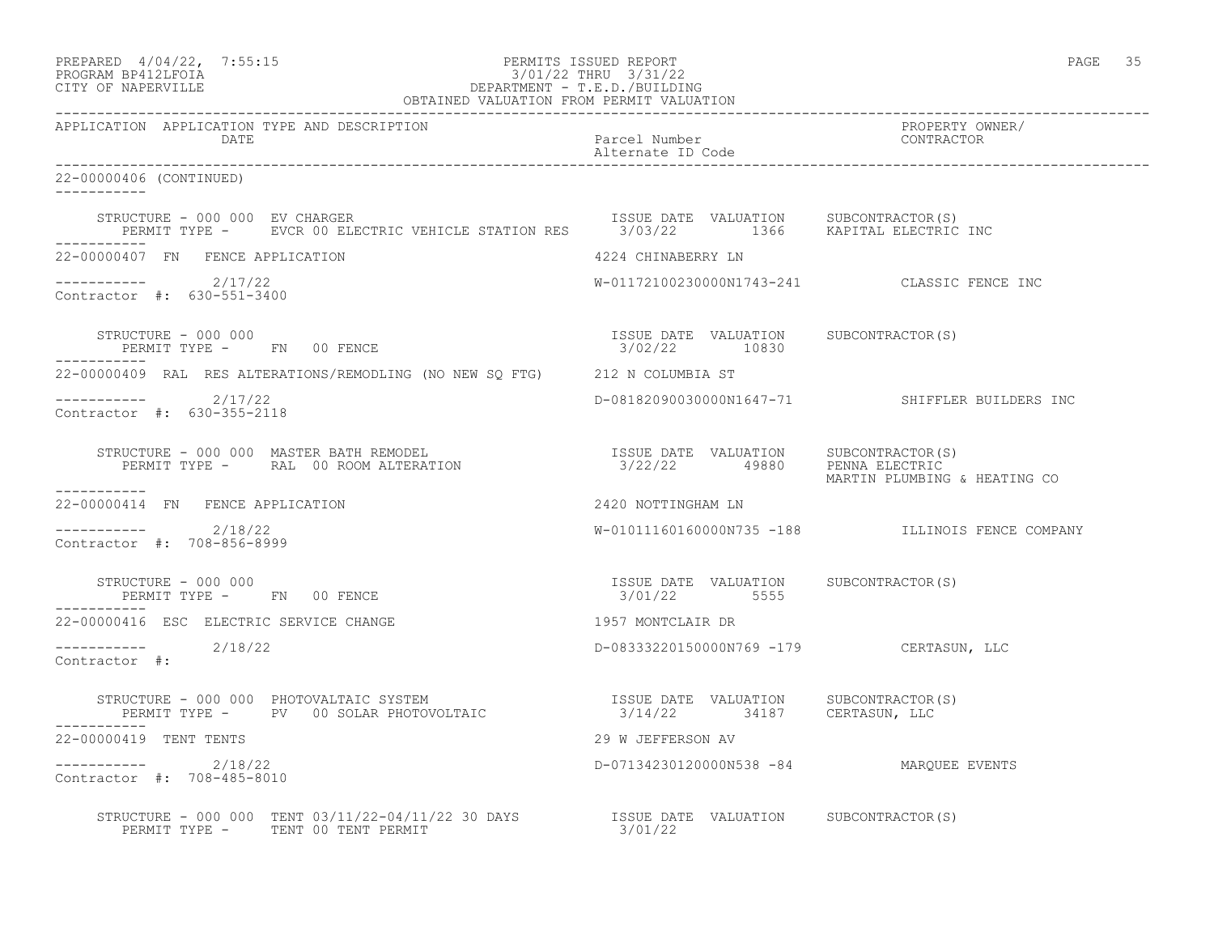| PREPARED 4/04/22, 7:55:15<br>PROGRAM BP412LFOIA 3/01/22 THRU 3/31/22<br>CITY OF NAPERVILLE<br>CITY OF NAPERVILLE<br>PROGRAM PERMIT VALUATION<br>OBTAINED VALUATION FROM PERMIT VALUATION                                                                                                                                                                                                                                                                                                    |                                                         | PAGE 35                                          |
|---------------------------------------------------------------------------------------------------------------------------------------------------------------------------------------------------------------------------------------------------------------------------------------------------------------------------------------------------------------------------------------------------------------------------------------------------------------------------------------------|---------------------------------------------------------|--------------------------------------------------|
| APPLICATION APPLICATION TYPE AND DESCRIPTION<br>DATE                                                                                                                                                                                                                                                                                                                                                                                                                                        | Parcel Number<br>Alternate ID Code                      | PROPERTY OWNER/<br>CONTRACTOR                    |
| 22-00000406 (CONTINUED)                                                                                                                                                                                                                                                                                                                                                                                                                                                                     |                                                         |                                                  |
| STRUCTURE - 000 000 EV CHARGER<br>PERMIT TYPE - EVCR 00 ELECTRIC VEHICLE STATION RES 3/03/22 1366 KAPITAL ELECTRIC INC                                                                                                                                                                                                                                                                                                                                                                      | ISSUE DATE VALUATION SUBCONTRACTOR(S)                   |                                                  |
| 22-00000407 FN FENCE APPLICATION                                                                                                                                                                                                                                                                                                                                                                                                                                                            | 4224 CHINABERRY LN                                      |                                                  |
| $---------2/17/22$<br>Contractor #: 630-551-3400                                                                                                                                                                                                                                                                                                                                                                                                                                            |                                                         | W-01172100230000N1743-241 CLASSIC FENCE INC      |
| STRUCTURE - 000 000<br>PERMIT TYPE - FN 00 FENCE                                                                                                                                                                                                                                                                                                                                                                                                                                            | ISSUE DATE VALUATION SUBCONTRACTOR (S)<br>3/02/22 10830 |                                                  |
| 22-00000409 RAL RES ALTERATIONS/REMODLING (NO NEW SQ FTG) 212 N COLUMBIA ST                                                                                                                                                                                                                                                                                                                                                                                                                 |                                                         |                                                  |
| $---------2/17/22$<br>Contractor #: 630-355-2118                                                                                                                                                                                                                                                                                                                                                                                                                                            |                                                         | D-08182090030000N1647-71 SHIFFLER BUILDERS INC   |
| STRUCTURE – 000 000 MASTER BATH REMODEL                               ISSUE DATE VALUATION     SUBCONTRACTOR(S)<br>PERMIT TYPE –      RAL  00 ROOM ALTERATION                            3/22/22        49880     PENNA ELECTRIC<br>------------                                                                                                                                                                                                                                            |                                                         | MARTIN PLUMBING & HEATING CO                     |
| 22-00000414 FN FENCE APPLICATION                                                                                                                                                                                                                                                                                                                                                                                                                                                            | 2420 NOTTINGHAM LN                                      |                                                  |
| $---------2$ 2/18/22<br>Contractor #: 708-856-8999                                                                                                                                                                                                                                                                                                                                                                                                                                          |                                                         | W-01011160160000N735 -188 ILLINOIS FENCE COMPANY |
| $\begin{minipage}{.3cm} \begin{tabular}{llll} \bf STRUCTURE & - & 000 & 000 \\ \bf FERNIT & TYPE & - & \bf FN & 00 & FENCE \\ \end{tabular} & \begin{tabular}{llll} \bf STRE & \tt VALUE & \tt DATE & \tt VALUE & \tt NALUATION \\ \bf00 & FENCE & \tt 01/22 & \tt 5555 \\ \end{tabular} & \begin{tabular}{llll} \bf STRE & \tt VALUE & \tt NALUATION \\ \bf01/22 & \tt 5555 \\ \end{tabular} & \begin{tabular}{llllll} \bf STRE & \tt VALUE & \tt SUBCONTRACTOR (S) \\ \end{tabular} \end$ |                                                         |                                                  |
| 22-00000416 ESC ELECTRIC SERVICE CHANGE                                                                                                                                                                                                                                                                                                                                                                                                                                                     | 1957 MONTCLAIR DR                                       |                                                  |
| $--------- 2/18/22$<br>Contractor #:                                                                                                                                                                                                                                                                                                                                                                                                                                                        | D-08333220150000N769 -179 CERTASUN, LLC                 |                                                  |
| -----------                                                                                                                                                                                                                                                                                                                                                                                                                                                                                 |                                                         |                                                  |
| 22-00000419 TENT TENTS                                                                                                                                                                                                                                                                                                                                                                                                                                                                      | 29 W JEFFERSON AV                                       |                                                  |
| $--------- 2/18/22$<br>Contractor #: 708-485-8010                                                                                                                                                                                                                                                                                                                                                                                                                                           | D-07134230120000N538 -84 MARQUEE EVENTS                 |                                                  |
| $\texttt{STRUCTURE - 000 000} \quad \texttt{TENT 03/11/22-04/11/22 30 DAYS} \qquad \qquad \texttt{ISSUE} \quad \texttt{DATE} \quad \texttt{VALUATION} \qquad \texttt{SUBCONTRACTOR(S)}$<br>PERMIT TYPE - TENT 00 TENT PERMIT                                                                                                                                                                                                                                                                | 3/01/22                                                 |                                                  |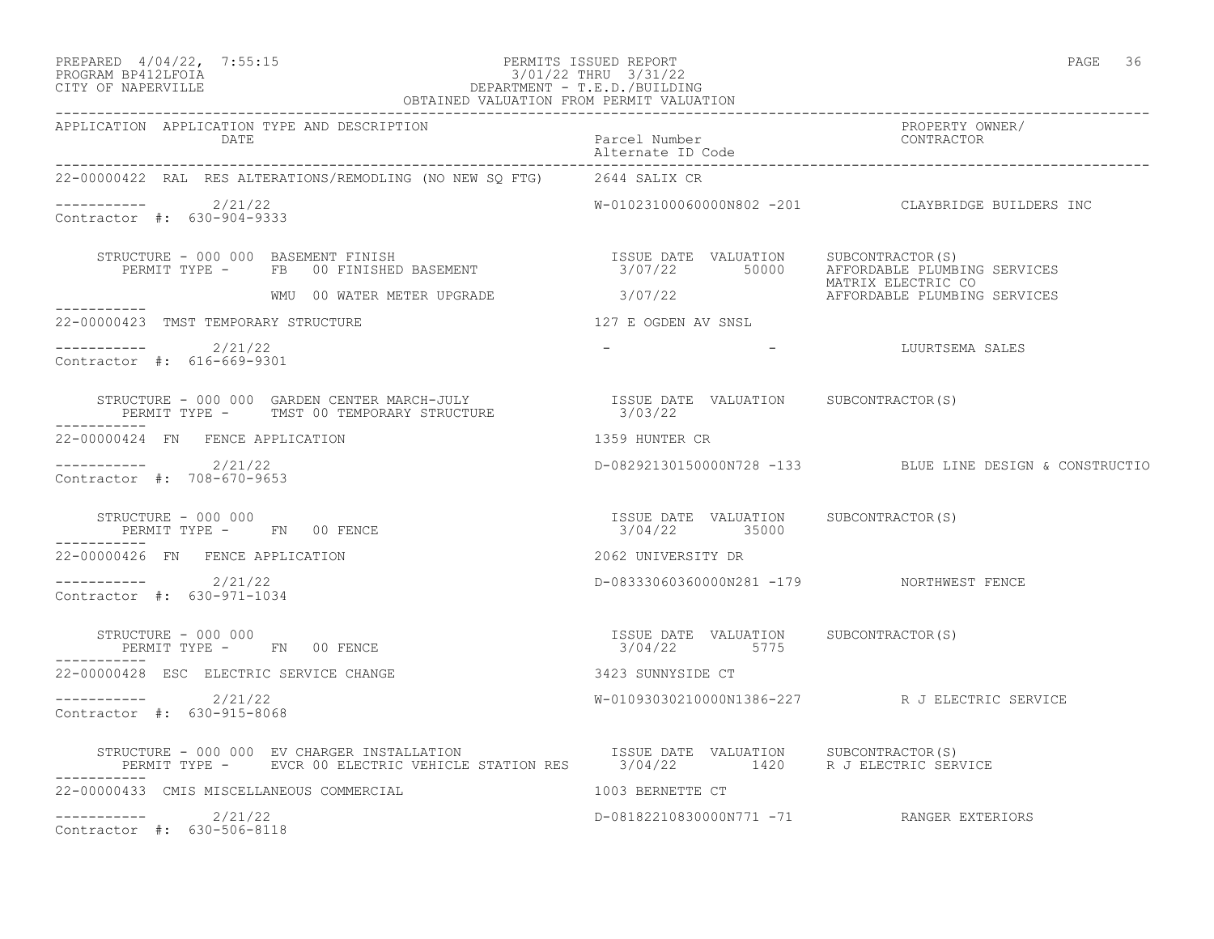#### PREPARED 4/04/22, 7:55:15 PERMITS ISSUED REPORT<br>PROGRAM BP412LFOIA PAGE 36 3/01/22 THRU 3/31/22 PROGRAM BP412LFOIA 3/01/22 THRU 3/31/22 DEPARTMENT - T.E.D./BUILDING OBTAINED VALUATION FROM PERMIT VALUATION

| APPLICATION APPLICATION TYPE AND DESCRIPTION<br>DATE                                                                                                                                                                                                                                                                              | Parcel Number<br>Alternate ID Code                      | PROPERTY OWNER/<br>CONTRACTOR                            |
|-----------------------------------------------------------------------------------------------------------------------------------------------------------------------------------------------------------------------------------------------------------------------------------------------------------------------------------|---------------------------------------------------------|----------------------------------------------------------|
| 22-00000422 RAL RES ALTERATIONS/REMODLING (NO NEW SQ FTG) 2644 SALIX CR                                                                                                                                                                                                                                                           |                                                         |                                                          |
| $---------2/21/22$<br>Contractor #: 630-904-9333                                                                                                                                                                                                                                                                                  |                                                         | W-01023100060000N802 -201 CLAYBRIDGE BUILDERS INC        |
| STRUCTURE - 000 000 BASEMENT FINISH<br>TRUCTURE – 000 000 BASEMENT FINISH                                ISSUE DATE VALUATION     SUBCONTRACTOR(S)<br>PERMIT TYPE –     FB   00 FINISHED BASEMENT                          3/07/22       50000     AFFORDABLE PLUMBING S                                                          |                                                         |                                                          |
| WATRIX ELECTRIC CONTROL NATRIX ELECTRIC CONTROL OF THE MATRIX ELECTRIC CONTROL OF THE MATRIX ELECTRIC CONTROL<br>AFFORDABLE PLUMBING SERVIO                                                                                                                                                                                       |                                                         | AFFORDABLE PLUMBING SERVICES                             |
| ------------<br>22-00000423 TMST TEMPORARY STRUCTURE                                                                                                                                                                                                                                                                              | 127 E OGDEN AV SNSL                                     |                                                          |
| $--------- 2/21/22$<br>Contractor #: 616-669-9301                                                                                                                                                                                                                                                                                 | <b>Common</b>                                           | - LUURTSEMA SALES                                        |
| $\begin{tabular}{lllllllll} \texttt{STRUCTURE} & - & 000 & 000 & \texttt{GARDEN CENTER MARCH–JULY} & & & & & & & & & & \texttt{ISSUE DATA} & \texttt{VALUATION} & & & & & & \texttt{SUBCONTRACTOR(S)}\\ & & & & & & & & \texttt{PERMIT TYPE} & - & & & \texttt{TMST 00 TEMPORARY STRUCTURE} & & & & & & 3/03/22 \\ \end{tabular}$ |                                                         |                                                          |
| -----------<br>22-00000424 FN FENCE APPLICATION                                                                                                                                                                                                                                                                                   | 1359 HUNTER CR                                          |                                                          |
| $--------- 2/21/22$<br>Contractor #: 708-670-9653                                                                                                                                                                                                                                                                                 |                                                         | D-08292130150000N728 -133 BLUE LINE DESIGN & CONSTRUCTIO |
| STRUCTURE - 000 000<br>PERMIT TYPE - FN 00 FENCE<br>------------                                                                                                                                                                                                                                                                  | ISSUE DATE VALUATION SUBCONTRACTOR (S)<br>3/04/22 35000 |                                                          |
| 22-00000426 FN FENCE APPLICATION                                                                                                                                                                                                                                                                                                  | 2062 UNIVERSITY DR                                      |                                                          |
| $--------- 2/21/22$<br>Contractor #: 630-971-1034                                                                                                                                                                                                                                                                                 | D-08333060360000N281 -179 NORTHWEST FENCE               |                                                          |
| STRUCTURE - 000 000<br>PERMIT TYPE - FN 00 FENCE<br>-----------                                                                                                                                                                                                                                                                   | ISSUE DATE VALUATION SUBCONTRACTOR (S)<br>3/04/22 5775  |                                                          |
| 22-00000428 ESC ELECTRIC SERVICE CHANGE                                                                                                                                                                                                                                                                                           | 3423 SUNNYSIDE CT                                       |                                                          |
| $--------- 2/21/22$<br>Contractor #: 630-915-8068                                                                                                                                                                                                                                                                                 |                                                         | W-01093030210000N1386-227 R J ELECTRIC SERVICE           |
| STRUCTURE - 000 000 EV CHARGER INSTALLATION                          ISSUE DATE VALUATION     SUBCONTRACTOR(S)<br>PERMIT TYPE -      EVCR 00 ELECTRIC VEHICLE STATION RES       3/04/22          1420     R J ELECTRIC SERVICE                                                                                                    |                                                         |                                                          |
| 22-00000433 CMIS MISCELLANEOUS COMMERCIAL                                                                                                                                                                                                                                                                                         | 1003 BERNETTE CT                                        |                                                          |
| $---------2/21/22$<br>Contractor #: 630-506-8118                                                                                                                                                                                                                                                                                  | D-08182210830000N771 -71 RANGER EXTERIORS               |                                                          |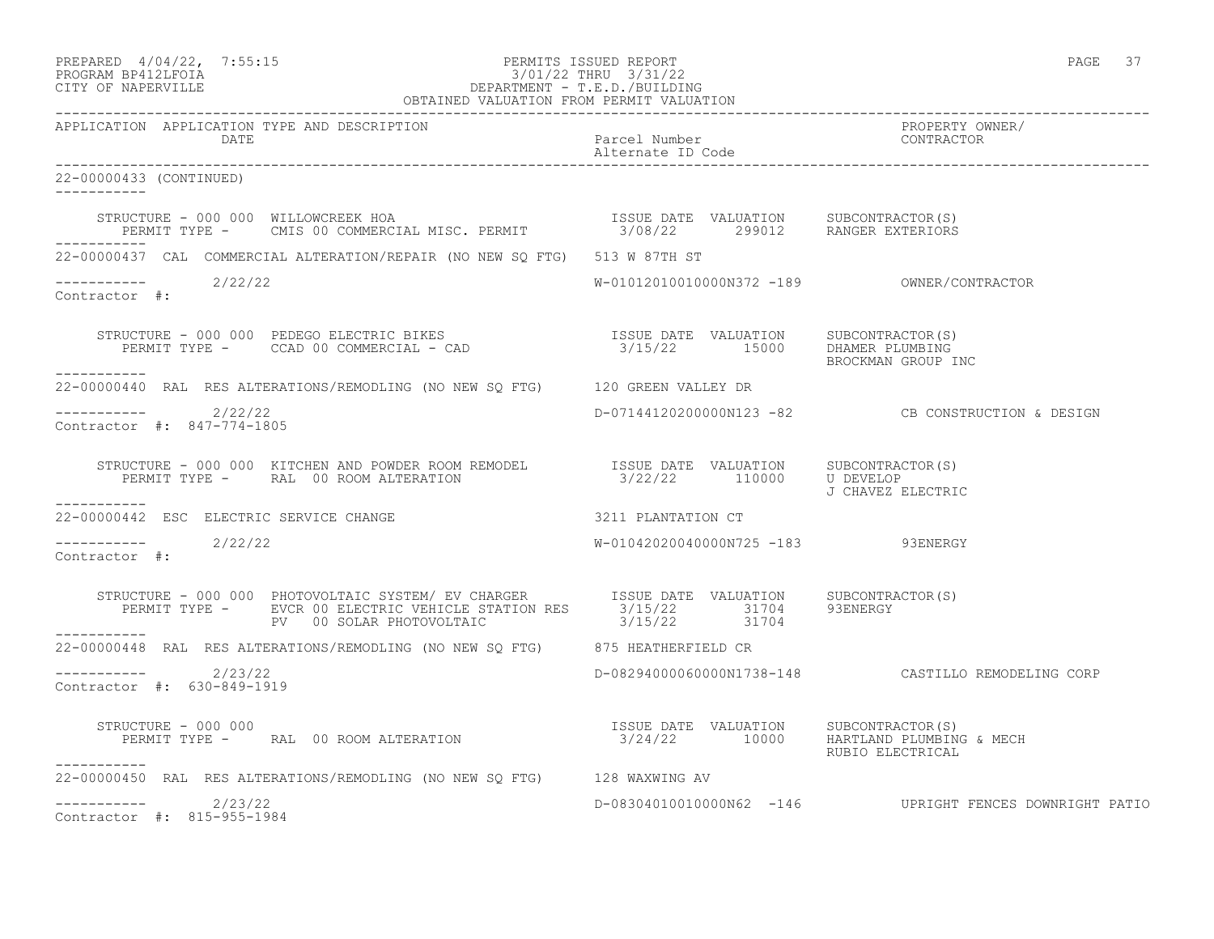| PREPARED           | $4/04/22$ , | 7:55:1! |
|--------------------|-------------|---------|
| PROCRAM RP412LFOIA |             |         |

#### PREPARED 4/04/22, 7:55:15 PERMITS ISSUED REPORT PAGE 37 PROGRAM BP412LFOIA 3/01/22 THRU 3/31/22 CITY OF NAPERVILLE DEPARTMENT - T.E.D./BUILDING OBTAINED VALUATION FROM PERMIT VALUATION

| APPLICATION APPLICATION TYPE AND DESCRIPTION                                                                                                                                                                                                                                                   |                                          |                                                         |
|------------------------------------------------------------------------------------------------------------------------------------------------------------------------------------------------------------------------------------------------------------------------------------------------|------------------------------------------|---------------------------------------------------------|
| 22-00000433 (CONTINUED)                                                                                                                                                                                                                                                                        |                                          |                                                         |
|                                                                                                                                                                                                                                                                                                |                                          |                                                         |
| 22-00000437 CAL COMMERCIAL ALTERATION/REPAIR (NO NEW SO FTG) 513 W 87TH ST                                                                                                                                                                                                                     |                                          |                                                         |
| Contractor #:                                                                                                                                                                                                                                                                                  |                                          |                                                         |
| ------------                                                                                                                                                                                                                                                                                   |                                          |                                                         |
| 22-00000440 RAL RES ALTERATIONS/REMODLING (NO NEW SQ FTG) 120 GREEN VALLEY DR                                                                                                                                                                                                                  |                                          |                                                         |
| -----------    2/22/22<br>Contractor #: 847-774-1805                                                                                                                                                                                                                                           |                                          | D-07144120200000N123 -82 CB CONSTRUCTION & DESIGN       |
| $\begin{array}{cccc} \texttt{STRUCTURE} - 000~000 & \texttt{KITCHEN AND POWDER ROM REMODEL} & \texttt{ISSUE DATE} & \texttt{VALUATION} & \texttt{SUBCONTRACTOR(S)} \\ \texttt{PERMIT TYPE -} & \texttt{RAL} & 00~\text{ROM ALTERATION} & 3/22/22 & 110000 & \texttt{U DEVELOP} \\ \end{array}$ |                                          |                                                         |
| ------------<br>22-00000442 ESC ELECTRIC SERVICE CHANGE                                                                                                                                                                                                                                        | 3211 PLANTATION CT                       |                                                         |
| $--------- 2/22/22$<br>Contractor #:                                                                                                                                                                                                                                                           | W-01042020040000N725 -183 93ENERGY       |                                                         |
| STRUCTURE - 000 000 PHOTOVOLTAIC SYSTEM/ EV CHARGER<br>PERMIT TYPE - EVCR 00 ELECTRIC VEHICLE STATION RES 3/15/22 31704 93ENERGY<br>PV 00 SOLAR PHOTOVOLTAIC 3/15/22 31704 37504<br>------------                                                                                               |                                          |                                                         |
| 22-00000448 RAL RES ALTERATIONS/REMODLING (NO NEW SQ FTG) 875 HEATHERFIELD CR                                                                                                                                                                                                                  |                                          |                                                         |
| ---------- 2/23/22<br>Contractor #: 630-849-1919                                                                                                                                                                                                                                               |                                          | D-08294000060000N1738-148 CASTILLO REMODELING CORP      |
| $\begin{array}{ccccccccc} \texttt{JINUATION} & & & & & & & & & & \\ \texttt{PERMIT TYPE} & = & & & & & & & & & \\ \texttt{PERMIT TYPE} & = & & & & & & & & \\ \texttt{PERMIT TYPE} & = & & & & & & & & \\ \end{array}$<br>STRUCTURE - 000 000<br>-----------                                   | $3/24/22$ 10000 HARTLAND PLUMBING & MECH |                                                         |
| 22-00000450 RAL RES ALTERATIONS/REMODLING (NO NEW SQ FTG) 128 WAXWING AV                                                                                                                                                                                                                       |                                          |                                                         |
| $---------2$ 2/23/22<br>Contractor #: 815-955-1984                                                                                                                                                                                                                                             |                                          | D-08304010010000N62 -146 UPRIGHT FENCES DOWNRIGHT PATIO |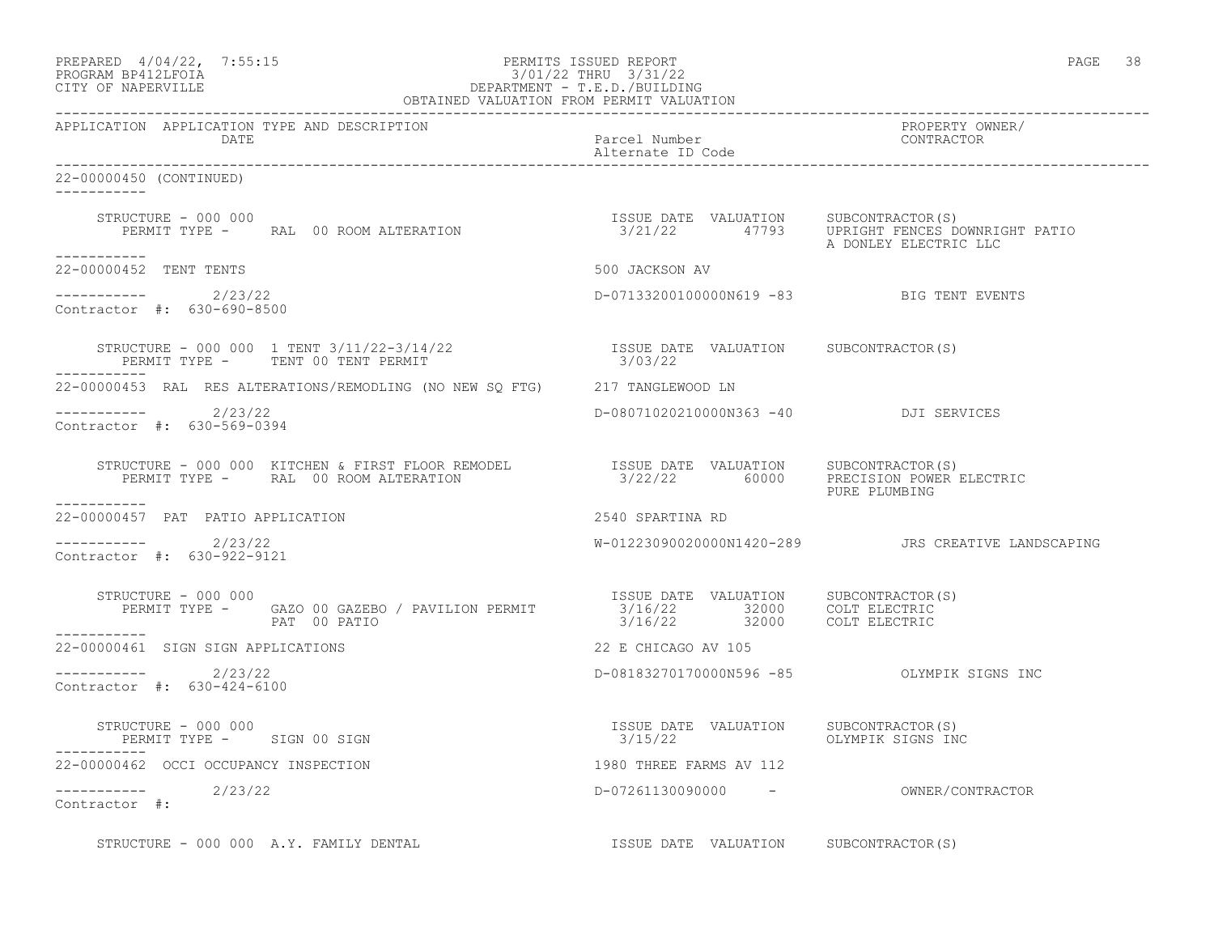| PREPARED        | $4/04/22$ , | 7:55:1 |
|-----------------|-------------|--------|
| <b>DDOOD315</b> |             |        |

## PREPARED 4/04/22, 7:55:15 PERMITS ISSUED REPORT<br>PROGRAM BP412LFOIA PAGE 38 PROGRAM BP412LFOIA PROGRAM BP412LFOIA 3/01/22 THRU 3/31/22<br>CITY OF NAPERVILLE DEPARTMENT - T.E.D./BUILDIN CITY OF NAPERVILLE DEPARTMENT - T.E.D./BUILDING

|                                                          |                                                                                                                                                                                                                            | OBTAINED VALUATION FROM PERMIT VALUATION                           |                                     |
|----------------------------------------------------------|----------------------------------------------------------------------------------------------------------------------------------------------------------------------------------------------------------------------------|--------------------------------------------------------------------|-------------------------------------|
| APPLICATION APPLICATION TYPE AND DESCRIPTION<br>DATE     |                                                                                                                                                                                                                            | Parcel Number<br>Alternate ID Code                                 | PROPERTY OWNER/<br>CONTRACTOR       |
| 22-00000450 (CONTINUED)<br>------------                  |                                                                                                                                                                                                                            |                                                                    |                                     |
| STRUCTURE - 000 000<br>------------                      | STRUCTURE - 000 000<br>PERMIT TYPE -     RAL 00 ROOM ALTERATION                                 3/21/22       47793    UPRIGHT FENCES DOWNRIGHT PATIO                                                                      |                                                                    | A DONLEY ELECTRIC LLC               |
| 22-00000452 TENT TENTS                                   |                                                                                                                                                                                                                            | 500 JACKSON AV                                                     |                                     |
| $---------2/23/22$<br>Contractor #: 630-690-8500         |                                                                                                                                                                                                                            | D-07133200100000N619 -83 BIG TENT EVENTS                           |                                     |
|                                                          |                                                                                                                                                                                                                            |                                                                    |                                     |
|                                                          | 22-00000453 RAL RES ALTERATIONS/REMODLING (NO NEW SQ FTG) 217 TANGLEWOOD LN                                                                                                                                                |                                                                    |                                     |
| $---------2/23/22$<br>Contractor #: 630-569-0394         |                                                                                                                                                                                                                            | D-08071020210000N363 -40 DJI SERVICES                              |                                     |
|                                                          | STRUCTURE – 000 000 KITCHEN & FIRST FLOOR REMODEL              ISSUE DATE VALUATION     SUBCONTRACTOR(S)<br>PERMIT TYPE –     RAL 00 ROOM ALTERATION                         3/22/22         60000      PRECISION POWER EI | 3/22/22 60000 PRECISION POWER ELECTRIC<br>PURE PLUMBING            |                                     |
| -----------<br>22-00000457 PAT PATIO APPLICATION         |                                                                                                                                                                                                                            | 2540 SPARTINA RD                                                   |                                     |
| $---------2/23/22$<br>Contractor #: 630-922-9121         |                                                                                                                                                                                                                            |                                                                    |                                     |
| STRUCTURE - 000 000                                      | STRUCTURE - 000 000<br>PERMIT TYPE - GAZO 00 GAZEBO / PAVILION PERMIT - 3/16/22 32000 COLT ELECTRIC<br>PAT 00 PATIO - 3/16/22 32000 COLT ELECTRIC                                                                          |                                                                    |                                     |
| ------------<br>22-00000461 SIGN SIGN APPLICATIONS       |                                                                                                                                                                                                                            | 22 E CHICAGO AV 105                                                |                                     |
| $--------$ 2/23/22<br>Contractor #: 630-424-6100         |                                                                                                                                                                                                                            | D-08183270170000N596 -85 OLYMPIK SIGNS INC                         |                                     |
| STRUCTURE - 000 000<br>PERMIT TYPE - SIGN 00 SIGN        |                                                                                                                                                                                                                            | ISSUE DATE VALUATION SUBCONTRACTOR(S)<br>3/15/22 OLYMPIK SIGNS INC |                                     |
| 22-00000462 OCCI OCCUPANCY INSPECTION                    |                                                                                                                                                                                                                            | 1980 THREE FARMS AV 112                                            |                                     |
| $\frac{\frac{1}{27}}{\frac{1}{27}}$ = ---------- 2/23/22 |                                                                                                                                                                                                                            |                                                                    | D-07261130090000 - OWNER/CONTRACTOR |
|                                                          | STRUCTURE - 000 000 A.Y. FAMILY DENTAL                                                                                                                                                                                     | ISSUE DATE VALUATION SUBCONTRACTOR(S)                              |                                     |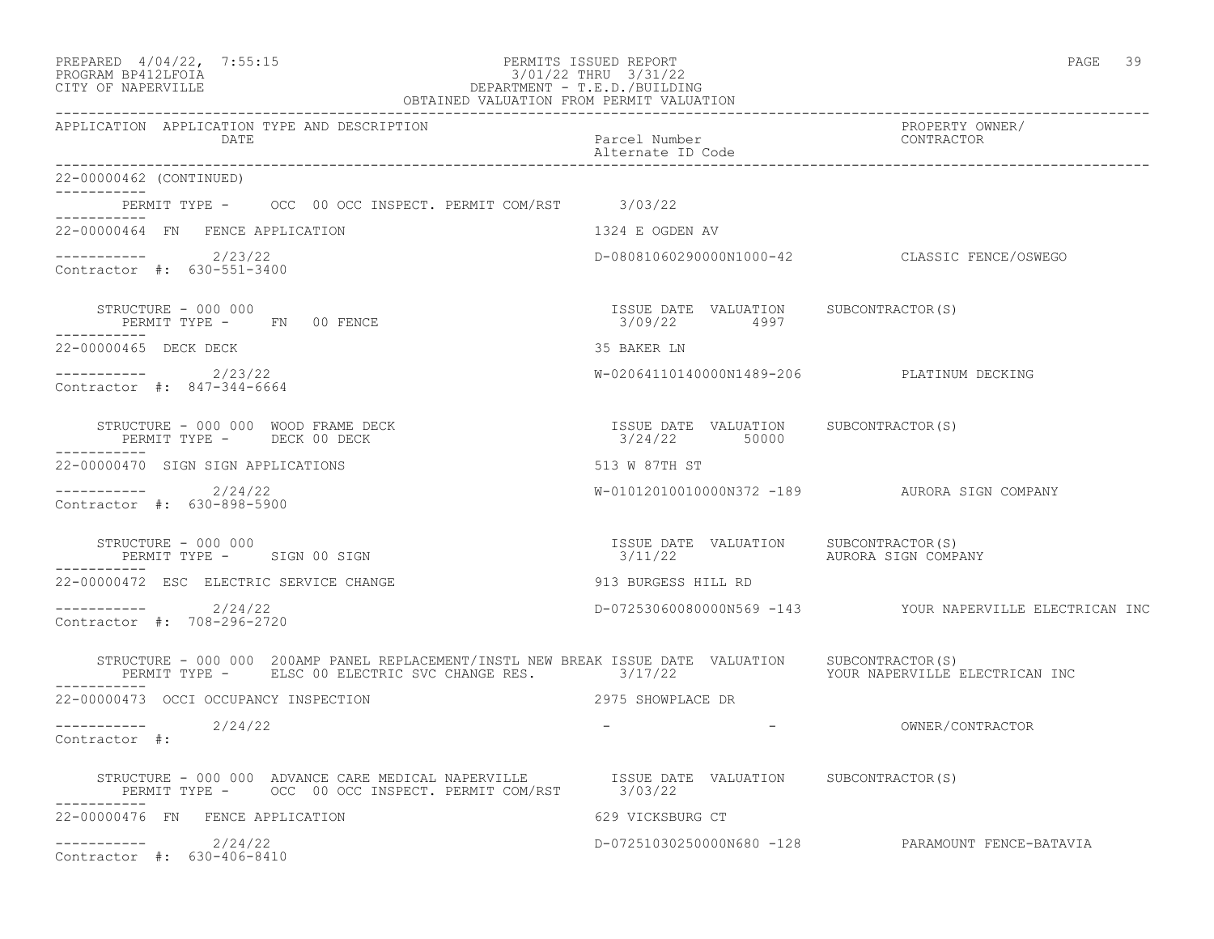| PREPARED 4/04/22, 7:55:15 PERMITS ISSUED REPORT<br>3/01/22 THRU 3/31/22<br>DEPARTMENT - T.E.D./BUILDING<br>OBTAINED VALUATION FROM PERMIT VALUATION<br>PROGRAM BP412LFOIA<br>CITY OF NAPERVILLE<br>CITY OF NAPERVILLE |                                                        | PAGE 39                                                  |
|-----------------------------------------------------------------------------------------------------------------------------------------------------------------------------------------------------------------------|--------------------------------------------------------|----------------------------------------------------------|
| APPLICATION APPLICATION TYPE AND DESCRIPTION<br>DATE                                                                                                                                                                  | Parcel Number<br>Alternate ID Code                     | PROPERTY OWNER/<br>CONTRACTOR                            |
| 22-00000462 (CONTINUED)                                                                                                                                                                                               |                                                        |                                                          |
| PERMIT TYPE - OCC 00 OCC INSPECT. PERMIT COM/RST 3/03/22                                                                                                                                                              |                                                        |                                                          |
| 22-00000464 FN FENCE APPLICATION                                                                                                                                                                                      | 1324 E OGDEN AV                                        |                                                          |
| $---------2/23/22$<br>Contractor #: 630-551-3400                                                                                                                                                                      |                                                        | D-08081060290000N1000-42 CLASSIC FENCE/OSWEGO            |
| STRUCTURE - 000 000<br>PERMIT TYPE - FN 00 FENCE<br>-----------                                                                                                                                                       | ISSUE DATE VALUATION SUBCONTRACTOR(S)<br>3/09/22 4997  |                                                          |
| 22-00000465 DECK DECK                                                                                                                                                                                                 | 35 BAKER LN                                            |                                                          |
| $--------- 2/23/22$<br>Contractor #: 847-344-6664                                                                                                                                                                     | W-02064110140000N1489-206 PLATINUM DECKING             |                                                          |
| STRUCTURE - 000 000 WOOD FRAME DECK<br>PERMIT TYPE - DECK 00 DECK                                                                                                                                                     | ISSUE DATE VALUATION SUBCONTRACTOR(S)<br>3/24/22 50000 |                                                          |
| 22-00000470 SIGN SIGN APPLICATIONS                                                                                                                                                                                    | 513 W 87TH ST                                          |                                                          |
| $---------2/24/22$<br>Contractor #: 630-898-5900                                                                                                                                                                      |                                                        | W-01012010010000N372 -189 AURORA SIGN COMPANY            |
| STRUCTURE - 000 000<br>PERMIT TYPE - SIGN 00 SIGN                                                                                                                                                                     |                                                        |                                                          |
| 22-00000472 ESC ELECTRIC SERVICE CHANGE                                                                                                                                                                               | 913 BURGESS HILL RD                                    |                                                          |
| ----------- 2/24/22<br>Contractor #: 708-296-2720                                                                                                                                                                     |                                                        | D-07253060080000N569 -143 YOUR NAPERVILLE ELECTRICAN INC |
| STRUCTURE - 000 000 200AMP PANEL REPLACEMENT/INSTL NEW BREAK ISSUE DATE VALUATION SUBCONTRACTOR(S)<br>PERMIT TYPE - ELSC 00 ELECTRIC SVC CHANGE RES. 3/17/22 TOUR NAPERVILLE ELECTRICAN INC<br>------------           |                                                        |                                                          |
| 22-00000473 OCCI OCCUPANCY INSPECTION                                                                                                                                                                                 | 2975 SHOWPLACE DR                                      |                                                          |
| $--------- 2/24/22$<br>Contractor #:                                                                                                                                                                                  |                                                        | <u> 대표 대표 대표 대표 대표 대표 대표</u><br>OWNER/CONTRACTOR         |
| STRUCTURE - 000 000 ADVANCE CARE MEDICAL NAPERVILLE TSSUE DATE VALUATION SUBCONTRACTOR(S)<br>PERMIT TYPE - OCC 00 OCC INSPECT. PERMIT COM/RST                                                                         | 3/03/22                                                |                                                          |
| 22-00000476 FN FENCE APPLICATION                                                                                                                                                                                      | 629 VICKSBURG CT                                       |                                                          |
| 2/24/22<br>-----------<br>Contractor #: 630-406-8410                                                                                                                                                                  |                                                        | D-07251030250000N680 -128 PARAMOUNT FENCE-BATAVIA        |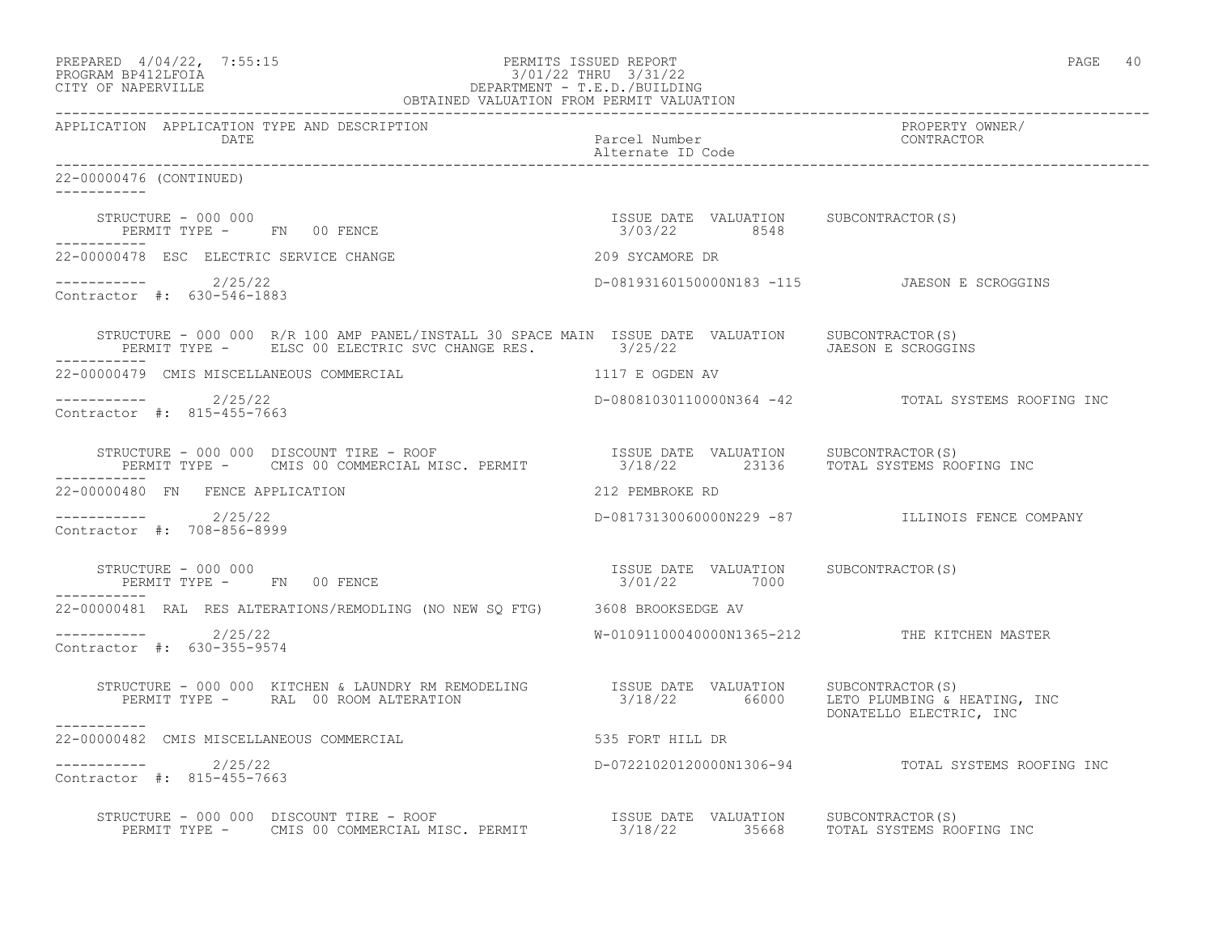|                                                                                                                                                                                                                                                  |                                                       | PAGE 40                                                 |
|--------------------------------------------------------------------------------------------------------------------------------------------------------------------------------------------------------------------------------------------------|-------------------------------------------------------|---------------------------------------------------------|
| APPLICATION APPLICATION TYPE AND DESCRIPTION<br><b>DATE</b>                                                                                                                                                                                      | Parcel Number<br>Alternate ID Code                    | PROPERTY OWNER/<br>CONTRACTOR                           |
| 22-00000476 (CONTINUED)<br>-----------                                                                                                                                                                                                           |                                                       |                                                         |
| STRUCTURE - 000 000<br>------------                                                                                                                                                                                                              | ISSUE DATE VALUATION SUBCONTRACTOR(S)                 |                                                         |
| 22-00000478 ESC ELECTRIC SERVICE CHANGE                                                                                                                                                                                                          | 209 SYCAMORE DR                                       |                                                         |
| $---------2/25/22$<br>Contractor #: 630-546-1883                                                                                                                                                                                                 |                                                       | D-08193160150000N183 -115 JAESON E SCROGGINS            |
| STRUCTURE - 000 000 R/R 100 AMP PANEL/INSTALL 30 SPACE MAIN ISSUE DATE VALUATION SUBCONTRACTOR(S)<br>PERMIT TYPE - ELSC 00 ELECTRIC SVC CHANGE RES. 3/25/22 3/25/22 JAESON E SCROGGINS                                                           |                                                       |                                                         |
| 22-00000479 CMIS MISCELLANEOUS COMMERCIAL                                                                                                                                                                                                        | 1117 E OGDEN AV                                       |                                                         |
| $---------2/25/22$<br>Contractor #: 815-455-7663                                                                                                                                                                                                 |                                                       | D-08081030110000N364 -42 TOTAL SYSTEMS ROOFING INC      |
| STRUCTURE - 000 000 DISCOUNT TIRE - ROOF                           ISSUE DATE VALUATION     SUBCONTRACTOR(S)<br>PERMIT TYPE -     CMIS 00 COMMERCIAL MISC. PERMIT              3/18/22       23136     TOTAL SYSTEMS ROOFING INC<br>___________  |                                                       |                                                         |
| 22-00000480 FN FENCE APPLICATION                                                                                                                                                                                                                 | 212 PEMBROKE RD                                       |                                                         |
| $--------- 2/25/22$<br>Contractor #: 708-856-8999                                                                                                                                                                                                |                                                       | D-08173130060000N229 -87 ILLINOIS FENCE COMPANY         |
| STRUCTURE - 000 000<br>PERMIT TYPE - FN 00 FENCE                                                                                                                                                                                                 | ISSUE DATE VALUATION SUBCONTRACTOR(S)<br>3/01/22 7000 |                                                         |
| 22-00000481 RAL RES ALTERATIONS/REMODLING (NO NEW SQ FTG) 3608 BROOKSEDGE AV                                                                                                                                                                     |                                                       |                                                         |
| $---------2/25/22$<br>Contractor #: 630-355-9574                                                                                                                                                                                                 |                                                       | W-01091100040000N1365-212 THE KITCHEN MASTER            |
| STRUCTURE – 000 000 KITCHEN & LAUNDRY RM REMODELING              ISSUE DATE VALUATION     SUBCONTRACTOR(S)<br>PERMIT TYPE –      RAL  00 ROOM ALTERATION                                 3/18/22            66000      LETO PLUMB<br>----------- |                                                       | LETO PLUMBING & HEATING, INC<br>DONATELLO ELECTRIC, INC |
| 22-00000482 CMIS MISCELLANEOUS COMMERCIAL                                                                                                                                                                                                        | 535 FORT HILL DR                                      |                                                         |
| ----------- 2/25/22<br>Contractor #: 815-455-7663                                                                                                                                                                                                |                                                       | D-07221020120000N1306-94 TOTAL SYSTEMS ROOFING INC      |
| STRUCTURE - 000 000 DISCOUNT TIRE - ROOF                         ISSUE DATE VALUATION     SUBCONTRACTOR(S)<br>PERMIT TYPE -     CMIS 00 COMMERCIAL MISC. PERMIT               3/18/22         35668     TOTAL SYSTEMS ROOFING INC                |                                                       |                                                         |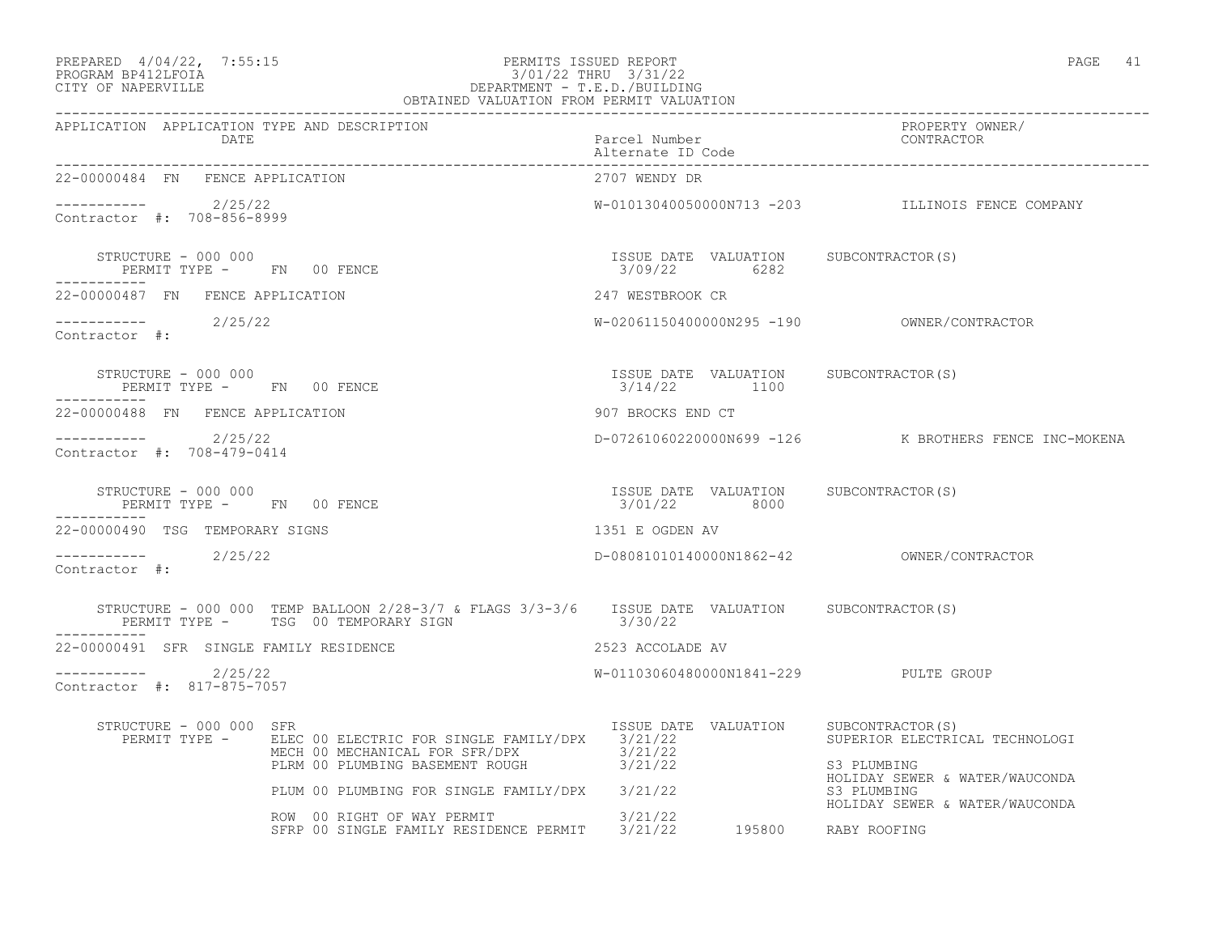| PREPARED | $4/04/22$ , | 7:55:1 |
|----------|-------------|--------|
| -------- | ----------  |        |

## PREPARED  $4/04/22$ ,  $7:55:15$  PERMITS ISSUED REPORT PAGE 41 PROGRAM BP412LFOIA 3/01/22 THRU 3/31/22 CITY OF NAPERVILLE DEPARTMENT - T.E.D./BUILDING

| . .<br>۰. |  |
|-----------|--|
|           |  |

|                                                                 | OBTAINED VALUATION FROM PERMIT VALUATION                                                                                                          |                                                       |                                                                                 |
|-----------------------------------------------------------------|---------------------------------------------------------------------------------------------------------------------------------------------------|-------------------------------------------------------|---------------------------------------------------------------------------------|
| APPLICATION APPLICATION TYPE AND DESCRIPTION<br>DATE            |                                                                                                                                                   | Parcel Number<br>Alternate ID Code                    | PROPERTY OWNER/<br>CONTRACTOR                                                   |
| 22-00000484 FN FENCE APPLICATION                                |                                                                                                                                                   | 2707 WENDY DR                                         |                                                                                 |
| ----------- 2/25/22<br>Contractor #: 708-856-8999               |                                                                                                                                                   |                                                       | W-01013040050000N713 -203 ILLINOIS FENCE COMPANY                                |
|                                                                 | STRUCTURE - 000 000<br>PERMIT TYPE - FN 00 FENCE                                                                                                  | ISSUE DATE VALUATION SUBCONTRACTOR(S)<br>3/09/22 6282 |                                                                                 |
| 22-00000487 FN FENCE APPLICATION                                |                                                                                                                                                   | 247 WESTBROOK CR                                      |                                                                                 |
| $---------2/25/22$<br>Contractor #:                             |                                                                                                                                                   |                                                       |                                                                                 |
| STRUCTURE - 000 000<br>PERMIT TYPE - FN 00 FENCE<br>----------- |                                                                                                                                                   | ISSUE DATE VALUATION SUBCONTRACTOR(S)<br>3/14/22 1100 |                                                                                 |
| 22-00000488 FN FENCE APPLICATION                                |                                                                                                                                                   | 907 BROCKS END CT                                     |                                                                                 |
| $---------2/25/22$<br>Contractor #: 708-479-0414                |                                                                                                                                                   |                                                       | D-07261060220000N699 -126 K BROTHERS FENCE INC-MOKENA                           |
| STRUCTURE - 000 000<br>PERMIT TYPE - FN 00 FENCE<br>----------- |                                                                                                                                                   | ISSUE DATE VALUATION SUBCONTRACTOR(S)<br>3/01/22 8000 |                                                                                 |
| 22-00000490 TSG TEMPORARY SIGNS                                 |                                                                                                                                                   | 1351 E OGDEN AV                                       |                                                                                 |
| $--------$ 2/25/22<br>Contractor #:                             |                                                                                                                                                   |                                                       |                                                                                 |
|                                                                 | STRUCTURE - 000 000 TEMP BALLOON 2/28-3/7 & FLAGS 3/3-3/6 ISSUE DATE VALUATION SUBCONTRACTOR(S)<br>PERMIT TYPE - TSG 00 TEMPORARY SIGN 3/30/22    |                                                       |                                                                                 |
| 22-00000491 SFR SINGLE FAMILY RESIDENCE                         |                                                                                                                                                   | 2523 ACCOLADE AV                                      |                                                                                 |
| $--------$ 2/25/22<br>Contractor #: 817-875-7057                |                                                                                                                                                   | W-01103060480000N1841-229 PULTE GROUP                 |                                                                                 |
| STRUCTURE - 000 000 SFR                                         | PERMIT TYPE - ELEC 00 ELECTRIC FOR SINGLE FAMILY/DPX 3/21/22<br>MECH 00 MECHANICAL FOR SFR/DPX 3/21/22<br>PLRM 00 PLUMBING BASEMENT ROUGH 3/21/22 | ISSUE DATE VALUATION SUBCONTRACTOR(S)                 | SUPERIOR ELECTRICAL TECHNOLOGI<br>S3 PLUMBING                                   |
|                                                                 | PLUM 00 PLUMBING FOR SINGLE FAMILY/DPX 3/21/22                                                                                                    |                                                       | HOLIDAY SEWER & WATER/WAUCONDA<br>S3 PLUMBING<br>HOLIDAY SEWER & WATER/WAUCONDA |
|                                                                 | ROW 00 RIGHT OF WAY PERMIT 3/21/22<br>SFRP 00 SINGLE FAMILY RESIDENCE PERMIT 3/21/22 195800 RABY ROOFING                                          |                                                       |                                                                                 |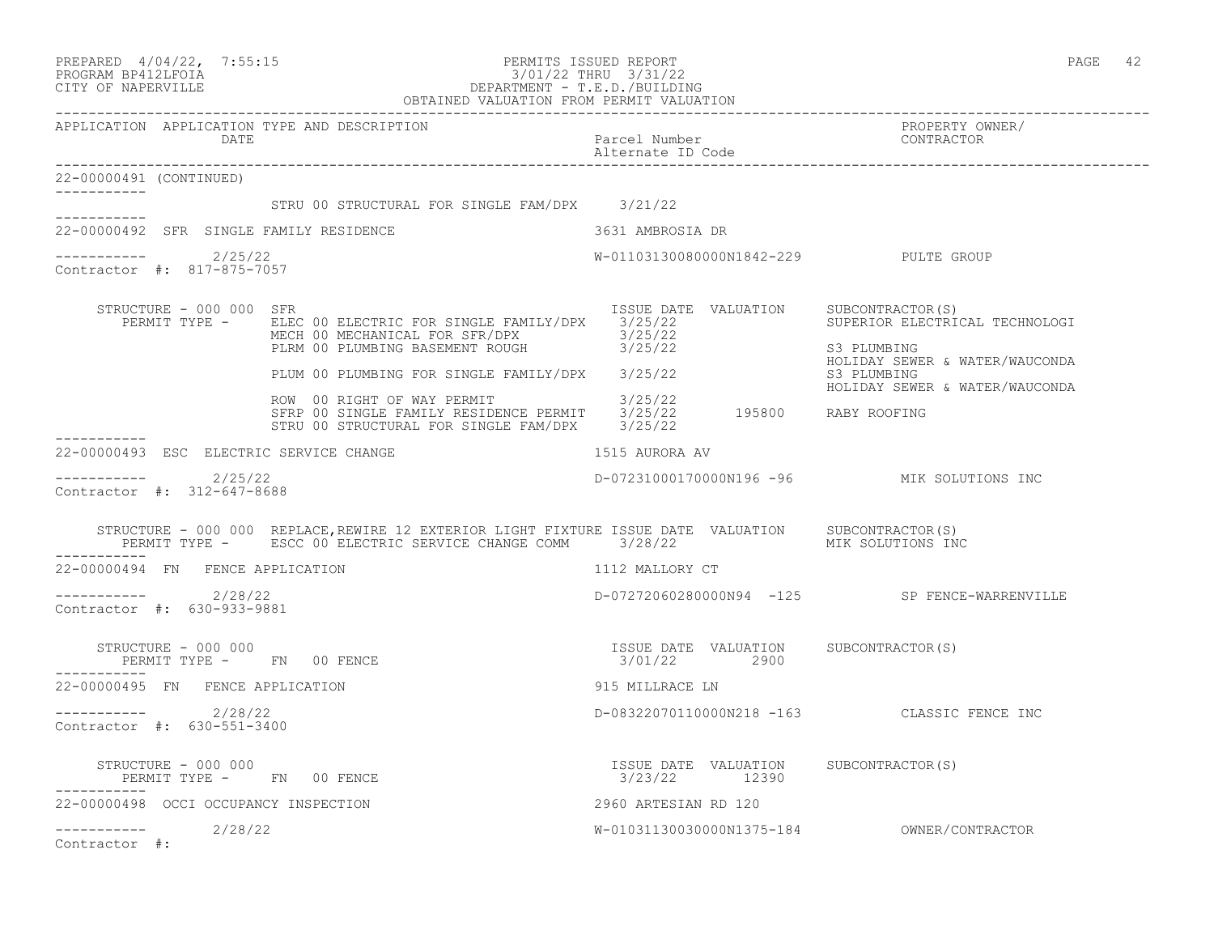|                                                      | PREPARED 4/04/22, 7:55:15<br>PERMITS ISSUED REPORT<br>PROGRAM BP412LFOIA<br>CITY OF NAPERVILLE<br>CITY OF NAPERVILLE<br>CITY OF NAPERVILLE<br>COBTAINED VALUATION FROM PERMIT VALUATION |                                                        | PAGE 42                                                                         |
|------------------------------------------------------|-----------------------------------------------------------------------------------------------------------------------------------------------------------------------------------------|--------------------------------------------------------|---------------------------------------------------------------------------------|
| APPLICATION APPLICATION TYPE AND DESCRIPTION<br>DATE |                                                                                                                                                                                         | Parcel Number<br>Alternate ID Code                     | PROPERTY OWNER/<br>CONTRACTOR                                                   |
| 22-00000491 (CONTINUED)                              |                                                                                                                                                                                         |                                                        |                                                                                 |
| -----------                                          | STRU 00 STRUCTURAL FOR SINGLE FAM/DPX 3/21/22                                                                                                                                           |                                                        |                                                                                 |
| 22-00000492 SFR SINGLE FAMILY RESIDENCE              |                                                                                                                                                                                         | 3631 AMBROSIA DR                                       |                                                                                 |
| 2/25/22<br>Contractor #: 817-875-7057                |                                                                                                                                                                                         | W-01103130080000N1842-229 PULTE GROUP                  |                                                                                 |
| STRUCTURE - 000 000 SFR<br>PERMIT TYPE -             | ELEC 00 ELECTRIC FOR SINGLE FAMILY/DPX 3/25/22<br>MECH 00 MECHANICAL FOR SFR/DPX<br>PLRM 00 PLUMBING BASEMENT ROUGH 3/25/22                                                             | ISSUE DATE VALUATION                                   | SUBCONTRACTOR(S)<br>SUPERIOR ELECTRICAL TECHNOLOGI<br>S3 PLUMBING               |
|                                                      | PLUM 00 PLUMBING FOR SINGLE FAMILY/DPX 3/25/22                                                                                                                                          |                                                        | HOLIDAY SEWER & WATER/WAUCONDA<br>S3 PLUMBING<br>HOLIDAY SEWER & WATER/WAUCONDA |
|                                                      | ROW 00 RIGHT OF WAY PERMIT 3/25/22<br>SFRP 00 SINGLE FAMILY RESIDENCE PERMIT 3/25/22 195800 RABY ROOFING<br>STRU 00 STRUCTURAL FOR SINGLE FAM/DPX 3/25/22                               |                                                        |                                                                                 |
| 22-00000493 ESC ELECTRIC SERVICE CHANGE              |                                                                                                                                                                                         | 1515 AURORA AV                                         |                                                                                 |
| $--------$ 2/25/22<br>Contractor #: 312-647-8688     |                                                                                                                                                                                         |                                                        | D-07231000170000N196 -96 MIK SOLUTIONS INC                                      |
|                                                      | STRUCTURE - 000 000 REPLACE, REWIRE 12 EXTERIOR LIGHT FIXTURE ISSUE DATE VALUATION SUBCONTRACTOR(S)<br>PERMIT TYPE - ESCC 00 ELECTRIC SERVICE CHANGE COMM 3/28/22                       |                                                        | MIK SOLUTIONS INC                                                               |
| 22-00000494 FN FENCE APPLICATION                     |                                                                                                                                                                                         | 1112 MALLORY CT                                        |                                                                                 |
| -----------    2/28/22<br>Contractor #: 630-933-9881 |                                                                                                                                                                                         |                                                        | D-07272060280000N94 -125 SP FENCE-WARRENVILLE                                   |
| STRUCTURE - 000 000<br>-----------                   | PERMIT TYPE - FN 00 FENCE                                                                                                                                                               | ISSUE DATE VALUATION SUBCONTRACTOR(S)<br>3/01/22 2900  |                                                                                 |
| 22-00000495 FN FENCE APPLICATION                     |                                                                                                                                                                                         | 915 MILLRACE LN                                        |                                                                                 |
| $--------$ 2/28/22<br>Contractor #: 630-551-3400     |                                                                                                                                                                                         |                                                        | D-08322070110000N218 -163 CLASSIC FENCE INC                                     |
| STRUCTURE - 000 000<br>PERMIT TYPE - FN 00 FENCE     |                                                                                                                                                                                         | ISSUE DATE VALUATION SUBCONTRACTOR(S)<br>3/23/22 12390 |                                                                                 |
| 22-00000498 OCCI OCCUPANCY INSPECTION                |                                                                                                                                                                                         | 2960 ARTESIAN RD 120                                   |                                                                                 |
| 2/28/22<br>Contractor #:                             |                                                                                                                                                                                         |                                                        |                                                                                 |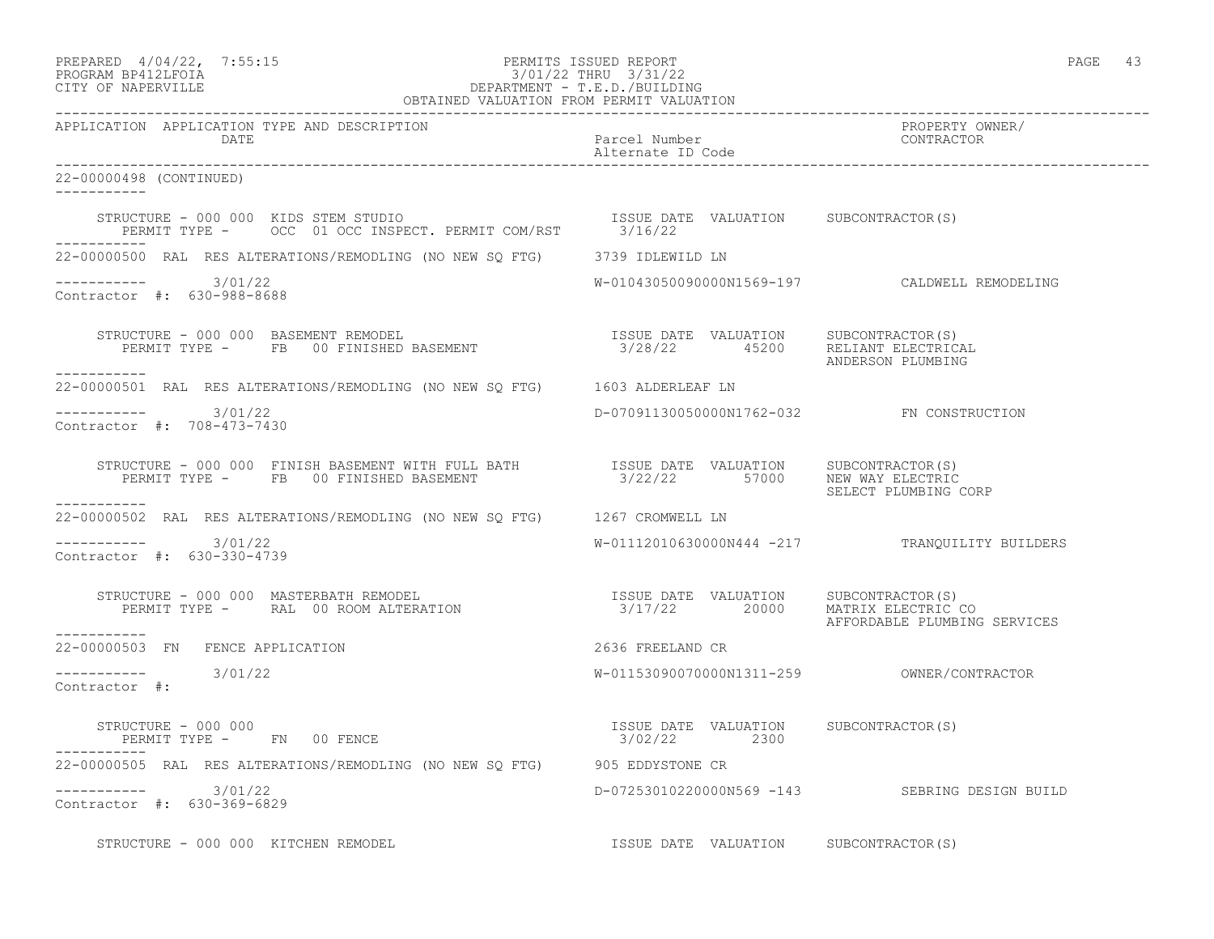| PREPARED             | $4/04/22$ , | 7:55:1! |
|----------------------|-------------|---------|
| גד∩ם זר4ותם ווגם∩חםם |             |         |

# PREPARED  $4/04/22$ , 7:55:15 PERMITS ISSUED REPORT<br>PROGRAM BP412LFOIA PAGE 43 PROGRAM BP412LFOIA 3/01/22 THRU 3/31/22<br>CITY OF NAPERVILLE DEPARTMENT - T.E.D./BUILDIN CITY OF NAPERVILLE DEPARTMENT - T.E.D./BUILDING

| OBTAINED VALUATION FROM PERMIT VALUATION                                                                                                                                                                                                                                                        |                                                        |                                                |
|-------------------------------------------------------------------------------------------------------------------------------------------------------------------------------------------------------------------------------------------------------------------------------------------------|--------------------------------------------------------|------------------------------------------------|
| APPLICATION APPLICATION TYPE AND DESCRIPTION<br>DATE                                                                                                                                                                                                                                            | Parcel Number<br>Alternate ID Code                     | PROPERTY OWNER/<br>CONTRACTOR                  |
| 22-00000498 (CONTINUED)<br>------------                                                                                                                                                                                                                                                         |                                                        |                                                |
| $\begin{tabular}{lllllll} \bf STRUCTURE & = & 000 & 000 & KIDS & \bf STEM & STUDIO & & & & & & & & & & & \\ \bf FERMIT & TYPE & = & & \bf OC & 01 & \bf OC & INSPECT. & PERMIT & COM/RST & & & \bf 3/16/22 & & & \\ \end{tabular}$<br>------------                                              |                                                        |                                                |
| 22-00000500 RAL RES ALTERATIONS/REMODLING (NO NEW SQ FTG) 3739 IDLEWILD LN                                                                                                                                                                                                                      |                                                        |                                                |
| $--------- 3/01/22$<br>Contractor #: 630-988-8688                                                                                                                                                                                                                                               |                                                        | W-01043050090000N1569-197 CALDWELL REMODELING  |
| $\begin{array}{cccc} \texttt{STRUCTURE} - 000 000 & \texttt{BASEMENT REMODEL} & \texttt{ISSUE DATE} & \texttt{VALUATION} & \texttt{SUBCONTRACTOR(S)} \\ \texttt{PERMIT TYPE} - & \texttt{FB} & 00 FINISHED BASEMENT & 3/28/22 & 45200 & \texttt{RELIANT ELECTRICAL} \end{array}$<br>___________ |                                                        | ANDERSON PLUMBING                              |
| 22-00000501 RAL RES ALTERATIONS/REMODLING (NO NEW SQ FTG) 1603 ALDERLEAF LN                                                                                                                                                                                                                     |                                                        |                                                |
| $--------- 3/01/22$<br>Contractor #: 708-473-7430                                                                                                                                                                                                                                               | D-07091130050000N1762-032 FN CONSTRUCTION              |                                                |
| -----------                                                                                                                                                                                                                                                                                     | 3/22/22 57000 NEW WAY ELECTRIC                         | SELECT PLUMBING CORP                           |
| 22-00000502 RAL RES ALTERATIONS/REMODLING (NO NEW SQ FTG) 1267 CROMWELL LN                                                                                                                                                                                                                      |                                                        |                                                |
| $--------- 3/01/22$<br>Contractor #: 630-330-4739                                                                                                                                                                                                                                               |                                                        | W-01112010630000N444 -217 TRANOUILITY BUILDERS |
| ------------                                                                                                                                                                                                                                                                                    |                                                        | AFFORDABLE PLUMBING SERVICES                   |
| 22-00000503 FN FENCE APPLICATION                                                                                                                                                                                                                                                                | 2636 FREELAND CR                                       |                                                |
| $--------- 3/01/22$<br>Contractor #:                                                                                                                                                                                                                                                            |                                                        |                                                |
| STRUCTURE - 000 000<br>STRUCTURE - 000 000<br>PERMIT TYPE -       FN     00 FENCE                                                                                                                                                                                                               | ISSUE DATE VALUATION SUBCONTRACTOR (S)<br>3/02/22 2300 |                                                |
| 22-00000505 RAL RES ALTERATIONS/REMODLING (NO NEW SQ FTG) 905 EDDYSTONE CR                                                                                                                                                                                                                      |                                                        |                                                |
| $--------- 3/01/22$<br>Contractor #: 630-369-6829                                                                                                                                                                                                                                               |                                                        | D-07253010220000N569 -143 SEBRING DESIGN BUILD |
| STRUCTURE - 000 000 KITCHEN REMODEL                                                                                                                                                                                                                                                             | ISSUE DATE VALUATION SUBCONTRACTOR(S)                  |                                                |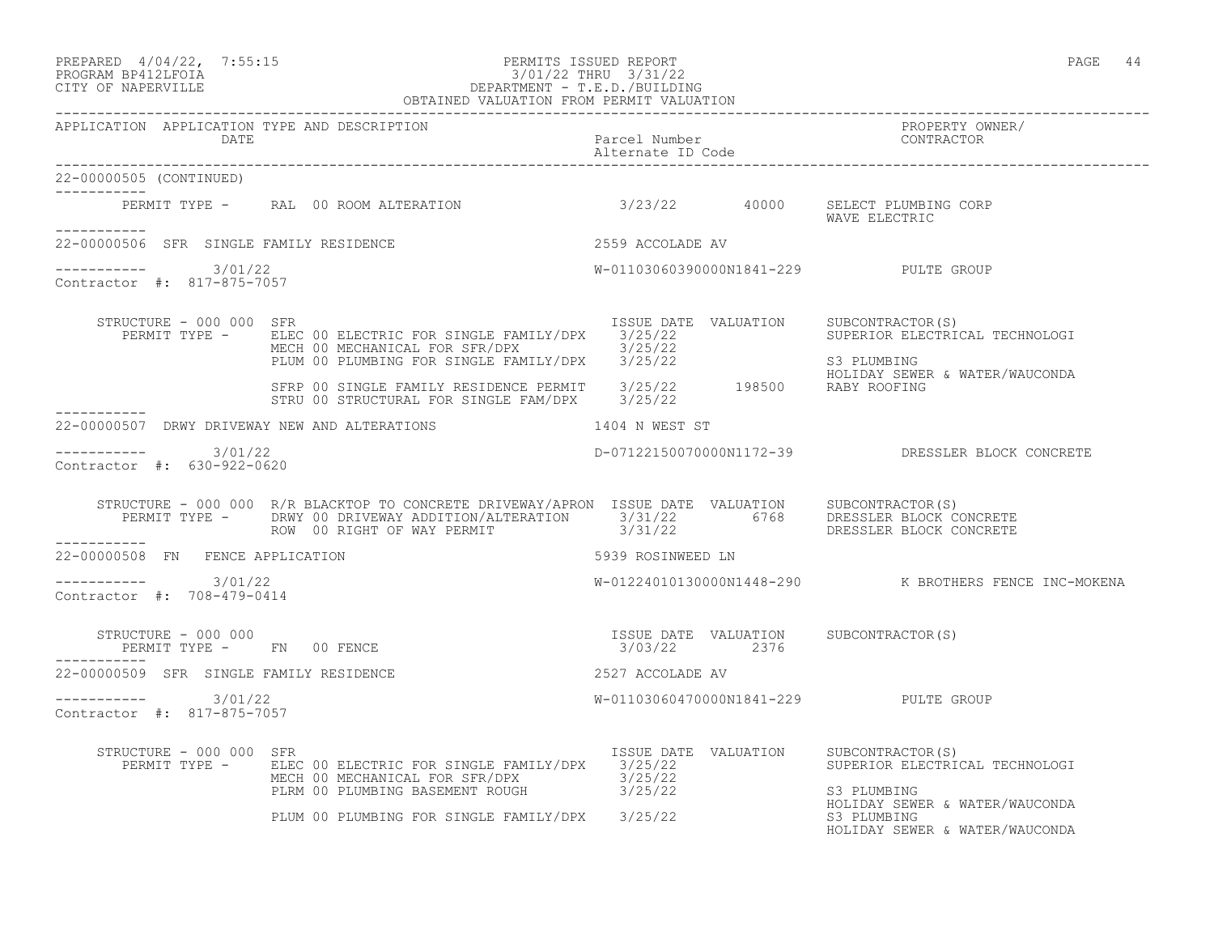## PREPARED  $4/04/22$ ,  $7:55:15$  PERMITS ISSUED REPORT PAGE 44 PROGRAM BP412LFOIA 3/01/22 THRU 3/31/22 CITY OF NAPERVILLE DEPARTMENT - T.E.D./BUILDING

 OBTAINED VALUATION FROM PERMIT VALUATION ------------------------------------------------------------------------------------------------------------------------------------ APPLICATION APPLICATION TYPE AND DESCRIPTION<br>DATE bated parcel Number property contractor DATE Parcel Number CONTRACTOR Alternate ID Code ------------------------------------------------------------------------------------------------------------------------------------ 22-00000505 (CONTINUED) ----------- PERMIT TYPE - RAL 00 ROOM ALTERATION 3/23/22 40000 SELECT PLUMBING CORP WAVE ELECTRIC ----------- 22-00000506 SFR SINGLE FAMILY RESIDENCE 2559 ACCOLADE AV  $--------- 3/01/22$ W-01103060390000N1841-229 PULTE GROUP Contractor #: 817-875-7057 STRUCTURE - 000 000 SFR<br>PERMIT TYPE - ELEC 00 ELECTRIC FOR SINGLE FAMILY/DPX 3/25/22 31 SUPERIOR ELECTRICAL TECHNOLOGI PERMIT TYPE - ELEC 00 ELECTRIC FOR SINGLE FAMILY/DPX 3/25/22<br>MECH 00 MECHANICAL FOR SFR/DPX 3/25/22 MECH 00 MECHANICAL FOR SFR/DPX 3/25/22 PLUM 00 PLUMBING FOR SINGLE FAMILY/DPX 3/25/22 S3 PLUMBING HOLIDAY SEWER & WATER/WAUCONDA SFRP 00 SINGLE FAMILY RESIDENCE PERMIT 3/25/22 198500 RABY ROOFING STRU 00 STRUCTURAL FOR SINGLE FAM/DPX 3/25/22 ----------- 22-00000507 DRWY DRIVEWAY NEW AND ALTERATIONS 1404 N WEST ST \_\_\_\_\_\_\_\_\_\_\_ ----------- 3/01/22 D-07122150070000N1172-39 DRESSLER BLOCK CONCRETE Contractor #: 630-922-0620 STRUCTURE - 000 000 R/R BLACKTOP TO CONCRETE DRIVEWAY/APRON ISSUE DATE VALUATION SUBCONTRACTOR(S) PERMIT TYPE - DRWY 00 DRIVEWAY ADDITION/ALTERATION 3/31/22 6768 DRESSLER BLOCK CONCRETE ROW 00 RIGHT OF WAY PERMIT 3/31/22 DRESSLER BLOCK CONCRETE ----------- 22-00000508 FN FENCE APPLICATION 5939 ROSINWEED LN  $--------- 3/01/22$ W-01224010130000N1448-290 K BROTHERS FENCE INC-MOKENA Contractor #: 708-479-0414 STRUCTURE - 000 000 ISSUE DATE VALUATION SUBCONTRACTOR(S) PERMIT TYPE - FN 00 FENCE 1999 1999 1999 1999 3/03/22 2376 ----------- 22-00000509 SFR SINGLE FAMILY RESIDENCE 2527 ACCOLADE AV ----------- 3/01/22 W-01103060470000N1841-229 PULTE GROUP Contractor #: 817-875-7057 STRUCTURE - 000 000 SFR<br>PERMIT TYPE - ELEC 00 ELECTRIC FOR SINGLE FAMILY/DPX 3/25/22<br>SUPERIOR ELECTRICAL TECHNOLOGI PERMIT TYPE - BLEC 00 ELECTRIC FOR SINGLE FAMILY/DPX 3/25/22 MECH 00 MECHANICAL FOR SFR/DPX 3/25/22 PLRM 00 PLUMBING BASEMENT ROUGH  $3/25/22$  S3 PLUMBING HOLIDAY SEWER & WATER/WAUCONDA<br>S3 PLUMBING

PLUM 00 PLUMBING FOR SINGLE FAMILY/DPX 3/25/22

HOLIDAY SEWER & WATER/WAUCONDA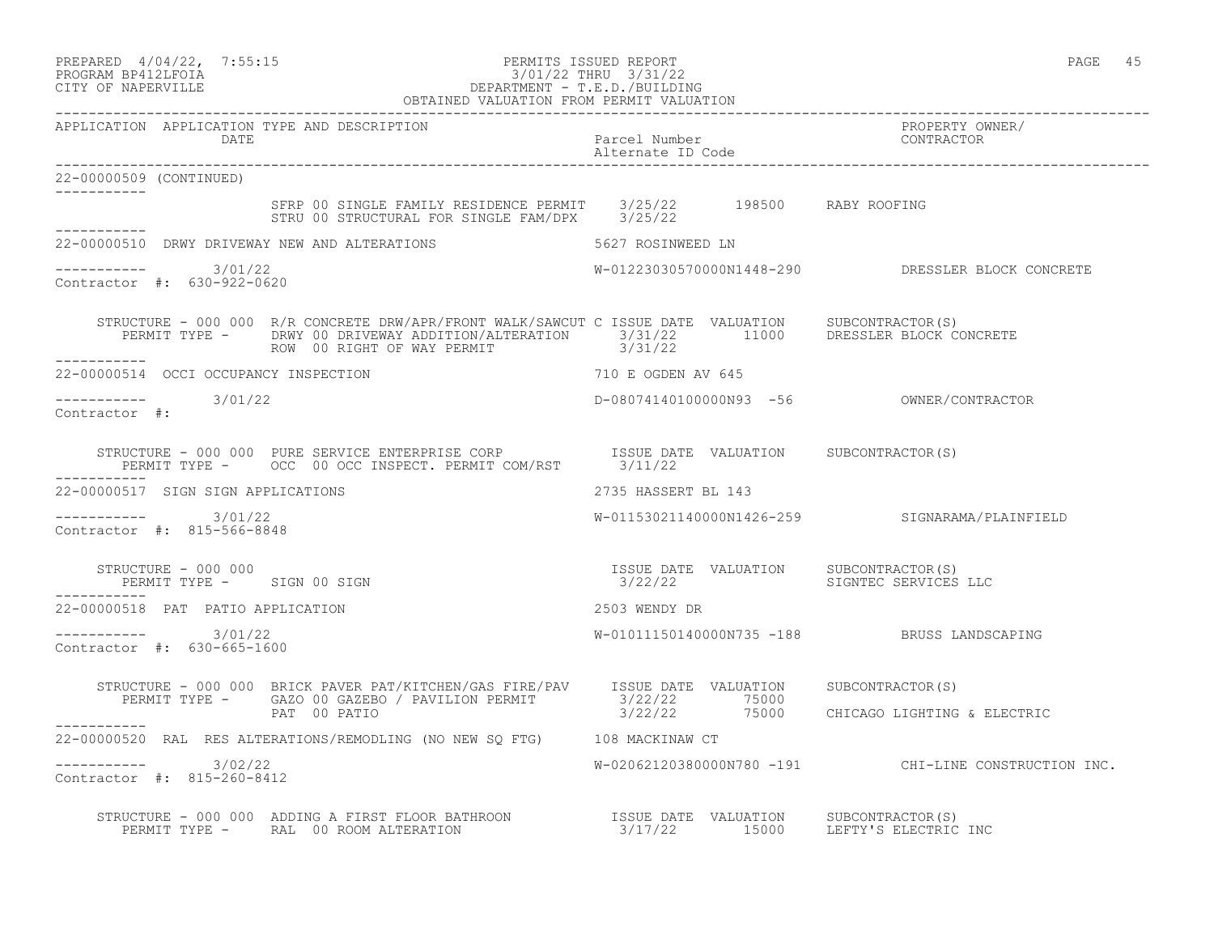| PREPARED | $4/04/22$ , | 7:55:15 |
|----------|-------------|---------|
|          |             |         |

## PREPARED 4/04/22, 7:55:15 PERMITS ISSUED REPORT<br>PROGRAM BP412LFOIA<br>CITY OF NIPENIIA PROGRAM BP412LFOIA 3/01/22 THRU 3/31/22 CITY OF NAPERVILLE DEPARTMENT - T.E.D./BUILDING

|                                                   | OBTAINED VALUATION FROM PERMIT VALUATION                                                                                                                                                                                      |                                          |                                                        |
|---------------------------------------------------|-------------------------------------------------------------------------------------------------------------------------------------------------------------------------------------------------------------------------------|------------------------------------------|--------------------------------------------------------|
|                                                   | APPLICATION APPLICATION TYPE AND DESCRIPTION<br>DATE                                                                                                                                                                          | Parcel Number<br>Alternate ID Code       | PROPERTY OWNER/<br>CONTRACTOR                          |
| 22-00000509 (CONTINUED)                           |                                                                                                                                                                                                                               |                                          |                                                        |
|                                                   | SFRP 00 SINGLE FAMILY RESIDENCE PERMIT 3/25/22 198500 RABY ROOFING<br>STRU 00 STRUCTURAL FOR SINGLE FAM/DPX 3/25/22                                                                                                           |                                          |                                                        |
|                                                   | 22-00000510 DRWY DRIVEWAY NEW AND ALTERATIONS 5627 ROSINWEED LN                                                                                                                                                               |                                          |                                                        |
| $--------- 3/01/22$<br>Contractor #: 630-922-0620 |                                                                                                                                                                                                                               |                                          | W-01223030570000N1448-290 DRESSLER BLOCK CONCRETE      |
| -----------                                       | STRUCTURE - 000 000 R/R CONCRETE DRW/APR/FRONT WALK/SAWCUT C ISSUE DATE VALUATION SUBCONTRACTOR(S)<br>PERMIT TYPE - DRWY 00 DRIVEWAY ADDITION/ALTERATION 3/31/22 11000 DRESSLER BLOCK CONCRETE<br>------                      |                                          |                                                        |
| 22-00000514 OCCI OCCUPANCY INSPECTION             |                                                                                                                                                                                                                               | 710 E OGDEN AV 645                       |                                                        |
| $--------- 3/01/22$<br>Contractor #:              |                                                                                                                                                                                                                               | D-08074140100000N93 -56 OWNER/CONTRACTOR |                                                        |
|                                                   | STRUCTURE – 000 000 PURE SERVICE ENTERPRISE CORP ISSUE DATE VALUATION SUBCONTRACTOR(S)<br>PERMIT TYPE – OCC 00 OCC INSPECT. PERMIT COM/RST 3/11/22                                                                            |                                          |                                                        |
| 22-00000517 SIGN SIGN APPLICATIONS                |                                                                                                                                                                                                                               | 2735 HASSERT BL 143                      |                                                        |
| $--------- 3/01/22$<br>Contractor #: 815-566-8848 |                                                                                                                                                                                                                               |                                          | W-01153021140000N1426-259 SIGNARAMA/PLAINFIELD         |
|                                                   | STRUCTURE – 000 000<br>PERMIT TYPE – SIGN 00 SIGN 1999 SIGN 1999 SIGNE 202222 SIGNTEC SERVICES LLC                                                                                                                            |                                          |                                                        |
| ------------<br>22-00000518 PAT PATIO APPLICATION |                                                                                                                                                                                                                               | 2503 WENDY DR                            |                                                        |
| $--------- 3/01/22$<br>Contractor #: 630-665-1600 |                                                                                                                                                                                                                               |                                          | W-01011150140000N735 -188 BRUSS LANDSCAPING            |
|                                                   | STRUCTURE - 000 000 BRICK PAVER PAT/KITCHEN/GAS FIRE/PAV ISSUE DATE VALUATION SUBCONTRACTOR(S)                                                                                                                                |                                          |                                                        |
| ___________                                       |                                                                                                                                                                                                                               |                                          |                                                        |
|                                                   | 22-00000520 RAL RES ALTERATIONS/REMODLING (NO NEW SQ FTG) 108 MACKINAW CT                                                                                                                                                     |                                          |                                                        |
| $--------- 3/02/22$<br>Contractor #: 815-260-8412 |                                                                                                                                                                                                                               |                                          | $W-02062120380000N780 -191$ CHI-LINE CONSTRUCTION INC. |
|                                                   | STRUCTURE - 000 000 ADDING A FIRST FLOOR BATHROON               ISSUE DATE VALUATION     SUBCONTRACTOR(S)<br>PERMIT TYPE -      RAL  00 ROOM ALTERATION                         3/17/22        15000     LEFTY'S ELECTRIC INC |                                          |                                                        |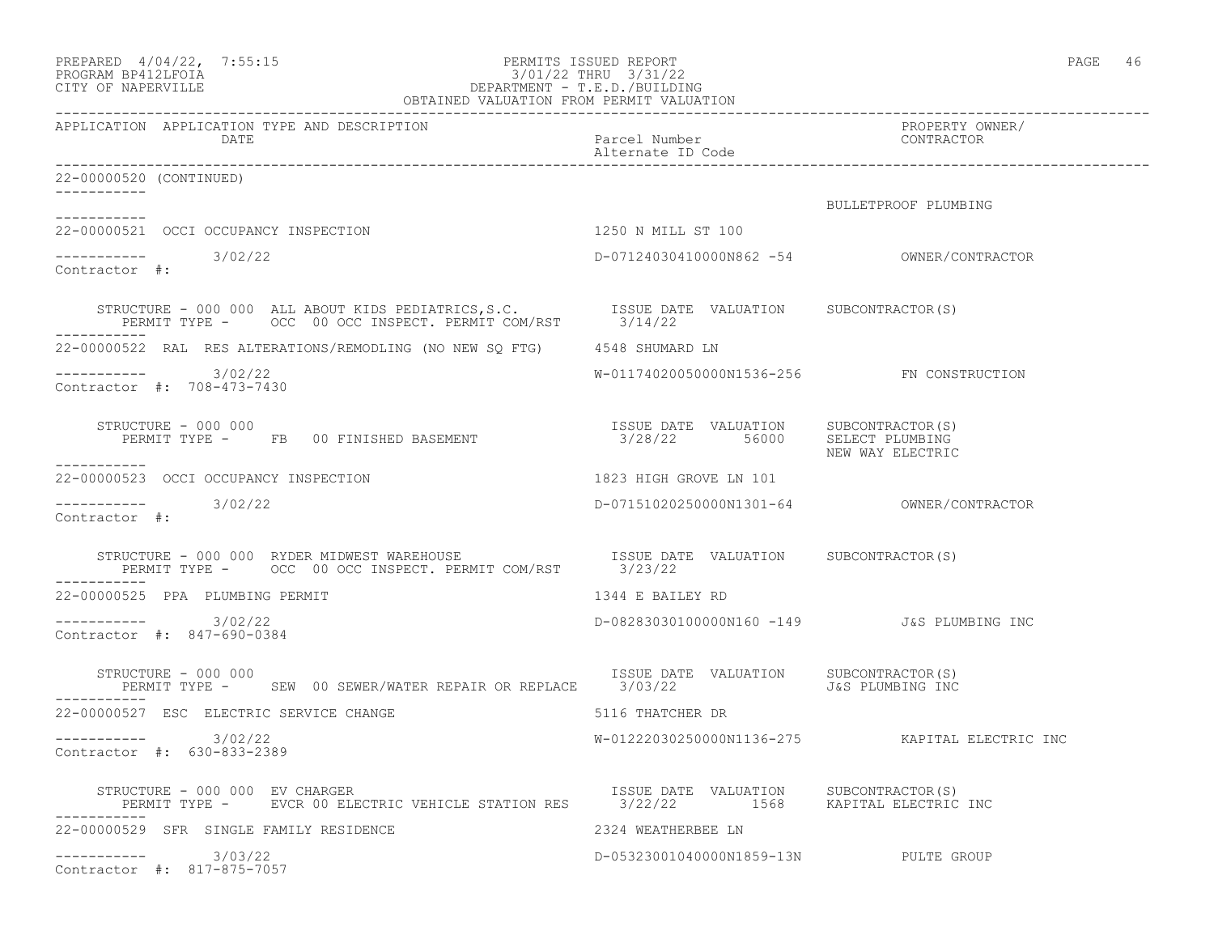| PREPARED 4/04/22, 7:55:15<br>FERMITS ISSUED REPORT:<br>3/01/22 THRU 3/31/22<br>DEPARTMENT - T.E.D./BUILDING<br>OBTAINED VALUATION FROM PERMIT VALUATION<br>PROGRAM BP412LFOIA<br>CITY OF NAPERVILLE |                                            | PAGE 46                                        |
|-----------------------------------------------------------------------------------------------------------------------------------------------------------------------------------------------------|--------------------------------------------|------------------------------------------------|
| APPLICATION APPLICATION TYPE AND DESCRIPTION<br>DATE                                                                                                                                                | Parcel Number<br>Alternate ID Code         | PROPERTY OWNER/<br>CONTRACTOR                  |
| 22-00000520 (CONTINUED)                                                                                                                                                                             |                                            |                                                |
|                                                                                                                                                                                                     |                                            | BULLETPROOF PLUMBING                           |
| 22-00000521 OCCI OCCUPANCY INSPECTION                                                                                                                                                               | 1250 N MILL ST 100                         |                                                |
| Contractor #:                                                                                                                                                                                       |                                            |                                                |
|                                                                                                                                                                                                     |                                            |                                                |
| 22-00000522 RAL RES ALTERATIONS/REMODLING (NO NEW SQ FTG) 4548 SHUMARD LN                                                                                                                           |                                            |                                                |
| ----------- 3/02/22<br>Contractor #: 708-473-7430                                                                                                                                                   | W-01174020050000N1536-256 FN CONSTRUCTION  |                                                |
| STRUCTURE – 000 000                                                                                                                                                                                 |                                            | NEW WAY ELECTRIC                               |
| ----------<br>22-00000523 OCCI OCCUPANCY INSPECTION                                                                                                                                                 | 1823 HIGH GROVE LN 101                     |                                                |
| Contractor #:                                                                                                                                                                                       |                                            |                                                |
| STRUCTURE - 000 000 RYDER MIDWEST WAREHOUSE                          ISSUE DATE VALUATION     SUBCONTRACTOR(S)<br>PERMIT TYPE -      OCC  00 OCC INSPECT. PERMIT COM/RST        3/23/22             |                                            |                                                |
| 22-00000525 PPA PLUMBING PERMIT                                                                                                                                                                     | 1344 E BAILEY RD                           |                                                |
| $---------$ 3/02/22<br>Contractor #: 847-690-0384                                                                                                                                                   | D-08283030100000N160 -149 J&S PLUMBING INC |                                                |
| STRUCTURE - 000 000<br>PERMIT TYPE - SEW 00 SEWER/WATER REPAIR OR REPLACE 3/03/22 SERMIT J&S PLUMBING INC                                                                                           | ISSUE DATE VALUATION SUBCONTRACTOR(S)      |                                                |
| 22-00000527 ESC ELECTRIC SERVICE CHANGE                                                                                                                                                             | 5116 THATCHER DR                           |                                                |
| $--------- 3/02/22$<br>Contractor #: 630-833-2389                                                                                                                                                   |                                            | W-01222030250000N1136-275 KAPITAL ELECTRIC INC |
| STRUCTURE - 000 000 EV CHARGER<br>PERMIT TYPE - EVCR 00 ELECTRIC VEHICLE STATION RES 3/22/22 1568 KAPITAL ELECTRIC INC                                                                              | ISSUE DATE VALUATION SUBCONTRACTOR(S)      |                                                |
| 22-00000529 SFR SINGLE FAMILY RESIDENCE                                                                                                                                                             | 2324 WEATHERBEE LN                         |                                                |
| $--------- 3/03/22$<br>Contractor #: 817-875-7057                                                                                                                                                   | D-05323001040000N1859-13N PULTE GROUP      |                                                |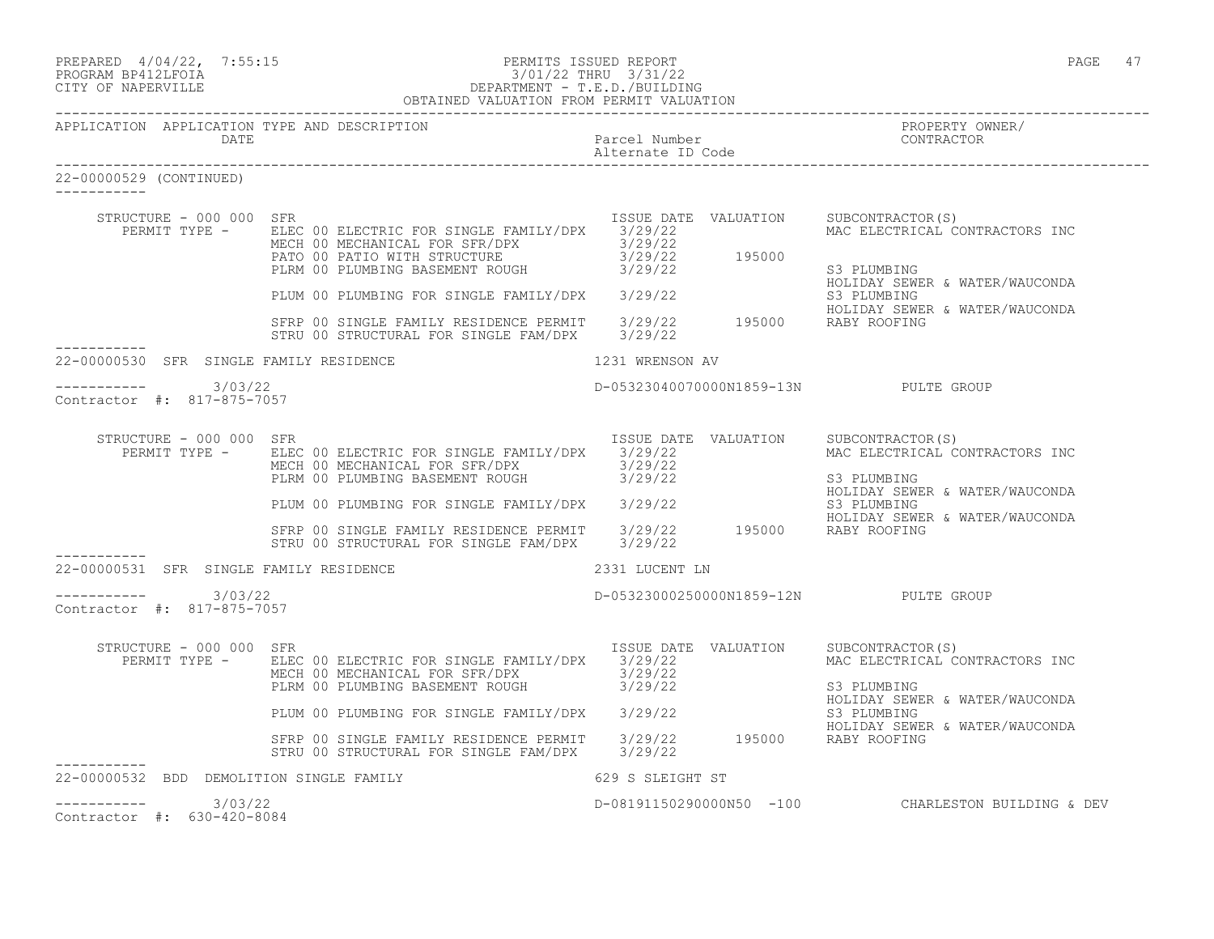| PREPARED 4/04/22, 7:55:15<br>PROGRAM BP412LFOIA<br>CITY OF NAPERVILLE | PERMITS ISSUED REPORT<br>3/01/22 THRU 3/31/22<br>DEPARTMENT - T.E.D./BUILDING<br>OBTAINED VALUATION FROM PERMIT VALUATION                                                                                                                                                                                                                          |                                       | PAGE 47                                                                         |
|-----------------------------------------------------------------------|----------------------------------------------------------------------------------------------------------------------------------------------------------------------------------------------------------------------------------------------------------------------------------------------------------------------------------------------------|---------------------------------------|---------------------------------------------------------------------------------|
| APPLICATION APPLICATION TYPE AND DESCRIPTION<br><b>DATE</b>           |                                                                                                                                                                                                                                                                                                                                                    | Parcel Number                         | PROPERTY OWNER/<br>FRUE ERII I UW<br>CONTRACTOR                                 |
| 22-00000529 (CONTINUED)                                               |                                                                                                                                                                                                                                                                                                                                                    |                                       |                                                                                 |
| STRUCTURE - 000 000 SFR                                               | ISSUE DATE VALUATION SUBCONTRACTOR(S)<br>PERMIT TYPE - ELEC 00 ELECTRIC FOR SINGLE FAMILY/DPX 3/29/22<br>MAC ELECTRICA<br>MECH 00 MECHANICAL FOR SFR/DPX<br>PATO 00 PATIO WITH STRUCTURE<br>PLRM 00 PLUMBING BASEMENT ROUGH<br>PLUM 00 PLUMBING FOR SINGLE FAMILY/DPX<br>STRP 00 SINGLE FAMILY RESIDENCE PERMIT<br>SFRP 00 SINGLE FAMILY RESIDENCE |                                       | MAC ELECTRICAL CONTRACTORS INC<br>HOLIDAY SEWER & WATER/WAUCONDA                |
|                                                                       |                                                                                                                                                                                                                                                                                                                                                    |                                       | HOLIDAY SEWER & WATER/WAUCONDA                                                  |
| 22-00000530 SFR SINGLE FAMILY RESIDENCE                               |                                                                                                                                                                                                                                                                                                                                                    | 1231 WRENSON AV                       |                                                                                 |
| $--------- 3/03/22$<br>Contractor #: 817-875-7057                     |                                                                                                                                                                                                                                                                                                                                                    |                                       | D-05323040070000N1859-13N PULTE GROUP                                           |
| STRUCTURE - 000 000 SFR                                               | PERMIT TYPE - ELEC 00 ELECTRIC FOR SINGLE FAMILY/DPX 3/29/22<br>MECH 00 MECHANICAL FOR SFR/DPX 3/29/22                                                                                                                                                                                                                                             | ISSUE DATE VALUATION SUBCONTRACTOR(S) | MAC ELECTRICAL CONTRACTORS INC                                                  |
|                                                                       | PLRM 00 PLUMBING BASEMENT ROUGH<br>PLRM 00 PLUMBING BASEMENT ROUGH<br>PLUM 00 PLUMBING FOR SINGLE FAMILY/DPX<br>S729/22<br>S3 PLUMBING<br>HOLIDAY SEWER & WATER/WAUCONDA<br>SFRP 00 SINGLE FAMILY RESIDENCE PERMIT<br>STRU 00 STRUCTURAL FOR                                                                                                       |                                       |                                                                                 |
| 22-00000531 SFR SINGLE FAMILY RESIDENCE                               | 2331 LUCENT LN                                                                                                                                                                                                                                                                                                                                     |                                       |                                                                                 |
| $--------$ 3/03/22<br>Contractor #: 817-875-7057                      |                                                                                                                                                                                                                                                                                                                                                    |                                       | D-05323000250000N1859-12N PULTE GROUP                                           |
| STRUCTURE - 000 000 SFR                                               | PERMIT TYPE - ELEC 00 ELECTRIC FOR SINGLE FAMILY/DPX 3/29/22<br>MECH 00 MECHANICAL FOR SFR/DPX 3/29/22<br>PLRM 00 PLUMBING BASEMENT ROUGH 3/29/22                                                                                                                                                                                                  | ISSUE DATE VALUATION SUBCONTRACTOR(S) | MAC ELECTRICAL CONTRACTORS INC<br>S3 PLUMBING<br>HOLIDAY SEWER & WATER/WAUCONDA |
|                                                                       | PLUM 00 PLUMBING FOR SINGLE FAMILY/DPX 3/29/22<br>STRP 00 SINGLE FAMILY RESIDENCE PERMIT 3/29/22<br>STRP 00 SINGLE FAMILY RESIDENCE PERMIT 3/29/22<br>2/20/22 195000 RABY ROOFING<br>STRU 00 STRUCTURAL FOR SINGLE FAM/DPX 3/29/22                                                                                                                 |                                       |                                                                                 |
| 22-00000532 BDD DEMOLITION SINGLE FAMILY                              |                                                                                                                                                                                                                                                                                                                                                    | 629 S SLEIGHT ST                      |                                                                                 |

Contractor #: 630-420-8084

D-08191150290000N50 -100 CHARLESTON BUILDING & DEV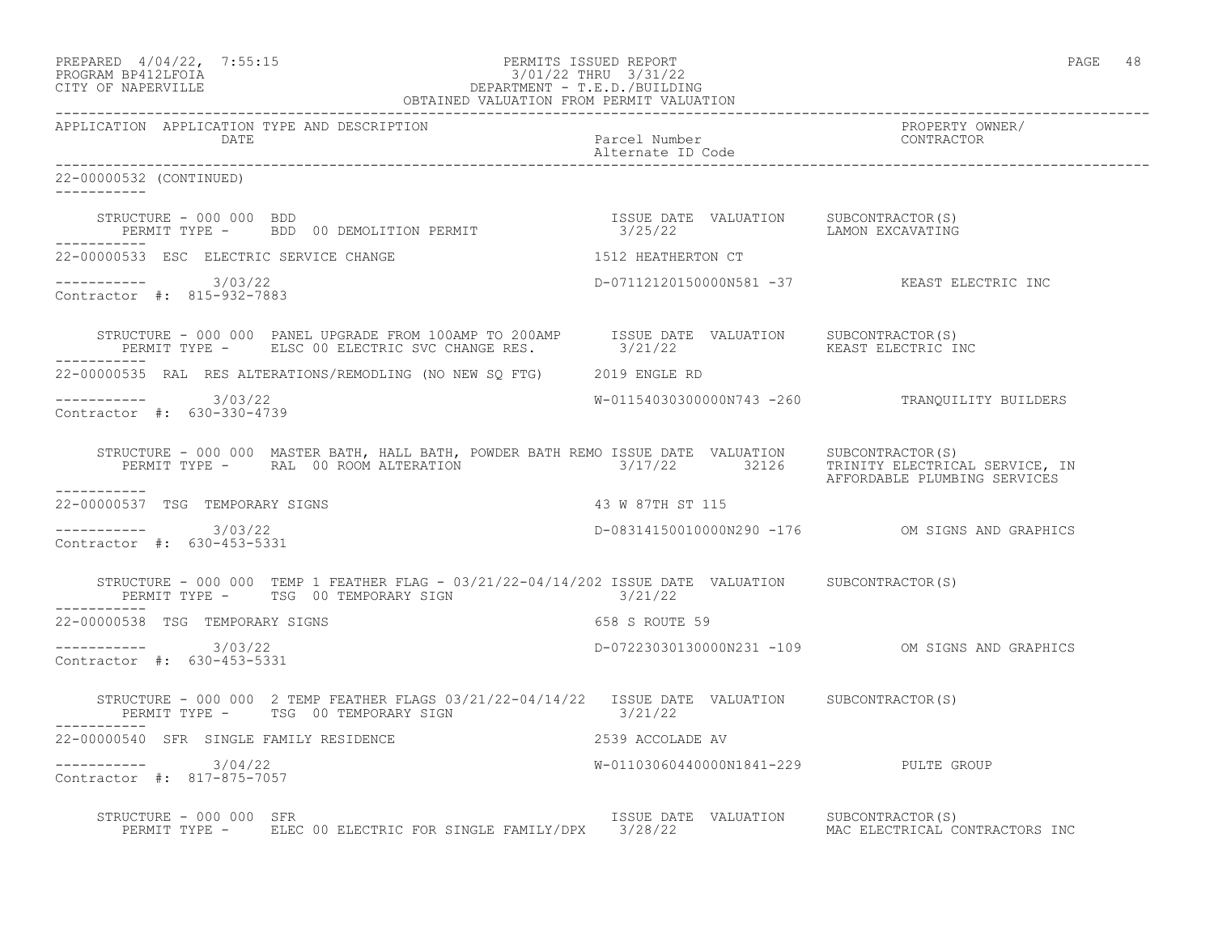| PREPARED | $4/04/22$ ,         | 7:55:1 |
|----------|---------------------|--------|
|          | DDOCDAM DD410T DOTA |        |

# PREPARED 4/04/22, 7:55:15 PERMITS ISSUED REPORT<br>PROGRAM BP412LFOIA PAGE 48 PROGRAM BP412LFOIA 3/01/22 THRU 3/31/22<br>CITY OF NAPERVILLE DEPARTMENT - T.E.D./BUILDIN CITY OF NAPERVILLE DEPARTMENT - T.E.D./BUILDING

| OBTAINED VALUATION FROM PERMIT VALUATION                                |                                                                                                                                                                                                                                                                                                                   |  |  |
|-------------------------------------------------------------------------|-------------------------------------------------------------------------------------------------------------------------------------------------------------------------------------------------------------------------------------------------------------------------------------------------------------------|--|--|
| APPLICATION APPLICATION TYPE AND DESCRIPTION<br>DATE                    | PROPERTY OWNER/<br>Parcel Number<br>Alternate ID Code<br>CONTRACTOR                                                                                                                                                                                                                                               |  |  |
| 22-00000532 (CONTINUED)                                                 |                                                                                                                                                                                                                                                                                                                   |  |  |
|                                                                         | STRUCTURE - 000 000 BDD<br>PERMIT TYPE -   BDD 00 DEMOLITION PERMIT                         3/25/22         LAMON EXCAVATING                                                                                                                                                                                      |  |  |
| 22-00000533 ESC ELECTRIC SERVICE CHANGE                                 | 1512 HEATHERTON CT                                                                                                                                                                                                                                                                                                |  |  |
| $--------$ 3/03/22<br>Contractor #: 815-932-7883                        | D-07112120150000N581 -37 KEAST ELECTRIC INC                                                                                                                                                                                                                                                                       |  |  |
| ___________                                                             | $\begin{tabular}{lclclclcl} \texttt{STRUCTURE} & - & 000 & 000 & \texttt{PANEL UPGRADE FROM 100AMP} & \texttt{TO 200AMP} & \texttt{ISSUE DATE} & \texttt{VALUATION} & \texttt{SUBCONTRACTOR(S)} \\ \texttt{PERMIT TYPE} & - & \texttt{ELSC 00 ELECTRIC SVC CHANGE RES.} & 3/21/22 & & & & & & & \\ \end{tabular}$ |  |  |
| 22-00000535 RAL RES ALTERATIONS/REMODLING (NO NEW SQ FTG) 2019 ENGLE RD |                                                                                                                                                                                                                                                                                                                   |  |  |
| $--------- 3/03/22$<br>Contractor #: 630-330-4739                       | W-01154030300000N743 -260 TRANQUILITY BUILDERS                                                                                                                                                                                                                                                                    |  |  |
|                                                                         | STRUCTURE - 000 000 MASTER BATH, HALL BATH, POWDER BATH REMO ISSUE DATE VALUATION SUBCONTRACTOR(S)<br>PERMIT TYPE - RAL 00 ROOM ALTERATION 3/17/22 32126 TRINITY_ELECTRICAL_SERVICE,_IN<br>AFFORDABLE PLUMBING SERVICES                                                                                           |  |  |
| ___________<br>22-00000537 TSG TEMPORARY SIGNS                          | 43 W 87TH ST 115                                                                                                                                                                                                                                                                                                  |  |  |
| $--------- 3/03/22$<br>Contractor #: 630-453-5331                       | D-08314150010000N290 -176 OM SIGNS AND GRAPHICS                                                                                                                                                                                                                                                                   |  |  |
| PERMIT TYPE - TSG 00 TEMPORARY SIGN 6721/22                             | STRUCTURE - 000 000 TEMP 1 FEATHER FLAG - 03/21/22-04/14/202 ISSUE DATE VALUATION SUBCONTRACTOR(S)                                                                                                                                                                                                                |  |  |
| 22-00000538 TSG TEMPORARY SIGNS                                         | 658 S ROUTE 59                                                                                                                                                                                                                                                                                                    |  |  |
| $--------- 3/03/22$<br>Contractor #: 630-453-5331                       | D-07223030130000N231 -109 OM SIGNS AND GRAPHICS                                                                                                                                                                                                                                                                   |  |  |
| PERMIT TYPE - TSG 00 TEMPORARY SIGN 3/21/22                             | STRUCTURE - 000 000 2 TEMP FEATHER FLAGS 03/21/22-04/14/22 ISSUE DATE VALUATION SUBCONTRACTOR(S)                                                                                                                                                                                                                  |  |  |
| 22-00000540 SFR SINGLE FAMILY RESIDENCE                                 | 2539 ACCOLADE AV                                                                                                                                                                                                                                                                                                  |  |  |
| $--------- 3/04/22$<br>Contractor #: 817-875-7057                       | W-01103060440000N1841-229 PULTE GROUP                                                                                                                                                                                                                                                                             |  |  |
| STRUCTURE - 000 000 SFR                                                 | ISSUE DATE VALUATION SUBCONTRACTOR(S)<br>PERMIT TYPE - ELEC 00 ELECTRIC FOR SINGLE FAMILY/DPX 3/28/22 MAC ELECTRICAL CONTRACTORS INC                                                                                                                                                                              |  |  |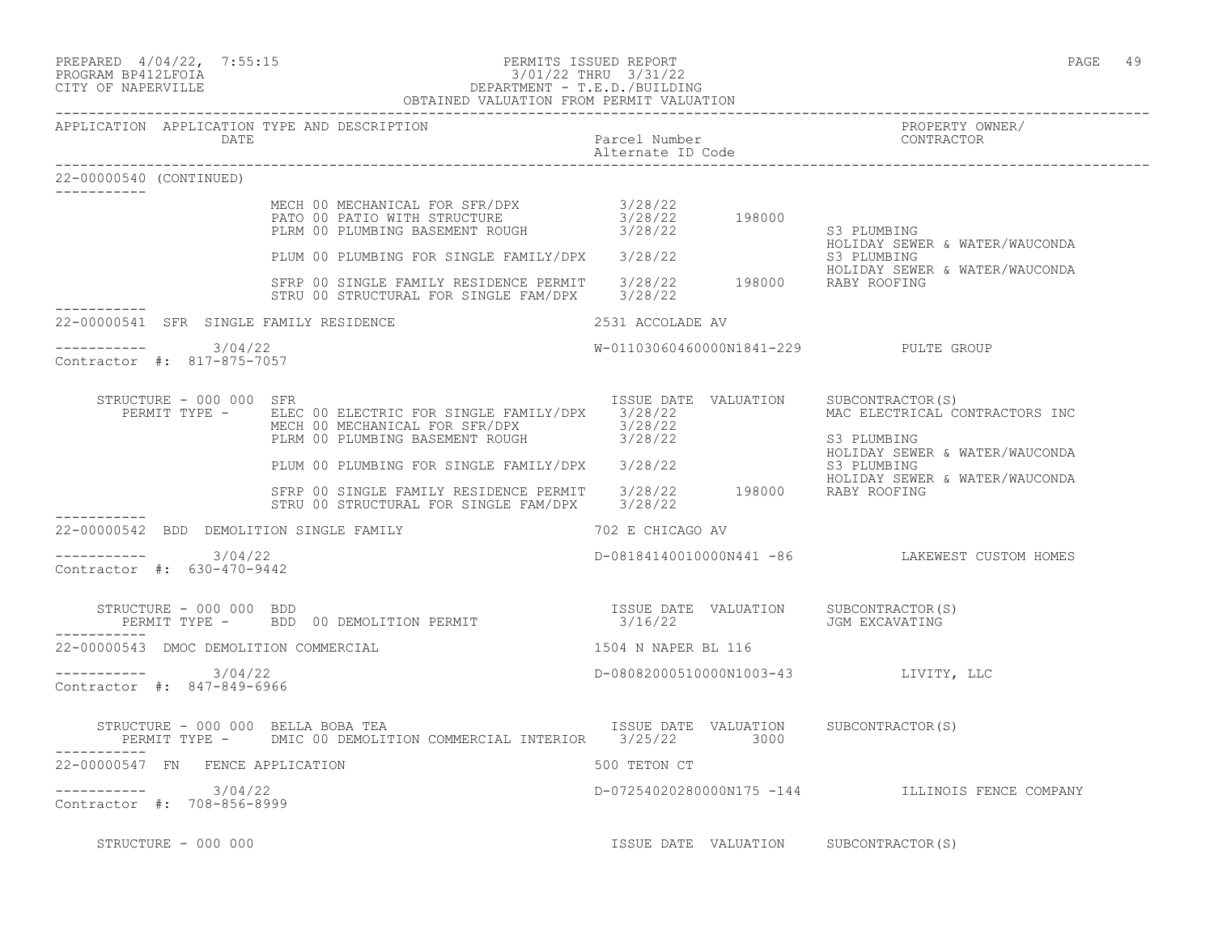| PREPARED | $4/04/22$ , | 7:55:15 |
|----------|-------------|---------|
|          |             |         |

Contractor #: 817-875-7057

-----------

-----------

\_\_\_\_\_\_\_\_\_\_\_

-----------

22-00000540 (CONTINUED)

## PREPARED 4/04/22, 7:55:15 PERMITS ISSUED REPORT<br>PROGRAM BP412LFOIA PAGE 49 PROGRAM BP412LFOIA 3/01/22 THRU 3/31/22 CITY OF NAPERVILLE DEPARTMENT - T.E.D./BUILDING

 OBTAINED VALUATION FROM PERMIT VALUATION ------------------------------------------------------------------------------------------------------------------------------------ APPLICATION APPLICATION TYPE AND DESCRIPTION<br>DATE bated parcel Number property contractor DATE Parcel Number Alternate ID Code ------------------------------------------------------------------------------------------------------------------------------------ MECH 00 MECHANICAL FOR SFR/DPX 3/28/22 PATO 00 PATIO WITH STRUCTURE  $3/28/22$  198000 PLRM 00 PLUMBING BASEMENT ROUGH  $3/28/22$  S3 PLUMBING HOLIDAY SEWER & WATER/WAUCONDA PLUM 00 PLUMBING FOR SINGLE FAMILY/DPX 3/28/22<br>
S3 PLUMBING SAMILY SEWER & WATER/WAUCONDA HOLIDAY SEWER & WATER/WAUCONDA SFRP 00 SINGLE FAMILY RESIDENCE PERMIT 3/28/22 198000 RABY ROOFING STRU 00 STRUCTURAL FOR SINGLE FAM/DPX 3/28/22 22-00000541 SFR SINGLE FAMILY RESIDENCE 2531 ACCOLADE AV ----------- 3/04/22 W-01103060460000N1841-229 PULTE GROUP STRUCTURE - 000 000 SFR ISSUE DATE VALUATION SUBCONTRACTOR(S) PERMIT TYPE - BLEC 00 ELECTRIC FOR SINGLE FAMILY/DPX 3/28/22 MAC ELECTRICAL CONTRACTORS INC MECH 00 MECHANICAL FOR SFR/DPX 3/28/22 PLRM 00 PLUMBING BASEMENT ROUGH  $3/28/22$  S3 PLUMBING<br>HOLIDAY SEWER & WATER/WAUCONDA HOLIDAY SEWER & WATER/WAUCONDA PLUM 00 PLUMBING FOR SINGLE FAMILY/DPX 3/28/22 S3 PLUMBING HOLIDAY SEWER & WATER/WAUCONDA SFRP 00 SINGLE FAMILY RESIDENCE PERMIT 3/28/22 198000 RABY ROOFING STRU 00 STRUCTURAL FOR SINGLE FAM/DPX 3/28/22 22-00000542 BDD DEMOLITION SINGLE FAMILY 702 E CHICAGO AV ----------- 3/04/22 D-08184140010000N441 -86 LAKEWEST CUSTOM HOMES

 STRUCTURE - 000 000 BDD ISSUE DATE VALUATION SUBCONTRACTOR(S) PERMIT TYPE - BDD 00 DEMOLITION PERMIT 3/16/22 JGM EXCAVATING ----------- 22-00000543 DMOC DEMOLITION COMMERCIAL 1504 N NAPER BL 116 ----------- 3/04/22 D-08082000510000N1003-43 LIVITY, LLC

Contractor #: 847-849-6966

 $--------- 3/04/22$ 

Contractor #: 630-470-9442

STRUCTURE - 000 000 BELLA BOBA TEA **ISSUE DATE VALUATION** SUBCONTRACTOR(S) PERMIT TYPE - DMIC 00 DEMOLITION COMMERCIAL INTERIOR 3/25/22 3000 ----------- 22-00000547 FN FENCE APPLICATION 500 TETON CT ----------- 3/04/22 D-07254020280000N175 -144 ILLINOIS FENCE COMPANY Contractor #: 708-856-8999

STRUCTURE - 000 000 **ISSUE DATE VALUATION** SUBCONTRACTOR(S)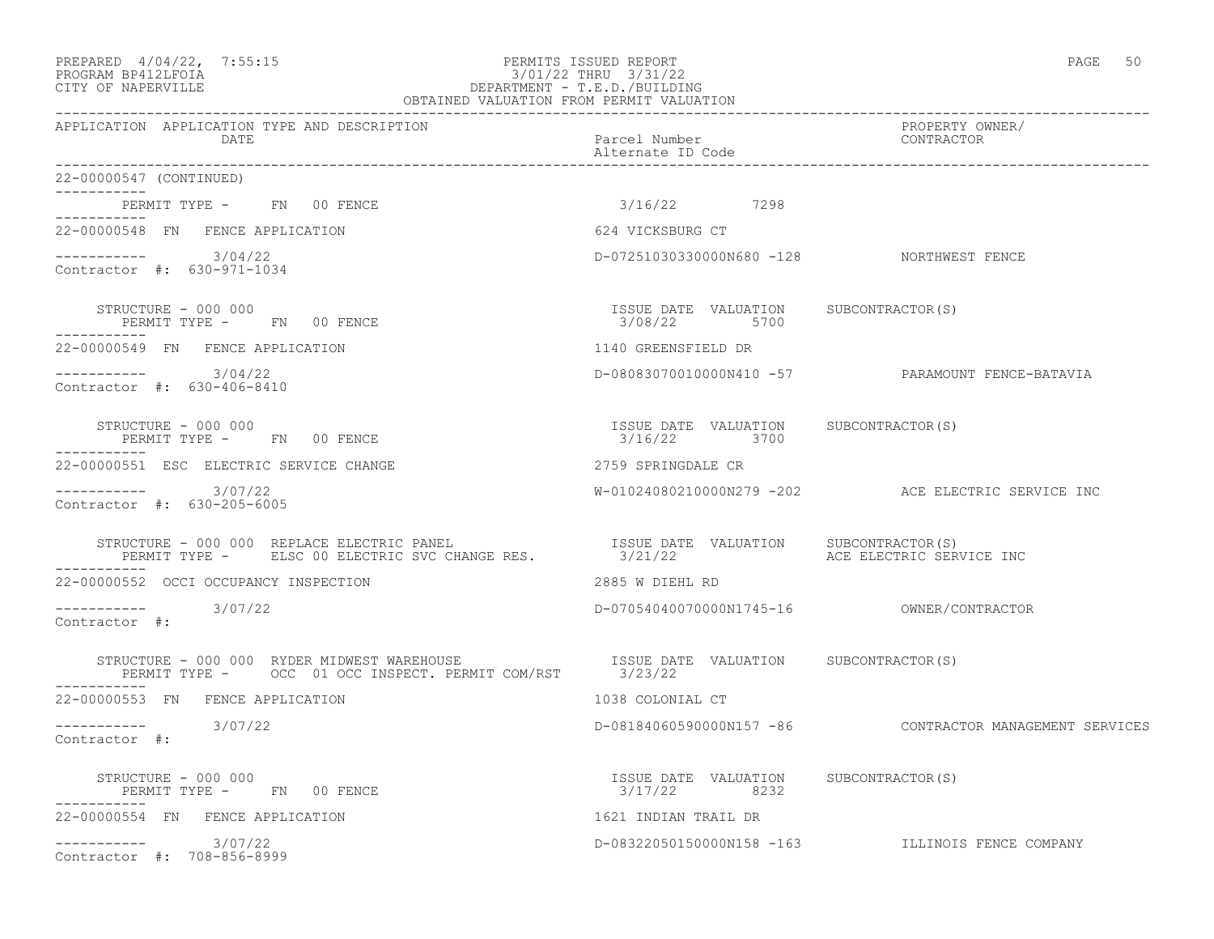## PREPARED  $4/04/22$ ,  $7:55:15$  PERMITS ISSUED REPORT PAGE 50 PROGRAM BP412LFOIA 3/01/22 THRU 3/31/22 CITY OF NAPERVILLE DEPARTMENT - T.E.D./BUILDING

| OBTAINED VALUATION FROM PERMIT VALUATION                                                                                                                                   |                                                       |                                                         |  |
|----------------------------------------------------------------------------------------------------------------------------------------------------------------------------|-------------------------------------------------------|---------------------------------------------------------|--|
| APPLICATION APPLICATION TYPE AND DESCRIPTION<br>DATE                                                                                                                       | Parcel Number<br>Alternate ID Code                    | PROPERTY OWNER/<br>CONTRACTOR                           |  |
| 22-00000547 (CONTINUED)                                                                                                                                                    |                                                       |                                                         |  |
| PERMIT TYPE - FN 00 FENCE                                                                                                                                                  | 3/16/22 7298                                          |                                                         |  |
| 22-00000548 FN FENCE APPLICATION                                                                                                                                           | 624 VICKSBURG CT                                      |                                                         |  |
| $--------- 3/04/22$<br>Contractor #: 630-971-1034                                                                                                                          | D-07251030330000N680 -128 NORTHWEST FENCE             |                                                         |  |
| STRUCTURE - 000 000<br>PERMIT TYPE - FN 00 FENCE                                                                                                                           | ISSUE DATE VALUATION SUBCONTRACTOR(S)<br>3/08/22 5700 |                                                         |  |
| 22-00000549 FN FENCE APPLICATION                                                                                                                                           | 1140 GREENSFIELD DR                                   |                                                         |  |
| $--------- 3/04/22$<br>Contractor #: 630-406-8410                                                                                                                          |                                                       | D-08083070010000N410 -57 PARAMOUNT FENCE-BATAVIA        |  |
| STRUCTURE - 000 000<br>PERMIT TYPE - FN 00 FENCE                                                                                                                           | ISSUE DATE VALUATION SUBCONTRACTOR(S)<br>3/16/22 3700 |                                                         |  |
| 22-00000551 ESC ELECTRIC SERVICE CHANGE                                                                                                                                    | 2759 SPRINGDALE CR                                    |                                                         |  |
| $--------- 3/07/22$<br>Contractor #: 630-205-6005                                                                                                                          |                                                       | W-01024080210000N279 -202 ACE ELECTRIC SERVICE INC      |  |
| STRUCTURE - 000 000 REPLACE ELECTRIC PANEL                             ISSUE DATE VALUATION<br>PERMIT TYPE -       ELSC 00 ELECTRIC SVC CHANGE RES.                3/21/22 | ISSUE DATE VALUATION SUBCONTRACTOR(S)                 | ACE ELECTRIC SERVICE INC                                |  |
| 22-00000552 OCCI OCCUPANCY INSPECTION                                                                                                                                      | 2885 W DIEHL RD                                       |                                                         |  |
| ----------- 3/07/22<br>Contractor $\#$ :                                                                                                                                   |                                                       |                                                         |  |
| STRUCTURE - 000 000 RYDER MIDWEST WAREHOUSE [ISSUE DAT PERMIT TYPE - 0CC 01 OCC INSPECT. PERMIT COM/RST 3/23/22<br>STRUCTURE - 000 000 RYDER MIDWEST WAREHOUSE             | ISSUE DATE VALUATION SUBCONTRACTOR(S)                 |                                                         |  |
| 22-00000553 FN FENCE APPLICATION                                                                                                                                           | 1038 COLONIAL CT                                      |                                                         |  |
| $--------- 3/07/22$<br>Contractor #:                                                                                                                                       |                                                       | D-08184060590000N157 -86 CONTRACTOR MANAGEMENT SERVICES |  |
| STRUCTURE $-000000$<br>PERMIT TYPE - FN 00 FENCE                                                                                                                           | ISSUE DATE VALUATION SUBCONTRACTOR(S)<br>3/17/22 8232 |                                                         |  |
| 22-00000554 FN FENCE APPLICATION                                                                                                                                           | 1621 INDIAN TRAIL DR                                  |                                                         |  |
| $--------- 3/07/22$<br>Contractor #: 708-856-8999                                                                                                                          |                                                       | D-08322050150000N158 -163 ILLINOIS FENCE COMPANY        |  |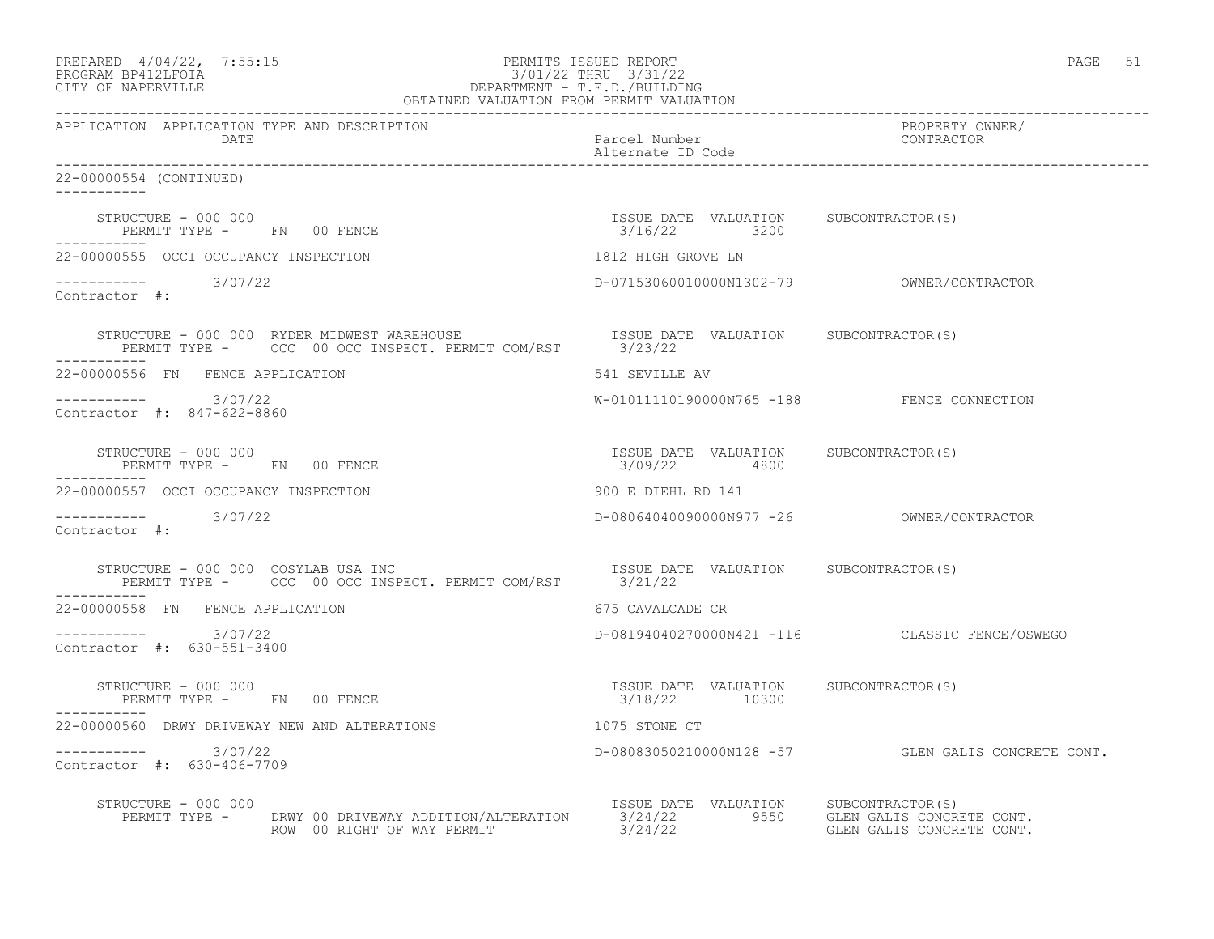| PREPARED $4/04/22$ , 7:55:15<br>PROGRAM BP412LFOIA<br>CITY OF NAPERVILLE<br>CITY OF NAPERVILLE<br>PEREPARTMENT - T.E.D./BUILDING<br>OBTAINED VALUATION FROM PERMIT VALUATION                                                                                                                                               |                                                        | PAGE 51                                            |
|----------------------------------------------------------------------------------------------------------------------------------------------------------------------------------------------------------------------------------------------------------------------------------------------------------------------------|--------------------------------------------------------|----------------------------------------------------|
| APPLICATION APPLICATION TYPE AND DESCRIPTION<br>DATE                                                                                                                                                                                                                                                                       | Parcel Number<br>Alternate ID Code                     | PROPERTY OWNER/<br>CONTRACTOR                      |
| 22-00000554 (CONTINUED)                                                                                                                                                                                                                                                                                                    |                                                        |                                                    |
| STRUCTURE – 000 000<br>PERMIT TYPE - FN 00 FENCE                                                                                                                                                                                                                                                                           | ISSUE DATE VALUATION SUBCONTRACTOR(S)<br>3/16/22 3200  |                                                    |
| 22-00000555 OCCI OCCUPANCY INSPECTION                                                                                                                                                                                                                                                                                      | 1812 HIGH GROVE LN                                     |                                                    |
| $--------$ 3/07/22<br>Contractor #:                                                                                                                                                                                                                                                                                        |                                                        |                                                    |
| STRUCTURE - 000 000 RYDER MIDWEST WAREHOUSE                           ISSUE DATE VALUATION     SUBCONTRACTOR(S)<br>PERMIT TYPE -      OCC 00 OCC INSPECT. PERMIT COM/RST        3/23/22                                                                                                                                    |                                                        |                                                    |
| 22-00000556 FN FENCE APPLICATION                                                                                                                                                                                                                                                                                           | 541 SEVILLE AV                                         |                                                    |
| ----------- 3/07/22<br>Contractor #: 847-622-8860                                                                                                                                                                                                                                                                          | W-01011110190000N765 -188 FENCE CONNECTION             |                                                    |
| STRUCTURE - 000 000<br>PERMIT TYPE - FN 00 FENCE<br>------------                                                                                                                                                                                                                                                           | ISSUE DATE VALUATION SUBCONTRACTOR(S)<br>3/09/22 4800  |                                                    |
| 22-00000557 OCCI OCCUPANCY INSPECTION                                                                                                                                                                                                                                                                                      | 900 E DIEHL RD 141                                     |                                                    |
| $\frac{1}{2}$ = $\frac{1}{2}$ = $\frac{1}{2}$ = $\frac{1}{2}$ = $\frac{1}{2}$ = $\frac{1}{2}$ = $\frac{1}{2}$ = $\frac{1}{2}$ = $\frac{1}{2}$ = $\frac{1}{2}$ = $\frac{1}{2}$ = $\frac{1}{2}$ = $\frac{1}{2}$ = $\frac{1}{2}$ = $\frac{1}{2}$ = $\frac{1}{2}$ = $\frac{1}{2}$ = $\frac{1}{2}$ = $\frac{1$<br>Contractor #: |                                                        |                                                    |
| STRUCTURE - 000 000 COSYLAB USA INC<br>PERMIT TYPE - OCC 00 OCC INSPECT. PERMIT COM/RST 3/21/22                                                                                                                                                                                                                            |                                                        |                                                    |
| 22-00000558 FN FENCE APPLICATION                                                                                                                                                                                                                                                                                           | 675 CAVALCADE CR                                       |                                                    |
| $--------- 3/07/22$<br>Contractor #: 630-551-3400                                                                                                                                                                                                                                                                          |                                                        | D-08194040270000N421 -116 CLASSIC FENCE/OSWEGO     |
| STRUCTURE - 000 000<br>PERMIT TYPE -     FN   00 FENCE<br>-----------                                                                                                                                                                                                                                                      | ISSUE DATE VALUATION SUBCONTRACTOR(S)<br>3/18/22 10300 |                                                    |
| 22-00000560 DRWY DRIVEWAY NEW AND ALTERATIONS                                                                                                                                                                                                                                                                              | 1075 STONE CT                                          |                                                    |
| $--------- 3/07/22$<br>Contractor #: 630-406-7709                                                                                                                                                                                                                                                                          |                                                        | D-08083050210000N128 -57 GLEN GALIS CONCRETE CONT. |
| STRUCTURE - 000 000<br>PERMIT TYPE - DRWY 00 DRIVEWAY ADDITION/ALTERATION 3/24/22 9550 GLEN GALIS CONCRETE CONT.<br>ROW 00 RIGHT OF WAY PERMIT 3/24/22 3.00 GLEN GALIS CONCRETE CONT.                                                                                                                                      | ISSUE DATE VALUATION SUBCONTRACTOR(S)                  |                                                    |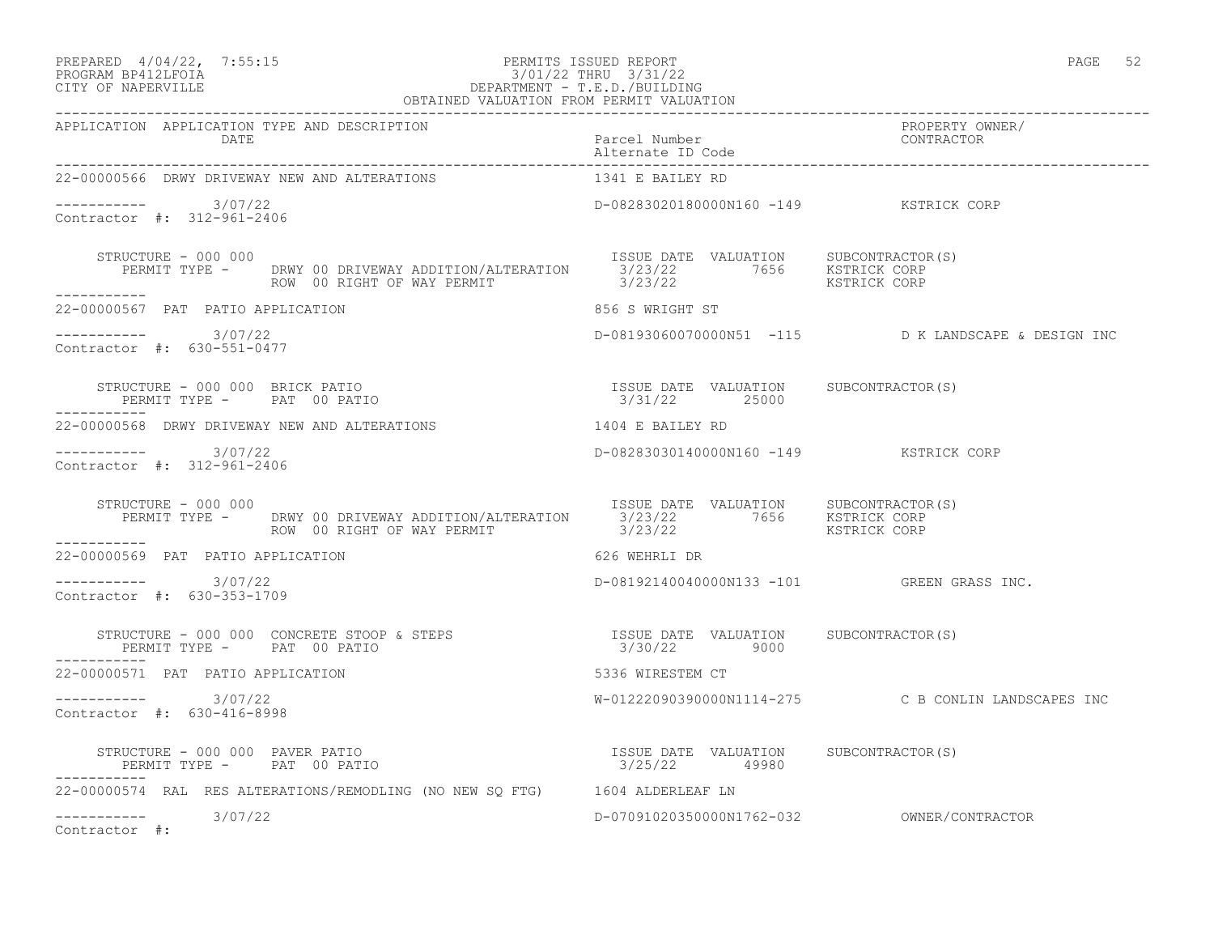#### PREPARED  $4/04/22$ ,  $7:55:15$  PERMITS ISSUED REPORT PAGE 52 PROGRAM BP412LFOIA 3/01/22 THRU 3/31/22 CITY OF NAPERVILLE DEPARTMENT - T.E.D./BUILDING OBTAINED VALUATION FROM PERMIT VALUATION

Alternate ID Code

------------------------------------------------------------------------------------------------------------------------------------ APPLICATION APPLICATION TYPE AND DESCRIPTION PROPERTY OWNER/ DATE Parcel Number CONTRACTOR

------------------------------------------------------------------------------------------------------------------------------------ 22-00000566 DRWY DRIVEWAY NEW AND ALTERATIONS  $--------- 3/07/22$ D-08283020180000N160 -149 KSTRICK CORP Contractor #: 312-961-2406 STRUCTURE - 000 000 ISSUE DATE VALUATION SUBCONTRACTOR(S) PERMIT TYPE - DRWY 00 DRIVEWAY ADDITION/ALTERATION 3/23/22 7656 KSTRICK CORP ROW 00 RIGHT OF WAY PERMIT  $3/23/22$  KSTRICK CORP ----------- 22-00000567 PAT PATIO APPLICATION 856 S WRIGHT ST  $--------- 3/07/22$ D-08193060070000N51 -115 D K LANDSCAPE & DESIGN INC Contractor #: 630-551-0477 STRUCTURE - 000 000 BRICK PATIO ISSUE DATE VALUATION SUBCONTRACTOR(S) PERMIT TYPE - PAT 00 PATIO 3/31/22 25000 ----------- 22-00000568 DRWY DRIVEWAY NEW AND ALTERATIONS 1404 E BAILEY RD ----------- 3/07/22 D-08283030140000N160 -149 KSTRICK CORP Contractor #: 312-961-2406 STRUCTURE - 000 000 ISSUE DATE VALUATION SUBCONTRACTOR(S) PERMIT TYPE - DRWY 00 DRIVEWAY ADDITION/ALTERATION 3/23/22 7656 KSTRICK CORP ROW 00 RIGHT OF WAY PERMIT  $3/23/22$  KSTRICK CORP ----------- 22-00000569 PAT PATIO APPLICATION 626 WEHRLI DR  $--------- 3/07/22$ D-08192140040000N133 -101 GREEN GRASS INC. Contractor #: 630-353-1709 STRUCTURE - 000 000 CONCRETE STOOP & STEPS ISSUE DATE VALUATION SUBCONTRACTOR(S) PERMIT TYPE - PAT 00 PATIO ----------- 22-00000571 PAT PATIO APPLICATION 5336 WIRESTEM CT ----------- 3/07/22 W-01222090390000N1114-275 C B CONLIN LANDSCAPES INC Contractor #: 630-416-8998 STRUCTURE - 000 000 PAVER PATIO ISSUE DATE VALUATION SUBCONTRACTOR(S) PERMIT TYPE - PAT 00 PATIO 3/25/22 49980 ----------- 22-00000574 RAL RES ALTERATIONS/REMODLING (NO NEW SQ FTG) 1604 ALDERLEAF LN ----------- 3/07/22 D-07091020350000N1762-032 OWNER/CONTRACTOR Contractor #: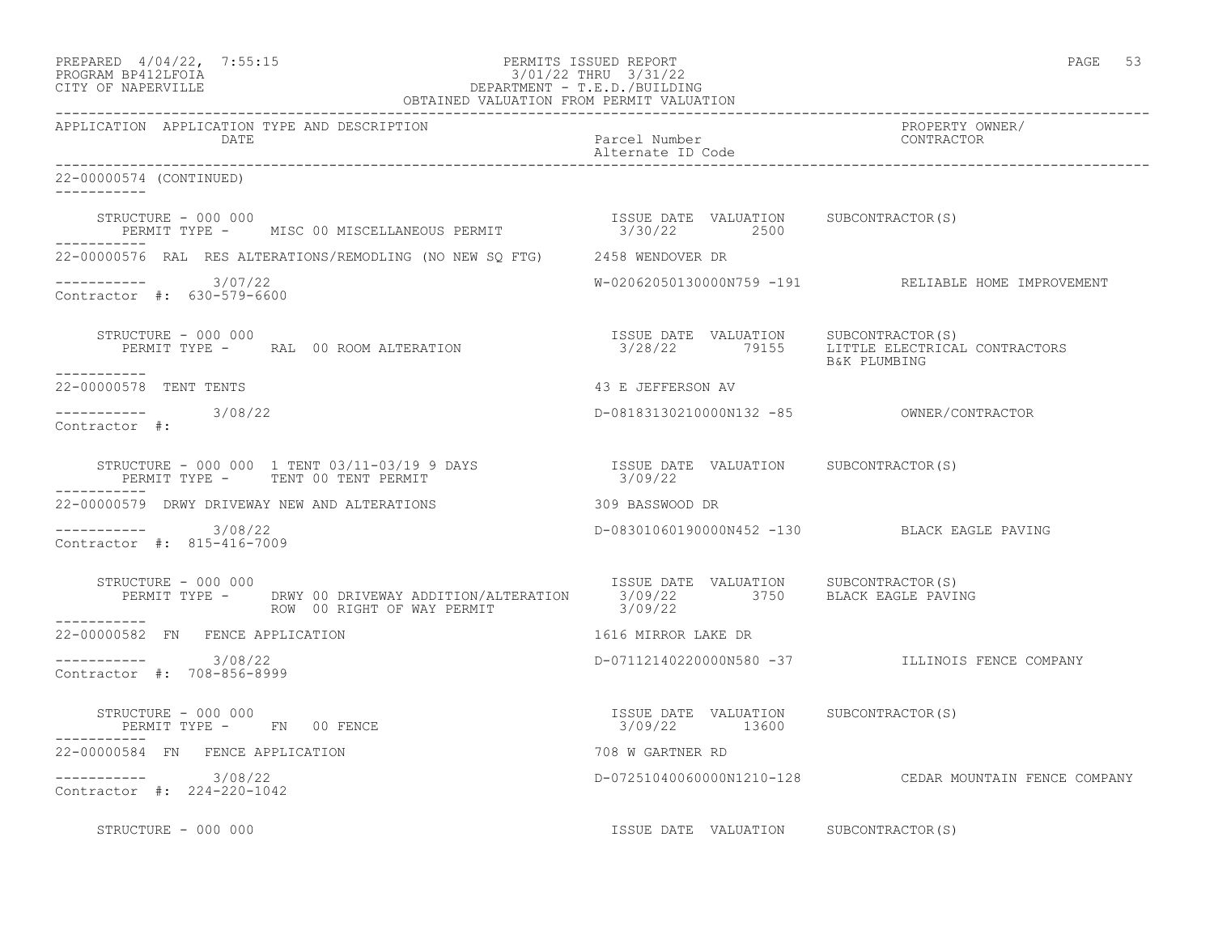|                     | PREPARED 4/04/22, 7:55:15 | PERMITS ISSUED REPORT  | PAGE |  |
|---------------------|---------------------------|------------------------|------|--|
| ------------------- |                           | $0.101100$ $-1.001100$ |      |  |

# PROGRAM BP412LFOIA 3/01/22 THRU 3/31/22 CITY OF NAPERVILLE DEPARTMENT - T.E.D./BUILDING

| OBTAINED VALUATION FROM PERMIT VALUATION                                                                                                                                                      |                                                        |                                                        |
|-----------------------------------------------------------------------------------------------------------------------------------------------------------------------------------------------|--------------------------------------------------------|--------------------------------------------------------|
| APPLICATION APPLICATION TYPE AND DESCRIPTION<br>DATE                                                                                                                                          | Parcel Number<br>Alternate ID Code                     | PROPERTY OWNER/<br>CONTRACTOR                          |
| 22-00000574 (CONTINUED)                                                                                                                                                                       |                                                        |                                                        |
| STRUCTURE - 000 000<br>PERMIT TYPE - MISC 00 MISCELLANEOUS PERMIT - 1990 1SSUE DATE VALUATION SUBCONTRACTOR(S)<br>STRUCTURE - 000 000                                                         |                                                        |                                                        |
| 22-00000576 RAL RES ALTERATIONS/REMODLING (NO NEW SO FTG) 2458 WENDOVER DR                                                                                                                    |                                                        |                                                        |
| $--------- 3/07/22$<br>Contractor #: 630-579-6600                                                                                                                                             |                                                        | W-02062050130000N759 -191 RELIABLE HOME IMPROVEMENT    |
| STRUCTURE - 000 000<br>STRUCTURE - 000 000<br>PERMIT TYPE -      RAL 00 ROOM ALTERATION                                   3/28/22      79155     LITTLE ELECTRICAL CONTRACTORS<br>----------- |                                                        | B&K PLUMBING                                           |
| 22-00000578 TENT TENTS                                                                                                                                                                        | 43 E JEFFERSON AV                                      |                                                        |
| $--------- 3/08/22$<br>Contractor #:                                                                                                                                                          |                                                        |                                                        |
|                                                                                                                                                                                               |                                                        |                                                        |
| 22-00000579 DRWY DRIVEWAY NEW AND ALTERATIONS THE RESOLUTION CONSISTING DR                                                                                                                    |                                                        |                                                        |
| -----------    3/08/22<br>Contractor #: 815-416-7009                                                                                                                                          |                                                        | D-08301060190000N452 -130 BLACK EAGLE PAVING           |
| FISSUE DATE VALUATION SUBCONTRACTOR(S)<br>PERMIT TYPE - DRWY 00 DRIVEWAY ADDITION/ALTERATION 3/09/22 3750 BLACK EAGLE PAVING<br>------<br>STRUCTURE - 000 000                                 |                                                        |                                                        |
| ____________<br>22-00000582 FN FENCE APPLICATION                                                                                                                                              | 1616 MIRROR LAKE DR                                    |                                                        |
| $--------- 3/08/22$<br>Contractor #: 708-856-8999                                                                                                                                             |                                                        | D-07112140220000N580 -37 ILLINOIS FENCE COMPANY        |
| STRUCTURE - 000 000<br>PERMIT TYPE -       FN    00 FENCE                                                                                                                                     | ISSUE DATE VALUATION SUBCONTRACTOR(S)<br>3/09/22 13600 |                                                        |
| 22-00000584 FN FENCE APPLICATION                                                                                                                                                              | 708 W GARTNER RD                                       |                                                        |
| $--------- 3/08/22$<br>Contractor #: 224-220-1042                                                                                                                                             |                                                        | D-07251040060000N1210-128 CEDAR MOUNTAIN FENCE COMPANY |
| STRUCTURE - 000 000                                                                                                                                                                           | ISSUE DATE VALUATION SUBCONTRACTOR(S)                  |                                                        |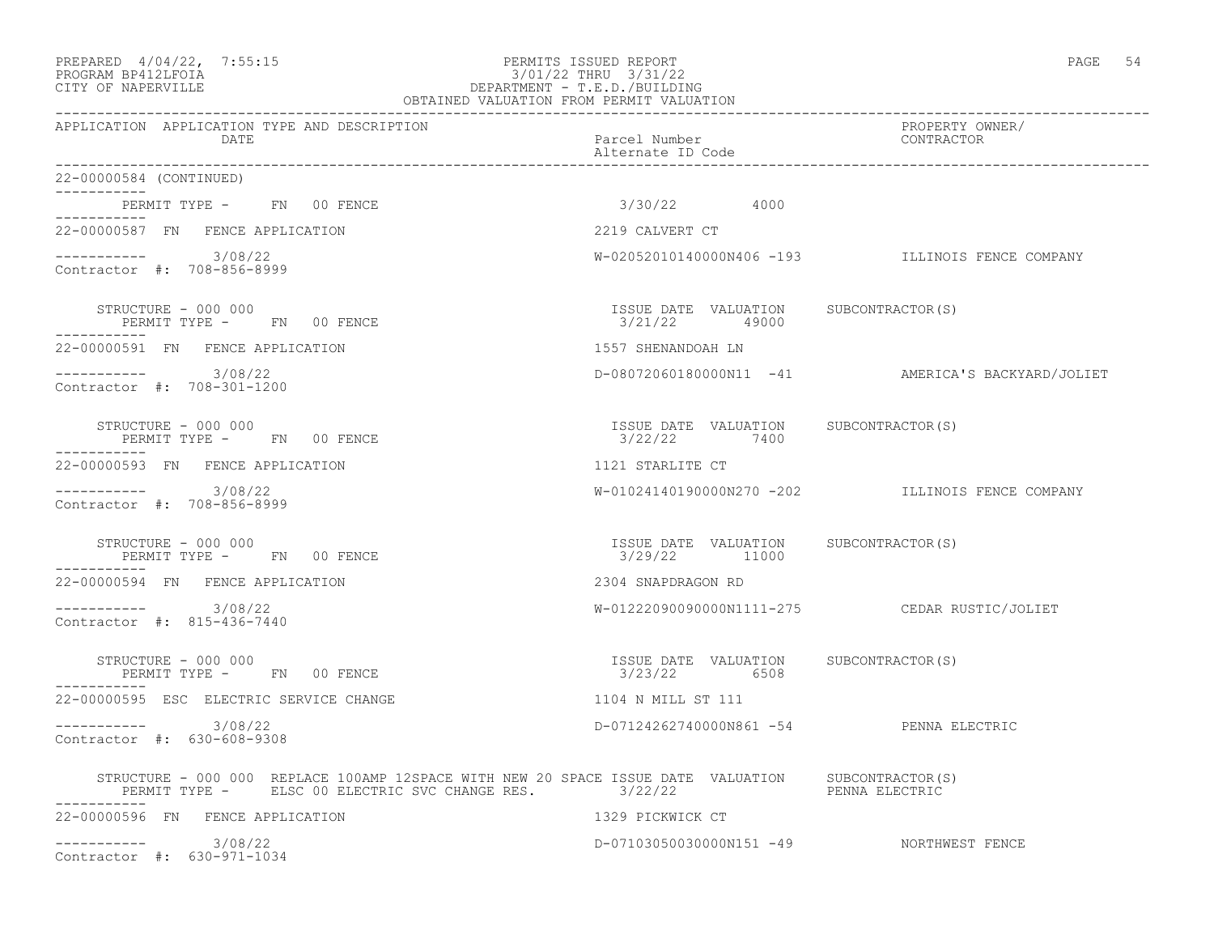| PREPARED 4/04/22, 7:55:15 | PERMITS ISSUED REPORT | PAGE |  |
|---------------------------|-----------------------|------|--|
|                           |                       |      |  |

### PROGRAM BP412LFOIA 3/01/22 THRU 3/31/22 CITY OF NAPERVILLE DEPARTMENT - T.E.D./BUILDING OBTAINED VALUATION FROM PERMIT VALUATION

------------------------------------------------------------------------------------------------------------------------------------

APPLICATION APPLICATION TYPE AND DESCRIPTION PROPERTY OWNER/ DATE **Parcel Number** Parcel Number Alternate ID Code ------------------------------------------------------------------------------------------------------------------------------------ 22-00000584 (CONTINUED) ----------- PERMIT TYPE - FN 00 FENCE 3/30/22 4000 ----------- 22-00000587 FN FENCE APPLICATION 2219 CALVERT CT  $--------- 3/08/22$ W-02052010140000N406 -193 ILLINOIS FENCE COMPANY Contractor #: 708-856-8999 STRUCTURE - 000 000 ISSUE DATE VALUATION SUBCONTRACTOR(S) PERMIT TYPE - FN 00 FENCE ----------- 22-00000591 FN FENCE APPLICATION 1557 SHENANDOAH LN ----------- 3/08/22 D-08072060180000N11 -41 AMERICA'S BACKYARD/JOLIET Contractor #: 708-301-1200 STRUCTURE - 000 000 ISSUE DATE VALUATION SUBCONTRACTOR(S) PERMIT TYPE - FN 00 FENCE ----------- 22-00000593 FN FENCE APPLICATION 1121 STARLITE CT ----------- 3/08/22 W-01024140190000N270 -202 ILLINOIS FENCE COMPANY Contractor #: 708-856-8999 STRUCTURE - 000 000 ISSUE DATE VALUATION SUBCONTRACTOR(S) PERMIT TYPE - FN 00 FENCE ----------- 22-00000594 FN FENCE APPLICATION 2304 SNAPDRAGON RD ----------- 3/08/22 W-01222090090000N1111-275 CEDAR RUSTIC/JOLIET Contractor #: 815-436-7440 STRUCTURE - 000 000 ISSUE DATE VALUATION SUBCONTRACTOR(S) PERMIT TYPE - FN 00 FENCE ----------- 22-00000595 ESC ELECTRIC SERVICE CHANGE 1104 N MILL ST 111 ----------- 3/08/22 D-07124262740000N861 -54 PENNA ELECTRIC Contractor #: 630-608-9308 STRUCTURE - 000 000 REPLACE 100AMP 12SPACE WITH NEW 20 SPACE ISSUE DATE VALUATION SUBCONTRACTOR(S)<br>PERMIT TYPE - ELSC 00 ELECTRIC SVC CHANGE RES. 3/22/22 PERMIT TYPE - ELSC 00 ELECTRIC SVC CHANGE RES. 3/22/22 ----------- 22-00000596 FN FENCE APPLICATION 1329 PICKWICK CT ----------- 3/08/22 D-07103050030000N151 -49 NORTHWEST FENCE Contractor #: 630-971-1034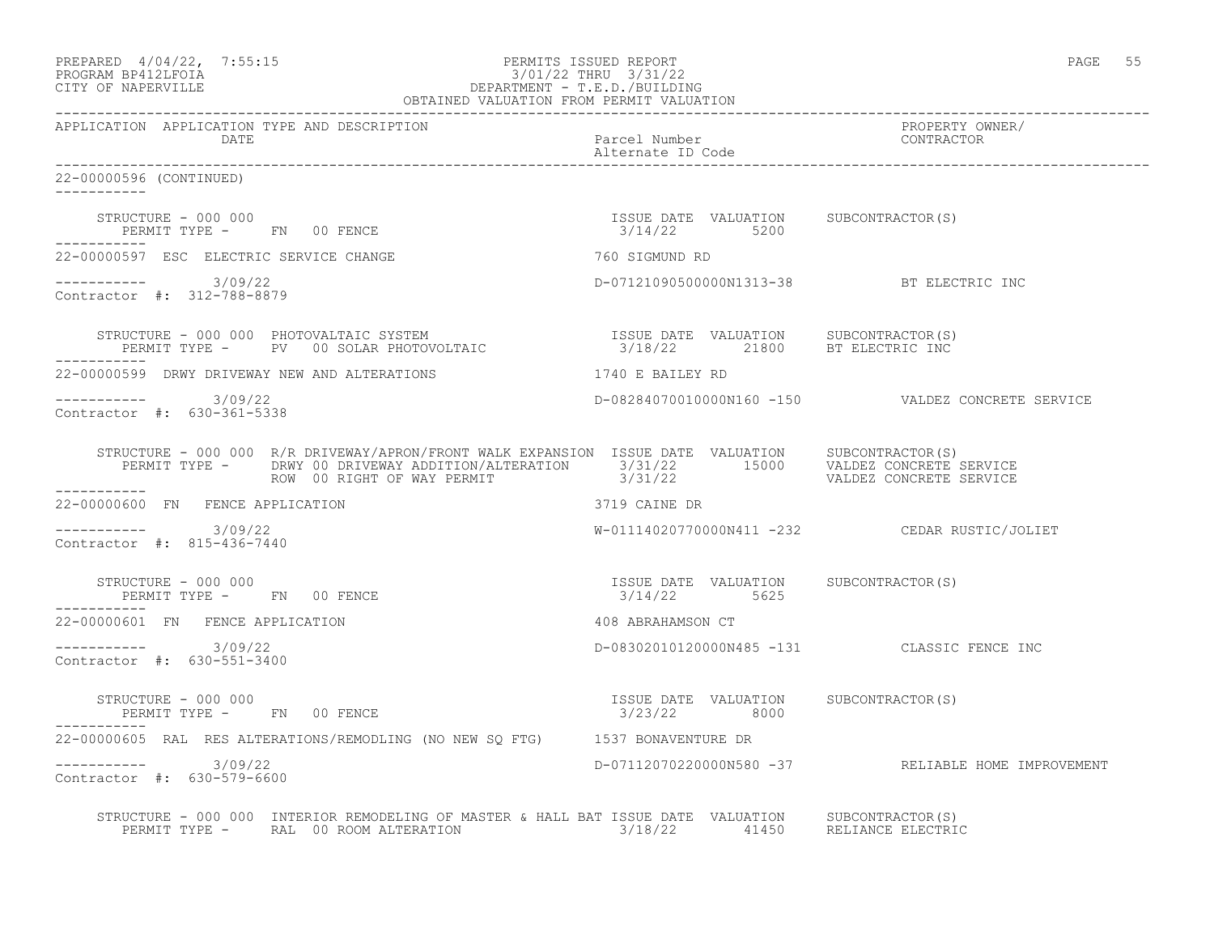| PREPARED 4/04/22, 7:55:15<br>PROGRAM BP412LFOIA<br>CITY OF NAPERVILLE<br>CITY OF NAPERVILLE<br>PEPARTMENT - T.E.D./BUILDING<br>OBTAINED VALUATION FROM PERMIT VALUATION<br>OBTAINED VALUATION FROM PERMIT VALUATION                                                                                                                                                                 |                                                         | PAGE 55                                            |
|-------------------------------------------------------------------------------------------------------------------------------------------------------------------------------------------------------------------------------------------------------------------------------------------------------------------------------------------------------------------------------------|---------------------------------------------------------|----------------------------------------------------|
| APPLICATION APPLICATION TYPE AND DESCRIPTION<br>DATE                                                                                                                                                                                                                                                                                                                                | Parcel Number<br>Alternate ID Code                      | PROPERTY OWNER/<br>CONTRACTOR                      |
| 22-00000596 (CONTINUED)<br>$- - - - - - - - - - -$                                                                                                                                                                                                                                                                                                                                  | ______________________________                          |                                                    |
| STRUCTURE - 000 000<br>STRUCTURE - 000 000<br>PERMIT TYPE -       FN      00 FENCE                                                                                                                                                                                                                                                                                                  | ISSUE DATE VALUATION SUBCONTRACTOR(S)<br>$3/14/22$ 5200 |                                                    |
| 22-00000597 ESC ELECTRIC SERVICE CHANGE                                                                                                                                                                                                                                                                                                                                             | 760 SIGMUND RD                                          |                                                    |
| $--------- 3/09/22$<br>Contractor #: 312-788-8879                                                                                                                                                                                                                                                                                                                                   | D-07121090500000N1313-38 BT ELECTRIC INC                |                                                    |
| $\begin{array}{cccc} \texttt{STRUCTURE} & - & 000 & 000 & \texttt{PhOTOVALTAIC} & \texttt{SYSTEM} & & & \\ \texttt{PERMIT TYPE} & - & \texttt{PV} & 00 \texttt{ SOLAR PHOTOVOLTAIC} & & & \\ \end{array} \qquad \begin{array}{cccc} \texttt{ISSUE} & \texttt{DATE} & \texttt{VALUATION} & \texttt{SUBCONTRACTOR(S)} \\ 3/18/22 & & 21800 & \texttt{BT ELECTRIC INC} \\ \end{array}$ |                                                         |                                                    |
| 22-00000599 DRWY DRIVEWAY NEW AND ALTERATIONS                                                                                                                                                                                                                                                                                                                                       | 1740 E BAILEY RD                                        |                                                    |
| $--------- 3/09/22$<br>Contractor #: 630-361-5338                                                                                                                                                                                                                                                                                                                                   |                                                         | D-08284070010000N160 -150  VALDEZ CONCRETE SERVICE |
| STRUCTURE - 000 000 R/R DRIVEWAY/APRON/FRONT WALK EXPANSION ISSUE DATE VALUATION SUBCONTRACTOR(S)<br>PERMIT TYPE - DRWY 00 DRIVEWAY ADDITION/ALTERATION 3/31/22 15000 VALDEZ CONCRETE SERVICE<br>ROW 00 RIGHT OF WAY PERMIT 3/31/22 3/31/22 VALDEZ CONCRETE SERVICE<br>-----------                                                                                                  |                                                         |                                                    |
| 22-00000600 FN FENCE APPLICATION                                                                                                                                                                                                                                                                                                                                                    | 3719 CAINE DR                                           |                                                    |
| $--------- 3/09/22$<br>Contractor #: 815-436-7440                                                                                                                                                                                                                                                                                                                                   |                                                         | $W-01114020770000N411 -232$ CEDAR RUSTIC/JOLIET    |
| STRUCTURE - 000 000<br>PERMIT TYPE - FN 00 FENCE                                                                                                                                                                                                                                                                                                                                    | ISSUE DATE VALUATION SUBCONTRACTOR(S)<br>3/14/22 5625   |                                                    |
| 22-00000601 FN FENCE APPLICATION                                                                                                                                                                                                                                                                                                                                                    | 408 ABRAHAMSON CT                                       |                                                    |
| $--------- 3/09/22$<br>Contractor #: 630-551-3400                                                                                                                                                                                                                                                                                                                                   |                                                         | D-08302010120000N485 -131 CLASSIC FENCE INC        |
| STRUCTURE - 000 000<br>PERMIT TYPE - FN 00 FENCE                                                                                                                                                                                                                                                                                                                                    | ISSUE DATE VALUATION SUBCONTRACTOR(S)<br>3/23/22 8000   |                                                    |
| 22-00000605 RAL RES ALTERATIONS/REMODLING (NO NEW SO FTG) 1537 BONAVENTURE DR                                                                                                                                                                                                                                                                                                       |                                                         |                                                    |
| -----------    3/09/22<br>Contractor #: 630-579-6600                                                                                                                                                                                                                                                                                                                                |                                                         | D-07112070220000N580 -37 RELIABLE HOME IMPROVEMENT |
| STRUCTURE - 000 000 INTERIOR REMODELING OF MASTER & HALL BAT ISSUE DATE VALUATION SUBCONTRACTOR(S)<br>PERMIT TYPE - RAL 00 ROOM ALTERATION 6 2/18/22 41450                                                                                                                                                                                                                          |                                                         | RELIANCE ELECTRIC                                  |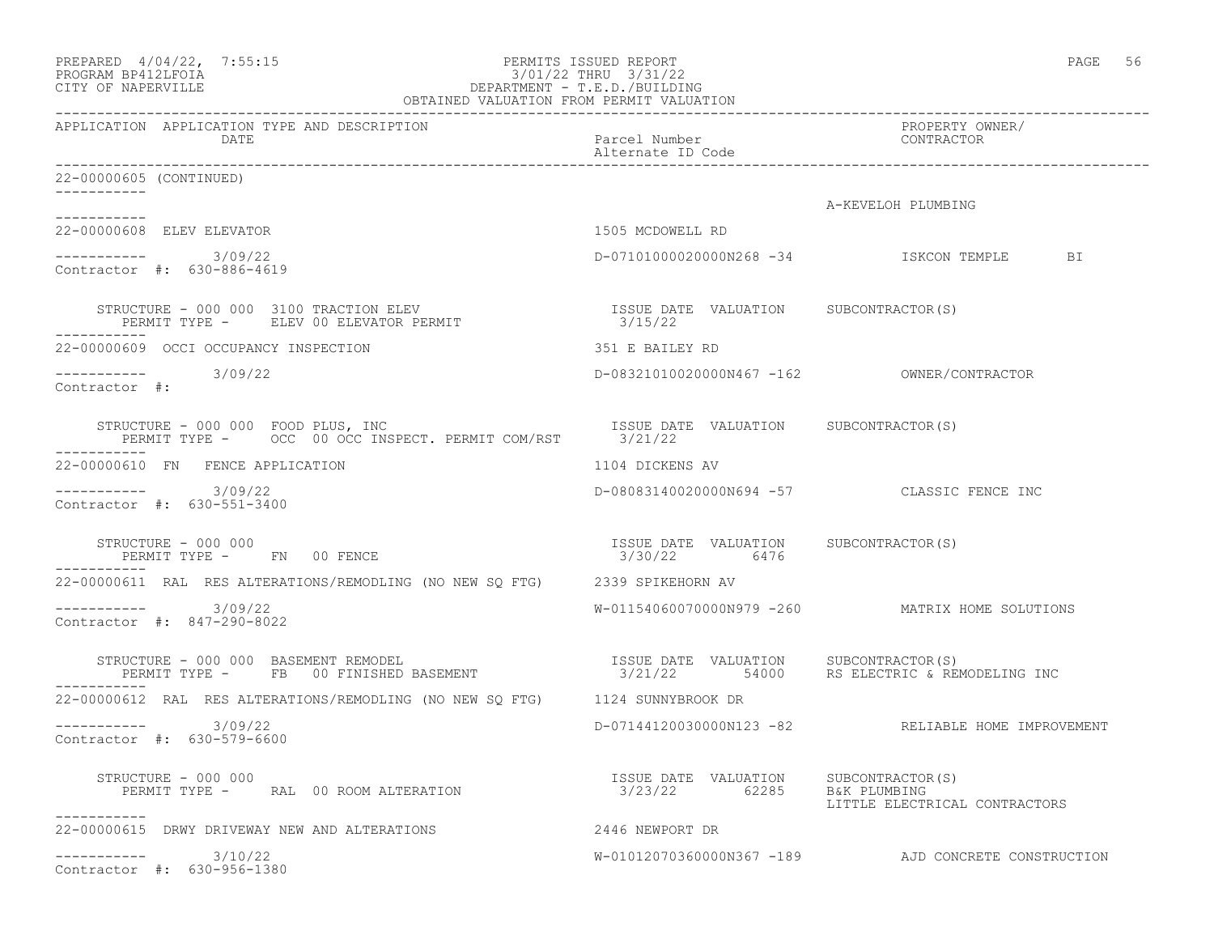| PREPARED 4/04/22, 7:55:15<br>PROGRAM BP412LFOIA<br>CITY OF NAPERVILLE                                                              | PERMITS ISSUED REPORT<br>------------------------ | PAGE 56                                                           |
|------------------------------------------------------------------------------------------------------------------------------------|---------------------------------------------------|-------------------------------------------------------------------|
| APPLICATION APPLICATION TYPE AND DESCRIPTION<br>DATE                                                                               | Parcel Number<br>Alternate ID Code                | PROPERTY OWNER/<br>CONTRACTOR                                     |
| 22-00000605 (CONTINUED)<br>-----------                                                                                             |                                                   |                                                                   |
|                                                                                                                                    |                                                   | A-KEVELOH PLUMBING                                                |
| 22-00000608 ELEV ELEVATOR                                                                                                          | 1505 MCDOWELL RD                                  |                                                                   |
| $--------- 3/09/22$<br>Contractor #: 630-886-4619                                                                                  |                                                   | D-07101000020000N268 -34 ISKCON TEMPLE<br>BI                      |
|                                                                                                                                    |                                                   |                                                                   |
| 22-00000609 OCCI OCCUPANCY INSPECTION                                                                                              | 351 E BAILEY RD                                   |                                                                   |
| $--------$ 3/09/22<br>Contractor #:                                                                                                |                                                   |                                                                   |
| RUCTURE - 000 000 FOOD PLUS, INC<br>PERMIT TYPE - OCC 00 OCC INSPECT. PERMIT COM/RST 3/21/22<br>STRUCTURE - 000 000 FOOD PLUS, INC |                                                   |                                                                   |
| 22-00000610 FN FENCE APPLICATION                                                                                                   | 1104 DICKENS AV                                   |                                                                   |
| ----------- 3/09/22<br>Contractor #: 630-551-3400                                                                                  |                                                   | D-08083140020000N694 -57 CLASSIC FENCE INC                        |
| STRUCTURE - 000 000<br>PERMIT TYPE - FN 00 FENCE                                                                                   | ISSUE DATE VALUATION<br>3/30/22 6476              | SUBCONTRACTOR(S)                                                  |
| 22-00000611 RAL RES ALTERATIONS/REMODLING (NO NEW SQ FTG) 2339 SPIKEHORN AV                                                        |                                                   |                                                                   |
| -----------    3/09/22<br>Contractor #: 847-290-8022                                                                               |                                                   | W-01154060070000N979 -260 MATRIX HOME SOLUTIONS                   |
| STRUCTURE - 000 000 BASEMENT REMODEL<br>PERMIT TYPE - FB 00 FINISHED BASEMENT - 1990 121/22 54000 RS ELECTRIC & REMODELING INC     |                                                   |                                                                   |
| 22-00000612 RAL RES ALTERATIONS/REMODLING (NO NEW SQ FTG) 1124 SUNNYBROOK DR                                                       |                                                   |                                                                   |
| $--------- 3/09/22$<br>Contractor #: 630-579-6600                                                                                  |                                                   | D-07144120030000N123 -82 RELIABLE HOME IMPROVEMENT                |
| STRUCTURE - 000 000<br>PERMIT TYPE - RAL 00 ROOM ALTERATION                                                                        | ISSUE DATE VALUATION<br>3/23/22 62285             | SUBCONTRACTOR(S)<br>B&K PLUMBING<br>LITTLE ELECTRICAL CONTRACTORS |
| -----------<br>22-00000615 DRWY DRIVEWAY NEW AND ALTERATIONS                                                                       | 2446 NEWPORT DR                                   |                                                                   |
| $--------$ 3/10/22<br>Contractor #: 630-956-1380                                                                                   |                                                   | W-01012070360000N367 -189 AJD CONCRETE CONSTRUCTION               |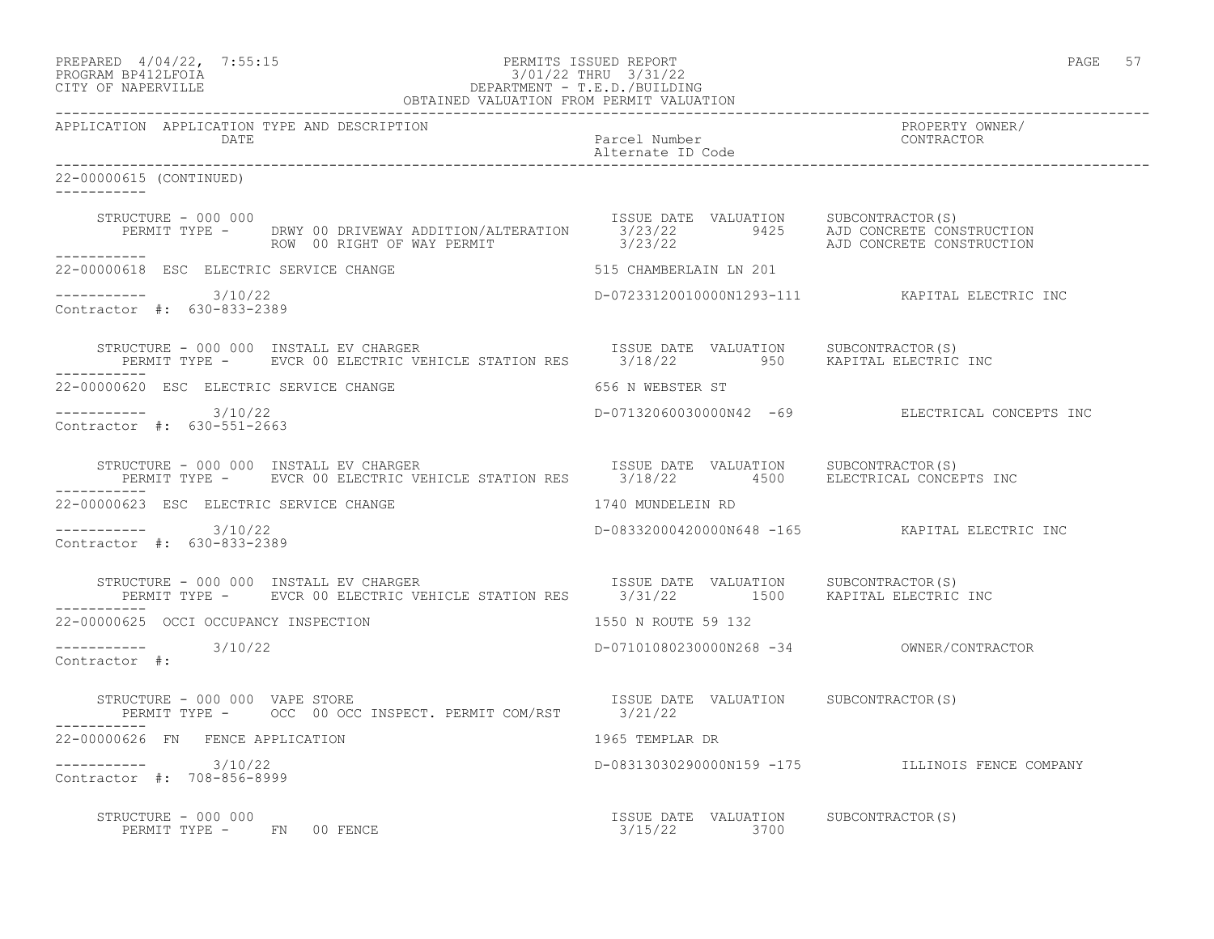|                   | PREPARED 4/04/22, 7:55:15 | PERMITS ISSUED REPORT | PAGE |  |
|-------------------|---------------------------|-----------------------|------|--|
| _______. ________ |                           |                       |      |  |

# PROGRAM BP412LFOIA 3/01/22 THRU 3/31/22 CITY OF NAPERVILLE DEPARTMENT - T.E.D./BUILDING

| OBTAINED VALUATION FROM PERMIT VALUATION                                                                                                                                                                                                      |                   |                                           |                                                  |
|-----------------------------------------------------------------------------------------------------------------------------------------------------------------------------------------------------------------------------------------------|-------------------|-------------------------------------------|--------------------------------------------------|
| APPLICATION APPLICATION TYPE AND DESCRIPTION<br>DATE                                                                                                                                                                                          |                   | Parcel Number<br>Alternate ID Code        | PROPERTY OWNER/<br>CONTRACTOR                    |
| 22-00000615 (CONTINUED)                                                                                                                                                                                                                       |                   |                                           |                                                  |
| STRUCTURE - 000 000<br>PERMIT TYPE - DRWY 00 DRIVEWAY ADDITION/ALTERATION STANDER DATE VALUATION SUBCONTRACTOR(S)<br>ROW 00 RIGHT OF WAY PERMIT 3/23/22 AJD CONCRETE CONSTRUCTION<br>2/23/22 AJD CONCRETE CONSTRUCTION<br>STRUCTURE - 000 000 |                   |                                           |                                                  |
| ------------<br>22-00000618 ESC ELECTRIC SERVICE CHANGE                                                                                                                                                                                       |                   | 515 CHAMBERLAIN LN 201                    |                                                  |
| ----------- 3/10/22<br>Contractor #: 630-833-2389                                                                                                                                                                                             |                   |                                           | D-07233120010000N1293-111 KAPITAL ELECTRIC INC   |
| STRUCTURE - 000 000 INSTALL EV CHARGER<br>PERMIT TYPE -     EVCR 00 ELECTRIC VEHICLE STATION RES       3/18/22         950     KAPITAL ELECTRIC INC<br>STRUCTURE - 000 000 INSTALL EV CHARGER<br>-----------                                  |                   |                                           |                                                  |
| 22-00000620 ESC ELECTRIC SERVICE CHANGE                                                                                                                                                                                                       |                   | 656 N WEBSTER ST                          |                                                  |
| $--------- 3/10/22$<br>Contractor #: 630-551-2663                                                                                                                                                                                             |                   |                                           | D-07132060030000N42 -69 ELECTRICAL CONCEPTS INC  |
| RUCTURE - 000 000 INSTALL EV CHARGER<br>PERMIT TYPE - EVCR 00 ELECTRIC VEHICLE STATION RES 3/18/22 4500 ELECTRICAL CONCEPTS INC<br>STRUCTURE - 000 000 INSTALL EV CHARGER                                                                     |                   |                                           |                                                  |
| 22-00000623 ESC ELECTRIC SERVICE CHANGE                                                                                                                                                                                                       | 1740 MUNDELEIN RD |                                           |                                                  |
| $--------- 3/10/22$<br>Contractor #: 630-833-2389                                                                                                                                                                                             |                   |                                           |                                                  |
| STRUCTURE - 000 000 INSTALL EV CHARGER<br>PERMIT TYPE - EVCR 00 ELECTRIC VEHICLE STATION RES 3/31/22 1500 KAPITAL ELECTRIC INC                                                                                                                |                   |                                           |                                                  |
| 22-00000625 OCCI OCCUPANCY INSPECTION                                                                                                                                                                                                         |                   | 1550 N ROUTE 59 132                       |                                                  |
| $--------- 3/10/22$<br>Contractor #:                                                                                                                                                                                                          |                   | D-07101080230000N268 -34 OWNER/CONTRACTOR |                                                  |
| STRUCTURE - 000 000 VAPE STORE<br>PERMIT TYPE - OCC 00 OCC INSPECT. PERMIT COM/RST 3/21/22<br>STRUCTURE - 000 000 VAPE STORE                                                                                                                  |                   |                                           |                                                  |
| 22-00000626 FN FENCE APPLICATION                                                                                                                                                                                                              |                   | 1965 TEMPLAR DR                           |                                                  |
| $--------- 3/10/22$<br>Contractor #: 708-856-8999                                                                                                                                                                                             |                   |                                           | D-08313030290000N159 -175 ILLINOIS FENCE COMPANY |
| STRUCTURE - 000 000                                                                                                                                                                                                                           |                   |                                           |                                                  |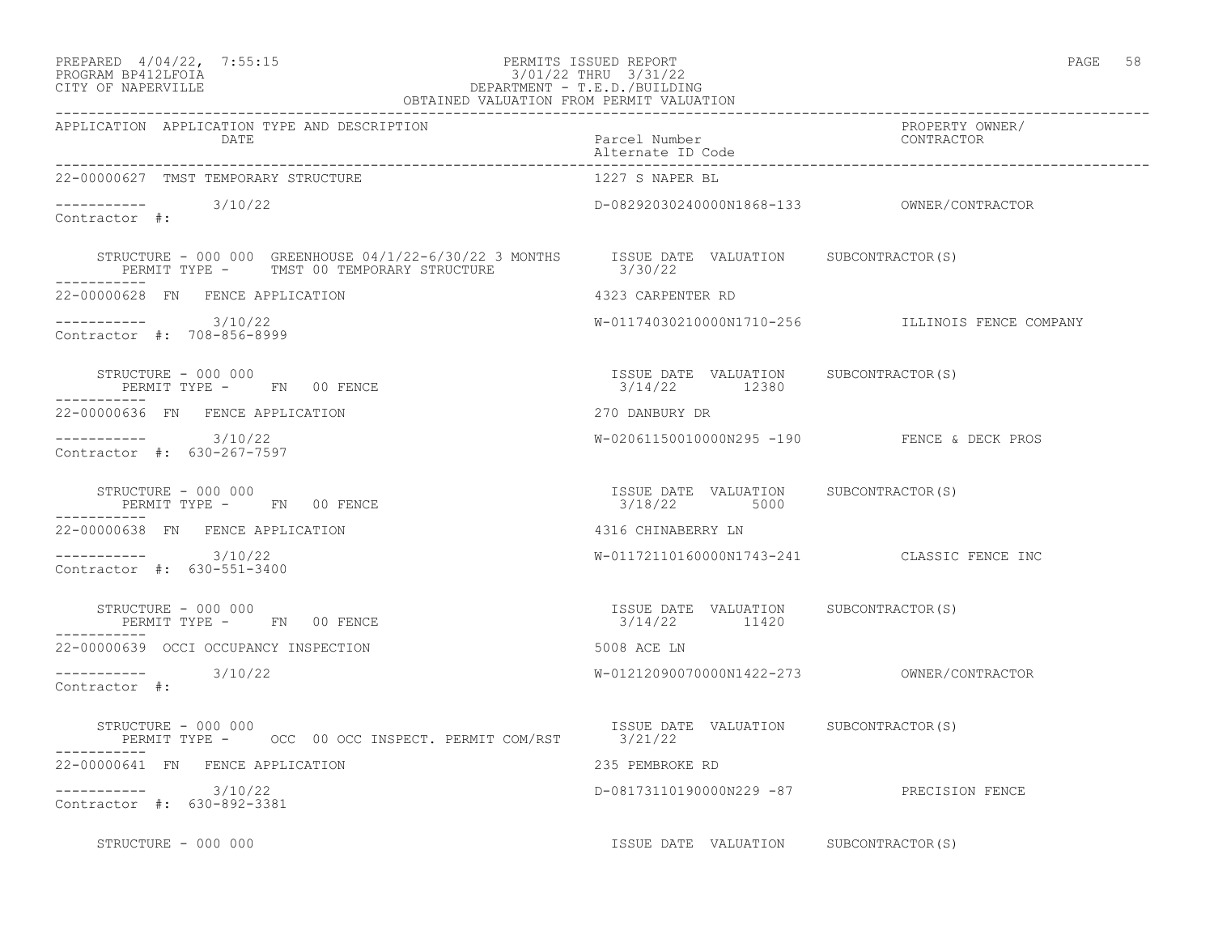### PREPARED  $4/04/22$ ,  $7:55:15$  PERMITS ISSUED REPORT PAGE 58 PROGRAM BP412LFOIA 3/01/22 THRU 3/31/22 CITY OF NAPERVILLE DEPARTMENT - T.E.D./BUILDING

| $O_{\rm A(L)}$ |  |
|----------------|--|
|----------------|--|

| OBTAINED VALUATION FROM PERMIT VALUATION                                                                                                           |                                                        |                                             |  |
|----------------------------------------------------------------------------------------------------------------------------------------------------|--------------------------------------------------------|---------------------------------------------|--|
| APPLICATION APPLICATION TYPE AND DESCRIPTION<br>DATE                                                                                               | Parcel Number<br>Alternate ID Code                     | PROPERTY OWNER/<br>CONTRACTOR               |  |
| 22-00000627 TMST TEMPORARY STRUCTURE                                                                                                               | 1227 S NAPER BL                                        |                                             |  |
| $--------- 3/10/22$<br>Contractor #:                                                                                                               |                                                        |                                             |  |
| STRUCTURE - 000 000 GREENHOUSE 04/1/22-6/30/22 3 MONTHS ISSUE DATE VALUATION SUBCONTRACTOR(S)<br>PERMIT TYPE - TMST 00 TEMPORARY STRUCTURE 3/30/22 |                                                        |                                             |  |
| 22-00000628 FN FENCE APPLICATION                                                                                                                   | 4323 CARPENTER RD                                      |                                             |  |
| $--------- 3/10/22$<br>Contractor #: 708-856-8999                                                                                                  |                                                        |                                             |  |
| STRUCTURE - 000 000<br>PERMIT TYPE -       FN     00 FENCE<br>------------                                                                         | ISSUE DATE VALUATION SUBCONTRACTOR(S)<br>3/14/22 12380 |                                             |  |
| 22-00000636 FN FENCE APPLICATION                                                                                                                   | 270 DANBURY DR                                         |                                             |  |
| ----------- 3/10/22<br>Contractor #: 630-267-7597                                                                                                  |                                                        | W-02061150010000N295 -190 FENCE & DECK PROS |  |
| STRUCTURE - 000 000<br>PERMIT TYPE - FN 00 FENCE                                                                                                   | ISSUE DATE VALUATION SUBCONTRACTOR(S)<br>3/18/22 5000  |                                             |  |
| 22-00000638 FN FENCE APPLICATION                                                                                                                   | 4316 CHINABERRY LN                                     |                                             |  |
| $--------- 3/10/22$<br>Contractor #: 630-551-3400                                                                                                  |                                                        | W-01172110160000N1743-241 CLASSIC FENCE INC |  |
| STRUCTURE - 000 000<br>PERMIT TYPE - FN 00 FENCE                                                                                                   | ISSUE DATE VALUATION SUBCONTRACTOR(S)<br>3/14/22 11420 |                                             |  |
| 22-00000639 OCCI OCCUPANCY INSPECTION                                                                                                              | 5008 ACE LN                                            |                                             |  |
| $--------- 3/10/22$<br>Contractor #:                                                                                                               |                                                        |                                             |  |
| STRUCTURE - 000 000<br>PERMIT TYPE - OCC 00 OCC INSPECT. PERMIT COM/RST 3/21/22                                                                    | ISSUE DATE VALUATION SUBCONTRACTOR(S)                  |                                             |  |
| 22-00000641 FN FENCE APPLICATION                                                                                                                   | 235 PEMBROKE RD                                        |                                             |  |
| ----------- 3/10/22<br>Contractor #: 630-892-3381                                                                                                  | D-08173110190000N229 -87 PRECISION FENCE               |                                             |  |
| STRUCTURE - 000 000                                                                                                                                | ISSUE DATE VALUATION SUBCONTRACTOR(S)                  |                                             |  |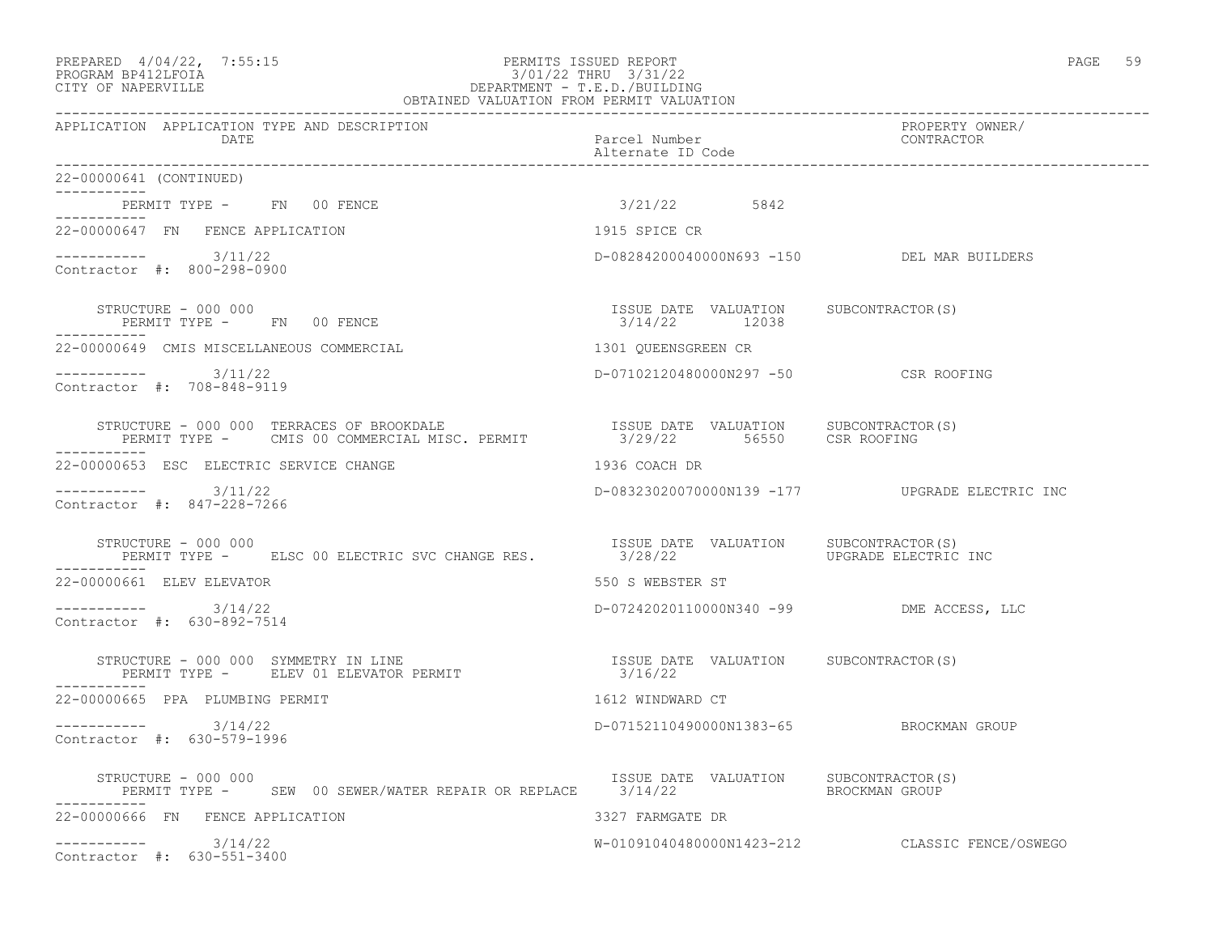# PREPARED 4/04/22, 7:55:15 PERMITS ISSUED REPORT<br>PROGRAM BP412LFOIA PAGE 59 PROGRAM BP412LFOIA PROGRAM BP412LFOIA 3/01/22 THRU 3/31/22 CITY OF NAPERVILLE DEPARTMENT - T.E.D./BUILDING

| OBTAINED VALUATION FROM PERMIT VALUATION                                                                                                                                                                         |                                                        |                                                |  |
|------------------------------------------------------------------------------------------------------------------------------------------------------------------------------------------------------------------|--------------------------------------------------------|------------------------------------------------|--|
| APPLICATION APPLICATION TYPE AND DESCRIPTION<br>DATE                                                                                                                                                             | Parcel Number<br>Alternate ID Code                     | PROPERTY OWNER/<br>CONTRACTOR                  |  |
| 22-00000641 (CONTINUED)                                                                                                                                                                                          |                                                        |                                                |  |
| PERMIT TYPE - FN 00 FENCE                                                                                                                                                                                        | $3/21/22$ 5842                                         |                                                |  |
| 22-00000647 FN FENCE APPLICATION                                                                                                                                                                                 | 1915 SPICE CR                                          |                                                |  |
| $--------- 3/11/22$<br>Contractor #: 800-298-0900                                                                                                                                                                | D-08284200040000N693 -150 DEL MAR BUILDERS             |                                                |  |
| STRUCTURE - 000 000<br>PERMIT TYPE - FN 00 FENCE                                                                                                                                                                 | ISSUE DATE VALUATION SUBCONTRACTOR(S)<br>3/14/22 12038 |                                                |  |
| 22-00000649 CMIS MISCELLANEOUS COMMERCIAL                                                                                                                                                                        | 1301 QUEENSGREEN CR                                    |                                                |  |
| $--------- 3/11/22$<br>Contractor #: 708-848-9119                                                                                                                                                                | D-07102120480000N297 -50 CSR ROOFING                   |                                                |  |
| STRUCTURE - 000 000 TERRACES OF BROOKDALE                         ISSUE DATE VALUATION     SUBCONTRACTOR(S)<br>PERMIT TYPE -     CMIS 00 COMMERCIAL MISC. PERMIT              3/29/22      56550     CSR ROOFING |                                                        |                                                |  |
| 22-00000653 ESC ELECTRIC SERVICE CHANGE                                                                                                                                                                          | 1936 COACH DR                                          |                                                |  |
| $--------- 3/11/22$<br>Contractor #: 847-228-7266                                                                                                                                                                |                                                        | D-08323020070000N139 -177 UPGRADE ELECTRIC INC |  |
| STRUCTURE - 000 000<br>PERMIT TYPE - ELSC 00 ELECTRIC SVC CHANGE RES.                                                                                                                                            | ISSUE DATE VALUATION SUBCONTRACTOR(S)<br>3/28/22       | UPGRADE ELECTRIC INC                           |  |
| 22-00000661 ELEV ELEVATOR                                                                                                                                                                                        | 550 S WEBSTER ST                                       |                                                |  |
| $--------- 3/14/22$<br>Contractor #: 630-892-7514                                                                                                                                                                | D-07242020110000N340 -99 DME ACCESS, LLC               |                                                |  |
| STRUCTURE - 000 000 SYMMETRY IN LINE<br>TRUCTURE – 000 000 SYMMETRY IN LINE<br>PERMIT TYPE –     ELEV 01 ELEVATOR PERMIT                                    3/16/22                                              |                                                        |                                                |  |
| 22-00000665 PPA PLUMBING PERMIT                                                                                                                                                                                  | 1612 WINDWARD CT                                       |                                                |  |
| $--------- 3/14/22$<br>Contractor #: 630-579-1996                                                                                                                                                                | D-07152110490000N1383-65 BROCKMAN GROUP                |                                                |  |
| STRUCTURE - 000 000<br>PERMIT TYPE - SEW 00 SEWER/WATER REPAIR OR REPLACE 3/14/22 SEROCKMAN GROUP                                                                                                                | ISSUE DATE VALUATION SUBCONTRACTOR (S)                 |                                                |  |
| 22-00000666 FN FENCE APPLICATION                                                                                                                                                                                 | 3327 FARMGATE DR                                       |                                                |  |
| $--------- 3/14/22$<br>Contractor #: 630-551-3400                                                                                                                                                                |                                                        | W-01091040480000N1423-212 CLASSIC FENCE/OSWEGO |  |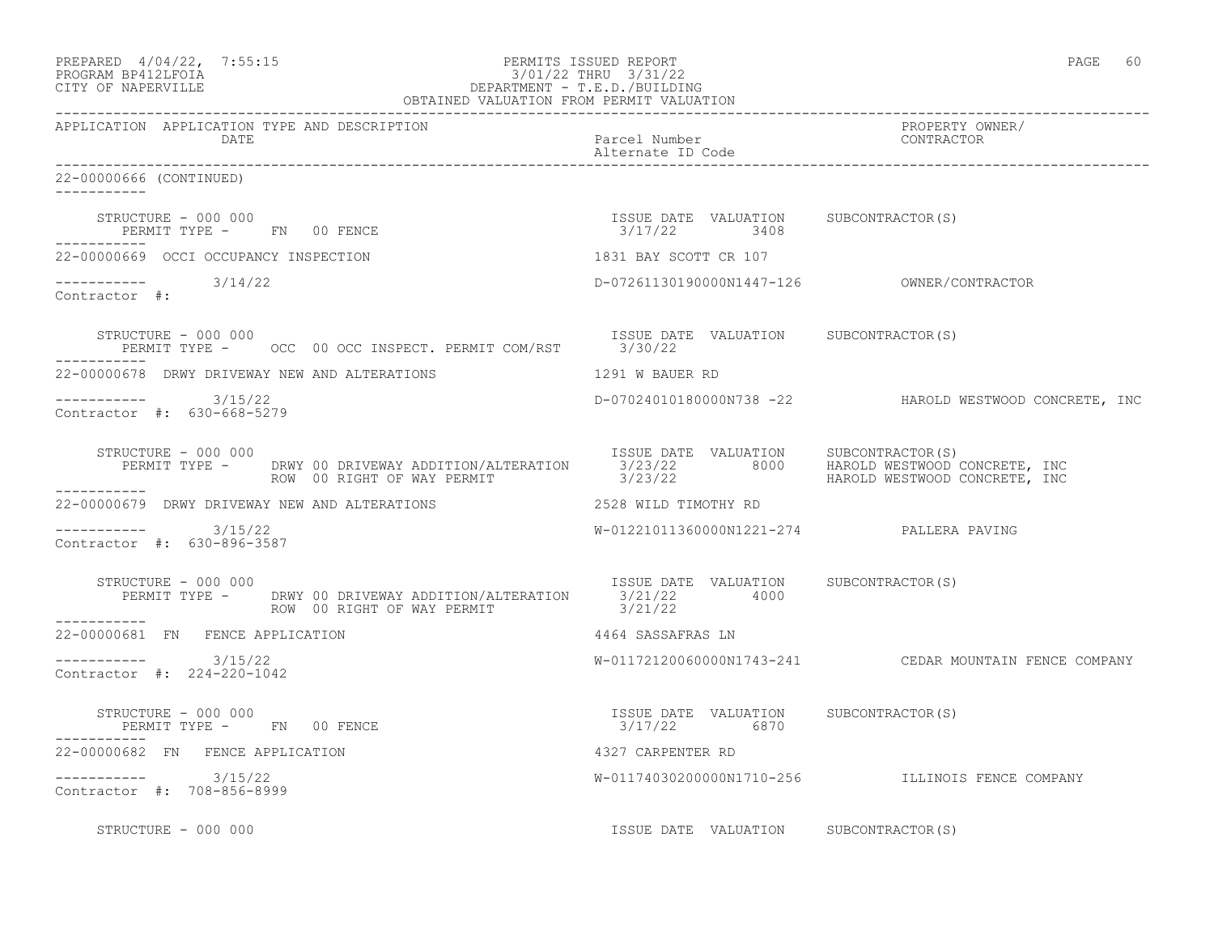| PREPARED 4/04/22, 7:55:15<br>$\begin{array}{cccc} &3/\cup1/\angle2 &\ldots\\ &\text{DEPARTMENT} & -& \text{T.E.D.}/\text{BULLLIMUATION} \\ \text{OBTAINED VALUATION FROM PERMIT VALUATION \\ \end{array}$<br>PROGRAM BP412LFOIA<br>CITY OF NAPERVILLE | PERMITS ISSUED REPORT                                 | PAGE 60                                                |
|-------------------------------------------------------------------------------------------------------------------------------------------------------------------------------------------------------------------------------------------------------|-------------------------------------------------------|--------------------------------------------------------|
| APPLICATION APPLICATION TYPE AND DESCRIPTION<br>DATE                                                                                                                                                                                                  | Parcel Number<br>Alternate ID Code                    | PROPERTY OWNER/<br>CONTRACTOR                          |
| 22-00000666 (CONTINUED)<br>$- - - - - - - - - - -$                                                                                                                                                                                                    |                                                       |                                                        |
| STRUCTURE – 000 000<br>PERMIT TYPE - FN 00 FENCE                                                                                                                                                                                                      | ISSUE DATE VALUATION SUBCONTRACTOR(S)<br>3/17/22 3408 |                                                        |
| -----------<br>22-00000669 OCCI OCCUPANCY INSPECTION                                                                                                                                                                                                  | 1831 BAY SCOTT CR 107                                 |                                                        |
| $--------- 3/14/22$<br>Contractor #:                                                                                                                                                                                                                  |                                                       |                                                        |
| STRUCTURE - 000 000<br>PERMIT TYPE - OCC 00 OCC INSPECT. PERMIT COM/RST 3/30/22                                                                                                                                                                       | ISSUE DATE VALUATION SUBCONTRACTOR(S)                 |                                                        |
| 22-00000678 DRWY DRIVEWAY NEW AND ALTERATIONS                                                                                                                                                                                                         | 1291 W BAUER RD                                       |                                                        |
| $--------- 3/15/22$<br>Contractor #: 630-668-5279                                                                                                                                                                                                     |                                                       | D-07024010180000N738 -22 HAROLD WESTWOOD CONCRETE, INC |
| -----------                                                                                                                                                                                                                                           |                                                       |                                                        |
|                                                                                                                                                                                                                                                       |                                                       |                                                        |
| $--------- 3/15/22$<br>Contractor #: 630-896-3587                                                                                                                                                                                                     | W-01221011360000N1221-274 PALLERA PAVING              |                                                        |
| STRUCTURE - 000 000<br>PERMIT TYPE - DRWY 00 DRIVEWAY ADDITION/ALTERATION 1SSUE DATE VALUATION SUBCONTRACTOR(S)<br>STRUCTURE - 000 000<br>ROW 00 RIGHT OF WAY PERMIT<br>___________                                                                   | 3/21/22                                               |                                                        |
| 22-00000681 FN FENCE APPLICATION                                                                                                                                                                                                                      | 4464 SASSAFRAS LN                                     |                                                        |
| ----------- 3/15/22<br>Contractor #: 224-220-1042                                                                                                                                                                                                     |                                                       | W-01172120060000N1743-241 CEDAR MOUNTAIN FENCE COMPANY |
| STRUCTURE - 000 000<br>PERMIT TYPE - FN 00 FENCE                                                                                                                                                                                                      | ISSUE DATE VALUATION SUBCONTRACTOR(S)<br>3/17/22 6870 |                                                        |
| 22-00000682 FN FENCE APPLICATION                                                                                                                                                                                                                      | 4327 CARPENTER RD                                     |                                                        |
| $--------- 3/15/22$<br>Contractor #: 708-856-8999                                                                                                                                                                                                     |                                                       | W-01174030200000N1710-256 ILLINOIS FENCE COMPANY       |
| STRUCTURE - 000 000                                                                                                                                                                                                                                   | ISSUE DATE VALUATION SUBCONTRACTOR(S)                 |                                                        |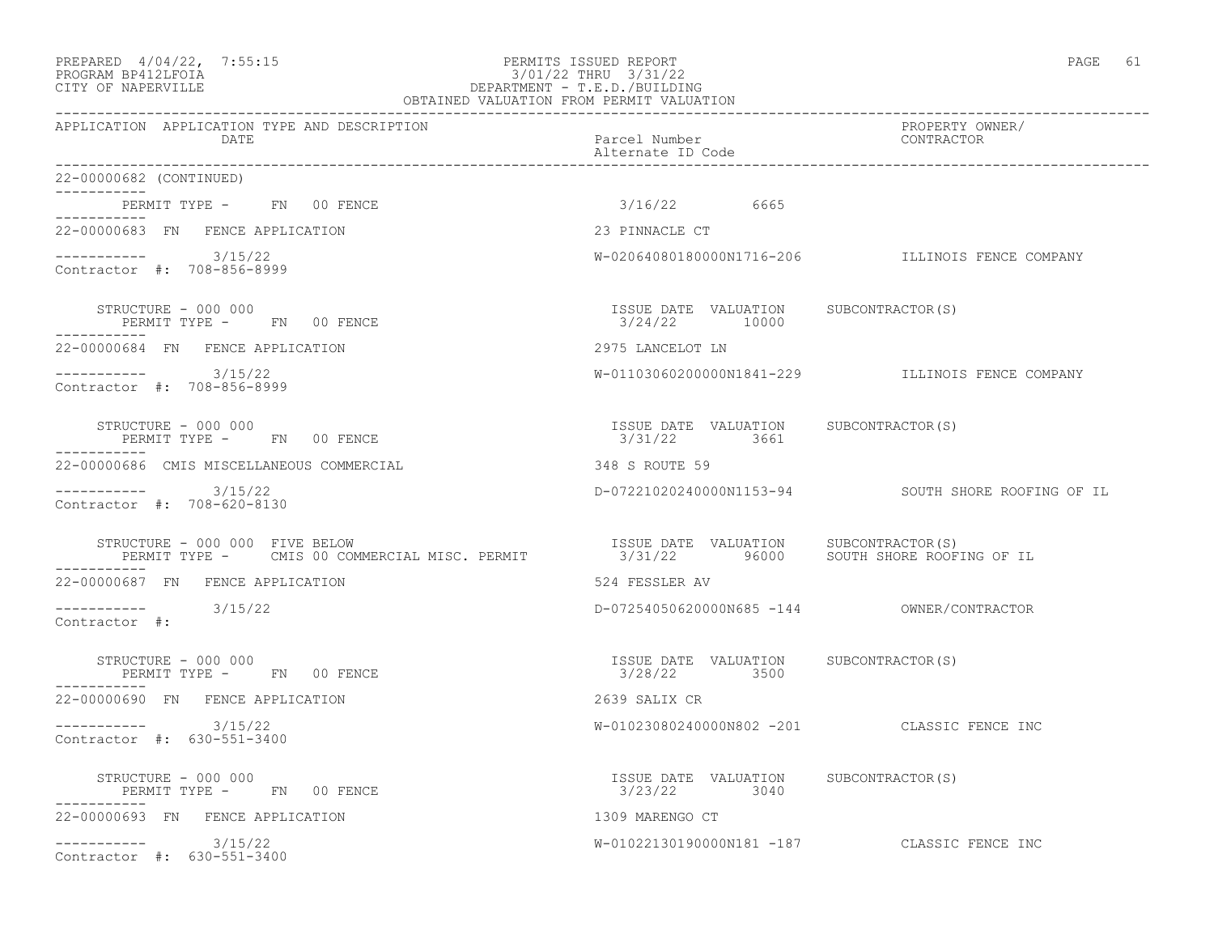#### PREPARED 4/04/22, 7:55:15 PERMITS ISSUED REPORT<br>PROGRAM BP412LFOIA<br>3/01/22 THRU 3/31/22 PROGRAM BP412LFOIA 3/01/22 THRU 3/31/22 CITY OF NAPERVILLE DEPARTMENT - T.E.D./BUILDING OBTAINED VALUATION FROM PERMIT VALUATION

------------------------------------------------------------------------------------------------------------------------------------ APPLICATION APPLICATION TYPE AND DESCRIPTION PROPERTY OWNER/ DATE Parcel Number Contractor Contractor Contractor Parcel Number Alternate ID Code ------------------------------------------------------------------------------------------------------------------------------------ 22-00000682 (CONTINUED) ----------- PERMIT TYPE - FN 00 FENCE 3/16/22 6665 ----------- 22-00000683 FN FENCE APPLICATION 23 PINNACLE CT  $--------- 3/15/22$ W-02064080180000N1716-206 ILLINOIS FENCE COMPANY Contractor #: 708-856-8999 STRUCTURE - 000 000 ISSUE DATE VALUATION SUBCONTRACTOR(S) PERMIT TYPE - FN 00 FENCE ----------- 22-00000684 FN FENCE APPLICATION 2975 LANCELOT LN ----------- 3/15/22 W-01103060200000N1841-229 ILLINOIS FENCE COMPANY Contractor #: 708-856-8999 STRUCTURE - 000 000 ISSUE DATE VALUATION SUBCONTRACTOR(S) PERMIT TYPE - FN 00 FENCE ----------- 22-00000686 CMIS MISCELLANEOUS COMMERCIAL 348 S ROUTE 59 ----------- 3/15/22 D-07221020240000N1153-94 SOUTH SHORE ROOFING OF IL Contractor #: 708-620-8130 STRUCTURE - 000 000 FIVE BELOW ISSUE DATE VALUATION SUBCONTRACTOR(S) PERMIT TYPE - CMIS 00 COMMERCIAL MISC. PERMIT 3/31/22 96000 SOUTH SHORE ROOFING OF IL ----------- 22-00000687 FN FENCE APPLICATION 524 FESSLER AV ----------- 3/15/22 D-07254050620000N685 -144 OWNER/CONTRACTOR Contractor #: STRUCTURE - 000 000 ISSUE DATE VALUATION SUBCONTRACTOR(S) PERMIT TYPE - FN 00 FENCE ----------- 22-00000690 FN FENCE APPLICATION 2639 SALIX CR ----------- 3/15/22 W-01023080240000N802 -201 CLASSIC FENCE INC Contractor #: 630-551-3400 STRUCTURE - 000 000 ISSUE DATE VALUATION SUBCONTRACTOR(S) PERMIT TYPE - FN 00 FENCE ----------- 22-00000693 FN FENCE APPLICATION 1309 MARENGO CT ----------- 3/15/22 W-01022130190000N181 -187 CLASSIC FENCE INC

Contractor #: 630-551-3400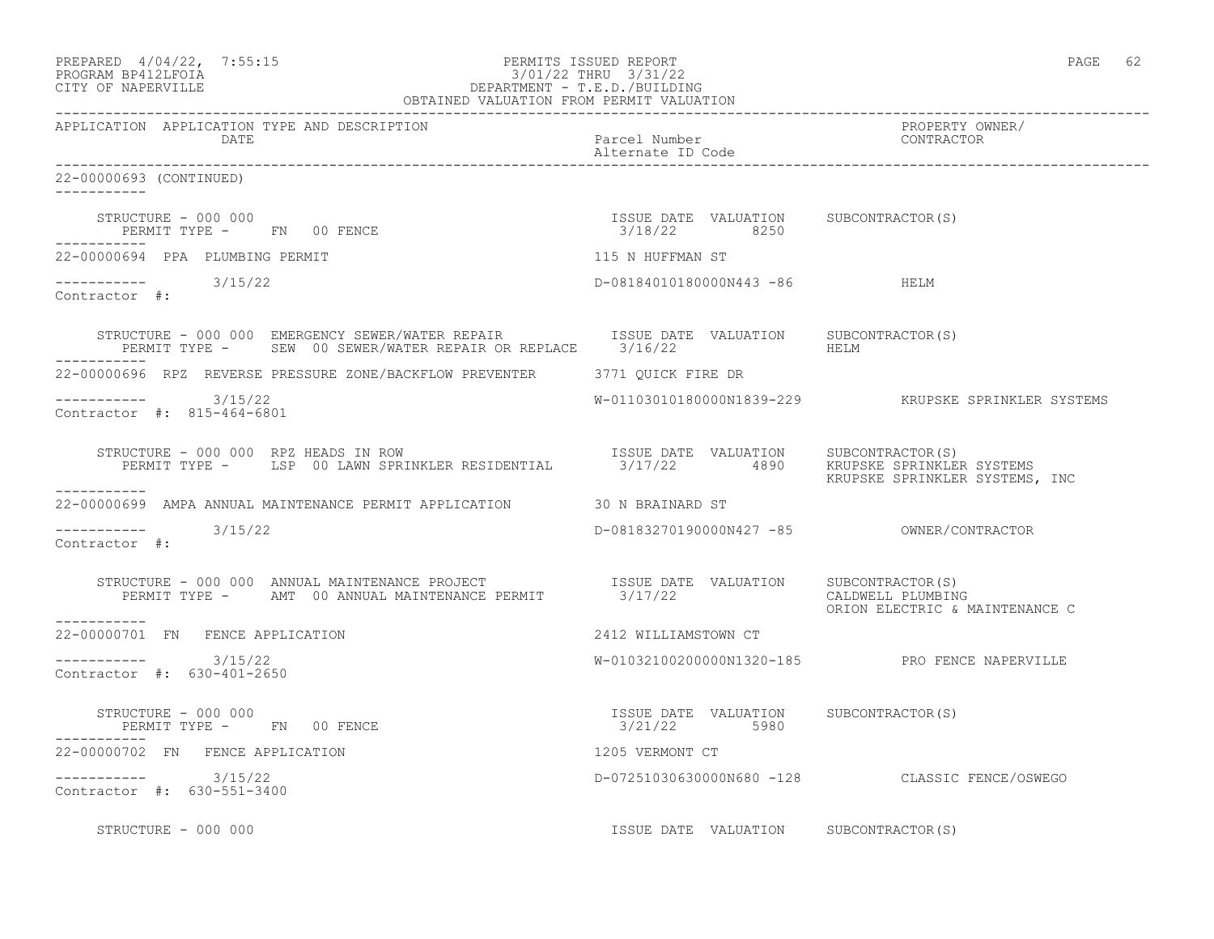| PREPARED 4/04/22, 7:55:15<br>$3/01/22$ DEPARTMENT - T.E.D./BUILDING<br>OBTAINED VALUATION FROM PERMIT VALUATION<br>PROGRAM BP412LFOIA<br>CITY OF NAPERVILLE                                                                                                                                                                        |                                                       | PAGE 62                                             |
|------------------------------------------------------------------------------------------------------------------------------------------------------------------------------------------------------------------------------------------------------------------------------------------------------------------------------------|-------------------------------------------------------|-----------------------------------------------------|
| APPLICATION APPLICATION TYPE AND DESCRIPTION<br>DATE                                                                                                                                                                                                                                                                               | Parcel Number<br>Alternate ID Code                    | PROPERTY OWNER/<br>CONTRACTOR                       |
| 22-00000693 (CONTINUED)<br>-----------                                                                                                                                                                                                                                                                                             |                                                       |                                                     |
| STRUCTURE - 000 000<br>PERMIT TYPE - FN 00 FENCE                                                                                                                                                                                                                                                                                   | ISSUE DATE VALUATION SUBCONTRACTOR(S)<br>3/18/22 8250 |                                                     |
| 22-00000694 PPA PLUMBING PERMIT                                                                                                                                                                                                                                                                                                    | 115 N HUFFMAN ST                                      |                                                     |
| $--------$ 3/15/22<br>Contractor #:                                                                                                                                                                                                                                                                                                | D-08184010180000N443 -86 HELM                         |                                                     |
| $\begin{tabular}{lllllll} \texttt{STRUCTURE} & - & 000 & 000 & \texttt{EMER/EXR} & \texttt{REPAR} & \texttt{ISUE} & \texttt{DATE} & \texttt{VALUATION} & \texttt{SUBCONTRACTOR(S)} \\ \texttt{PERMIT TYPE} & - & \texttt{SEW} & 00 & \texttt{SEWER/WATER REPAIR} & \texttt{OR REPLACE} & 3/16/22 & \texttt{HELM} \\ \end{tabular}$ |                                                       |                                                     |
| 22-00000696 RPZ REVERSE PRESSURE ZONE/BACKFLOW PREVENTER 3771 OUICK FIRE DR                                                                                                                                                                                                                                                        |                                                       |                                                     |
| $--------- 3/15/22$<br>Contractor #: 815-464-6801                                                                                                                                                                                                                                                                                  |                                                       |                                                     |
| RUCTURE – 000 000 RPZ HEADS IN ROW<br>PERMIT TYPE – LSP 00 LAWN SPRINKLER RESIDENTIAL 3/17/22 4890 KRUPSKE SPRINKLER SYSTEMS<br>STRUCTURE - 000 000 RPZ HEADS IN ROW                                                                                                                                                               |                                                       | KRUPSKE SPRINKLER SYSTEMS, INC                      |
| 22-00000699 AMPA ANNUAL MAINTENANCE PERMIT APPLICATION 30 N BRAINARD ST                                                                                                                                                                                                                                                            |                                                       |                                                     |
| 3/15/22<br>------------<br>Contractor #:                                                                                                                                                                                                                                                                                           |                                                       |                                                     |
| STRUCTURE – 000 000 ANNUAL MAINTENANCE PROJECT                     ISSUE DATE VALUATION     SUBCONTRACTOR(S)<br>PERMIT TYPE –      AMT  00 ANNUAL MAINTENANCE PERMIT            3/17/22<br>-----------                                                                                                                             |                                                       | CALDWELL PLUMBING<br>ORION ELECTRIC & MAINTENANCE C |
| 22-00000701 FN FENCE APPLICATION                                                                                                                                                                                                                                                                                                   | 2412 WILLIAMSTOWN CT                                  |                                                     |
| $--------- 3/15/22$<br>Contractor #: 630-401-2650                                                                                                                                                                                                                                                                                  |                                                       | W-01032100200000N1320-185 PRO FENCE NAPERVILLE      |
| STRUCTURE - 000 000<br>PERMIT TYPE - FN 00 FENCE                                                                                                                                                                                                                                                                                   | ISSUE DATE VALUATION SUBCONTRACTOR(S)<br>3/21/22 5980 |                                                     |
| 22-00000702 FN FENCE APPLICATION                                                                                                                                                                                                                                                                                                   | 1205 VERMONT CT                                       |                                                     |
| $---------$ 3/15/22<br>Contractor #: 630-551-3400                                                                                                                                                                                                                                                                                  |                                                       | D-07251030630000N680 -128 CLASSIC FENCE/OSWEGO      |
| STRUCTURE - 000 000                                                                                                                                                                                                                                                                                                                | ISSUE DATE VALUATION SUBCONTRACTOR(S)                 |                                                     |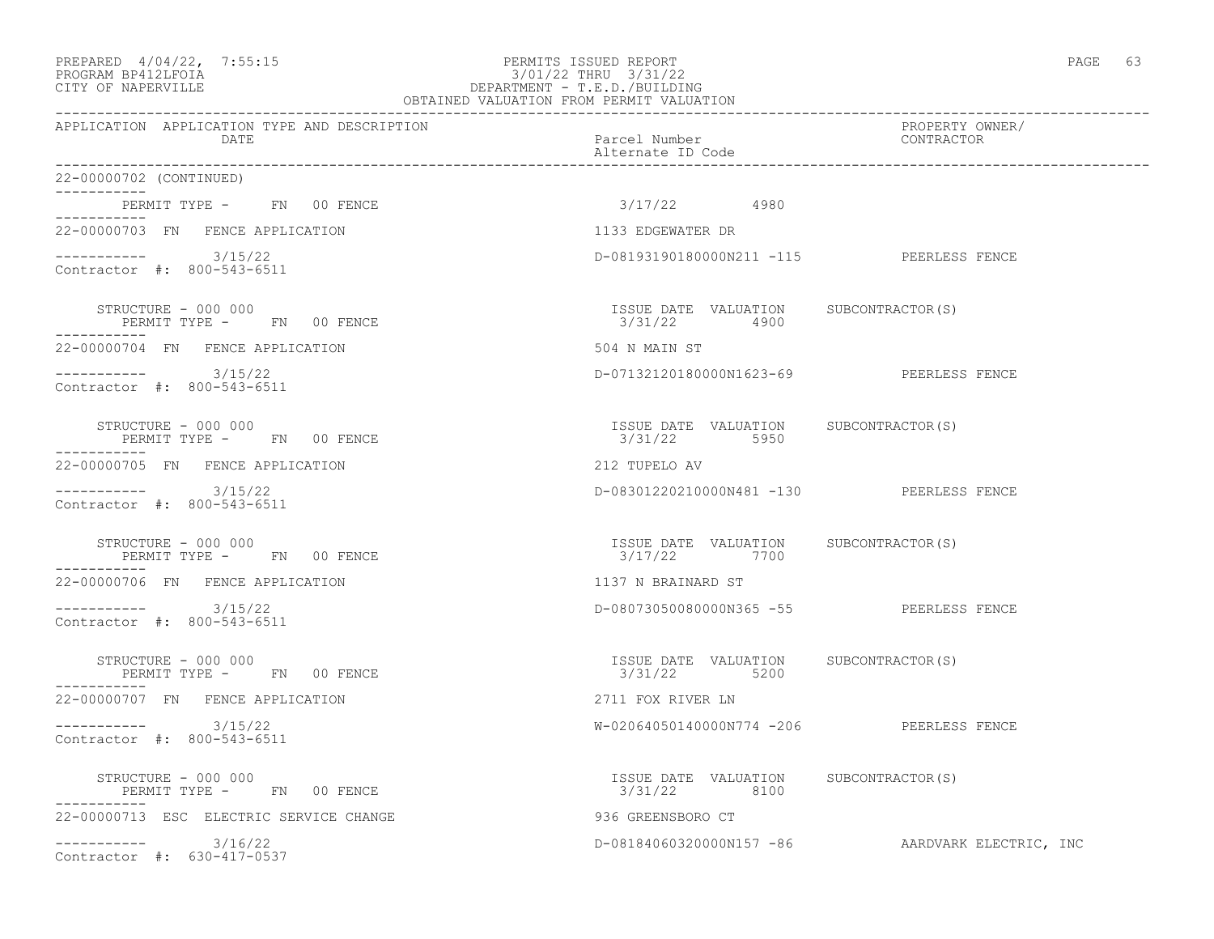# PREPARED 4/04/22, 7:55:15 PERMITS ISSUED REPORT<br>PROGRAM BP412LFOIA PAGE 63 PROGRAM BP412LFOIA PROGRAM BP412LFOIA 3/01/22 THRU 3/31/22 CITY OF NAPERVILLE DEPARTMENT - T.E.D./BUILDING

| OBTAINED VALUATION FROM PERMIT VALUATION             |                                                        |                                                 |  |
|------------------------------------------------------|--------------------------------------------------------|-------------------------------------------------|--|
| APPLICATION APPLICATION TYPE AND DESCRIPTION<br>DATE | Parcel Number<br>Alternate ID Code                     | PROPERTY OWNER/<br>CONTRACTOR                   |  |
| 22-00000702 (CONTINUED)                              |                                                        |                                                 |  |
| PERMIT TYPE - FN 00 FENCE<br>-----------             | $3/17/22$ 4980                                         |                                                 |  |
| 22-00000703 FN FENCE APPLICATION                     | 1133 EDGEWATER DR                                      |                                                 |  |
| $--------- 3/15/22$<br>Contractor #: 800-543-6511    | D-08193190180000N211 -115 PEERLESS FENCE               |                                                 |  |
| STRUCTURE - 000 000<br>PERMIT TYPE - FN 00 FENCE     | ISSUE DATE VALUATION SUBCONTRACTOR(S)<br>3/31/22 4900  |                                                 |  |
| 22-00000704 FN FENCE APPLICATION                     | 504 N MAIN ST                                          |                                                 |  |
| $--------- 3/15/22$<br>Contractor #: 800-543-6511    | D-07132120180000N1623-69 PEERLESS FENCE                |                                                 |  |
| PERMIT TYPE - FN 00 FENCE<br>------------            | ISSUE DATE VALUATION SUBCONTRACTOR(S)<br>3/31/22 5950  |                                                 |  |
| 22-00000705 FN FENCE APPLICATION                     | 212 TUPELO AV                                          |                                                 |  |
| $--------- 3/15/22$<br>Contractor #: 800-543-6511    | D-08301220210000N481 -130 PEERLESS FENCE               |                                                 |  |
| STRUCTURE - 000 000<br>PERMIT TYPE - FN 00 FENCE     | ISSUE DATE VALUATION SUBCONTRACTOR(S)<br>3/17/22 7700  |                                                 |  |
| 22-00000706 FN FENCE APPLICATION                     | 1137 N BRAINARD ST                                     |                                                 |  |
| Contractor #: 800-543-6511                           | D-08073050080000N365 -55 PEERLESS FENCE                |                                                 |  |
| STRUCTURE - 000 000<br>PERMIT TYPE - FN 00 FENCE     | ISSUE DATE VALUATION SUBCONTRACTOR(S)<br>3/31/22 5200  |                                                 |  |
| 22-00000707 FN FENCE APPLICATION                     | 2711 FOX RIVER LN                                      |                                                 |  |
| $--------- 3/15/22$<br>Contractor #: 800-543-6511    | W-02064050140000N774 -206 PEERLESS FENCE               |                                                 |  |
| STRUCTURE - 000 000<br>PERMIT TYPE - FN 00 FENCE     | ISSUE DATE VALUATION SUBCONTRACTOR (S)<br>3/31/22 8100 |                                                 |  |
| 22-00000713 ESC ELECTRIC SERVICE CHANGE              | 936 GREENSBORO CT                                      |                                                 |  |
| $--------- 3/16/22$<br>Contractor #: 630-417-0537    |                                                        | D-08184060320000N157 -86 AARDVARK ELECTRIC, INC |  |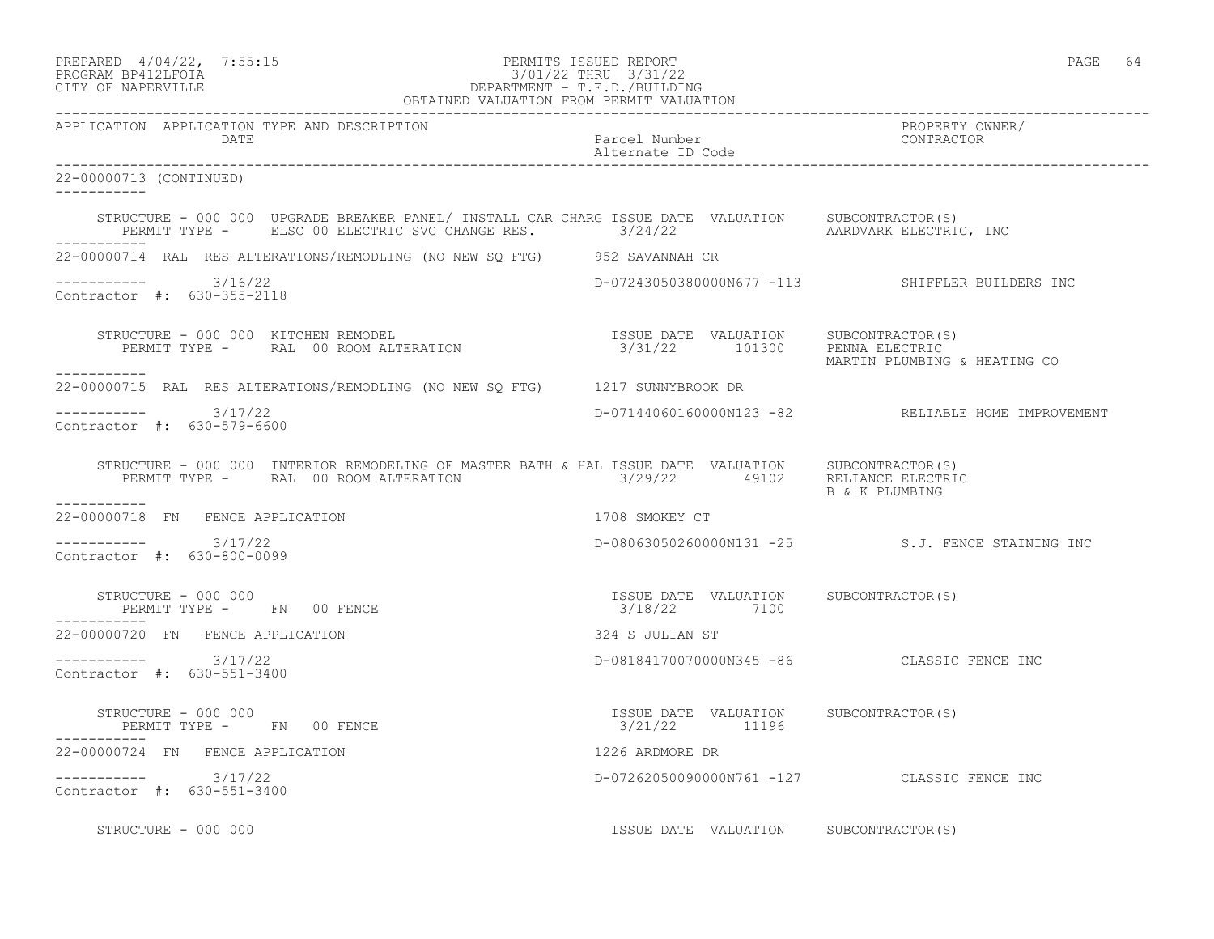| PREPARED | $4/04/22$ ,          | 7:55:15 |
|----------|----------------------|---------|
|          | גדמת זרונתם וגנסמספם |         |

# PREPARED 4/04/22, 7:55:15 PERMITS ISSUED REPORT<br>PROGRAM BP412LFOIA PAGE 64 PROGRAM BP412LFOIA 3/01/22 THRU 3/31/22<br>CITY OF NAPERVILLE DEPARTMENT - T.E.D./BUILDIN CITY OF NAPERVILLE DEPARTMENT - T.E.D./BUILDING

|                                                                                                                                                                                                                                                                                                                                                                                                               | OBTAINED VALUATION FROM PERMIT VALUATION |                                                    |
|---------------------------------------------------------------------------------------------------------------------------------------------------------------------------------------------------------------------------------------------------------------------------------------------------------------------------------------------------------------------------------------------------------------|------------------------------------------|----------------------------------------------------|
| APPLICATION APPLICATION TYPE AND DESCRIPTION<br>DATE                                                                                                                                                                                                                                                                                                                                                          | Parcel Number<br>Alternate ID Code       | PROPERTY OWNER/<br>CONTRACTOR                      |
| 22-00000713 (CONTINUED)<br>___________                                                                                                                                                                                                                                                                                                                                                                        |                                          |                                                    |
| STRUCTURE - 000 000 UPGRADE BREAKER PANEL/ INSTALL CAR CHARG ISSUE DATE VALUATION SUBCONTRACTOR(S)<br>PERMIT TYPE - ELSC 00 ELECTRIC SVC CHANGE RES. 3/24/22 AARDVARK ELECTRIC, INC                                                                                                                                                                                                                           |                                          |                                                    |
| 22-00000714 RAL RES ALTERATIONS/REMODLING (NO NEW SO FTG) 952 SAVANNAH CR                                                                                                                                                                                                                                                                                                                                     |                                          |                                                    |
| $--------- 3/16/22$<br>Contractor #: 630-355-2118                                                                                                                                                                                                                                                                                                                                                             |                                          | D-07243050380000N677 -113 SHIFFLER BUILDERS INC    |
| $\begin{array}{cccc} \texttt{STRUCTURE} & - & 000 & 000 & \texttt{KITCHEN REMODEL} \\ \texttt{PERMIT TYPE} & - & \texttt{RAL} & 00\texttt{ ROMA LITERATION} & \texttt{3/31/22} & 101300 & \texttt{PENNA ELECTRIC} \end{array}$                                                                                                                                                                                |                                          | MARTIN PLUMBING & HEATING CO                       |
| 22-00000715 RAL RES ALTERATIONS/REMODLING (NO NEW SO FTG) 1217 SUNNYBROOK DR                                                                                                                                                                                                                                                                                                                                  |                                          |                                                    |
| ----------- 3/17/22<br>Contractor #: 630-579-6600                                                                                                                                                                                                                                                                                                                                                             |                                          | D-07144060160000N123 -82 RELIABLE HOME IMPROVEMENT |
| STRUCTURE - 000 000 INTERIOR REMODELING OF MASTER BATH & HAL ISSUE DATE VALUATION SUBCONTRACTOR(S)<br>PERMIT TYPE - RAL 00 ROOM ALTERATION                                                                                                                                                                                                                                                                    | $3/29/22$ 49102 RELIANCE ELECTRIC        | B & K PLUMBING                                     |
| -----------<br>22-00000718 FN FENCE APPLICATION                                                                                                                                                                                                                                                                                                                                                               | 1708 SMOKEY CT                           |                                                    |
| $--------- 3/17/22$<br>Contractor #: 630-800-0099                                                                                                                                                                                                                                                                                                                                                             |                                          | D-08063050260000N131 -25 S.J. FENCE STAINING INC   |
|                                                                                                                                                                                                                                                                                                                                                                                                               |                                          |                                                    |
| 22-00000720 FN FENCE APPLICATION                                                                                                                                                                                                                                                                                                                                                                              | 324 S JULIAN ST                          |                                                    |
| $--------- 3/17/22$<br>Contractor #: 630-551-3400                                                                                                                                                                                                                                                                                                                                                             |                                          | D-08184170070000N345 -86 CLASSIC FENCE INC         |
| $\begin{array}{cccc} \texttt{STRUCTURE} & - & 000 & 000 \\ \texttt{PERMIT TYPE} & - & \texttt{FN} & 00 & \texttt{FENCE} \\ \end{array} \qquad \begin{array}{cccc} \texttt{TSSUE} & \texttt{DATE} & \texttt{VALUATION} \\ \texttt{3/21/22} & \texttt{11196} \\ \end{array} \qquad \begin{array}{cccc} \texttt{SUE} & \texttt{ODICONTRACTOR(S)} \\ \texttt{11196} & \texttt{SUE} & \texttt{SUE} \\ \end{array}$ |                                          |                                                    |
| 22-00000724 FN FENCE APPLICATION                                                                                                                                                                                                                                                                                                                                                                              | 1226 ARDMORE DR                          |                                                    |
| $--------- 3/17/22$<br>Contractor #: 630-551-3400                                                                                                                                                                                                                                                                                                                                                             |                                          | D-07262050090000N761 -127 CLASSIC FENCE INC        |
| STRUCTURE - 000 000                                                                                                                                                                                                                                                                                                                                                                                           | ISSUE DATE VALUATION SUBCONTRACTOR(S)    |                                                    |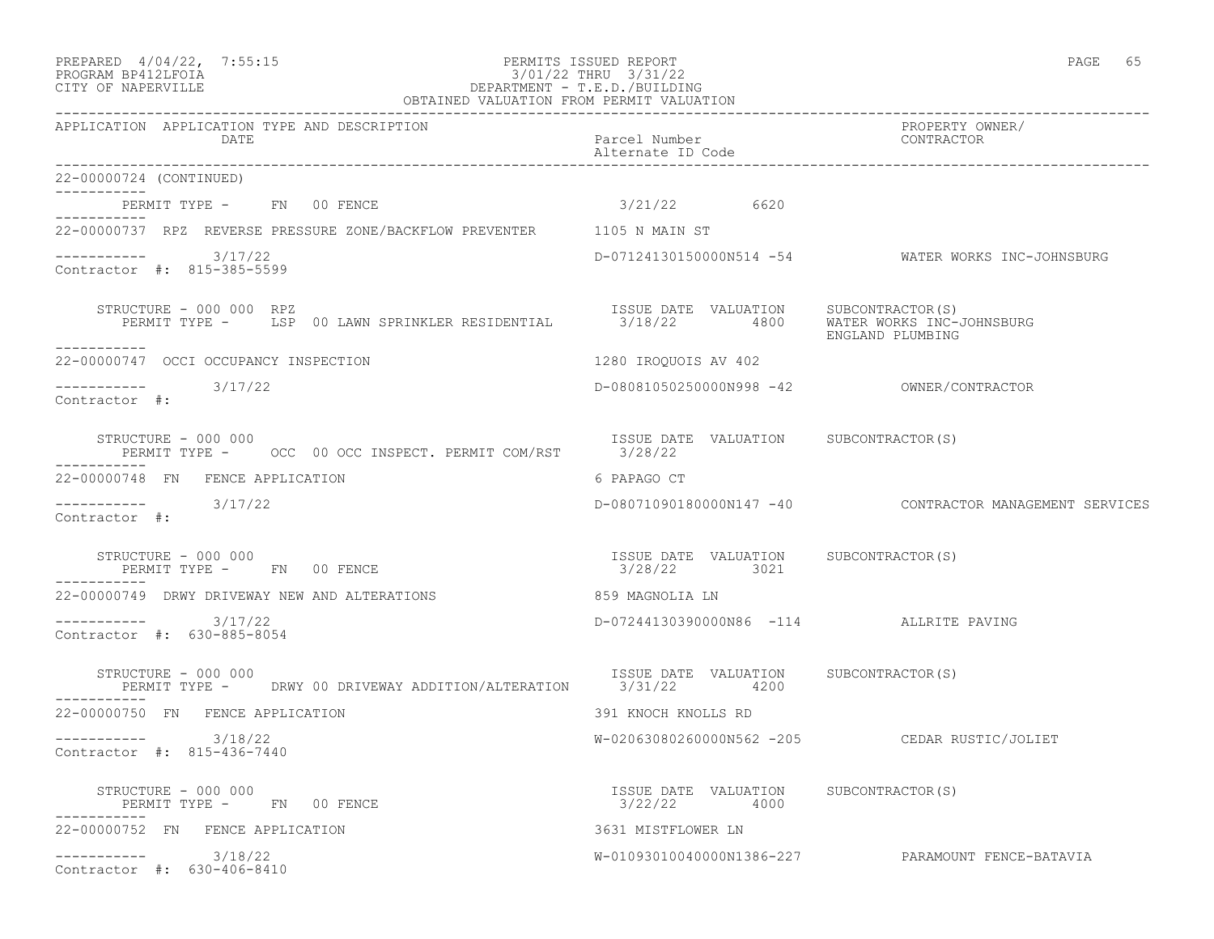## PREPARED  $4/04/22$ ,  $7:55:15$  PERMITS ISSUED REPORT PAGE 65 PROGRAM BP412LFOIA 3/01/22 THRU 3/31/22 CITY OF NAPERVILLE DEPARTMENT - T.E.D./BUILDING

| OBTAINED VALUATION FROM PERMIT VALUATION                                                  |                                                       |                                                         |
|-------------------------------------------------------------------------------------------|-------------------------------------------------------|---------------------------------------------------------|
| APPLICATION APPLICATION TYPE AND DESCRIPTION<br>DATE                                      | Parcel Number<br>Alternate ID Code                    | PROPERTY OWNER/<br>CONTRACTOR                           |
| 22-00000724 (CONTINUED)                                                                   |                                                       |                                                         |
| PERMIT TYPE - FN 00 FENCE                                                                 | 3/21/22 6620                                          |                                                         |
| ----------<br>22-00000737 RPZ REVERSE PRESSURE ZONE/BACKFLOW PREVENTER 1105 N MAIN ST     |                                                       |                                                         |
| $---------$ 3/17/22<br>Contractor #: 815-385-5599                                         |                                                       | D-07124130150000N514 -54 WATER WORKS INC-JOHNSBURG      |
| STRUCTURE - 000 000 RPZ<br>PERMIT TYPE - LSP 00 LAWN SPRINKLER RESIDENTIAL<br>----------- | ISSUE DATE VALUATION SUBCONTRACTOR(S)<br>3/18/22 4800 | WATER WORKS INC-JOHNSBURG<br>ENGLAND PLUMBING           |
| 22-00000747 OCCI OCCUPANCY INSPECTION                                                     | 1280 IROOUOIS AV 402                                  |                                                         |
| 3/17/22<br>Contractor #:                                                                  |                                                       |                                                         |
| STRUCTURE - 000 000<br>PERMIT TYPE - 0CC 00 OCC INSPECT. PERMIT COM/RST 3/28/22           | ISSUE DATE VALUATION SUBCONTRACTOR(S)                 |                                                         |
| 22-00000748 FN FENCE APPLICATION                                                          | 6 PAPAGO CT                                           |                                                         |
| ----------- 3/17/22<br>Contractor #:                                                      |                                                       | D-08071090180000N147 -40 CONTRACTOR MANAGEMENT SERVICES |
| STRUCTURE - 000 000<br>PERMIT TYPE - FN 00 FENCE<br>-----------                           | ISSUE DATE VALUATION SUBCONTRACTOR(S)<br>3/28/22 3021 |                                                         |
| 22-00000749 DRWY DRIVEWAY NEW AND ALTERATIONS                                             | 859 MAGNOLIA LN                                       |                                                         |
| 3/17/22<br>Contractor #: 630-885-8054                                                     | D-07244130390000N86 -114 ALLRITE PAVING               |                                                         |
| STRUCTURE - 000 000<br>PERMIT TYPE - DRWY 00 DRIVEWAY ADDITION/ALTERATION<br>-----------  | ISSUE DATE VALUATION SUBCONTRACTOR(S)<br>3/31/22 4200 |                                                         |
| 22-00000750 FN FENCE APPLICATION                                                          | 391 KNOCH KNOLLS RD                                   |                                                         |
| $--------- 3/18/22$<br>Contractor #: 815-436-7440                                         |                                                       | W-02063080260000N562 -205 CEDAR RUSTIC/JOLIET           |
| STRUCTURE - 000 000<br>PERMIT TYPE - FN 00 FENCE                                          | ISSUE DATE VALUATION SUBCONTRACTOR(S)<br>3/22/22 4000 |                                                         |
| 22-00000752 FN FENCE APPLICATION                                                          | 3631 MISTFLOWER LN                                    |                                                         |
| 3/18/22<br>Contractor #: 630-406-8410                                                     |                                                       | W-01093010040000N1386-227 PARAMOUNT FENCE-BATAVIA       |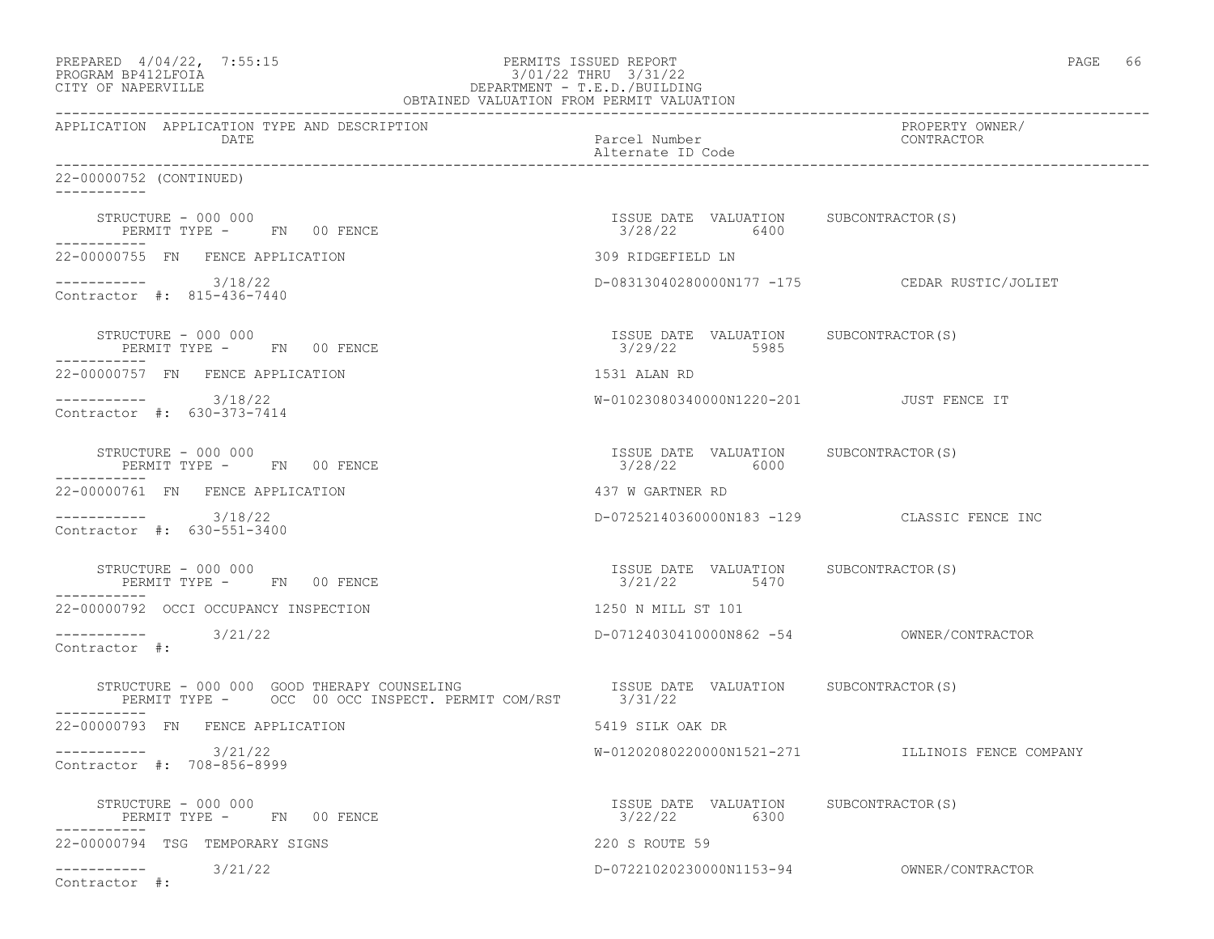| PREPARED 4/04/22, 7:55:15<br>PROGRAM BP412LFOIA<br>3/01/22 THRU 3/31/22<br>DEPARTMENT - T.E.D./BUILDING<br>OBTAINED VALUATION FROM PERMIT VALUATION<br>CITY OF NAPERVILLE                                                                       | PERMITS ISSUED REPORT<br>3/01/22 THRU 3/31/22         | PAGE 66                                          |
|-------------------------------------------------------------------------------------------------------------------------------------------------------------------------------------------------------------------------------------------------|-------------------------------------------------------|--------------------------------------------------|
| APPLICATION APPLICATION TYPE AND DESCRIPTION<br>DATE                                                                                                                                                                                            | Parcel Number<br>Alternate ID Code                    | PROPERTY OWNER/<br>CONTRACTOR                    |
| 22-00000752 (CONTINUED)                                                                                                                                                                                                                         |                                                       |                                                  |
| STRUCTURE - 000 000<br>PERMIT TYPE - FN 00 FENCE<br>-----------                                                                                                                                                                                 | ISSUE DATE VALUATION SUBCONTRACTOR(S)<br>3/28/22 6400 |                                                  |
| 22-00000755 FN FENCE APPLICATION                                                                                                                                                                                                                | 309 RIDGEFIELD LN                                     |                                                  |
| ----------- 3/18/22<br>Contractor #: 815-436-7440                                                                                                                                                                                               |                                                       | D-08313040280000N177 -175 CEDAR RUSTIC/JOLIET    |
| STRUCTURE – 000 000<br>PERMIT TYPE - FN 00 FENCE                                                                                                                                                                                                | ISSUE DATE VALUATION SUBCONTRACTOR(S)<br>3/29/22 5985 |                                                  |
| 22-00000757 FN FENCE APPLICATION                                                                                                                                                                                                                | 1531 ALAN RD                                          |                                                  |
| $--------- 3/18/22$<br>Contractor #: 630-373-7414                                                                                                                                                                                               | W-01023080340000N1220-201 JUST FENCE IT               |                                                  |
| STRUCTURE - 000 000<br>PERMIT TYPE - FN 00 FENCE<br>-----------                                                                                                                                                                                 | ISSUE DATE VALUATION SUBCONTRACTOR(S)<br>3/28/22 6000 |                                                  |
| 22-00000761 FN FENCE APPLICATION                                                                                                                                                                                                                | 437 W GARTNER RD                                      |                                                  |
| $--------- 3/18/22$<br>Contractor #: 630-551-3400                                                                                                                                                                                               |                                                       | D-07252140360000N183 -129 CLASSIC FENCE INC      |
| STRUCTURE - 000 000<br>PERMIT TYPE - FN 00 FENCE<br>-----------                                                                                                                                                                                 | ISSUE DATE VALUATION SUBCONTRACTOR(S)<br>3/21/22 5470 |                                                  |
| 22-00000792 OCCI OCCUPANCY INSPECTION                                                                                                                                                                                                           | 1250 N MILL ST 101                                    |                                                  |
| $--------$ 3/21/22<br>Contractor #:                                                                                                                                                                                                             |                                                       | D-07124030410000N862 -54 OWNER/CONTRACTOR        |
| RUCTURE - 000 000 GOOD THERAPY COUNSELING                         ISSUE DATE VALUATION     SUBCONTRACTOR(S)<br>PERMIT TYPE -      OCC 00 OCC INSPECT. PERMIT COM/RST       3/31/22<br>STRUCTURE - 000 000 GOOD THERAPY COUNSELING<br>---------- |                                                       |                                                  |
| 22-00000793 FN FENCE APPLICATION                                                                                                                                                                                                                | 5419 SILK OAK DR                                      |                                                  |
| 3/21/22<br>Contractor #: 708-856-8999                                                                                                                                                                                                           |                                                       | W-01202080220000N1521-271 ILLINOIS FENCE COMPANY |
| STRUCTURE - 000 000<br>PERMIT TYPE - FN 00 FENCE                                                                                                                                                                                                | ISSUE DATE VALUATION<br>3/22/22<br>6300               | SUBCONTRACTOR (S)                                |
| 22-00000794 TSG TEMPORARY SIGNS                                                                                                                                                                                                                 | 220 S ROUTE 59                                        |                                                  |
| 3/21/22<br>___________<br>Contractor #:                                                                                                                                                                                                         | D-07221020230000N1153-94                              | OWNER/CONTRACTOR                                 |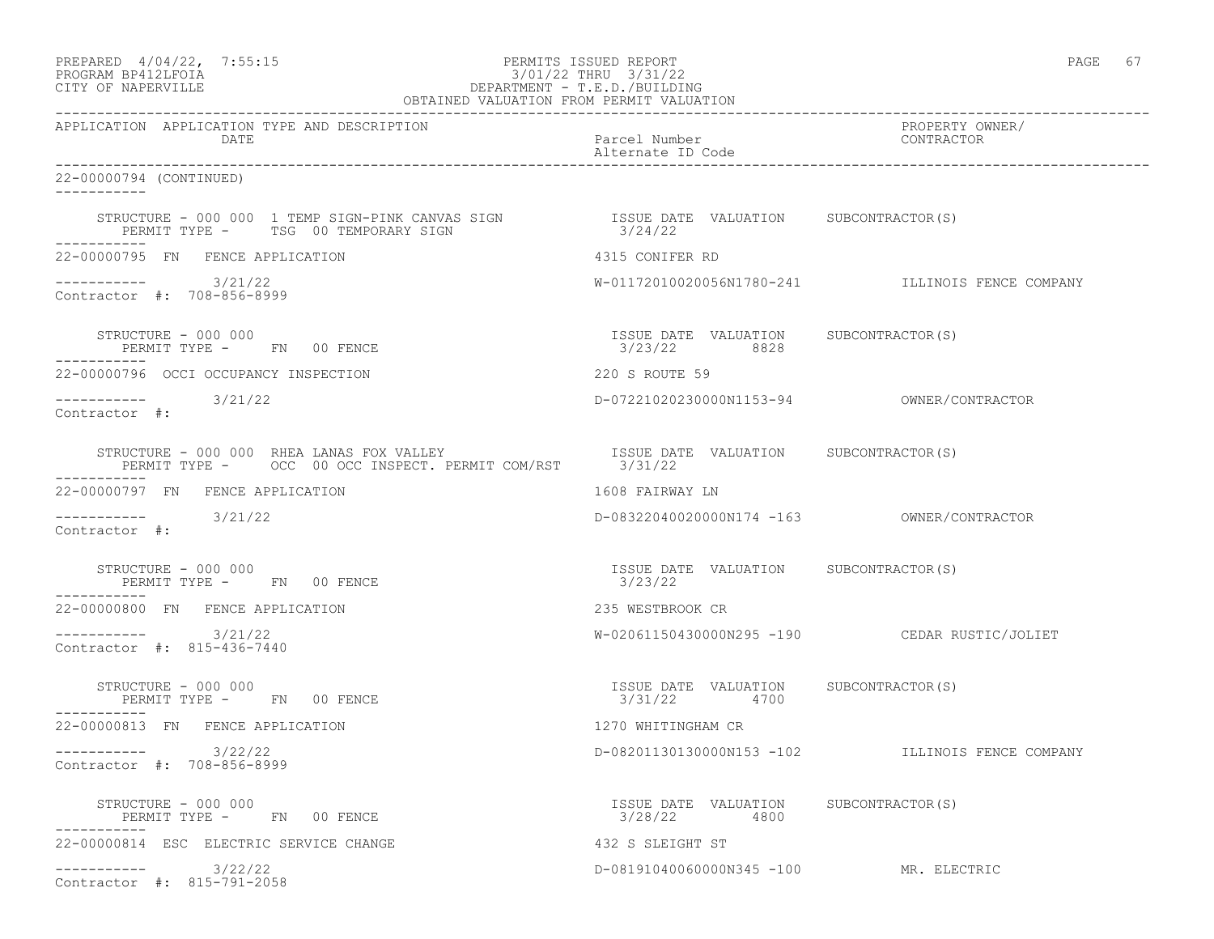| PREPARED              | $4/04/22$ , | 7:55:1 |
|-----------------------|-------------|--------|
| גדמת זרונתם ווגם ממסמ |             |        |

# PREPARED 4/04/22, 7:55:15 PERMITS ISSUED REPORT<br>PROGRAM BP412LFOIA PAGE 67 PROGRAM BP412LFOIA 3/01/22 THRU 3/31/22<br>CITY OF NAPERVILLE DEPARTMENT - T.E.D./BUILDIN CITY OF NAPERVILLE DEPARTMENT - T.E.D./BUILDING

| OBTAINED VALUATION FROM PERMIT VALUATION                                                                                           |                                                       |                                                  |
|------------------------------------------------------------------------------------------------------------------------------------|-------------------------------------------------------|--------------------------------------------------|
| APPLICATION APPLICATION TYPE AND DESCRIPTION<br>DATE                                                                               | Parcel Number<br>Alternate ID Code                    | PROPERTY OWNER/<br>CONTRACTOR                    |
| 22-00000794 (CONTINUED)<br>-----------                                                                                             |                                                       |                                                  |
| STRUCTURE - 000 000 1 TEMP SIGN-PINK CANVAS SIGN SIGN SISUE DATE VALUATION SUBCONTRACTOR(S)<br>PERMIT TYPE - TSG 00 TEMPORARY SIGN | 3/24/22                                               |                                                  |
| 22-00000795 FN FENCE APPLICATION                                                                                                   | 4315 CONIFER RD                                       |                                                  |
| $--------- 3/21/22$<br>Contractor #: 708-856-8999                                                                                  |                                                       | W-01172010020056N1780-241 ILLINOIS FENCE COMPANY |
| STRUCTURE - 000 000<br>PERMIT TYPE - FN 00 FENCE                                                                                   | ISSUE DATE VALUATION SUBCONTRACTOR(S)<br>3/23/22 8828 |                                                  |
| 22-00000796 OCCI OCCUPANCY INSPECTION                                                                                              | 220 S ROUTE 59                                        |                                                  |
| $--------- 3/21/22$<br>Contractor #:                                                                                               |                                                       |                                                  |
| STRUCTURE - 000 000 RHEA LANAS FOX VALLEY<br>PERMIT TYPE - OCC 00 OCC INSPECT. PERMIT COM/RST 3/31/22                              | ISSUE DATE VALUATION SUBCONTRACTOR(S)                 |                                                  |
| 22-00000797 FN FENCE APPLICATION                                                                                                   | 1608 FAIRWAY LN                                       |                                                  |
| $--------- 3/21/22$<br>Contractor #:                                                                                               |                                                       | D-08322040020000N174 -163 OWNER/CONTRACTOR       |
| STRUCTURE - 000 000<br>PERMIT TYPE - FN 00 FENCE                                                                                   | ISSUE DATE VALUATION SUBCONTRACTOR(S)<br>3/23/22      |                                                  |
| 22-00000800 FN FENCE APPLICATION                                                                                                   | 235 WESTBROOK CR                                      |                                                  |
| $--------- 3/21/22$<br>Contractor #: 815-436-7440                                                                                  |                                                       | W-02061150430000N295 -190 CEDAR RUSTIC/JOLIET    |
| STRUCTURE - 000 000<br>PERMIT TYPE - FN 00 FENCE                                                                                   | ISSUE DATE VALUATION SUBCONTRACTOR(S)<br>3/31/22 4700 |                                                  |
| 22-00000813 FN FENCE APPLICATION                                                                                                   | 1270 WHITINGHAM CR                                    |                                                  |
| $--------- 3/22/22$<br>Contractor #: 708-856-8999                                                                                  |                                                       | D-08201130130000N153 -102 ILLINOIS FENCE COMPANY |
| STRUCTURE - 000 000<br>PERMIT TYPE - FN 00 FENCE                                                                                   | ISSUE DATE VALUATION SUBCONTRACTOR(S)<br>3/28/22 4800 |                                                  |
| 22-00000814 ESC ELECTRIC SERVICE CHANGE                                                                                            | 432 S SLEIGHT ST                                      |                                                  |
| $--------- 3/22/22$<br>Contractor #: 815-791-2058                                                                                  | D-08191040060000N345 -100 MR. ELECTRIC                |                                                  |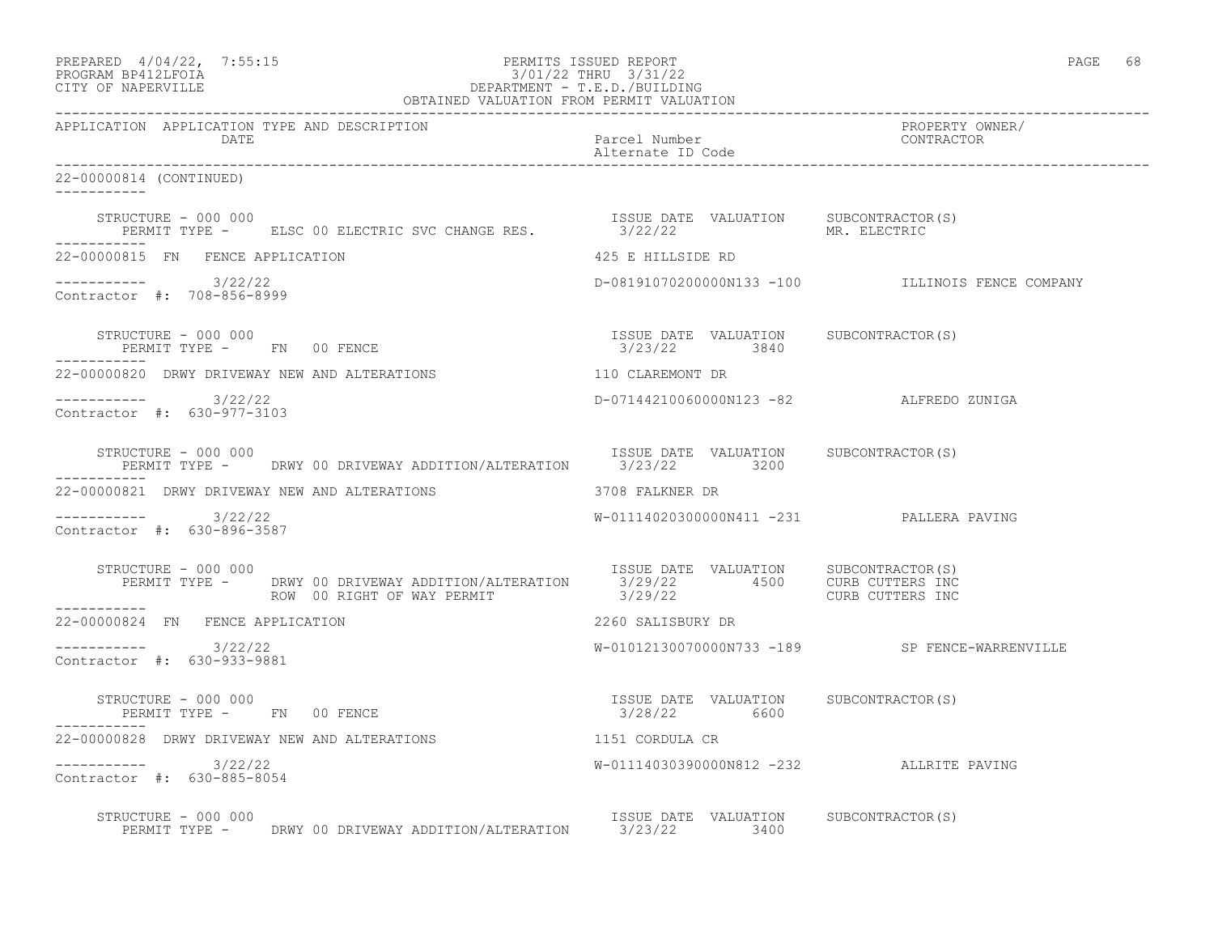| PREPARED 4/04/22, 7:55:15<br>PROGRAM BP412LFOIA DEPARTMENT - T.E.D./BUILDING<br>OBTAINED VALUATION FROM PERMIT VALUATION<br>OBTAINED VALUATION FROM PERMIT VALUATION                                     |                                                       | PAGE 68                                          |
|----------------------------------------------------------------------------------------------------------------------------------------------------------------------------------------------------------|-------------------------------------------------------|--------------------------------------------------|
| DATE                                                                                                                                                                                                     | Parcel Number<br>Alternate ID Code                    | PROPERTY OWNER/<br>CONTRACTOR                    |
| 22-00000814 (CONTINUED)<br>-----------                                                                                                                                                                   |                                                       |                                                  |
| STRUCTURE - 000 000<br>PERMIT TYPE - ELSC 00 ELECTRIC SVC CHANGE RES. 3/22/22 MR. ELECTRIC<br>-----------                                                                                                | ISSUE DATE VALUATION SUBCONTRACTOR(S)                 |                                                  |
| 22-00000815 FN FENCE APPLICATION                                                                                                                                                                         | 425 E HILLSIDE RD                                     |                                                  |
| ----------- 3/22/22<br>Contractor #: 708-856-8999                                                                                                                                                        |                                                       | D-08191070200000N133 -100 ILLINOIS FENCE COMPANY |
| STRUCTURE - 000 000<br>PERMIT TYPE - FN 00 FENCE                                                                                                                                                         | ISSUE DATE VALUATION SUBCONTRACTOR(S)<br>3/23/22 3840 |                                                  |
| 22-00000820 DRWY DRIVEWAY NEW AND ALTERATIONS                                                                                                                                                            | 110 CLAREMONT DR                                      |                                                  |
| -----------    3/22/22<br>Contractor #: 630-977-3103                                                                                                                                                     | D-07144210060000N123 -82 ALFREDO ZUNIGA               |                                                  |
| STRUCTURE - 000 000<br>PERMIT TYPE - DRWY 00 DRIVEWAY ADDITION/ALTERATION 3/23/22 3200                                                                                                                   | ISSUE DATE VALUATION SUBCONTRACTOR(S)                 |                                                  |
| 22-00000821 DRWY DRIVEWAY NEW AND ALTERATIONS                                                                                                                                                            | 3708 FALKNER DR                                       |                                                  |
| ----------- 3/22/22<br>Contractor #: 630-896-3587                                                                                                                                                        | W-01114020300000N411 -231 PALLERA PAVING              |                                                  |
| RUCTURE - 000 000<br>PERMIT TYPE - DRWY 00 DRIVEWAY ADDITION/ALTERATION 13/29/22 4500 CURB CUTTERS INC<br>---- ROW 00 RIGHT OF WAY PERMIT 3/29/22 CURB CUTTERS INC<br>STRUCTURE - 000 000<br>----------- |                                                       |                                                  |
| 22-00000824 FN FENCE APPLICATION                                                                                                                                                                         | 2260 SALISBURY DR                                     |                                                  |
| $--------- 3/22/22$<br>Contractor #: 630-933-9881                                                                                                                                                        |                                                       | W-01012130070000N733 -189 SP FENCE-WARRENVILLE   |
| STRUCTURE - 000 000<br>PERMIT TYPE - FN 00 FENCE                                                                                                                                                         | ISSUE DATE VALUATION SUBCONTRACTOR(S)<br>3/28/22 6600 |                                                  |
| 22-00000828 DRWY DRIVEWAY NEW AND ALTERATIONS                                                                                                                                                            | 1151 CORDULA CR                                       |                                                  |
| $--------$ 3/22/22<br>Contractor #: 630-885-8054                                                                                                                                                         | W-01114030390000N812 -232 ALLRITE PAVING              |                                                  |
| SIRUCTURE - UUU UUU DRWY 00 DRIVEWAY ADDITION/ALTERATION SESUE DATE VALUATION SUBCONTRACTOR(S)                                                                                                           |                                                       |                                                  |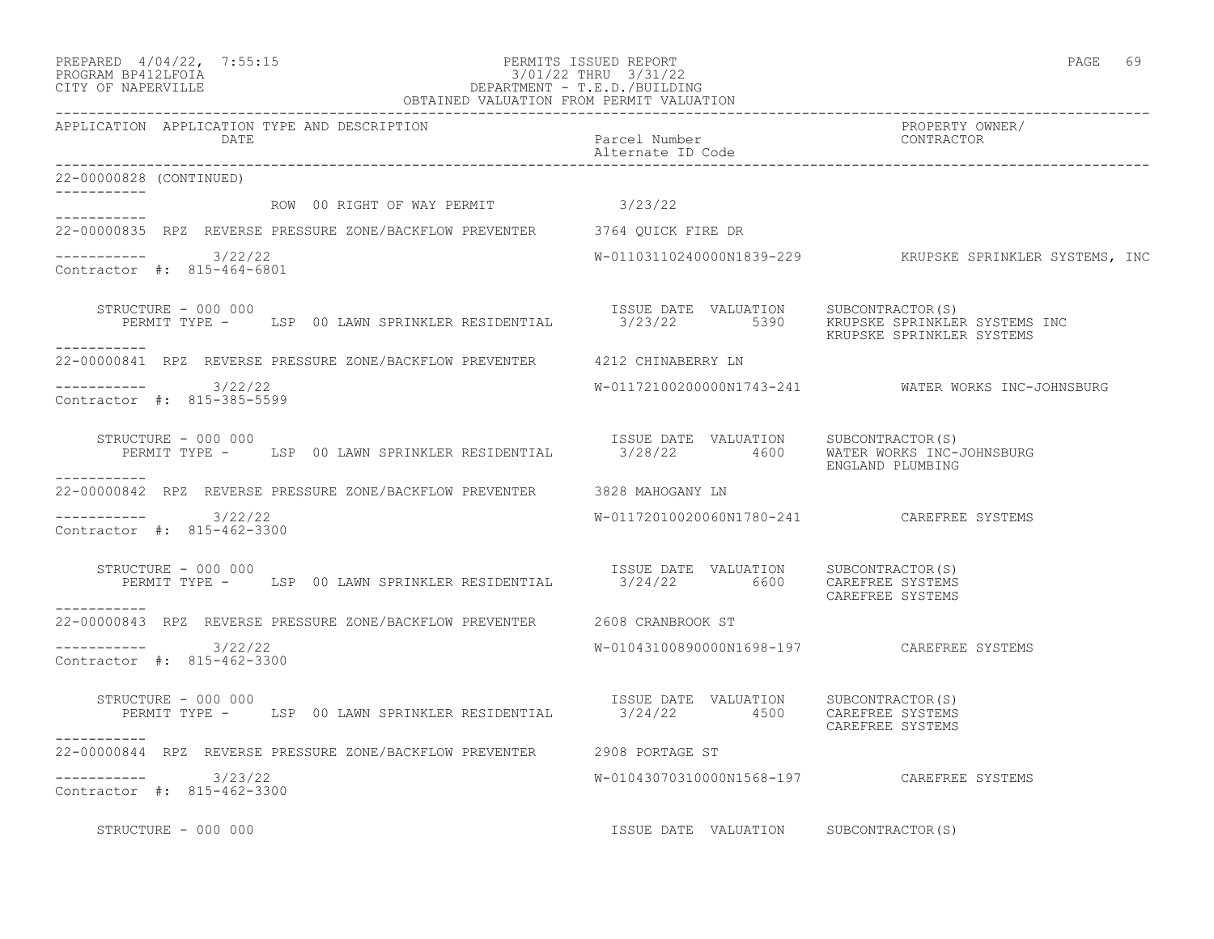| PREPARED | $4/04/22$ , | 7:55:1 |
|----------|-------------|--------|
|          |             |        |

# PREPARED 4/04/22, 7:55:15 PERMITS ISSUED REPORT<br>PROGRAM BP412LFOIA PAGE 69 3/01/22 THRU 3/31/22 PROGRAM BP412LFOIA 3/01/22 THRU 3/31/22<br>CITY OF NAPERVILLE DEPARTMENT - T.E.D./BUILDIN CITY OF NAPERVILLE DEPARTMENT - T.E.D./BUILDING

| OBTAINED VALUATION FROM PERMIT VALUATION                                                                                          |                                            |                                                            |
|-----------------------------------------------------------------------------------------------------------------------------------|--------------------------------------------|------------------------------------------------------------|
| APPLICATION APPLICATION TYPE AND DESCRIPTION<br>DATE                                                                              | Parcel Number<br>Alternate ID Code         | PROPERTY OWNER/<br>CONTRACTOR                              |
| 22-00000828 (CONTINUED)                                                                                                           |                                            |                                                            |
| ROW 00 RIGHT OF WAY PERMIT 3/23/22                                                                                                |                                            |                                                            |
| 22-00000835 RPZ REVERSE PRESSURE ZONE/BACKFLOW PREVENTER 3764 QUICK FIRE DR                                                       |                                            |                                                            |
| -----------    3/22/22<br>Contractor #: 815-464-6801                                                                              |                                            | $W-01103110240000N1839-229$ KRUPSKE SPRINKLER SYSTEMS, INC |
| STRUCTURE - 000 000<br>PERMIT TYPE - LSP 00 LAWN SPRINKLER RESIDENTIAL 3/23/22 5390 KRUPSKE SPRINKLER SYSTEMS INC<br>------------ | ISSUE DATE VALUATION SUBCONTRACTOR(S)      | KRUPSKE SPRINKLER SYSTEMS                                  |
| 22-00000841 RPZ REVERSE PRESSURE ZONE/BACKFLOW PREVENTER 4212 CHINABERRY LN                                                       |                                            |                                                            |
| -----------    3/22/22<br>Contractor #: 815-385-5599                                                                              |                                            | W-01172100200000N1743-241 WATER WORKS INC-JOHNSBURG        |
| STRUCTURE - 000 000<br>PERMIT TYPE - LSP 00 LAWN SPRINKLER RESIDENTIAL 3/28/22 4600 WATER WORKS INC-JOHNSBURG                     | ISSUE DATE VALUATION SUBCONTRACTOR(S)      | ENGLAND PLUMBING                                           |
| -----------<br>22-00000842 RPZ REVERSE PRESSURE ZONE/BACKFLOW PREVENTER 3828 MAHOGANY LN                                          |                                            |                                                            |
| $--------$ 3/22/22<br>Contractor #: 815-462-3300                                                                                  | W-01172010020060N1780-241 CAREFREE SYSTEMS |                                                            |
| STRUCTURE - 000 000<br>PERMIT TYPE - LSP 00 LAWN SPRINKLER RESIDENTIAL 8/24/22 6600 CAREFREE SYSTEMS<br>-----------               | ISSUE DATE VALUATION SUBCONTRACTOR(S)      | CAREFREE SYSTEMS                                           |
| 22-00000843 RPZ REVERSE PRESSURE ZONE/BACKFLOW PREVENTER 2608 CRANBROOK ST                                                        |                                            |                                                            |
| ----------- 3/22/22<br>Contractor #: 815-462-3300                                                                                 |                                            |                                                            |
| STRUCTURE - 000 000<br>PERMIT TYPE - LSP 00 LAWN SPRINKLER RESIDENTIAL 3/24/22 4500                                               | ISSUE DATE VALUATION SUBCONTRACTOR(S)      | CAREFREE SYSTEMS<br>CAREFREE SYSTEMS                       |
| -----------<br>22-00000844 RPZ REVERSE PRESSURE ZONE/BACKFLOW PREVENTER 2908 PORTAGE ST                                           |                                            |                                                            |
| -----------    3/23/22<br>Contractor #: 815-462-3300                                                                              | W-01043070310000N1568-197 CAREFREE SYSTEMS |                                                            |
| STRUCTURE - 000 000                                                                                                               | ISSUE DATE VALUATION SUBCONTRACTOR(S)      |                                                            |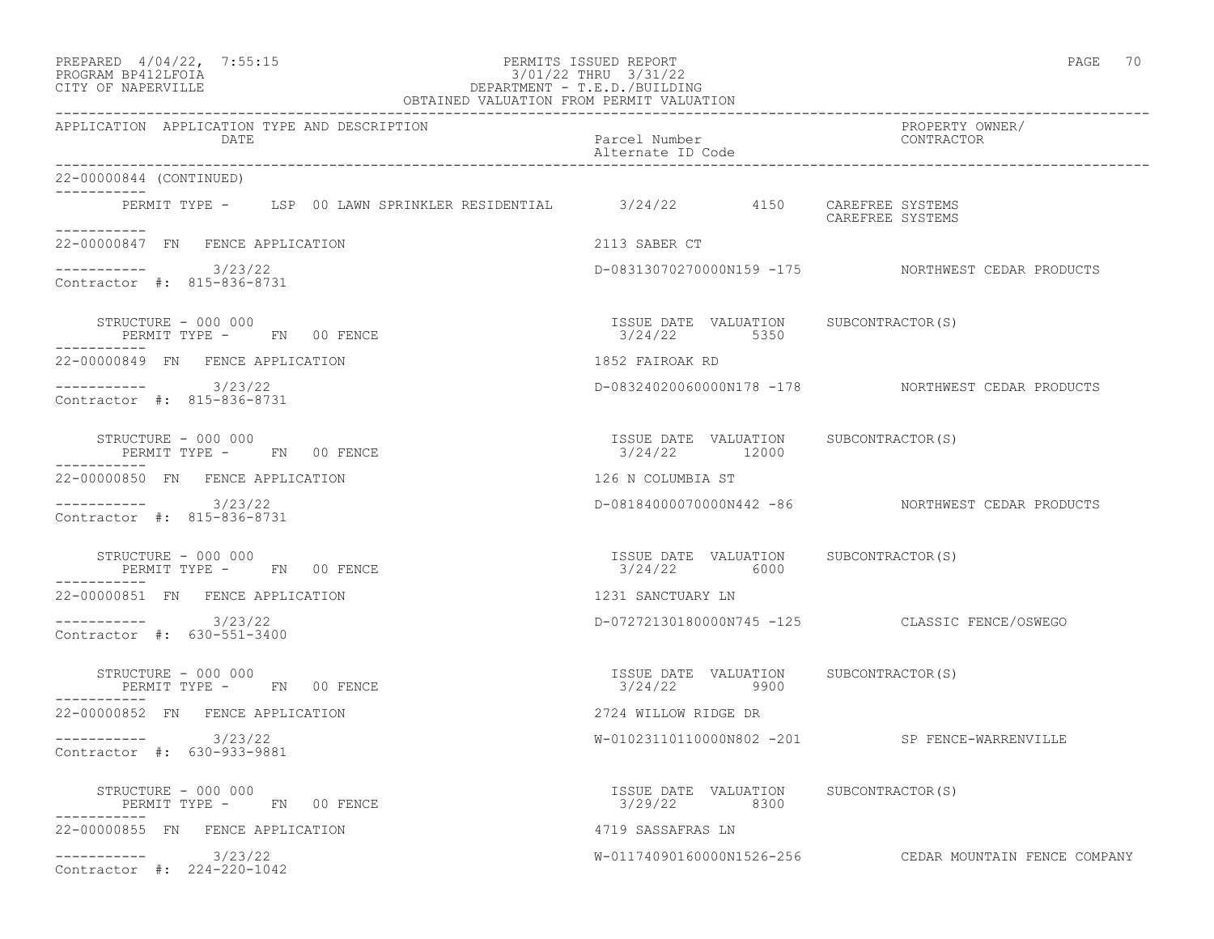| PREPARED 4/04/22, 7:55:15<br>PERMITS ISSUED REPORT<br>3/01/22 THRU 3/31/22<br>DEPARTMENT - T.E.D./BUILDING<br>OBTAINED VALUATION FROM PERMIT VALUATION<br>PROGRAM BP412LFOIA<br>CITY OF NAPERVILLE | PERMITS ISSUED REPORT                                   | PAGE 70                                                |
|----------------------------------------------------------------------------------------------------------------------------------------------------------------------------------------------------|---------------------------------------------------------|--------------------------------------------------------|
| APPLICATION APPLICATION TYPE AND DESCRIPTION<br>DATE                                                                                                                                               | Parcel Number<br>Alternate ID Code                      | PROPERTY OWNER/<br>CONTRACTOR                          |
| 22-00000844 (CONTINUED)                                                                                                                                                                            |                                                         |                                                        |
| PERMIT TYPE - LSP 00 LAWN SPRINKLER RESIDENTIAL 8/24/22 4150 CAREFREE SYSTEMS<br><u>Listenberge</u>                                                                                                |                                                         | CAREFREE SYSTEMS                                       |
| 22-00000847 FN FENCE APPLICATION                                                                                                                                                                   | 2113 SABER CT                                           |                                                        |
| -----------    3/23/22<br>Contractor #: 815-836-8731                                                                                                                                               |                                                         | D-08313070270000N159 -175 NORTHWEST CEDAR PRODUCTS     |
| STRUCTURE - 000 000<br>PERMIT TYPE - FN 00 FENCE<br>-----------                                                                                                                                    | ISSUE DATE VALUATION SUBCONTRACTOR(S)<br>3/24/22 5350   |                                                        |
| 22-00000849 FN FENCE APPLICATION                                                                                                                                                                   | 1852 FAIROAK RD                                         |                                                        |
| $--------- 3/23/22$<br>Contractor #: 815-836-8731                                                                                                                                                  |                                                         | D-08324020060000N178 -178 NORTHWEST CEDAR PRODUCTS     |
| STRUCTURE - 000 000<br>PERMIT TYPE - FN 00 FENCE                                                                                                                                                   | ISSUE DATE VALUATION SUBCONTRACTOR(S)<br>3/24/22 12000  |                                                        |
| 22-00000850 FN FENCE APPLICATION                                                                                                                                                                   | 126 N COLUMBIA ST                                       |                                                        |
| $--------- 3/23/22$<br>Contractor #: 815-836-8731                                                                                                                                                  |                                                         | D-08184000070000N442 -86 NORTHWEST CEDAR PRODUCTS      |
| STRUCTURE - 000 000<br>PERMIT TYPE - FN 00 FENCE<br>----------                                                                                                                                     | ISSUE DATE VALUATION SUBCONTRACTOR(S)<br>3/24/22 6000   |                                                        |
| 22-00000851 FN FENCE APPLICATION                                                                                                                                                                   | 1231 SANCTUARY LN                                       |                                                        |
| ---------- 3/23/22<br>Contractor #: 630-551-3400                                                                                                                                                   |                                                         | D-07272130180000N745 -125 CLASSIC FENCE/OSWEGO         |
| STRUCTURE - 000 000<br>PERMIT TYPE - FN 00 FENCE                                                                                                                                                   | ISSUE DATE VALUATION SUBCONTRACTOR(S)<br>$3/24/22$ 9900 |                                                        |
| 22-00000852 FN FENCE APPLICATION                                                                                                                                                                   | 2724 WILLOW RIDGE DR                                    |                                                        |
| 3/23/22<br>Contractor #: 630-933-9881                                                                                                                                                              |                                                         | W-01023110110000N802 -201 SP FENCE-WARRENVILLE         |
| STRUCTURE - 000 000<br>PERMIT TYPE - FN 00 FENCE                                                                                                                                                   | ISSUE DATE VALUATION SUBCONTRACTOR(S)<br>3/29/22 8300   |                                                        |
| 22-00000855 FN FENCE APPLICATION                                                                                                                                                                   | 4719 SASSAFRAS LN                                       |                                                        |
| $--------$ 3/23/22<br>Contractor #: 224-220-1042                                                                                                                                                   |                                                         | W-01174090160000N1526-256 CEDAR MOUNTAIN FENCE COMPANY |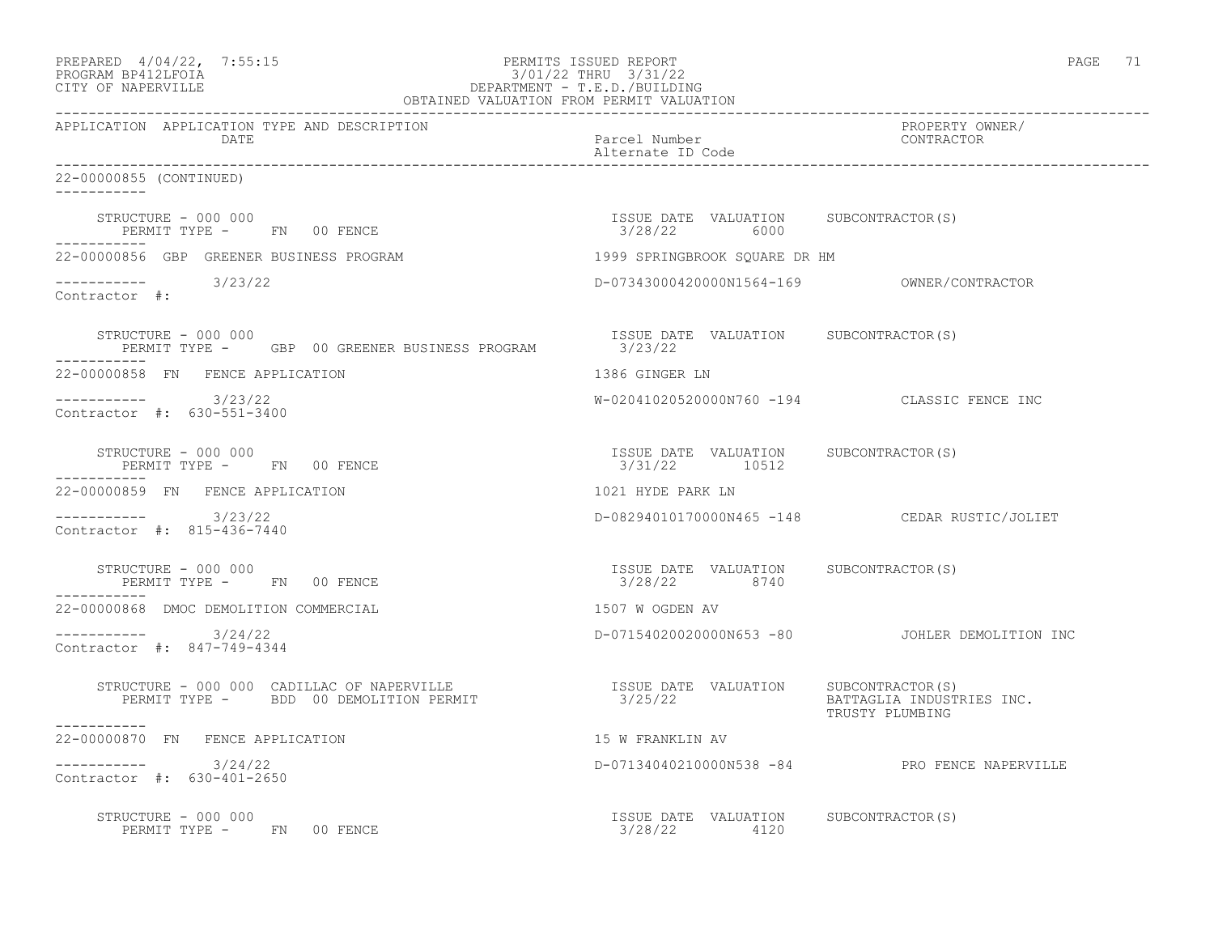| PREPARED 4/04/22, 7:55:15<br>PROGRAM BP412LFOIA<br>CITY OF NAPERVILLE                               |                                                               | PAGE 71                                        |
|-----------------------------------------------------------------------------------------------------|---------------------------------------------------------------|------------------------------------------------|
| APPLICATION APPLICATION TYPE AND DESCRIPTION<br>DATE                                                | Parcel Number<br>Alternate ID Code<br>----------------------- | PROPERTY OWNER/<br>CONTRACTOR                  |
| 22-00000855 (CONTINUED)<br>-----------                                                              |                                                               |                                                |
| STRUCTURE - 000 000<br>PERMIT TYPE - FN 00 FENCE                                                    | ISSUE DATE VALUATION SUBCONTRACTOR(S)<br>3/28/22 6000         |                                                |
| 22-00000856 GBP GREENER BUSINESS PROGRAM                                                            | 1999 SPRINGBROOK SOUARE DR HM                                 |                                                |
| ----------- 3/23/22<br>Contractor #:                                                                |                                                               |                                                |
| STRUCTURE - 000 000<br>PERMIT TYPE - GBP 00 GREENER BUSINESS PROGRAM                                | ISSUE DATE VALUATION SUBCONTRACTOR(S)<br>3/23/22              |                                                |
| 22-00000858 FN FENCE APPLICATION                                                                    | 1386 GINGER LN                                                |                                                |
| ----------- 3/23/22<br>Contractor #: 630-551-3400                                                   |                                                               | W-02041020520000N760 -194 CLASSIC FENCE INC    |
| STRUCTURE - 000 000<br>PERMIT TYPE - FN 00 FENCE<br>-----------                                     | ISSUE DATE VALUATION SUBCONTRACTOR(S)<br>3/31/22 10512        |                                                |
| 22-00000859 FN FENCE APPLICATION                                                                    | 1021 HYDE PARK LN                                             |                                                |
| ----------- 3/23/22<br>Contractor #: 815-436-7440                                                   |                                                               | D-08294010170000N465 -148 CEDAR RUSTIC/JOLIET  |
| STRUCTURE - 000 000<br>PERMIT TYPE - FN 00 FENCE                                                    | ISSUE DATE VALUATION SUBCONTRACTOR(S)<br>3/28/22 8740         |                                                |
| 22-00000868 DMOC DEMOLITION COMMERCIAL                                                              | 1507 W OGDEN AV                                               |                                                |
| $--------- 3/24/22$<br>Contractor #: 847-749-4344                                                   |                                                               | D-07154020020000N653 -80 JOHLER DEMOLITION INC |
| STRUCTURE - 000 000 CADILLAC OF NAPERVILLE<br>PERMIT TYPE - BDD 00 DEMOLITION PERMIT<br>___________ |                                                               | BATTAGLIA INDUSTRIES INC.<br>TRUSTY PLUMBING   |
| 22-00000870 FN FENCE APPLICATION                                                                    | 15 W FRANKLIN AV                                              |                                                |
| $----------$ 3/24/22<br>Contractor #: 630-401-2650                                                  |                                                               | D-07134040210000N538 -84 PRO FENCE NAPERVILLE  |
| STRUCTURE - 000 000<br>PERMIT TYPE - FN 00 FENCE                                                    | ISSUE DATE VALUATION SUBCONTRACTOR(S)<br>3/28/22 4120         |                                                |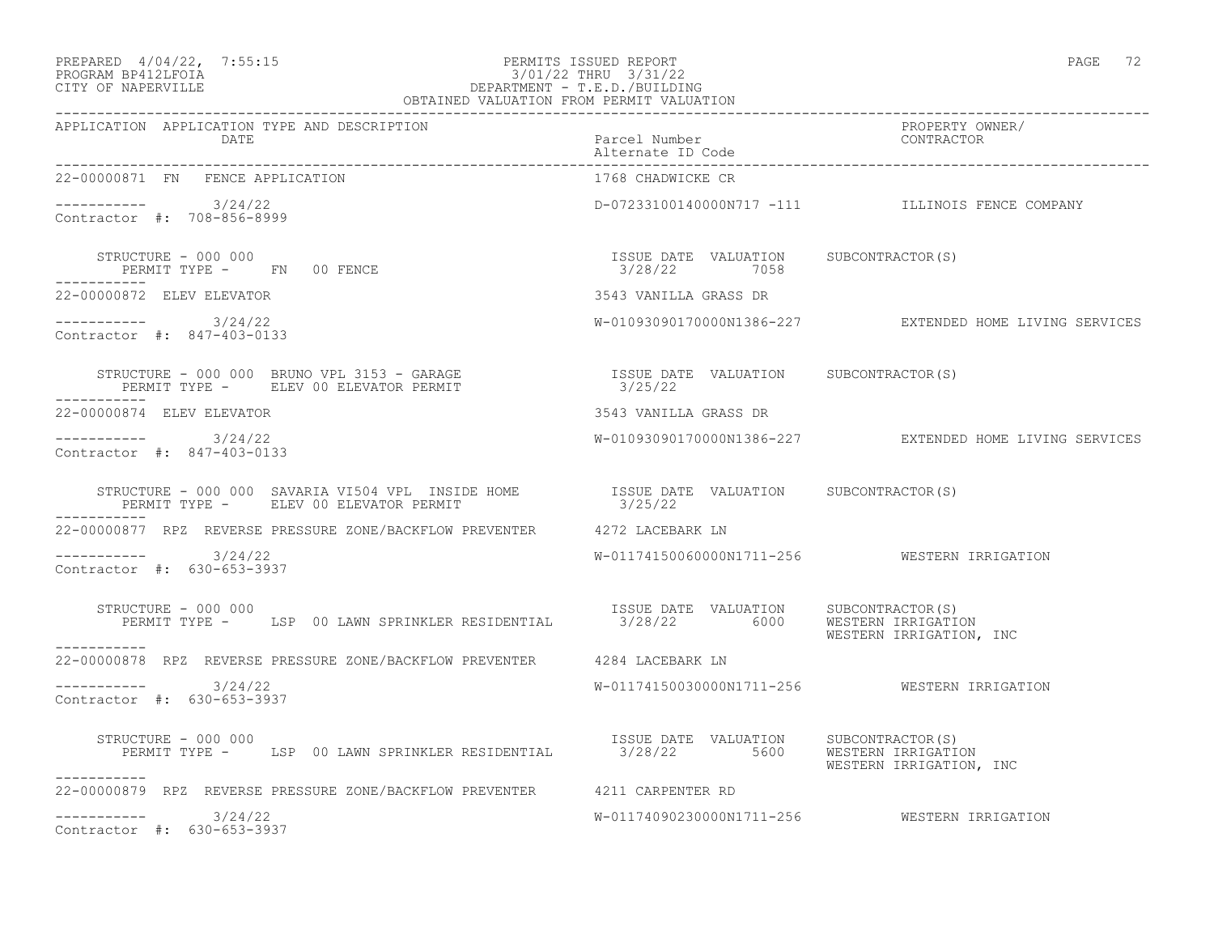### PREPARED 4/04/22, 7:55:15 PERMITS ISSUED REPORT PAGE 72<br>PROGRAM BP412LFOIA PROGRAM PROGRAM PROGRAM PROGRAM PROGRAM PROGRAM PROGRAM PROGRAM PROGRAM PROGRAM PAGE 72 PROGRAM BP412LFOIA 3/01/22 THRU 3/31/22 CITY OF NAPERVILLE DEPARTMENT - T.E.D./BUILDING OBTAINED VALUATION FROM PERMIT VALUATION

| APPLICATION APPLICATION TYPE AND DESCRIPTION                                                                                                                                                                                      |                                                       |                                                         |
|-----------------------------------------------------------------------------------------------------------------------------------------------------------------------------------------------------------------------------------|-------------------------------------------------------|---------------------------------------------------------|
| APPLICATION APPLICATION TYPE AND DESCRIPTION PACKERTY POWER PROPERTY OWNER (DATE<br>DATE Parcel Number encel Number (Date contractor enter alternate ID Code enter alternate ID Code enter alternate ID Code entering enter alter |                                                       |                                                         |
| 22-00000871 FN FENCE APPLICATION                                                                                                                                                                                                  | 1768 CHADWICKE CR                                     |                                                         |
| ----------- 3/24/22<br>Contractor #: 708-856-8999                                                                                                                                                                                 |                                                       | D-07233100140000N717 -111 ILLINOIS FENCE COMPANY        |
| STRUCTURE - 000 000<br>PERMIT TYPE - FN 00 FENCE                                                                                                                                                                                  | ISSUE DATE VALUATION SUBCONTRACTOR(S)<br>3/28/22 7058 |                                                         |
| 22-00000872 ELEV ELEVATOR                                                                                                                                                                                                         | 3543 VANILLA GRASS DR                                 |                                                         |
| $--------- 3/24/22$<br>Contractor #: 847-403-0133                                                                                                                                                                                 |                                                       | W-01093090170000N1386-227 EXTENDED HOME LIVING SERVICES |
| STRUCTURE – 000 000 BRUNO VPL 3153 – GARAGE                        ISSUE DATE VALUATION     SUBCONTRACTOR(S)<br>PERMIT TYPE –      ELEV 00 ELEVATOR PERMIT                           3/25/22<br>-----------                       |                                                       |                                                         |
| 22-00000874 ELEV ELEVATOR                                                                                                                                                                                                         | 3543 VANILLA GRASS DR                                 |                                                         |
| $--------- 3/24/22$<br>Contractor #: 847-403-0133                                                                                                                                                                                 |                                                       | W-01093090170000N1386-227 EXTENDED HOME LIVING SERVICES |
|                                                                                                                                                                                                                                   |                                                       |                                                         |
| 22-00000877 RPZ REVERSE PRESSURE ZONE/BACKFLOW PREVENTER 4272 LACEBARK LN                                                                                                                                                         |                                                       |                                                         |
| $--------- 3/24/22$<br>Contractor #: 630-653-3937                                                                                                                                                                                 |                                                       | W-01174150060000N1711-256 WESTERN IRRIGATION            |
| RUCTURE – 000 000<br>PERMIT TYPE – LSP 00 LAWN SPRINKLER RESIDENTIAL 1990 1980 1980 1990 WESTERN IRRIGATION<br>STRUCTURE - 000 000                                                                                                |                                                       | WESTERN IRRIGATION, INC                                 |
| 22-00000878 RPZ REVERSE PRESSURE ZONE/BACKFLOW PREVENTER 4284 LACEBARK LN                                                                                                                                                         |                                                       |                                                         |
| $--------- 3/24/22$<br>Contractor #: 630-653-3937                                                                                                                                                                                 |                                                       | W-01174150030000N1711-256 WESTERN IRRIGATION            |
| STRUCTURE - 000 000<br>PERMIT TYPE - LSP 00 LAWN SPRINKLER RESIDENTIAL 13/28/22 5600 WESTERN IRRIGATION<br>WESTERN IRRIGATION, INC<br>------------                                                                                |                                                       |                                                         |
| 22-00000879 RPZ REVERSE PRESSURE ZONE/BACKFLOW PREVENTER 4211 CARPENTER RD                                                                                                                                                        |                                                       |                                                         |
| $--------- 3/24/22$<br>Contractor #: 630-653-3937                                                                                                                                                                                 |                                                       |                                                         |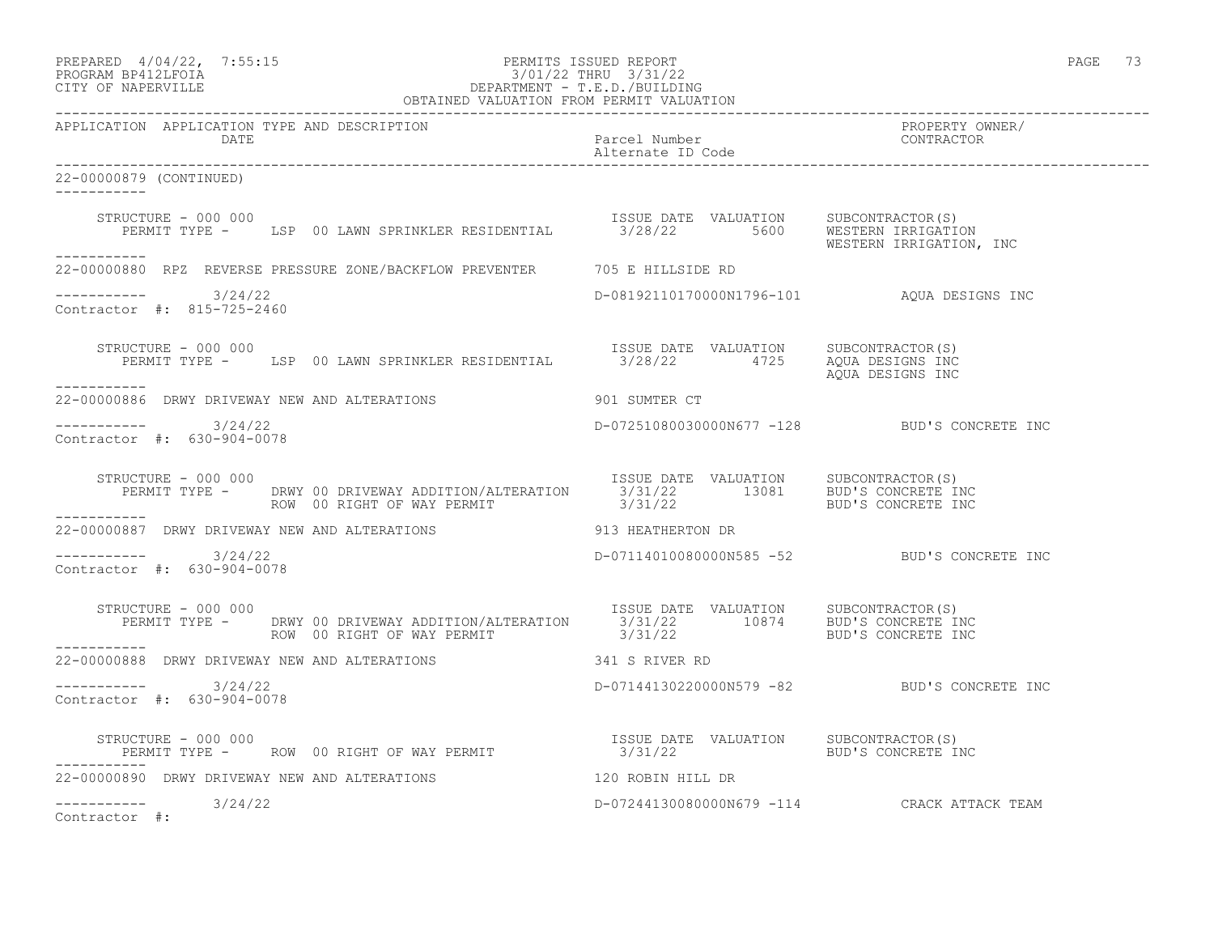| PREPARED $4/04/22$ , 7:55:15<br>PROGRAM BP412LFOIA<br>CITY OF NAPERVILLE<br>CITY OF NAPERVILLE<br>PEPARTMENT - T.E.D./BUILDING<br>OBTAINED VALUATION FROM PERMIT VALUATION                     |                                            |                                              | PAGE 73 |
|------------------------------------------------------------------------------------------------------------------------------------------------------------------------------------------------|--------------------------------------------|----------------------------------------------|---------|
| APPLICATION APPLICATION TYPE AND DESCRIPTION<br>DATE                                                                                                                                           | Parcel Number<br>Alternate ID Code         | PROPERTY OWNER/<br>CONTRACTOR                |         |
| 22-00000879 (CONTINUED)                                                                                                                                                                        |                                            |                                              |         |
| STRUCTURE - 000 000<br>STRUCTURE - 000 000<br>PERMIT TYPE - LSP 00 LAWN SPRINKLER RESIDENTIAL 1990 128/22 5600 WESTERN IRRIGATION<br>-----------                                               |                                            | WESTERN IRRIGATION, INC                      |         |
| 22-00000880 RPZ REVERSE PRESSURE ZONE/BACKFLOW PREVENTER 705 E HILLSIDE RD                                                                                                                     |                                            |                                              |         |
| $--------- 3/24/22$<br>Contractor #: 815-725-2460                                                                                                                                              | D-08192110170000N1796-101 AOUA DESIGNS INC |                                              |         |
| STRUCTURE - 000 000<br>PERMIT TYPE - LSP 00 LAWN SPRINKLER RESIDENTIAL 3/28/22 4725 AQUA DESIGNS INC<br>STRUCTURE - 000 000<br>-----------                                                     |                                            | AOUA DESIGNS INC                             |         |
| 22-00000886 DRWY DRIVEWAY NEW AND ALTERATIONS                                                                                                                                                  | 901 SUMTER CT                              |                                              |         |
| $--------$ 3/24/22<br>Contractor #: 630-904-0078                                                                                                                                               |                                            | D-07251080030000N677 -128 BUD'S CONCRETE INC |         |
| RUCTURE - 000 000<br>PERMIT TYPE - DRWY 00 DRIVEWAY ADDITION/ALTERATION 5/31/22 13081 BUD'S CONCRETE INC<br>ROW 00 RIGHT OF WAY PERMIT 3/31/22 13081 BUD'S CONCRETE INC<br>STRUCTURE - 000 000 |                                            |                                              |         |
| -----------<br>22-00000887 DRWY DRIVEWAY NEW AND ALTERATIONS THE SAME SERVICE SERVICE SERVICE SERVICE SERVICE SERVICE SERVICE                                                                  |                                            |                                              |         |
| $--------- 3/24/22$<br>Contractor #: 630-904-0078                                                                                                                                              |                                            | D-07114010080000N585 -52 BUD'S CONCRETE INC  |         |
| STRUCTURE - 000 000<br>PERMIT TYPE - DRWY 00 DRIVEWAY ADDITION/ALTERATION 1SSUE DATE VALUATION SUBCONTRACTOR(S)<br>ROW 00 RIGHT OF WAY PERMIT 10874 10874 BUD'S CONCRETE INC                   |                                            |                                              |         |
| 22-00000888 DRWY DRIVEWAY NEW AND ALTERATIONS                                                                                                                                                  | 341 S RIVER RD                             |                                              |         |
| ----------- 3/24/22<br>Contractor #: 630-904-0078                                                                                                                                              |                                            | D-07144130220000N579 -82 BUD'S CONCRETE INC  |         |
| STRUCTURE - 000 000<br>PERMIT TYPE -     ROW 00 RIGHT OF WAY PERMIT                        3/31/22                    BUD'S CONCRETE INC                                                       |                                            |                                              |         |
| 22-00000890 DRWY DRIVEWAY NEW AND ALTERATIONS                                                                                                                                                  | 120 ROBIN HILL DR                          |                                              |         |
| $--------- 3/24/22$<br>Contractor #:                                                                                                                                                           |                                            | D-07244130080000N679 -114 CRACK ATTACK TEAM  |         |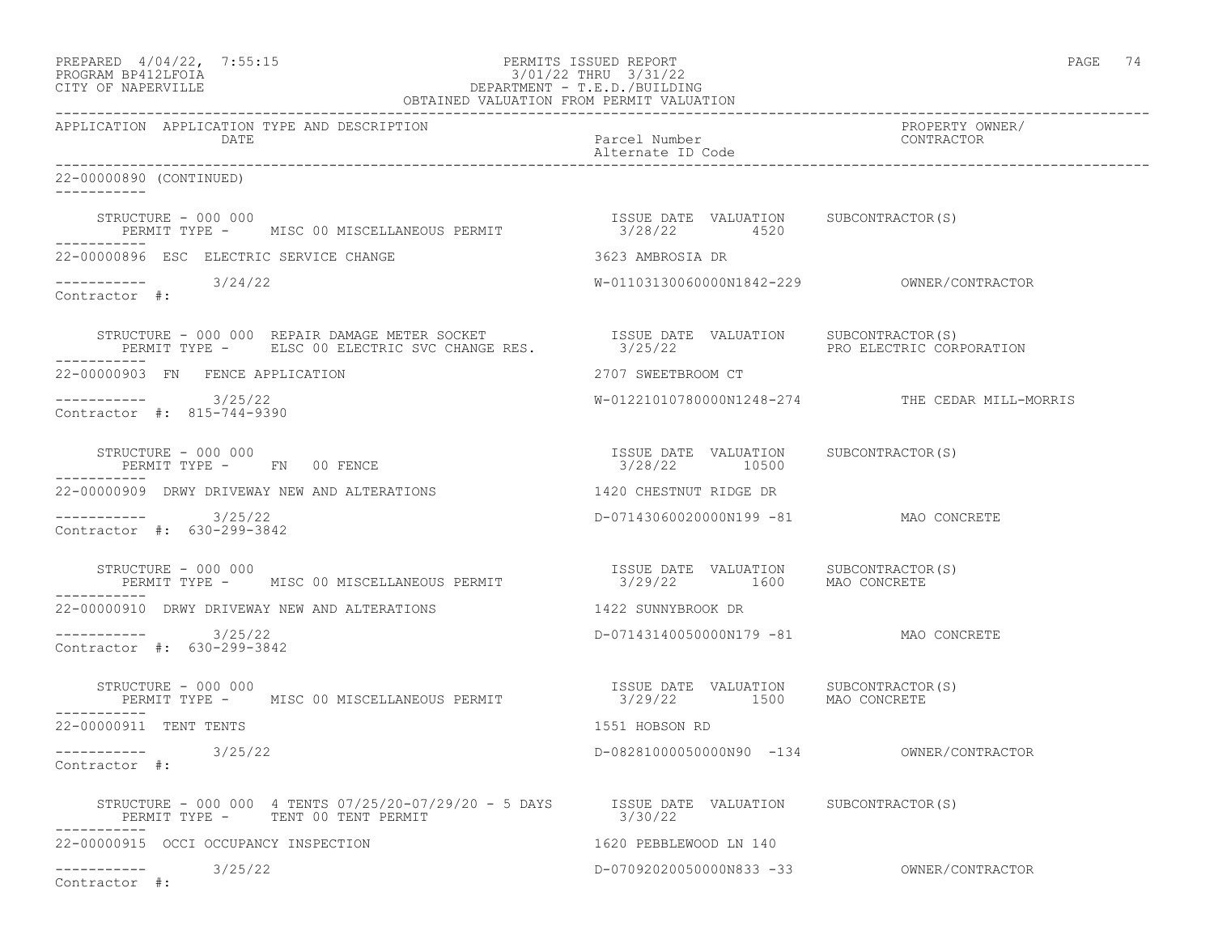|                    | PREPARED 4/04/22, 7:55:15 | PERMITS ISSUED REPORT                                                   | PAGE | $\mathbf{a}$ |
|--------------------|---------------------------|-------------------------------------------------------------------------|------|--------------|
| PROGRAM PRATOTROTA |                           | $\sim$ /01/00 $\equiv$ $\sim$ $\sim$ $\sim$ $\sim$ $\sim$ $\sim$ $\sim$ |      |              |

# PROGRAM BP412LFOIA 3/01/22 THRU 3/31/22 CITY OF NAPERVILLE DEPARTMENT - T.E.D./BUILDING

| OBTAINED VALUATION FROM PERMIT VALUATION                                                                                                                                                                                    |                                                                    |                                                 |  |
|-----------------------------------------------------------------------------------------------------------------------------------------------------------------------------------------------------------------------------|--------------------------------------------------------------------|-------------------------------------------------|--|
| APPLICATION APPLICATION TYPE AND DESCRIPTION<br>DATE                                                                                                                                                                        | Parcel Number<br>Alternate ID Code                                 | PROPERTY OWNER/<br>CONTRACTOR                   |  |
| 22-00000890 (CONTINUED)<br>-----------                                                                                                                                                                                      |                                                                    |                                                 |  |
| STRUCTURE - 000 000<br>PERMIT TYPE - MISC 00 MISCELLANEOUS PERMIT                                                                                                                                                           | ISSUE DATE VALUATION SUBCONTRACTOR (S)<br>3/28/22 4520             |                                                 |  |
| 22-00000896 ESC ELECTRIC SERVICE CHANGE                                                                                                                                                                                     | 3623 AMBROSIA DR                                                   |                                                 |  |
| $--------- 3/24/22$<br>Contractor #:                                                                                                                                                                                        |                                                                    |                                                 |  |
| STRUCTURE - 000 000 REPAIR DAMAGE METER SOCKET                 ISSUE DATE VALUATION     SUBCONTRACTOR(S)<br>PERMIT TYPE -      ELSC 00 ELECTRIC SVC CHANGE RES.             3/25/22                       PRO ELECTRIC CORE |                                                                    | PRO ELECTRIC CORPORATION                        |  |
| 22-00000903 FN FENCE APPLICATION                                                                                                                                                                                            | 2707 SWEETBROOM CT                                                 |                                                 |  |
| ----------- 3/25/22<br>Contractor #: 815-744-9390                                                                                                                                                                           |                                                                    | W-01221010780000N1248-274 THE CEDAR MILL-MORRIS |  |
| STRUCTURE - 000 000<br>PERMIT TYPE - FN 00 FENCE                                                                                                                                                                            | ISSUE DATE VALUATION SUBCONTRACTOR(S)<br>3/28/22 10500             |                                                 |  |
| 22-00000909 DRWY DRIVEWAY NEW AND ALTERATIONS                                                                                                                                                                               | 1420 CHESTNUT RIDGE DR                                             |                                                 |  |
| 3/25/22<br>Contractor #: 630-299-3842                                                                                                                                                                                       | D-07143060020000N199 -81 MAO CONCRETE                              |                                                 |  |
| STRUCTURE - 000 000<br>PERMIT TYPE - MISC 00 MISCELLANEOUS PERMIT                                                                                                                                                           | ISSUE DATE VALUATION SUBCONTRACTOR(S)<br>3/29/22 1600 MAO CONCRETE |                                                 |  |
| 22-00000910 DRWY DRIVEWAY NEW AND ALTERATIONS                                                                                                                                                                               | 1422 SUNNYBROOK DR                                                 |                                                 |  |
| -----------    3/25/22<br>Contractor #: 630-299-3842                                                                                                                                                                        | D-07143140050000N179 -81 MAO CONCRETE                              |                                                 |  |
| STRUCTURE - 000 000<br>PERMIT TYPE - MISC 00 MISCELLANEOUS PERMIT                                                                                                                                                           | ISSUE DATE VALUATION SUBCONTRACTOR(S)<br>3/29/22 1500 MAO CONCRETE |                                                 |  |
| 22-00000911 TENT TENTS                                                                                                                                                                                                      | 1551 HOBSON RD                                                     |                                                 |  |
| -----------    3/25/22<br>Contractor #:                                                                                                                                                                                     | D-08281000050000N90 -134 OWNER/CONTRACTOR                          |                                                 |  |
| STRUCTURE – 000 000 4 TENTS 07/25/20-07/29/20 – 5 DAYS ISSUE DATE VALUATION SUBCONTRACTOR(S) PERMIT TYPE – TENT 00 TENT PERMIT<br>PERMIT TYPE - TENT 00 TENT PERMIT                                                         |                                                                    |                                                 |  |
| 22-00000915 OCCI OCCUPANCY INSPECTION                                                                                                                                                                                       | 1620 PEBBLEWOOD LN 140                                             |                                                 |  |
| $--------- 3/25/22$<br>Contractor #:                                                                                                                                                                                        | D-07092020050000N833 -33 OWNER/CONTRACTOR                          |                                                 |  |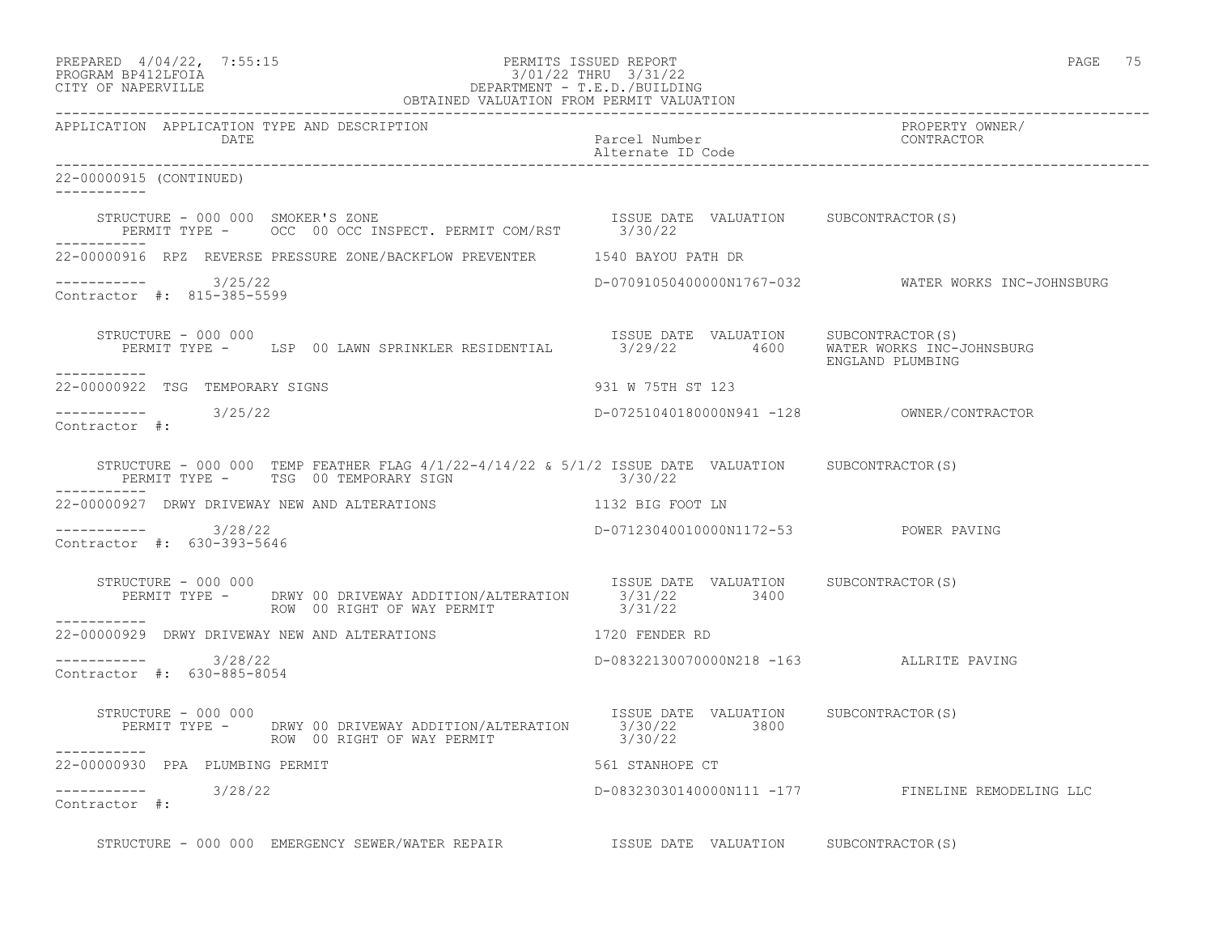| PREPARED            | $4/04/22$ , | 7:55:1! |
|---------------------|-------------|---------|
| DDOCDAM DD410T DOTA |             |         |

## PREPARED  $4/04/22$ , 7:55:15 PERMITS ISSUED REPORT<br>PROGRAM BP412LFOIA PAGE 75 201/22 THRU 3/31/22 PROGRAM BP412LFOIA 3/01/22 THRU 3/31/22<br>CITY OF NAPERVILLE DEPARTMENT - T.E.D./BUILDIN CITY OF NAPERVILLE DEPARTMENT - T.E.D./BUILDING

|                                                                                                                      | OBTAINED VALUATION FROM PERMIT VALUATION                                                                                                            |
|----------------------------------------------------------------------------------------------------------------------|-----------------------------------------------------------------------------------------------------------------------------------------------------|
| APPLICATION APPLICATION TYPE AND DESCRIPTION<br>DATE                                                                 | PROPERTY OWNER/<br>CONTRACTOR<br>Parcel Number<br>Alternate ID Code                                                                                 |
| 22-00000915 (CONTINUED)<br>------------                                                                              |                                                                                                                                                     |
| -----------                                                                                                          |                                                                                                                                                     |
| 22-00000916 RPZ REVERSE PRESSURE ZONE/BACKFLOW PREVENTER 1540 BAYOU PATH DR                                          |                                                                                                                                                     |
| $--------- 3/25/22$<br>Contractor #: 815-385-5599                                                                    | D-07091050400000N1767-032 WATER WORKS INC-JOHNSBURG                                                                                                 |
| STRUCTURE - 000 000<br>___________                                                                                   | ISSUE DATE VALUATION SUBCONTRACTOR(S)<br>PERMIT TYPE - LSP 00 LAWN SPRINKLER RESIDENTIAL 3/29/22 4600 WATER WORKS INC-JOHNSBURG<br>ENGLAND PLUMBING |
| 22-00000922 TSG TEMPORARY SIGNS                                                                                      | 931 W 75TH ST 123                                                                                                                                   |
| $--------- 3/25/22$<br>Contractor #:                                                                                 | D-07251040180000N941 -128 OWNER/CONTRACTOR                                                                                                          |
| PERMIT TYPE - TSG 00 TEMPORARY SIGN 8730/22                                                                          | STRUCTURE - 000 000 TEMP FEATHER FLAG $4/1/22 - 4/14/22 \approx 5/1/2$ ISSUE DATE VALUATION SUBCONTRACTOR(S)                                        |
| 22-00000927 DRWY DRIVEWAY NEW AND ALTERATIONS THE RESERVED STRINGER OOT LN                                           |                                                                                                                                                     |
| -----------    3/28/22<br>Contractor #: 630-393-5646                                                                 | D-07123040010000N1172-53 POWER PAVING                                                                                                               |
| STRUCTURE - 000 000<br>ROW 00 RIGHT OF WAY PERMIT                                                                    | STRUCTURE - 000 000<br>PERMIT TYPE - DRWY 00 DRIVEWAY ADDITION/ALTERATION 3/31/22 3400<br>3/31/22                                                   |
| ------------                                                                                                         |                                                                                                                                                     |
| ----------- 3/28/22<br>Contractor #: 630-885-8054                                                                    | D-08322130070000N218 -163 ALLRITE PAVING                                                                                                            |
| STRUCTURE - 000 000<br>PERMIT TYPE - DRWY 00 DRIVEWAY ADDITION/ALTERATION 3/30/22 3800<br>ROW 00 RIGHT OF WAY PERMIT | ISSUE DATE VALUATION SUBCONTRACTOR(S)<br>3/30/22                                                                                                    |
| ------------<br>22-00000930 PPA PLUMBING PERMIT                                                                      | 561 STANHOPE CT                                                                                                                                     |
| $--------$<br>Contractor #: 3/28/22                                                                                  | D-08323030140000N111 -177 FINELINE REMODELING LLC                                                                                                   |
|                                                                                                                      | STRUCTURE - 000 000 EMERGENCY SEWER/WATER REPAIR TSSUE DATE VALUATION SUBCONTRACTOR(S)                                                              |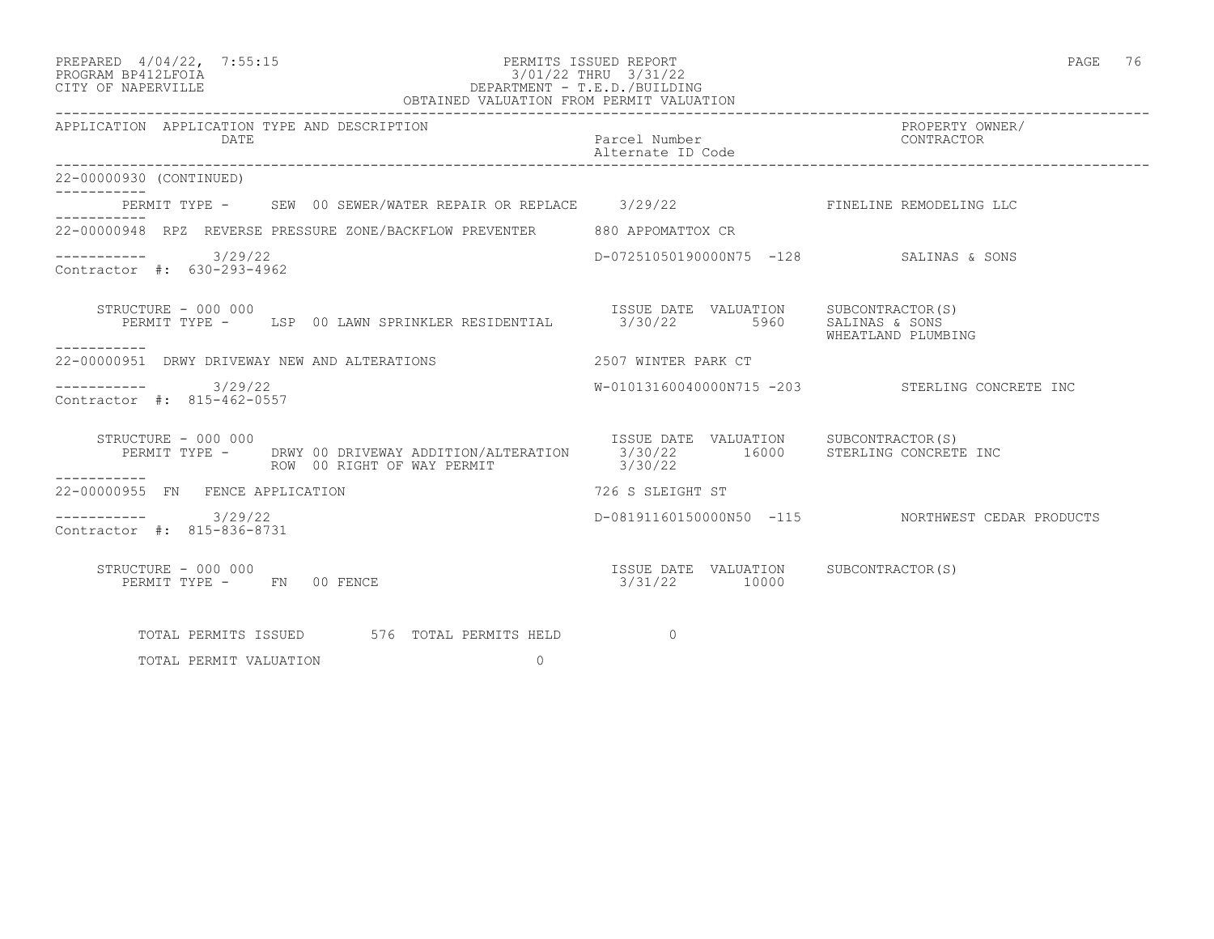| PREPARED 4/04/22, 7:55:15<br>PROGRAM BP412LFOIA 2765:15<br>CITY OF NAPERVILLE DEPARTMENT - T.E.D./BUILDING<br>OBTAINED VALUATION FROM PERMIT VALUATION<br>OBTAINED VALUATION FROM PERMIT VALUATION                   |                                         |                                                   |
|----------------------------------------------------------------------------------------------------------------------------------------------------------------------------------------------------------------------|-----------------------------------------|---------------------------------------------------|
| APPLICATION APPLICATION TYPE AND DESCRIPTION<br>DATE                                                                                                                                                                 | Parcel Number<br>Alternate ID Code      | PROPERTY OWNER/<br>CONTRACTOR                     |
| 22-00000930 (CONTINUED)                                                                                                                                                                                              |                                         |                                                   |
| PERMIT TYPE - SEW 00 SEWER/WATER REPAIR OR REPLACE 3/29/22 SET TINELINE REMODELING LLC                                                                                                                               |                                         |                                                   |
| 22-00000948 RPZ REVERSE PRESSURE ZONE/BACKFLOW PREVENTER 880 APPOMATTOX CR                                                                                                                                           |                                         |                                                   |
| $--------- 3/29/22$<br>Contractor #: 630-293-4962                                                                                                                                                                    | D-07251050190000N75 -128 SALINAS & SONS |                                                   |
| STRUCTURE - 000 000<br>PERMIT TYPE - LSP 00 LAWN SPRINKLER RESIDENTIAL 3/30/22 5960 SALINAS & SONS<br>-----------                                                                                                    | ISSUE DATE VALUATION SUBCONTRACTOR(S)   | WHEATLAND PLUMBING                                |
| 22-00000951 DRWY DRIVEWAY NEW AND ALTERATIONS THE RESERVE TO 2507 WINTER PARK CT                                                                                                                                     |                                         |                                                   |
| $--------- 3/29/22$<br>Contractor #: 815-462-0557                                                                                                                                                                    |                                         | W-01013160040000N715 -203 STERLING CONCRETE INC   |
| STRUCTURE - 000 000<br>PERMIT TYPE - DRWY 00 DRIVEWAY ADDITION/ALTERATION 3/30/22 16000 STERLING CONCRETE INC<br>STRUCTURE - 000 000<br>ROW 00 RIGHT OF WAY PERMIT 3/30/22                                           |                                         |                                                   |
| 22-00000955 FN FENCE APPLICATION                                                                                                                                                                                     | 726 S SLEIGHT ST                        |                                                   |
| $--------- 3/29/22$<br>Contractor #: 815-836-8731                                                                                                                                                                    |                                         | D-08191160150000N50 -115 NORTHWEST CEDAR PRODUCTS |
| $\begin{array}{cccccc} \text{ISSUE} & \text{DATE} & \text{VALUATION} & \text{SUBCONTRACTOR(S)}\\ \text{N} & 00 & \text{FENCE} & & 3/31/22 & & 10000 \end{array}$<br>STRUCTURE - 000 000<br>PERMIT TYPE - FN 00 FENCE |                                         |                                                   |
| TOTAL PERMITS ISSUED 576 TOTAL PERMITS HELD                                                                                                                                                                          | $\Omega$                                |                                                   |

TOTAL PERMIT VALUATION 0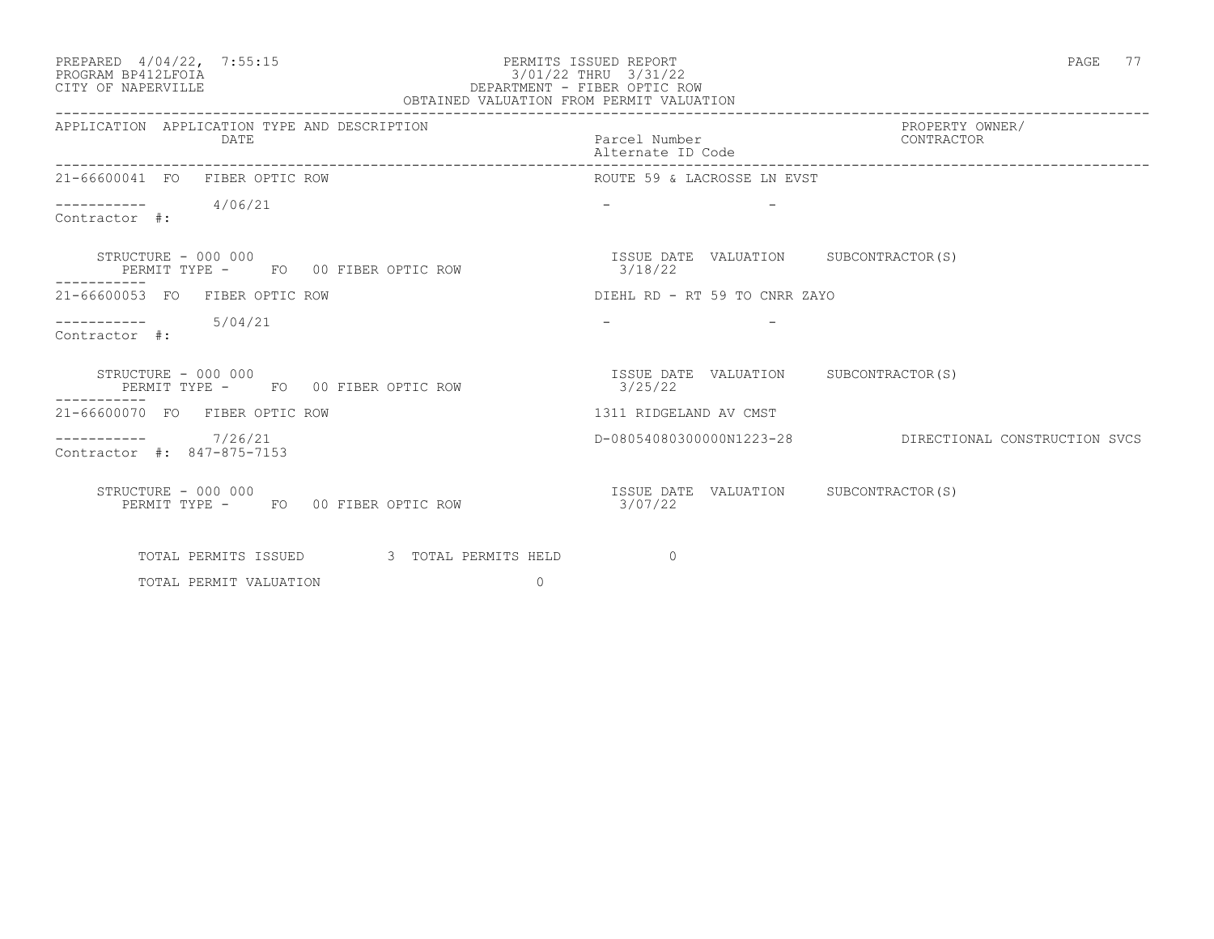### PREPARED 4/04/22, 7:55:15 PERMITS ISSUED REPORT PAGE 77 PAGE 77 PAGE 77 PERMITS ISSUED REPORT PROGRAM BP412LFOIA 3/01/22 THRU 3/31/22 CITY OF NAPERVILLE DEPARTMENT - FIBER OPTIC ROW OBTAINED VALUATION FROM PERMIT VALUATION

| APPLICATION APPLICATION TYPE AND DESCRIPTION<br>DATE       | PROPERTY OWNER/<br>Parcel Number CONTRACTOR<br>Alternate ID Code |
|------------------------------------------------------------|------------------------------------------------------------------|
| 21-66600041 FO FIBER OPTIC ROW                             | ROUTE 59 & LACROSSE LN EVST                                      |
| $--------- 4/06/21$<br>Contractor #:                       |                                                                  |
| STRUCTURE - 000 000<br>PERMIT TYPE - FO 00 FIBER OPTIC ROW | ISSUE DATE VALUATION SUBCONTRACTOR(S)<br>3/18/22                 |
| 21-66600053 FO FIBER OPTIC ROW                             | DIEHL RD - RT 59 TO CNRR ZAYO                                    |
| $--------- 5/04/21$<br>Contractor #:                       |                                                                  |
| STRUCTURE - 000 000<br>PERMIT TYPE - FO 00 FIBER OPTIC ROW | ISSUE DATE VALUATION SUBCONTRACTOR(S)<br>3/25/22                 |
| 21-66600070 FO FIBER OPTIC ROW                             | 1311 RIDGELAND AV CMST                                           |
| $--------- 7/26/21$<br>Contractor #: 847-875-7153          | D-08054080300000N1223-28 DIRECTIONAL CONSTRUCTION SVCS           |
| STRUCTURE - 000 000<br>PERMIT TYPE - FO 00 FIBER OPTIC ROW | ISSUE DATE VALUATION SUBCONTRACTOR(S)<br>3/07/22                 |
| TOTAL PERMITS ISSUED 3 TOTAL PERMITS HELD                  | $\Omega$                                                         |
| $\Omega$<br>TOTAL PERMIT VALUATION                         |                                                                  |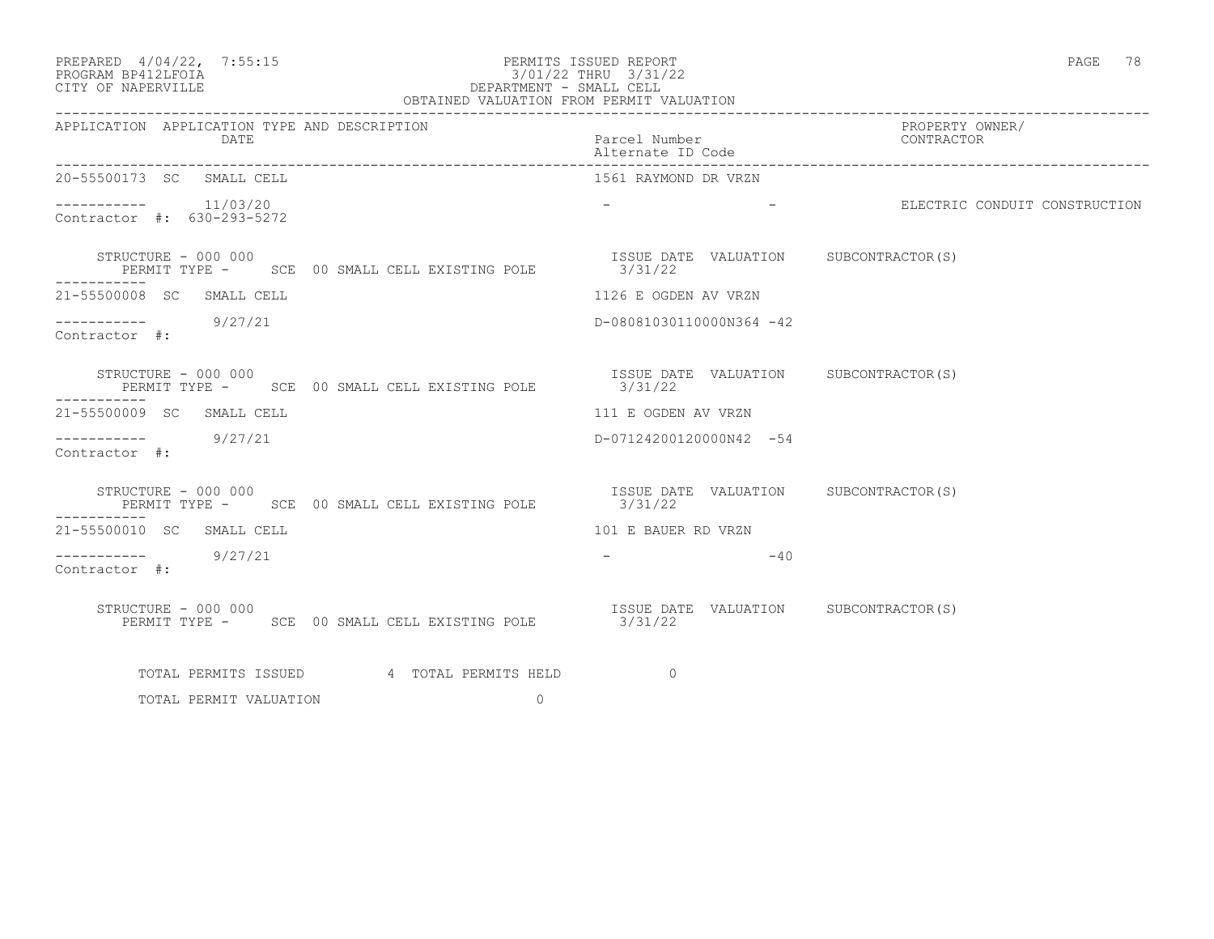| PREPARED | $4/04/22$ , | 7:55:15 |
|----------|-------------|---------|
|          |             |         |

## PREPARED  $4/04/22$ , 7:55:15 PERMITS ISSUED REPORT PAGE 78<br>PROGRAM BP412LFOIA PROGRAM BP412LFOIA PROGRAM BP412LFOIA 3/01/22 THRU 3/31/22 CITY OF NAPERVILLE SUMMER SUMMER ASSESSED AS A DEPARTMENT - SMALL CELL CITY OF NAPERVILLE DEPARTMENT - SMALL CELL

| OBTAINED VALUATION FROM PERMIT VALUATION                                                    |                                                  |                                                                                                                                                                                                                               |
|---------------------------------------------------------------------------------------------|--------------------------------------------------|-------------------------------------------------------------------------------------------------------------------------------------------------------------------------------------------------------------------------------|
| APPLICATION APPLICATION TYPE AND DESCRIPTION<br>DATE                                        | Parcel Number<br>Alternate ID Code               | PROPERTY OWNER/<br>CONTRACTOR                                                                                                                                                                                                 |
| 20-55500173 SC SMALL CELL                                                                   | 1561 RAYMOND DR VRZN                             |                                                                                                                                                                                                                               |
| $--------- 11/03/20$<br>Contractor #: 630-293-5272                                          |                                                  | - The set of the set of the set of the set of the set of the set of the set of the set of the set of the set of the set of the set of the set of the set of the set of the set of the set of the set of the set of the set of |
| STRUCTURE - 000 000<br>PERMIT TYPE - SCE 00 SMALL CELL EXISTING POLE 3/31/22<br>----------- | ISSUE DATE VALUATION SUBCONTRACTOR(S)            |                                                                                                                                                                                                                               |
| 21-55500008 SC SMALL CELL                                                                   | 1126 E OGDEN AV VRZN                             |                                                                                                                                                                                                                               |
| $\frac{--------}{}$ 9/27/21<br>Contractor #:                                                | D-08081030110000N364 -42                         |                                                                                                                                                                                                                               |
| STRUCTURE - 000 000<br>PERMIT TYPE - SCE 00 SMALL CELL EXISTING POLE                        | ISSUE DATE VALUATION SUBCONTRACTOR(S)<br>3/31/22 |                                                                                                                                                                                                                               |
| 21-55500009 SC SMALL CELL                                                                   | 111 E OGDEN AV VRZN                              |                                                                                                                                                                                                                               |
| $--------$ 9/27/21<br>Contractor #:                                                         | D-07124200120000N42 -54                          |                                                                                                                                                                                                                               |
| STRUCTURE - 000 000<br>PERMIT TYPE - SCE 00 SMALL CELL EXISTING POLE                        | ISSUE DATE VALUATION SUBCONTRACTOR(S)<br>3/31/22 |                                                                                                                                                                                                                               |
| 21-55500010 SC SMALL CELL                                                                   | 101 E BAUER RD VRZN                              |                                                                                                                                                                                                                               |
| $--------- 9/27/21$<br>Contractor #:                                                        | $-40$<br>the company of the company of           |                                                                                                                                                                                                                               |
| STRUCTURE - 000 000<br>PERMIT TYPE - SCE 00 SMALL CELL EXISTING POLE 3/31/22                | ISSUE DATE VALUATION SUBCONTRACTOR(S)            |                                                                                                                                                                                                                               |
| TOTAL PERMITS ISSUED 4 TOTAL PERMITS HELD                                                   | $\overline{0}$                                   |                                                                                                                                                                                                                               |
| $\Omega$<br>TOTAL PERMIT VALUATION                                                          |                                                  |                                                                                                                                                                                                                               |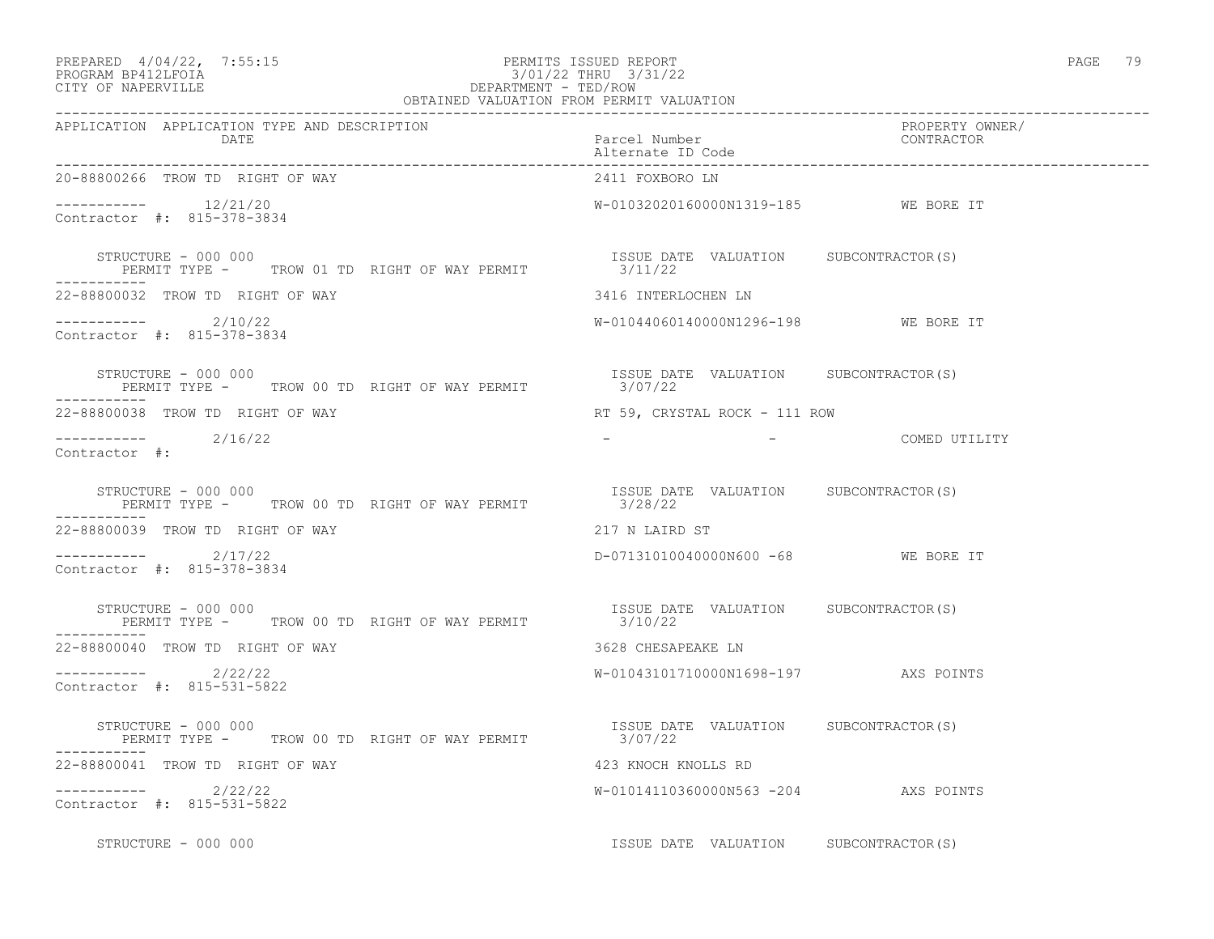| PREPARED 4/04/22, 7:55:15<br>PROGRAM BP412LFOIA 3/01/22 THRU 3/31/22<br>CITY OF NAPERVILLE CITY OF NAPERVILLE DEPARTMENT - TED/ROW DEPARTMENT - TED/ROW                                                                                                                                                                         |                                       | PAGE 79                       |
|---------------------------------------------------------------------------------------------------------------------------------------------------------------------------------------------------------------------------------------------------------------------------------------------------------------------------------|---------------------------------------|-------------------------------|
| APPLICATION APPLICATION TYPE AND DESCRIPTION<br>DATE                                                                                                                                                                                                                                                                            | Parcel Number<br>Alternate ID Code    | PROPERTY OWNER/<br>CONTRACTOR |
| 20-88800266 TROW TD RIGHT OF WAY                                                                                                                                                                                                                                                                                                | 2411 FOXBORO LN                       |                               |
| Contractor #: 815-378-3834                                                                                                                                                                                                                                                                                                      | W-01032020160000N1319-185 WE BORE IT  |                               |
| STRUCTURE - 000 000<br>PERMIT TYPE - TROW 01 TD RIGHT OF WAY PERMIT $3/11/22$<br>3/11/22                                                                                                                                                                                                                                        |                                       |                               |
| 22-88800032 TROW TD RIGHT OF WAY                                                                                                                                                                                                                                                                                                | 3416 INTERLOCHEN LN                   |                               |
| -----------    2/10/22<br>Contractor #: 815-378-3834                                                                                                                                                                                                                                                                            | W-01044060140000N1296-198 WE BORE IT  |                               |
| STRUCTURE - 000 000<br>STRUCTURE - 000 000<br>PERMIT TYPE -     TROW 00 TD RIGHT OF WAY PERMIT                  3/07/22                                                                                                                                                                                                         | ISSUE DATE VALUATION SUBCONTRACTOR(S) |                               |
| 22-88800038 TROW TD RIGHT OF WAY                                                                                                                                                                                                                                                                                                | RT 59, CRYSTAL ROCK - 111 ROW         |                               |
| ----------- 2/16/22<br>Contractor #:                                                                                                                                                                                                                                                                                            |                                       | - COMED UTILITY               |
| $\begin{tabular}{lllllll} \texttt{STRUCTURE} & - & 000 & 000 & & & & & \\ \texttt{PERMIT} & TYPE & - & & \texttt{TROW} & 00 & \texttt{TD} & \texttt{RIGHT OF WAY PERMIT} & & & & & \\ \texttt{PERMIT} & TYPE & - & & \texttt{TROW} & 00 & \texttt{TD} & \texttt{RIGHT OF WAY PERMIT} & & & & & \\ \end{tabular}$<br>----------- |                                       |                               |
| 22-88800039 TROW TD RIGHT OF WAY                                                                                                                                                                                                                                                                                                | 217 N LAIRD ST                        |                               |
| -----------    2/17/22<br>Contractor #: 815-378-3834                                                                                                                                                                                                                                                                            | D-07131010040000N600 -68 WE BORE IT   |                               |
| RUCTURE - 000 000<br>PERMIT TYPE - TROW 00 TD RIGHT OF WAY PERMIT TYPE - TROW OF THE OF WAY PERMIT TYPE - TROW OO TD RIGHT OF WAY PERMIT<br>STRUCTURE - 000 000<br>-----------                                                                                                                                                  |                                       |                               |
| 22-88800040 TROW TD RIGHT OF WAY                                                                                                                                                                                                                                                                                                | 3628 CHESAPEAKE LN                    |                               |
| $---------2/22/22$<br>Contractor #: 815-531-5822                                                                                                                                                                                                                                                                                | W-01043101710000N1698-197 AXS POINTS  |                               |
| STRUCTURE - 000 000<br>PERMIT TYPE - TROW 00 TD RIGHT OF WAY PERMIT $3/07/22$<br>3/07/22<br>STRUCTURE - 000 000                                                                                                                                                                                                                 |                                       |                               |
| 22-88800041 TROW TD RIGHT OF WAY                                                                                                                                                                                                                                                                                                | 423 KNOCH KNOLLS RD                   |                               |
| $---------2/22/22$<br>Contractor #: 815-531-5822                                                                                                                                                                                                                                                                                | W-01014110360000N563 -204 AXS POINTS  |                               |
| STRUCTURE - 000 000                                                                                                                                                                                                                                                                                                             | ISSUE DATE VALUATION SUBCONTRACTOR(S) |                               |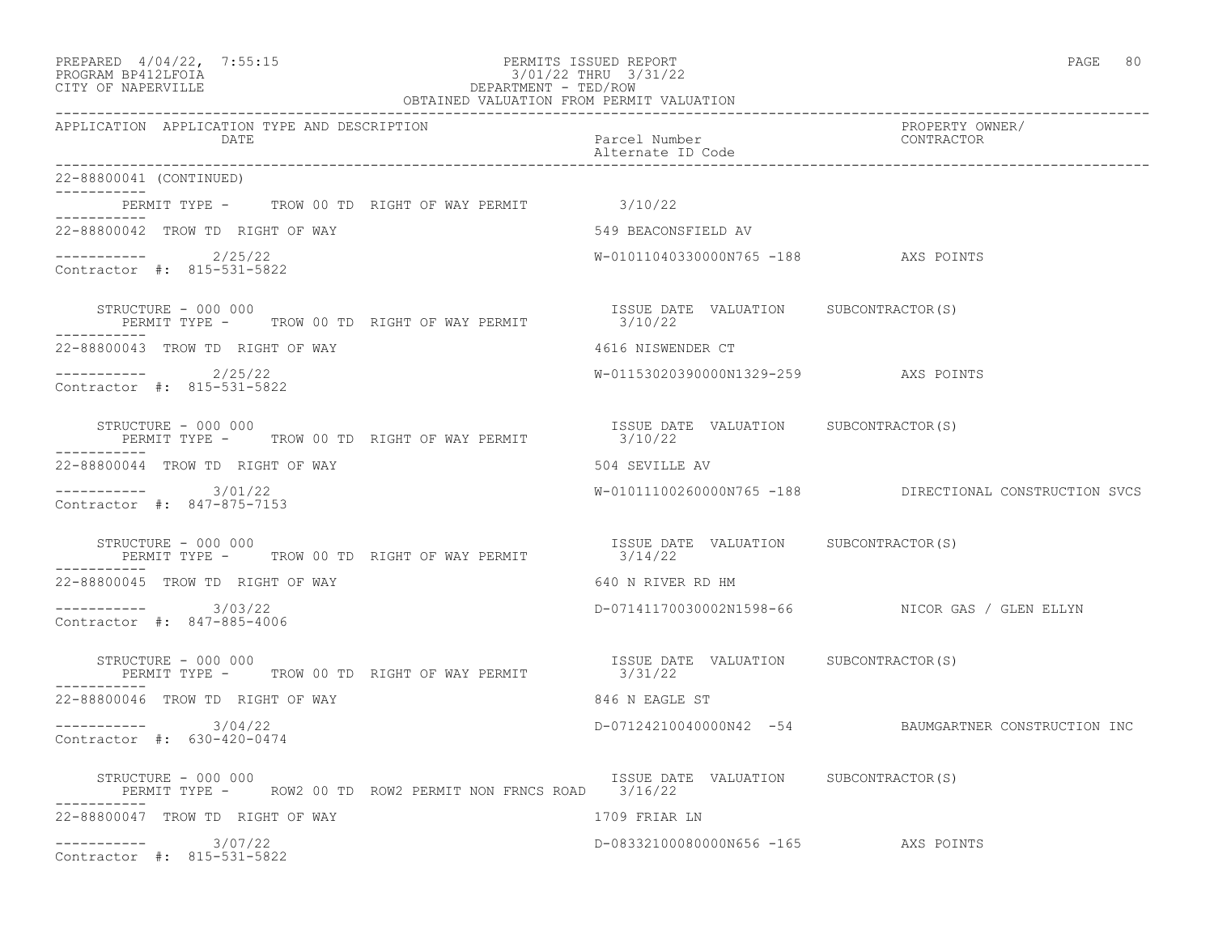| PREPARED 4/04/22, 7:55:15<br>FERMITS ISSUED REFORT<br>3/01/22 THRU 3/31/22<br>DEPARTMENT - TED/ROW<br>OBTAINED VALUATION FROM PERMIT VALUATION<br>PROGRAM BP412LFOIA<br>CITY OF NAPERVILLE | PERMITS ISSUED REPORT                            | 80<br>PAGE                                              |
|--------------------------------------------------------------------------------------------------------------------------------------------------------------------------------------------|--------------------------------------------------|---------------------------------------------------------|
| APPLICATION APPLICATION TYPE AND DESCRIPTION<br>DATE                                                                                                                                       | Parcel Number<br>Alternate ID Code               | PROPERTY OWNER/<br>CONTRACTOR                           |
| 22-88800041 (CONTINUED)                                                                                                                                                                    |                                                  |                                                         |
| PERMIT TYPE - TROW 00 TD RIGHT OF WAY PERMIT 3/10/22                                                                                                                                       |                                                  |                                                         |
| 22-88800042 TROW TD RIGHT OF WAY                                                                                                                                                           | 549 BEACONSFIELD AV                              |                                                         |
| $--------- 2/25/22$<br>Contractor #: 815-531-5822                                                                                                                                          | W-01011040330000N765 -188 AXS POINTS             |                                                         |
| STRUCTURE - 000 000<br>PERMIT TYPE - TROW 00 TD RIGHT OF WAY PERMIT (22)                                                                                                                   | ISSUE DATE VALUATION SUBCONTRACTOR(S)            |                                                         |
| 22-88800043 TROW TD RIGHT OF WAY                                                                                                                                                           | 4616 NISWENDER CT                                |                                                         |
| $---------2/25/22$<br>Contractor #: 815-531-5822                                                                                                                                           | W-01153020390000N1329-259 AXS POINTS             |                                                         |
| STRUCTURE - 000 000<br>PERMIT TYPE - TROW 00 TD RIGHT OF WAY PERMIT 3/10/22                                                                                                                | ISSUE DATE VALUATION SUBCONTRACTOR(S)            |                                                         |
| 22-88800044 TROW TD RIGHT OF WAY                                                                                                                                                           | 504 SEVILLE AV                                   |                                                         |
| $--------- 3/01/22$<br>Contractor #: 847-875-7153                                                                                                                                          |                                                  | W-01011100260000N765 -188 DIRECTIONAL CONSTRUCTION SVCS |
| STRUCTURE - 000 000<br>PERMIT TYPE - TROW 00 TD RIGHT OF WAY PERMIT                                                                                                                        | ISSUE DATE VALUATION SUBCONTRACTOR(S)<br>3/14/22 |                                                         |
| 22-88800045 TROW TD RIGHT OF WAY                                                                                                                                                           | 640 N RIVER RD HM                                |                                                         |
| -----------    3/03/22<br>Contractor #: 847-885-4006                                                                                                                                       |                                                  | D-07141170030002N1598-66 NICOR GAS / GLEN ELLYN         |
| STRUCTURE - 000 000<br>PERMIT TYPE - TROW 00 TD RIGHT OF WAY PERMIT                                                                                                                        | ISSUE DATE VALUATION SUBCONTRACTOR(S)<br>3/31/22 |                                                         |
| 22-88800046 TROW TD RIGHT OF WAY                                                                                                                                                           | 846 N EAGLE ST                                   |                                                         |
| $--------- 3/04/22$<br>Contractor #: 630-420-0474                                                                                                                                          |                                                  | D-07124210040000N42 -54 BAUMGARTNER CONSTRUCTION INC    |
| STRUCTURE - 000 000<br>PERMIT TYPE - ROW2 00 TD ROW2 PERMIT NON FRNCS ROAD 3/16/22                                                                                                         | ISSUE DATE VALUATION SUBCONTRACTOR(S)            |                                                         |
| 22-88800047 TROW TD RIGHT OF WAY                                                                                                                                                           | 1709 FRIAR LN                                    |                                                         |
| ----------- 3/07/22<br>Contractor #: 815-531-5822                                                                                                                                          | D-08332100080000N656 -165 AXS POINTS             |                                                         |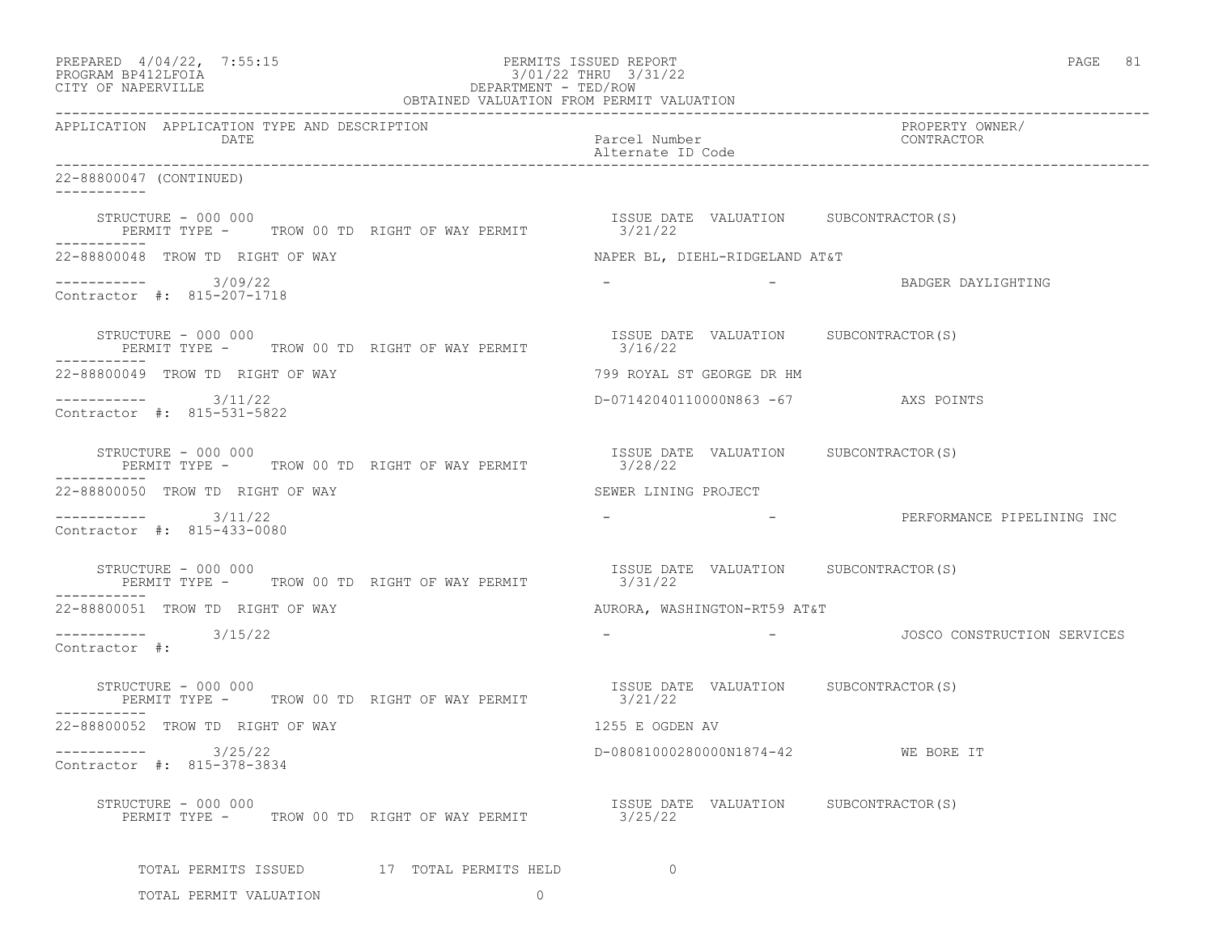| PREPARED 4/04/22, 7:55:15<br>PROGRAM BP412LFOIA<br>CITY OF NAPERVILLE       | PERMITS ISSUED REPORT<br>3/01/22 THRU 3/31/22    | PAGE 81                                                 |
|-----------------------------------------------------------------------------|--------------------------------------------------|---------------------------------------------------------|
| APPLICATION APPLICATION TYPE AND DESCRIPTION<br>DATE                        | Parcel Number<br>Alternate ID Code               | PROPERTY OWNER/<br>CONTRACTOR                           |
| 22-88800047 (CONTINUED)<br>-----------                                      |                                                  |                                                         |
| STRUCTURE - 000 000<br>PERMIT TYPE - TROW 00 TD RIGHT OF WAY PERMIT 3/21/22 | ISSUE DATE VALUATION SUBCONTRACTOR(S)            |                                                         |
| 22-88800048 TROW TD RIGHT OF WAY                                            | NAPER BL, DIEHL-RIDGELAND AT&T                   |                                                         |
| -----------    3/09/22<br>Contractor #: 815-207-1718                        |                                                  | - BADGER DAYLIGHTING                                    |
| STRUCTURE - 000 000<br>PERMIT TYPE - TROW 00 TD RIGHT OF WAY PERMIT         | ISSUE DATE VALUATION SUBCONTRACTOR(S)<br>3/16/22 |                                                         |
| 22-88800049 TROW TD RIGHT OF WAY                                            | 799 ROYAL ST GEORGE DR HM                        |                                                         |
| $----------$ 3/11/22<br>Contractor #: 815-531-5822                          | D-07142040110000N863 -67 AXS POINTS              |                                                         |
| STRUCTURE - 000 000<br>PERMIT TYPE - TROW 00 TD RIGHT OF WAY PERMIT         | ISSUE DATE VALUATION SUBCONTRACTOR(S)<br>3/28/22 |                                                         |
| 22-88800050 TROW TD RIGHT OF WAY                                            | SEWER LINING PROJECT                             |                                                         |
| $--------- 3/11/22$<br>Contractor #: 815-433-0080                           |                                                  | - RERFORMANCE PIPELINING INC                            |
| STRUCTURE - 000 000<br>PERMIT TYPE - TROW 00 TD RIGHT OF WAY PERMIT 3/31/22 | ISSUE DATE VALUATION SUBCONTRACTOR(S)            |                                                         |
| 22-88800051 TROW TD RIGHT OF WAY                                            | AURORA, WASHINGTON-RT59 AT&T                     |                                                         |
| $---------$ 3/15/22<br>Contractor #:                                        |                                                  | -                           JOSCO CONSTRUCTION SERVICES |
| STRUCTURE - 000 000<br>PERMIT TYPE - TROW 00 TD RIGHT OF WAY PERMIT 3/21/22 | ISSUE DATE VALUATION SUBCONTRACTOR(S)            |                                                         |
| 22-88800052 TROW TD RIGHT OF WAY                                            | 1255 E OGDEN AV                                  |                                                         |
| 3/25/22<br>-----------<br>Contractor #: 815-378-3834                        | D-08081000280000N1874-42 WE BORE IT              |                                                         |
| STRUCTURE - 000 000<br>PERMIT TYPE - TROW 00 TD RIGHT OF WAY PERMIT         | ISSUE DATE VALUATION SUBCONTRACTOR(S)<br>3/25/22 |                                                         |
| TOTAL PERMITS ISSUED 17 TOTAL PERMITS HELD                                  | $\circ$                                          |                                                         |
| TOTAL PERMIT VALUATION<br>$\circ$                                           |                                                  |                                                         |